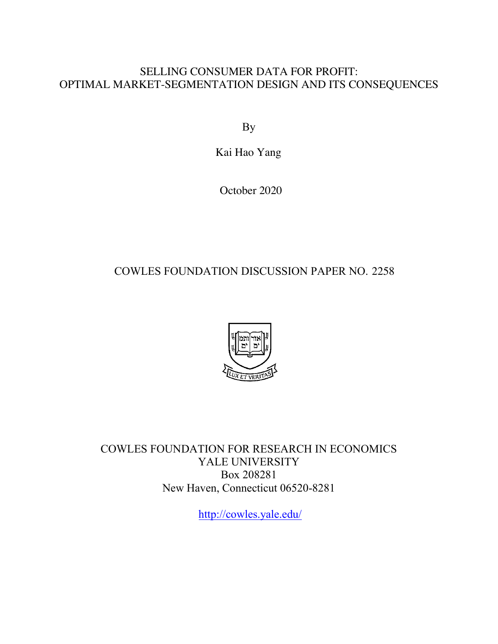# SELLING CONSUMER DATA FOR PROFIT: OPTIMAL MARKET-SEGMENTATION DESIGN AND ITS CONSEQUENCES

By

Kai Hao Yang

October 2020

# COWLES FOUNDATION DISCUSSION PAPER NO. 2258



COWLES FOUNDATION FOR RESEARCH IN ECONOMICS YALE UNIVERSITY Box 208281 New Haven, Connecticut 06520-8281

<http://cowles.yale.edu>/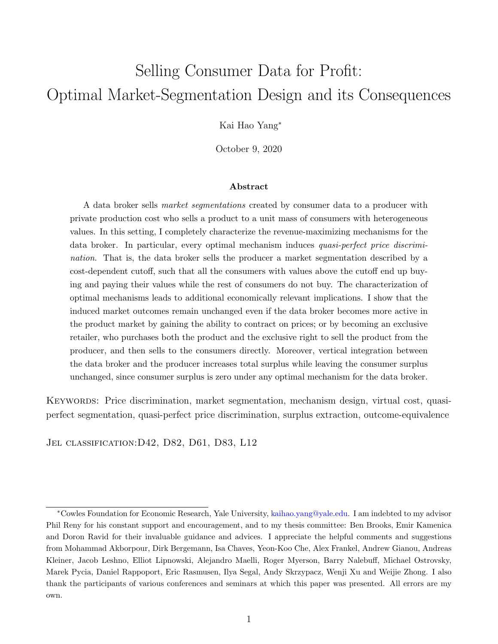# Selling Consumer Data for Profit: Optimal Market-Segmentation Design and its Consequences

Kai Hao Yang<sup>∗</sup>

October 9, 2020

#### Abstract

A data broker sells market segmentations created by consumer data to a producer with private production cost who sells a product to a unit mass of consumers with heterogeneous values. In this setting, I completely characterize the revenue-maximizing mechanisms for the data broker. In particular, every optimal mechanism induces quasi-perfect price discrimination. That is, the data broker sells the producer a market segmentation described by a cost-dependent cutoff, such that all the consumers with values above the cutoff end up buying and paying their values while the rest of consumers do not buy. The characterization of optimal mechanisms leads to additional economically relevant implications. I show that the induced market outcomes remain unchanged even if the data broker becomes more active in the product market by gaining the ability to contract on prices; or by becoming an exclusive retailer, who purchases both the product and the exclusive right to sell the product from the producer, and then sells to the consumers directly. Moreover, vertical integration between the data broker and the producer increases total surplus while leaving the consumer surplus unchanged, since consumer surplus is zero under any optimal mechanism for the data broker.

KEYWORDS: Price discrimination, market segmentation, mechanism design, virtual cost, quasiperfect segmentation, quasi-perfect price discrimination, surplus extraction, outcome-equivalence

Jel classification:D42, D82, D61, D83, L12

<sup>∗</sup>Cowles Foundation for Economic Research, Yale University, [kaihao.yang@yale.edu.](kaihao.yang@yale.edu) I am indebted to my advisor Phil Reny for his constant support and encouragement, and to my thesis committee: Ben Brooks, Emir Kamenica and Doron Ravid for their invaluable guidance and advices. I appreciate the helpful comments and suggestions from Mohammad Akborpour, Dirk Bergemann, Isa Chaves, Yeon-Koo Che, Alex Frankel, Andrew Gianou, Andreas Kleiner, Jacob Leshno, Elliot Lipnowski, Alejandro Maelli, Roger Myerson, Barry Nalebuff, Michael Ostrovsky, Marek Pycia, Daniel Rappoport, Eric Rasmusen, Ilya Segal, Andy Skrzypacz, Wenji Xu and Weijie Zhong. I also thank the participants of various conferences and seminars at which this paper was presented. All errors are my own.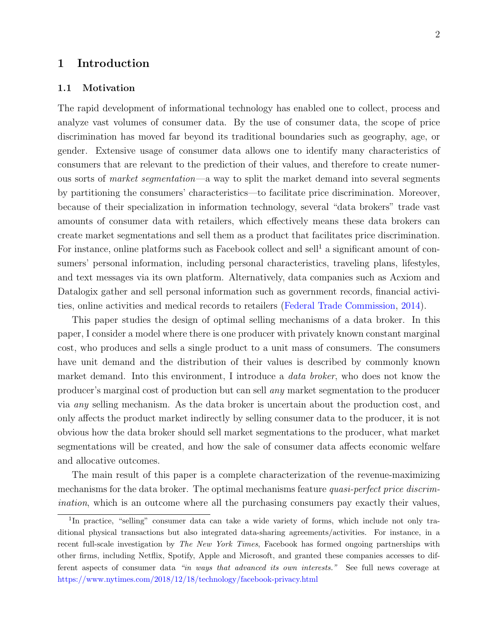## 1 Introduction

#### 1.1 Motivation

The rapid development of informational technology has enabled one to collect, process and analyze vast volumes of consumer data. By the use of consumer data, the scope of price discrimination has moved far beyond its traditional boundaries such as geography, age, or gender. Extensive usage of consumer data allows one to identify many characteristics of consumers that are relevant to the prediction of their values, and therefore to create numerous sorts of market segmentation—a way to split the market demand into several segments by partitioning the consumers' characteristics—to facilitate price discrimination. Moreover, because of their specialization in information technology, several "data brokers" trade vast amounts of consumer data with retailers, which effectively means these data brokers can create market segmentations and sell them as a product that facilitates price discrimination. For instance, online platforms such as Facebook collect and sell<sup>[1](#page-2-0)</sup> a significant amount of consumers' personal information, including personal characteristics, traveling plans, lifestyles, and text messages via its own platform. Alternatively, data companies such as Acxiom and Datalogix gather and sell personal information such as government records, financial activities, online activities and medical records to retailers [\(Federal Trade Commission,](#page-40-0) [2014\)](#page-40-0).

This paper studies the design of optimal selling mechanisms of a data broker. In this paper, I consider a model where there is one producer with privately known constant marginal cost, who produces and sells a single product to a unit mass of consumers. The consumers have unit demand and the distribution of their values is described by commonly known market demand. Into this environment, I introduce a *data broker*, who does not know the producer's marginal cost of production but can sell any market segmentation to the producer via any selling mechanism. As the data broker is uncertain about the production cost, and only affects the product market indirectly by selling consumer data to the producer, it is not obvious how the data broker should sell market segmentations to the producer, what market segmentations will be created, and how the sale of consumer data affects economic welfare and allocative outcomes.

The main result of this paper is a complete characterization of the revenue-maximizing mechanisms for the data broker. The optimal mechanisms feature *quasi-perfect price discrim*ination, which is an outcome where all the purchasing consumers pay exactly their values,

<span id="page-2-0"></span><sup>&</sup>lt;sup>1</sup>In practice, "selling" consumer data can take a wide variety of forms, which include not only traditional physical transactions but also integrated data-sharing agreements/activities. For instance, in a recent full-scale investigation by The New York Times, Facebook has formed ongoing partnerships with other firms, including Netflix, Spotify, Apple and Microsoft, and granted these companies accesses to different aspects of consumer data "in ways that advanced its own interests." See full news coverage at <https://www.nytimes.com/2018/12/18/technology/facebook-privacy.html>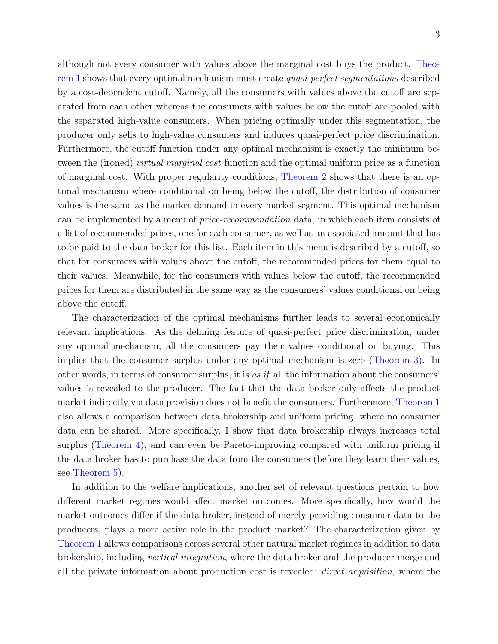although not every consumer with values above the marginal cost buys the product. [Theo](#page-13-0)[rem 1](#page-13-0) shows that every optimal mechanism must create quasi-perfect segmentations described by a cost-dependent cutoff. Namely, all the consumers with values above the cutoff are separated from each other whereas the consumers with values below the cutoff are pooled with the separated high-value consumers. When pricing optimally under this segmentation, the producer only sells to high-value consumers and induces quasi-perfect price discrimination. Furthermore, the cutoff function under any optimal mechanism is exactly the minimum between the (ironed) *virtual marginal cost* function and the optimal uniform price as a function of marginal cost. With proper regularity conditions, [Theorem 2](#page-15-0) shows that there is an optimal mechanism where conditional on being below the cutoff, the distribution of consumer values is the same as the market demand in every market segment. This optimal mechanism can be implemented by a menu of price-recommendation data, in which each item consists of a list of recommended prices, one for each consumer, as well as an associated amount that has to be paid to the data broker for this list. Each item in this menu is described by a cutoff, so that for consumers with values above the cutoff, the recommended prices for them equal to their values. Meanwhile, for the consumers with values below the cutoff, the recommended prices for them are distributed in the same way as the consumers' values conditional on being

above the cutoff.

The characterization of the optimal mechanisms further leads to several economically relevant implications. As the defining feature of quasi-perfect price discrimination, under any optimal mechanism, all the consumers pay their values conditional on buying. This implies that the consumer surplus under any optimal mechanism is zero [\(Theorem 3\)](#page-22-0). In other words, in terms of consumer surplus, it is as if all the information about the consumers' values is revealed to the producer. The fact that the data broker only affects the product market indirectly via data provision does not benefit the consumers. Furthermore, [Theorem 1](#page-13-0) also allows a comparison between data brokership and uniform pricing, where no consumer data can be shared. More specifically, I show that data brokership always increases total surplus [\(Theorem 4\)](#page-23-0), and can even be Pareto-improving compared with uniform pricing if the data broker has to purchase the data from the consumers (before they learn their values, see [Theorem 5\)](#page-24-0).

In addition to the welfare implications, another set of relevant questions pertain to how different market regimes would affect market outcomes. More specifically, how would the market outcomes differ if the data broker, instead of merely providing consumer data to the producers, plays a more active role in the product market? The characterization given by [Theorem 1](#page-13-0) allows comparisons across several other natural market regimes in addition to data brokership, including vertical integration, where the data broker and the producer merge and all the private information about production cost is revealed; direct acquisition, where the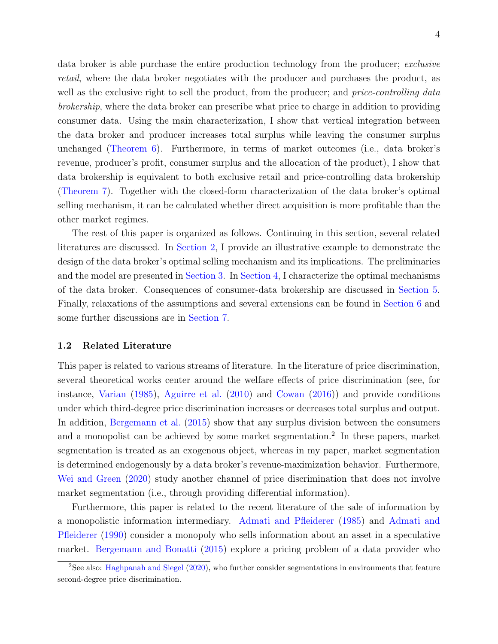data broker is able purchase the entire production technology from the producer; exclusive retail, where the data broker negotiates with the producer and purchases the product, as well as the exclusive right to sell the product, from the producer; and *price-controlling data* brokership, where the data broker can prescribe what price to charge in addition to providing consumer data. Using the main characterization, I show that vertical integration between the data broker and producer increases total surplus while leaving the consumer surplus unchanged [\(Theorem 6\)](#page-26-0). Furthermore, in terms of market outcomes (i.e., data broker's revenue, producer's profit, consumer surplus and the allocation of the product), I show that data brokership is equivalent to both exclusive retail and price-controlling data brokership [\(Theorem 7\)](#page-27-0). Together with the closed-form characterization of the data broker's optimal selling mechanism, it can be calculated whether direct acquisition is more profitable than the other market regimes.

The rest of this paper is organized as follows. Continuing in this section, several related literatures are discussed. In [Section 2,](#page-5-0) I provide an illustrative example to demonstrate the design of the data broker's optimal selling mechanism and its implications. The preliminaries and the model are presented in [Section 3.](#page-9-0) In [Section 4,](#page-12-0) I characterize the optimal mechanisms of the data broker. Consequences of consumer-data brokership are discussed in [Section 5.](#page-22-1) Finally, relaxations of the assumptions and several extensions can be found in [Section 6](#page-28-0) and some further discussions are in [Section 7.](#page-34-0)

#### 1.2 Related Literature

This paper is related to various streams of literature. In the literature of price discrimination, several theoretical works center around the welfare effects of price discrimination (see, for instance, [Varian](#page-41-0) [\(1985\)](#page-41-0), [Aguirre et al.](#page-39-0) [\(2010\)](#page-39-0) and [Cowan](#page-40-1) [\(2016\)](#page-40-1)) and provide conditions under which third-degree price discrimination increases or decreases total surplus and output. In addition, [Bergemann et al.](#page-39-1) [\(2015\)](#page-39-1) show that any surplus division between the consumers and a monopolist can be achieved by some market segmentation.<sup>[2](#page-4-0)</sup> In these papers, market segmentation is treated as an exogenous object, whereas in my paper, market segmentation is determined endogenously by a data broker's revenue-maximization behavior. Furthermore, [Wei and Green](#page-41-1) [\(2020\)](#page-41-1) study another channel of price discrimination that does not involve market segmentation (i.e., through providing differential information).

Furthermore, this paper is related to the recent literature of the sale of information by a monopolistic information intermediary. [Admati and Pfleiderer](#page-39-2) [\(1985\)](#page-39-2) and [Admati and](#page-39-3) [Pfleiderer](#page-39-3) [\(1990\)](#page-39-3) consider a monopoly who sells information about an asset in a speculative market. [Bergemann and Bonatti](#page-39-4) [\(2015\)](#page-39-4) explore a pricing problem of a data provider who

<span id="page-4-0"></span><sup>&</sup>lt;sup>2</sup>See also: [Haghpanah and Siegel](#page-40-2) [\(2020\)](#page-40-2), who further consider segmentations in environments that feature second-degree price discrimination.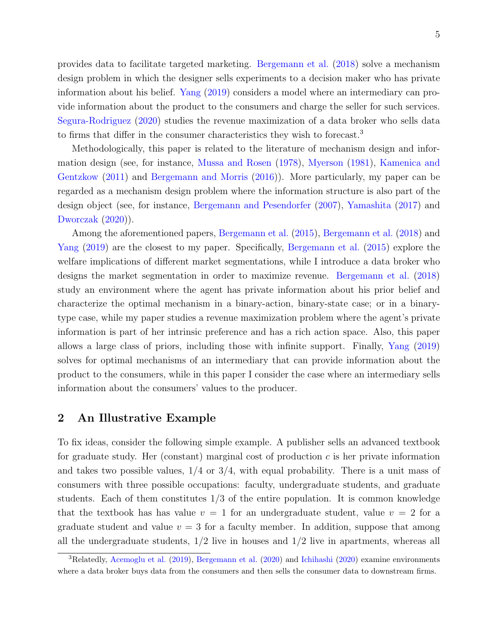provides data to facilitate targeted marketing. [Bergemann et al.](#page-39-5) [\(2018\)](#page-39-5) solve a mechanism design problem in which the designer sells experiments to a decision maker who has private information about his belief. [Yang](#page-41-2) [\(2019\)](#page-41-2) considers a model where an intermediary can provide information about the product to the consumers and charge the seller for such services. [Segura-Rodriguez](#page-41-3) [\(2020\)](#page-41-3) studies the revenue maximization of a data broker who sells data to firms that differ in the consumer characteristics they wish to forecast.<sup>[3](#page-5-1)</sup>

Methodologically, this paper is related to the literature of mechanism design and information design (see, for instance, [Mussa and Rosen](#page-40-3) [\(1978\)](#page-40-3), [Myerson](#page-41-4) [\(1981\)](#page-41-4), [Kamenica and](#page-40-4) [Gentzkow](#page-40-4) [\(2011\)](#page-40-4) and [Bergemann and Morris](#page-39-6) [\(2016\)](#page-39-6)). More particularly, my paper can be regarded as a mechanism design problem where the information structure is also part of the design object (see, for instance, [Bergemann and Pesendorfer](#page-39-7) [\(2007\)](#page-39-7), [Yamashita](#page-41-5) [\(2017\)](#page-41-5) and [Dworczak](#page-40-5) [\(2020\)](#page-40-5)).

Among the aforementioned papers, [Bergemann et al.](#page-39-1) [\(2015\)](#page-39-1), [Bergemann et al.](#page-39-5) [\(2018\)](#page-39-5) and [Yang](#page-41-2) [\(2019\)](#page-41-2) are the closest to my paper. Specifically, [Bergemann et al.](#page-39-1) [\(2015\)](#page-39-1) explore the welfare implications of different market segmentations, while I introduce a data broker who designs the market segmentation in order to maximize revenue. [Bergemann et al.](#page-39-5) [\(2018\)](#page-39-5) study an environment where the agent has private information about his prior belief and characterize the optimal mechanism in a binary-action, binary-state case; or in a binarytype case, while my paper studies a revenue maximization problem where the agent's private information is part of her intrinsic preference and has a rich action space. Also, this paper allows a large class of priors, including those with infinite support. Finally, [Yang](#page-41-2) [\(2019\)](#page-41-2) solves for optimal mechanisms of an intermediary that can provide information about the product to the consumers, while in this paper I consider the case where an intermediary sells information about the consumers' values to the producer.

# <span id="page-5-0"></span>2 An Illustrative Example

To fix ideas, consider the following simple example. A publisher sells an advanced textbook for graduate study. Her (constant) marginal cost of production  $c$  is her private information and takes two possible values,  $1/4$  or  $3/4$ , with equal probability. There is a unit mass of consumers with three possible occupations: faculty, undergraduate students, and graduate students. Each of them constitutes  $1/3$  of the entire population. It is common knowledge that the textbook has has value  $v = 1$  for an undergraduate student, value  $v = 2$  for a graduate student and value  $v = 3$  for a faculty member. In addition, suppose that among all the undergraduate students,  $1/2$  live in houses and  $1/2$  live in apartments, whereas all

<span id="page-5-1"></span><sup>3</sup>Relatedly, [Acemoglu et al.](#page-39-8) [\(2019\)](#page-39-8), [Bergemann et al.](#page-39-9) [\(2020\)](#page-39-9) and [Ichihashi](#page-40-6) [\(2020\)](#page-40-6) examine environments where a data broker buys data from the consumers and then sells the consumer data to downstream firms.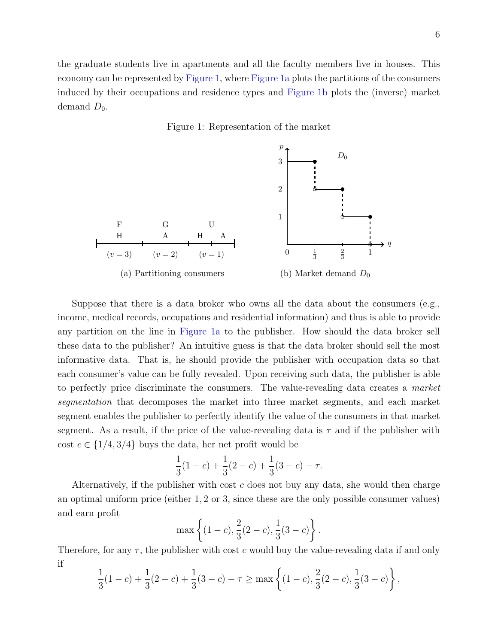the graduate students live in apartments and all the faculty members live in houses. This economy can be represented by [Figure 1,](#page-6-0) where [Figure 1a](#page-6-0) plots the partitions of the consumers induced by their occupations and residence types and [Figure 1b](#page-6-0) plots the (inverse) market demand  $D_0$ .

Figure 1: Representation of the market

<span id="page-6-0"></span>

Suppose that there is a data broker who owns all the data about the consumers (e.g., income, medical records, occupations and residential information) and thus is able to provide any partition on the line in [Figure 1a](#page-6-0) to the publisher. How should the data broker sell these data to the publisher? An intuitive guess is that the data broker should sell the most informative data. That is, he should provide the publisher with occupation data so that each consumer's value can be fully revealed. Upon receiving such data, the publisher is able to perfectly price discriminate the consumers. The value-revealing data creates a *market* segmentation that decomposes the market into three market segments, and each market segment enables the publisher to perfectly identify the value of the consumers in that market segment. As a result, if the price of the value-revealing data is  $\tau$  and if the publisher with cost  $c \in \{1/4, 3/4\}$  buys the data, her net profit would be

$$
\frac{1}{3}(1-c) + \frac{1}{3}(2-c) + \frac{1}{3}(3-c) - \tau.
$$

Alternatively, if the publisher with cost  $c$  does not buy any data, she would then charge an optimal uniform price (either 1, 2 or 3, since these are the only possible consumer values) and earn profit

$$
\max\left\{(1-c),\frac{2}{3}(2-c),\frac{1}{3}(3-c)\right\}.
$$

Therefore, for any  $\tau$ , the publisher with cost c would buy the value-revealing data if and only if

$$
\frac{1}{3}(1-c) + \frac{1}{3}(2-c) + \frac{1}{3}(3-c) - \tau \ge \max\left\{ (1-c), \frac{2}{3}(2-c), \frac{1}{3}(3-c) \right\},\,
$$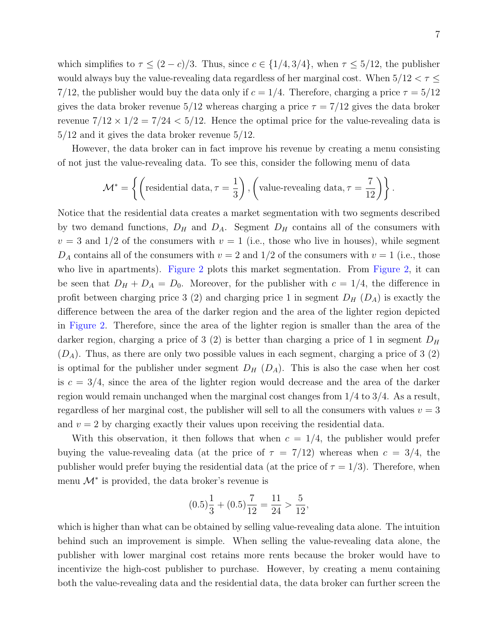which simplifies to  $\tau \le (2 - c)/3$ . Thus, since  $c \in \{1/4, 3/4\}$ , when  $\tau \le 5/12$ , the publisher would always buy the value-revealing data regardless of her marginal cost. When  $5/12<\tau\leq$ 7/12, the publisher would buy the data only if  $c = 1/4$ . Therefore, charging a price  $\tau = 5/12$ gives the data broker revenue  $5/12$  whereas charging a price  $\tau = 7/12$  gives the data broker revenue  $7/12 \times 1/2 = 7/24 < 5/12$ . Hence the optimal price for the value-revealing data is 5/12 and it gives the data broker revenue 5/12.

However, the data broker can in fact improve his revenue by creating a menu consisting of not just the value-revealing data. To see this, consider the following menu of data

$$
\mathcal{M}^* = \left\{ \left( \text{residental data}, \tau = \frac{1}{3} \right), \left( \text{value-revealing data}, \tau = \frac{7}{12} \right) \right\}.
$$

Notice that the residential data creates a market segmentation with two segments described by two demand functions,  $D_H$  and  $D_A$ . Segment  $D_H$  contains all of the consumers with  $v = 3$  and  $1/2$  of the consumers with  $v = 1$  (i.e., those who live in houses), while segment  $D_A$  contains all of the consumers with  $v = 2$  and  $1/2$  of the consumers with  $v = 1$  (i.e., those who live in apartments). [Figure 2](#page-8-0) plots this market segmentation. From [Figure 2,](#page-8-0) it can be seen that  $D_H + D_A = D_0$ . Moreover, for the publisher with  $c = 1/4$ , the difference in profit between charging price 3 (2) and charging price 1 in segment  $D_H$  ( $D_A$ ) is exactly the difference between the area of the darker region and the area of the lighter region depicted in [Figure 2.](#page-8-0) Therefore, since the area of the lighter region is smaller than the area of the darker region, charging a price of 3 (2) is better than charging a price of 1 in segment  $D_H$  $(D_A)$ . Thus, as there are only two possible values in each segment, charging a price of 3 (2) is optimal for the publisher under segment  $D_H$   $(D_A)$ . This is also the case when her cost is  $c = 3/4$ , since the area of the lighter region would decrease and the area of the darker region would remain unchanged when the marginal cost changes from 1/4 to 3/4. As a result, regardless of her marginal cost, the publisher will sell to all the consumers with values  $v = 3$ and  $v = 2$  by charging exactly their values upon receiving the residential data.

With this observation, it then follows that when  $c = 1/4$ , the publisher would prefer buying the value-revealing data (at the price of  $\tau = 7/12$ ) whereas when  $c = 3/4$ , the publisher would prefer buying the residential data (at the price of  $\tau = 1/3$ ). Therefore, when menu  $\mathcal{M}^*$  is provided, the data broker's revenue is

$$
(0.5)\frac{1}{3} + (0.5)\frac{7}{12} = \frac{11}{24} > \frac{5}{12}
$$

,

which is higher than what can be obtained by selling value-revealing data alone. The intuition behind such an improvement is simple. When selling the value-revealing data alone, the publisher with lower marginal cost retains more rents because the broker would have to incentivize the high-cost publisher to purchase. However, by creating a menu containing both the value-revealing data and the residential data, the data broker can further screen the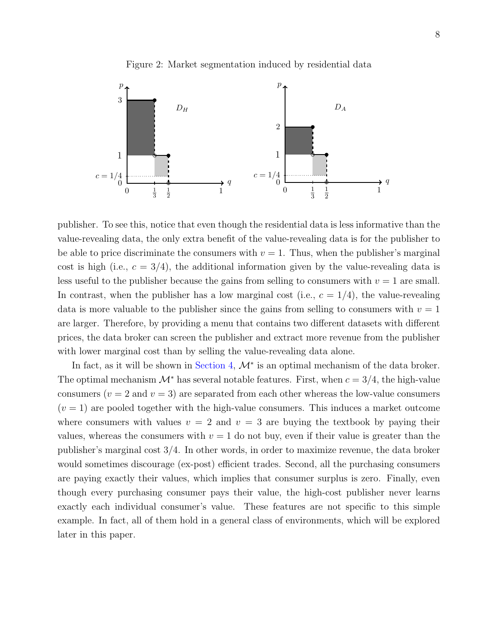

<span id="page-8-0"></span>

publisher. To see this, notice that even though the residential data is less informative than the value-revealing data, the only extra benefit of the value-revealing data is for the publisher to be able to price discriminate the consumers with  $v = 1$ . Thus, when the publisher's marginal cost is high (i.e.,  $c = 3/4$ ), the additional information given by the value-revealing data is less useful to the publisher because the gains from selling to consumers with  $v = 1$  are small. In contrast, when the publisher has a low marginal cost (i.e.,  $c = 1/4$ ), the value-revealing data is more valuable to the publisher since the gains from selling to consumers with  $v = 1$ are larger. Therefore, by providing a menu that contains two different datasets with different prices, the data broker can screen the publisher and extract more revenue from the publisher with lower marginal cost than by selling the value-revealing data alone.

In fact, as it will be shown in [Section 4,](#page-12-0)  $\mathcal{M}^*$  is an optimal mechanism of the data broker. The optimal mechanism  $\mathcal{M}^*$  has several notable features. First, when  $c = 3/4$ , the high-value consumers ( $v = 2$  and  $v = 3$ ) are separated from each other whereas the low-value consumers  $(v = 1)$  are pooled together with the high-value consumers. This induces a market outcome where consumers with values  $v = 2$  and  $v = 3$  are buying the textbook by paying their values, whereas the consumers with  $v = 1$  do not buy, even if their value is greater than the publisher's marginal cost 3/4. In other words, in order to maximize revenue, the data broker would sometimes discourage (ex-post) efficient trades. Second, all the purchasing consumers are paying exactly their values, which implies that consumer surplus is zero. Finally, even though every purchasing consumer pays their value, the high-cost publisher never learns exactly each individual consumer's value. These features are not specific to this simple example. In fact, all of them hold in a general class of environments, which will be explored later in this paper.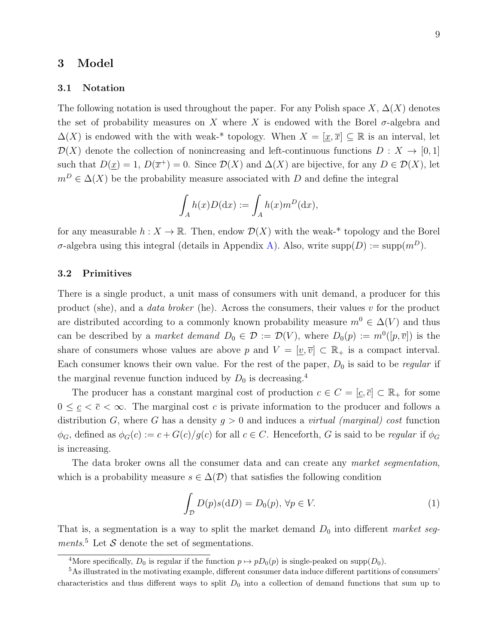#### <span id="page-9-0"></span>3 Model

#### 3.1 Notation

The following notation is used throughout the paper. For any Polish space  $X, \Delta(X)$  denotes the set of probability measures on X where X is endowed with the Borel  $\sigma$ -algebra and  $\Delta(X)$  is endowed with the with weak-\* topology. When  $X = [\underline{x}, \overline{x}] \subseteq \mathbb{R}$  is an interval, let  $\mathcal{D}(X)$  denote the collection of nonincreasing and left-continuous functions  $D: X \to [0,1]$ such that  $D(\underline{x}) = 1$ ,  $D(\overline{x}^+) = 0$ . Since  $D(X)$  and  $\Delta(X)$  are bijective, for any  $D \in \mathcal{D}(X)$ , let  $m^D \in \Delta(X)$  be the probability measure associated with D and define the integral

$$
\int_A h(x)D(\mathrm{d}x) := \int_A h(x)m^D(\mathrm{d}x),
$$

for any measurable  $h: X \to \mathbb{R}$ . Then, endow  $\mathcal{D}(X)$  with the weak-\* topology and the Borel σ-algebra using this integral (details in Appendix [A\)](#page-42-0). Also, write supp $(D) := supp(m^D)$ .

#### 3.2 Primitives

There is a single product, a unit mass of consumers with unit demand, a producer for this product (she), and a *data broker* (he). Across the consumers, their values  $v$  for the product are distributed according to a commonly known probability measure  $m^0 \in \Delta(V)$  and thus can be described by a *market demand*  $D_0 \in \mathcal{D} := \mathcal{D}(V)$ , where  $D_0(p) := m^0([p, \overline{v}])$  is the share of consumers whose values are above p and  $V = [\underline{v}, \overline{v}] \subset \mathbb{R}_+$  is a compact interval. Each consumer knows their own value. For the rest of the paper,  $D_0$  is said to be *regular* if the marginal revenue function induced by  $D_0$  is decreasing.<sup>[4](#page-9-1)</sup>

The producer has a constant marginal cost of production  $c \in C = [\underline{c}, \overline{c}] \subset \mathbb{R}_+$  for some  $0 \leq \underline{c} < \overline{c} < \infty$ . The marginal cost c is private information to the producer and follows a distribution G, where G has a density  $g > 0$  and induces a *virtual (marginal) cost* function  $\phi_G$ , defined as  $\phi_G(c) := c + G(c)/g(c)$  for all  $c \in C$ . Henceforth, G is said to be regular if  $\phi_G$ is increasing.

The data broker owns all the consumer data and can create any market segmentation, which is a probability measure  $s \in \Delta(\mathcal{D})$  that satisfies the following condition

<span id="page-9-3"></span>
$$
\int_{\mathcal{D}} D(p)s(\mathrm{d}D) = D_0(p), \,\forall p \in V. \tag{1}
$$

That is, a segmentation is a way to split the market demand  $D_0$  into different market seg-ments.<sup>[5](#page-9-2)</sup> Let  $S$  denote the set of segmentations.

<span id="page-9-2"></span><span id="page-9-1"></span><sup>&</sup>lt;sup>4</sup>More specifically,  $D_0$  is regular if the function  $p \mapsto pD_0(p)$  is single-peaked on supp $(D_0)$ .

<sup>5</sup>As illustrated in the motivating example, different consumer data induce different partitions of consumers' characteristics and thus different ways to split  $D_0$  into a collection of demand functions that sum up to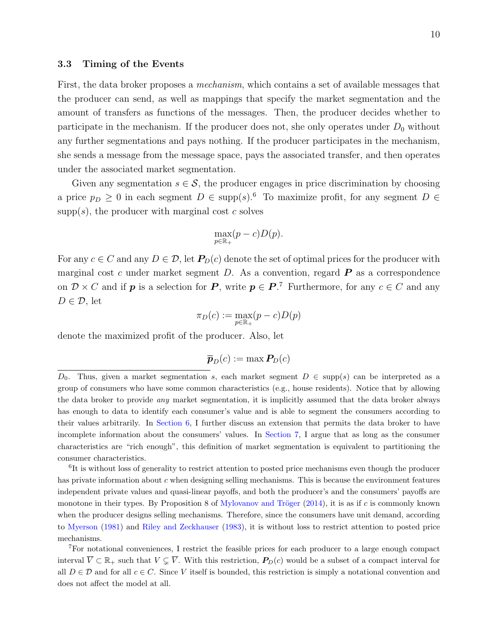#### 3.3 Timing of the Events

First, the data broker proposes a *mechanism*, which contains a set of available messages that the producer can send, as well as mappings that specify the market segmentation and the amount of transfers as functions of the messages. Then, the producer decides whether to participate in the mechanism. If the producer does not, she only operates under  $D_0$  without any further segmentations and pays nothing. If the producer participates in the mechanism, she sends a message from the message space, pays the associated transfer, and then operates under the associated market segmentation.

Given any segmentation  $s \in \mathcal{S}$ , the producer engages in price discrimination by choosing a price  $p_D \geq 0$  in each segment  $D \in \text{supp}(s)$ .<sup>[6](#page-10-0)</sup> To maximize profit, for any segment  $D \in$  $supp(s)$ , the producer with marginal cost c solves

$$
\max_{p \in \mathbb{R}_+} (p - c)D(p).
$$

For any  $c \in C$  and any  $D \in \mathcal{D}$ , let  $P_D(c)$  denote the set of optimal prices for the producer with marginal cost c under market segment D. As a convention, regard  $\bm{P}$  as a correspondence on  $\mathcal{D} \times C$  and if p is a selection for P, write  $p \in P$ .<sup>[7](#page-10-1)</sup> Furthermore, for any  $c \in C$  and any  $D \in \mathcal{D}$ , let

$$
\pi_D(c) := \max_{p \in \mathbb{R}_+} (p - c)D(p)
$$

denote the maximized profit of the producer. Also, let

$$
\overline{\boldsymbol{p}}_{D}(c):=\max\boldsymbol{P}_{\!D}(c)
$$

<span id="page-10-0"></span><sup>6</sup>It is without loss of generality to restrict attention to posted price mechanisms even though the producer has private information about c when designing selling mechanisms. This is because the environment features independent private values and quasi-linear payoffs, and both the producer's and the consumers' payoffs are monotone in their types. By Proposition 8 of Mylovanov and Tröger  $(2014)$ , it is as if c is commonly known when the producer designs selling mechanisms. Therefore, since the consumers have unit demand, according to [Myerson](#page-41-4) [\(1981\)](#page-41-4) and [Riley and Zeckhauser](#page-41-7) [\(1983\)](#page-41-7), it is without loss to restrict attention to posted price mechanisms.

<span id="page-10-1"></span><sup>7</sup>For notational conveniences, I restrict the feasible prices for each producer to a large enough compact interval  $\overline{V} \subset \mathbb{R}_+$  such that  $V \subseteq \overline{V}$ . With this restriction,  $P_D(c)$  would be a subset of a compact interval for all  $D \in \mathcal{D}$  and for all  $c \in C$ . Since V itself is bounded, this restriction is simply a notational convention and does not affect the model at all.

D<sub>0</sub>. Thus, given a market segmentation s, each market segment  $D \in \text{supp}(s)$  can be interpreted as a group of consumers who have some common characteristics (e.g., house residents). Notice that by allowing the data broker to provide any market segmentation, it is implicitly assumed that the data broker always has enough to data to identify each consumer's value and is able to segment the consumers according to their values arbitrarily. In [Section 6,](#page-28-0) I further discuss an extension that permits the data broker to have incomplete information about the consumers' values. In [Section 7,](#page-34-0) I argue that as long as the consumer characteristics are "rich enough", this definition of market segmentation is equivalent to partitioning the consumer characteristics.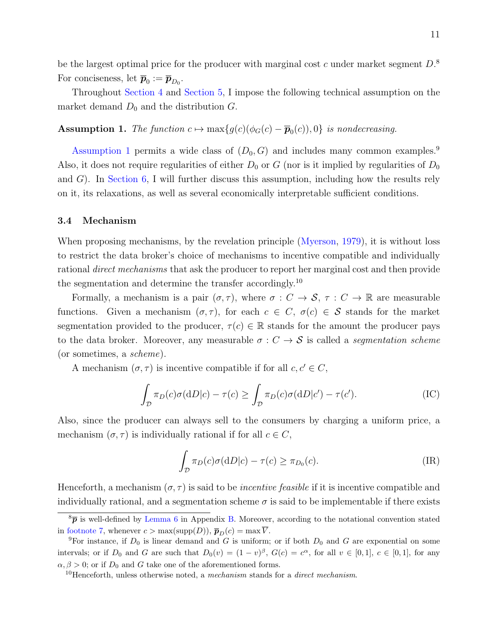be the largest optimal price for the producer with marginal cost c under market segment  $D$ .<sup>[8](#page-11-0)</sup> For conciseness, let  $\overline{p}_0 := \overline{p}_{D_0}$ .

Throughout [Section 4](#page-12-0) and [Section 5,](#page-22-1) I impose the following technical assumption on the market demand  $D_0$  and the distribution  $G$ .

<span id="page-11-1"></span>**Assumption 1.** The function  $c \mapsto \max\{g(c)(\phi_G(c) - \overline{p}_0(c)), 0\}$  is nondecreasing.

[Assumption 1](#page-11-1) permits a wide class of  $(D_0, G)$  and includes many common examples.<sup>[9](#page-11-2)</sup> Also, it does not require regularities of either  $D_0$  or G (nor is it implied by regularities of  $D_0$ and  $G$ ). In [Section 6,](#page-28-0) I will further discuss this assumption, including how the results rely on it, its relaxations, as well as several economically interpretable sufficient conditions.

#### 3.4 Mechanism

When proposing mechanisms, by the revelation principle [\(Myerson,](#page-41-8) [1979\)](#page-41-8), it is without loss to restrict the data broker's choice of mechanisms to incentive compatible and individually rational direct mechanisms that ask the producer to report her marginal cost and then provide the segmentation and determine the transfer accordingly.[10](#page-11-3)

Formally, a mechanism is a pair  $(\sigma, \tau)$ , where  $\sigma : C \to S$ ,  $\tau : C \to \mathbb{R}$  are measurable functions. Given a mechanism  $(\sigma, \tau)$ , for each  $c \in C$ ,  $\sigma(c) \in S$  stands for the market segmentation provided to the producer,  $\tau(c) \in \mathbb{R}$  stands for the amount the producer pays to the data broker. Moreover, any measurable  $\sigma : C \rightarrow S$  is called a segmentation scheme (or sometimes, a scheme).

A mechanism  $(\sigma, \tau)$  is incentive compatible if for all  $c, c' \in C$ ,

$$
\int_{\mathcal{D}} \pi_D(c)\sigma(\mathrm{d}D|c) - \tau(c) \ge \int_{\mathcal{D}} \pi_D(c)\sigma(\mathrm{d}D|c') - \tau(c'). \tag{IC}
$$

Also, since the producer can always sell to the consumers by charging a uniform price, a mechanism  $(\sigma, \tau)$  is individually rational if for all  $c \in C$ ,

$$
\int_{\mathcal{D}} \pi_D(c)\sigma(\mathrm{d}D|c) - \tau(c) \ge \pi_{D_0}(c). \tag{IR}
$$

Henceforth, a mechanism  $(\sigma, \tau)$  is said to be *incentive feasible* if it is incentive compatible and individually rational, and a segmentation scheme  $\sigma$  is said to be implementable if there exists

<span id="page-11-0"></span> ${}^8\bar{p}$  is well-defined by [Lemma 6](#page-43-0) in Appendix [B.](#page-43-1) Moreover, according to the notational convention stated in [footnote 7,](#page-10-1) whenever  $c > \max(\text{supp}(D)), \overline{p}_D(c) = \max \overline{V}$ .

<span id="page-11-2"></span><sup>&</sup>lt;sup>9</sup>For instance, if  $D_0$  is linear demand and G is uniform; or if both  $D_0$  and G are exponential on some intervals; or if  $D_0$  and G are such that  $D_0(v) = (1-v)^\beta$ ,  $G(c) = c^\alpha$ , for all  $v \in [0,1]$ ,  $c \in [0,1]$ , for any  $\alpha, \beta > 0$ ; or if  $D_0$  and G take one of the aforementioned forms.

<span id="page-11-3"></span><sup>&</sup>lt;sup>10</sup>Henceforth, unless otherwise noted, a *mechanism* stands for a *direct mechanism*.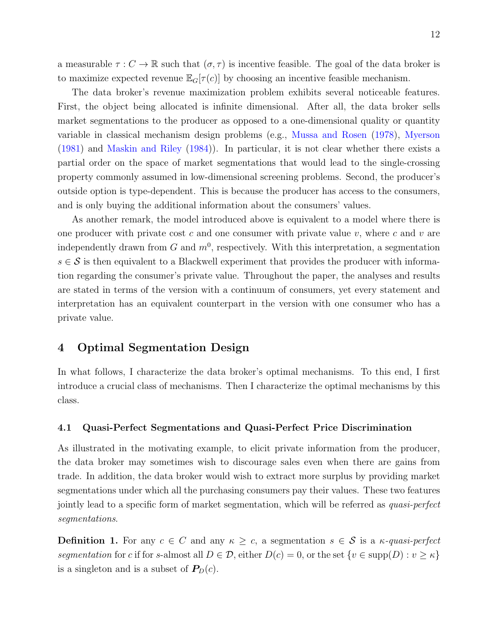a measurable  $\tau : C \to \mathbb{R}$  such that  $(\sigma, \tau)$  is incentive feasible. The goal of the data broker is to maximize expected revenue  $\mathbb{E}_G[\tau(c)]$  by choosing an incentive feasible mechanism.

The data broker's revenue maximization problem exhibits several noticeable features. First, the object being allocated is infinite dimensional. After all, the data broker sells market segmentations to the producer as opposed to a one-dimensional quality or quantity variable in classical mechanism design problems (e.g., [Mussa and Rosen](#page-40-3) [\(1978\)](#page-40-3), [Myerson](#page-41-4) [\(1981\)](#page-41-4) and [Maskin and Riley](#page-40-7) [\(1984\)](#page-40-7)). In particular, it is not clear whether there exists a partial order on the space of market segmentations that would lead to the single-crossing property commonly assumed in low-dimensional screening problems. Second, the producer's outside option is type-dependent. This is because the producer has access to the consumers, and is only buying the additional information about the consumers' values.

As another remark, the model introduced above is equivalent to a model where there is one producer with private cost c and one consumer with private value v, where c and v are independently drawn from  $G$  and  $m^0$ , respectively. With this interpretation, a segmentation  $s \in \mathcal{S}$  is then equivalent to a Blackwell experiment that provides the producer with information regarding the consumer's private value. Throughout the paper, the analyses and results are stated in terms of the version with a continuum of consumers, yet every statement and interpretation has an equivalent counterpart in the version with one consumer who has a private value.

# <span id="page-12-0"></span>4 Optimal Segmentation Design

In what follows, I characterize the data broker's optimal mechanisms. To this end, I first introduce a crucial class of mechanisms. Then I characterize the optimal mechanisms by this class.

#### 4.1 Quasi-Perfect Segmentations and Quasi-Perfect Price Discrimination

As illustrated in the motivating example, to elicit private information from the producer, the data broker may sometimes wish to discourage sales even when there are gains from trade. In addition, the data broker would wish to extract more surplus by providing market segmentations under which all the purchasing consumers pay their values. These two features jointly lead to a specific form of market segmentation, which will be referred as quasi-perfect segmentations.

<span id="page-12-1"></span>**Definition 1.** For any  $c \in C$  and any  $\kappa \geq c$ , a segmentation  $s \in S$  is a  $\kappa$ -quasi-perfect segmentation for c if for s-almost all  $D \in \mathcal{D}$ , either  $D(c) = 0$ , or the set  $\{v \in \text{supp}(D) : v \ge \kappa\}$ is a singleton and is a subset of  $P_D(c)$ .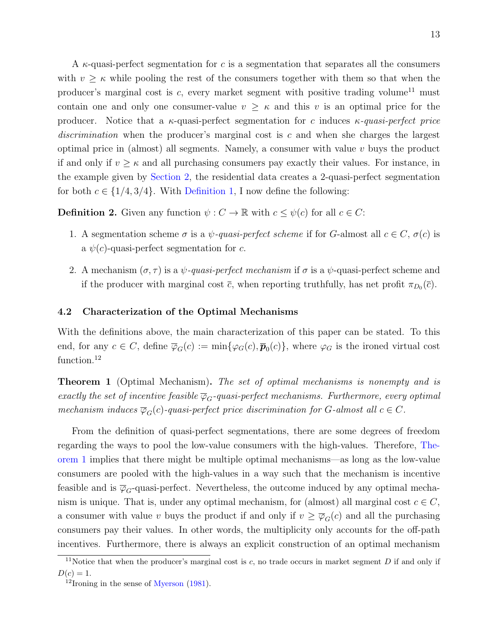A  $\kappa$ -quasi-perfect segmentation for c is a segmentation that separates all the consumers with  $v \geq \kappa$  while pooling the rest of the consumers together with them so that when the producer's marginal cost is  $c$ , every market segment with positive trading volume<sup>[11](#page-13-1)</sup> must contain one and only one consumer-value  $v \geq \kappa$  and this v is an optimal price for the producer. Notice that a  $\kappa$ -quasi-perfect segmentation for c induces  $\kappa$ -quasi-perfect price discrimination when the producer's marginal cost is  $c$  and when she charges the largest optimal price in (almost) all segments. Namely, a consumer with value  $v$  buys the product if and only if  $v \geq \kappa$  and all purchasing consumers pay exactly their values. For instance, in the example given by [Section 2,](#page-5-0) the residential data creates a 2-quasi-perfect segmentation for both  $c \in \{1/4, 3/4\}$ . With [Definition 1,](#page-12-1) I now define the following:

**Definition 2.** Given any function  $\psi : C \to \mathbb{R}$  with  $c \leq \psi(c)$  for all  $c \in C$ :

- 1. A segmentation scheme  $\sigma$  is a  $\psi$ -quasi-perfect scheme if for G-almost all  $c \in C$ ,  $\sigma(c)$  is a  $\psi(c)$ -quasi-perfect segmentation for c.
- 2. A mechanism  $(\sigma, \tau)$  is a  $\psi$ -quasi-perfect mechanism if  $\sigma$  is a  $\psi$ -quasi-perfect scheme and if the producer with marginal cost  $\bar{c}$ , when reporting truthfully, has net profit  $\pi_{D_0}(\bar{c})$ .

#### <span id="page-13-3"></span>4.2 Characterization of the Optimal Mechanisms

With the definitions above, the main characterization of this paper can be stated. To this end, for any  $c \in C$ , define  $\overline{\varphi}_G(c) := \min{\{\varphi_G(c), \overline{\pmb{p}}_0(c)\}}$ , where  $\varphi_G$  is the ironed virtual cost function.<sup>[12](#page-13-2)</sup>

<span id="page-13-0"></span>**Theorem 1** (Optimal Mechanism). The set of optimal mechanisms is nonempty and is exactly the set of incentive feasible  $\overline{\varphi}_G$ -quasi-perfect mechanisms. Furthermore, every optimal mechanism induces  $\overline{\varphi}_G(c)$ -quasi-perfect price discrimination for G-almost all  $c \in C$ .

From the definition of quasi-perfect segmentations, there are some degrees of freedom regarding the ways to pool the low-value consumers with the high-values. Therefore, [The](#page-13-0)[orem 1](#page-13-0) implies that there might be multiple optimal mechanisms—as long as the low-value consumers are pooled with the high-values in a way such that the mechanism is incentive feasible and is  $\overline{\varphi}_G$ -quasi-perfect. Nevertheless, the outcome induced by any optimal mechanism is unique. That is, under any optimal mechanism, for (almost) all marginal cost  $c \in C$ , a consumer with value v buys the product if and only if  $v \geq \overline{\varphi}_G(c)$  and all the purchasing consumers pay their values. In other words, the multiplicity only accounts for the off-path incentives. Furthermore, there is always an explicit construction of an optimal mechanism

<span id="page-13-1"></span><sup>&</sup>lt;sup>11</sup>Notice that when the producer's marginal cost is  $c$ , no trade occurs in market segment  $D$  if and only if  $D(c) = 1.$ 

<span id="page-13-2"></span> $12$ Ironing in the sense of [Myerson](#page-41-4) [\(1981\)](#page-41-4).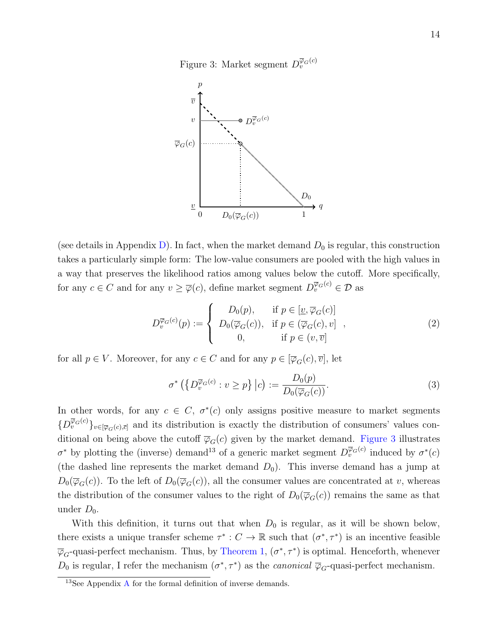

<span id="page-14-0"></span>

(see details in Appendix [D\)](#page-50-0). In fact, when the market demand  $D_0$  is regular, this construction takes a particularly simple form: The low-value consumers are pooled with the high values in a way that preserves the likelihood ratios among values below the cutoff. More specifically, for any  $c \in C$  and for any  $v \ge \overline{\varphi}(c)$ , define market segment  $D_v^{\overline{\varphi}_G(c)} \in \mathcal{D}$  as

<span id="page-14-2"></span>
$$
D_v^{\overline{\varphi}_G(c)}(p) := \begin{cases} D_0(p), & \text{if } p \in [\underline{v}, \overline{\varphi}_G(c)] \\ D_0(\overline{\varphi}_G(c)), & \text{if } p \in (\overline{\varphi}_G(c), v] \\ 0, & \text{if } p \in (v, \overline{v}] \end{cases}
$$
 (2)

for all  $p \in V$ . Moreover, for any  $c \in C$  and for any  $p \in [\overline{\varphi}_G(c), \overline{v}]$ , let

<span id="page-14-3"></span>
$$
\sigma^* \left( \left\{ D_v^{\overline{\varphi}_G(c)} : v \ge p \right\} \big| c \right) := \frac{D_0(p)}{D_0(\overline{\varphi}_G(c))}.
$$
\n(3)

In other words, for any  $c \in C$ ,  $\sigma^*(c)$  only assigns positive measure to market segments  $\{D_v^{\overline{\varphi}_G(c)}\}_{v\in[\overline{\varphi}_G(c),\overline{c}]}$  and its distribution is exactly the distribution of consumers' values conditional on being above the cutoff  $\overline{\varphi}_G(c)$  given by the market demand. [Figure 3](#page-14-0) illustrates  $\sigma^*$  by plotting the (inverse) demand<sup>[13](#page-14-1)</sup> of a generic market segment  $D_v^{\overline{\varphi}_G(c)}$  induced by  $\sigma^*(c)$ (the dashed line represents the market demand  $D_0$ ). This inverse demand has a jump at  $D_0(\overline{\varphi}_G(c))$ . To the left of  $D_0(\overline{\varphi}_G(c))$ , all the consumer values are concentrated at v, whereas the distribution of the consumer values to the right of  $D_0(\overline{\varphi}_G(c))$  remains the same as that under  $D_0$ .

With this definition, it turns out that when  $D_0$  is regular, as it will be shown below, there exists a unique transfer scheme  $\tau^*: C \to \mathbb{R}$  such that  $(\sigma^*, \tau^*)$  is an incentive feasible  $\overline{\varphi}_G$ -quasi-perfect mechanism. Thus, by [Theorem 1,](#page-13-0)  $(\sigma^*, \tau^*)$  is optimal. Henceforth, whenever  $D_0$  is regular, I refer the mechanism  $(\sigma^*, \tau^*)$  as the *canonical*  $\overline{\varphi}_G$ -quasi-perfect mechanism.

<span id="page-14-1"></span> $13$ See [A](#page-42-0)ppendix A for the formal definition of inverse demands.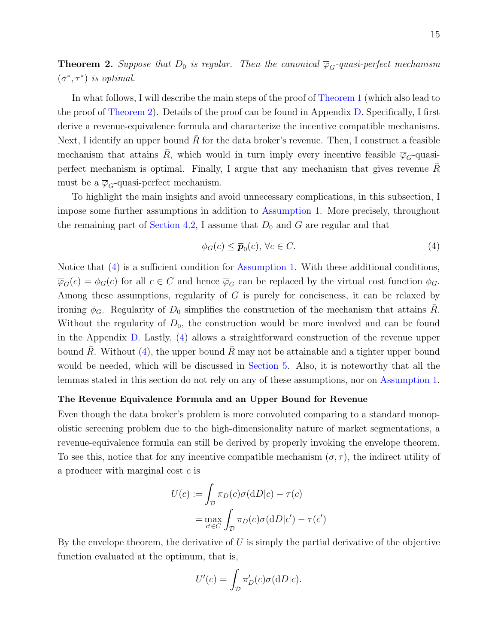<span id="page-15-0"></span>**Theorem 2.** Suppose that  $D_0$  is regular. Then the canonical  $\overline{\varphi}_G$ -quasi-perfect mechanism  $(\sigma^*, \tau^*)$  is optimal.

In what follows, I will describe the main steps of the proof of [Theorem 1](#page-13-0) (which also lead to the proof of [Theorem 2\)](#page-15-0). Details of the proof can be found in Appendix [D.](#page-50-0) Specifically, I first derive a revenue-equivalence formula and characterize the incentive compatible mechanisms. Next, I identify an upper bound R for the data broker's revenue. Then, I construct a feasible mechanism that attains R, which would in turn imply every incentive feasible  $\overline{\varphi}_G$ -quasiperfect mechanism is optimal. Finally, I argue that any mechanism that gives revenue R must be a  $\overline{\varphi}_G$ -quasi-perfect mechanism.

To highlight the main insights and avoid unnecessary complications, in this subsection, I impose some further assumptions in addition to [Assumption 1.](#page-11-1) More precisely, throughout the remaining part of [Section 4.2,](#page-13-3) I assume that  $D_0$  and G are regular and that

<span id="page-15-1"></span>
$$
\phi_G(c) \le \overline{\boldsymbol{p}}_0(c), \,\forall c \in C. \tag{4}
$$

Notice that [\(4\)](#page-15-1) is a sufficient condition for [Assumption 1.](#page-11-1) With these additional conditions,  $\overline{\varphi}_G(c) = \phi_G(c)$  for all  $c \in C$  and hence  $\overline{\varphi}_G$  can be replaced by the virtual cost function  $\phi_G$ . Among these assumptions, regularity of G is purely for conciseness, it can be relaxed by ironing  $\phi_G$ . Regularity of  $D_0$  simplifies the construction of the mechanism that attains R. Without the regularity of  $D_0$ , the construction would be more involved and can be found in the Appendix [D.](#page-50-0) Lastly, [\(4\)](#page-15-1) allows a straightforward construction of the revenue upper bound R. Without  $(4)$ , the upper bound R may not be attainable and a tighter upper bound would be needed, which will be discussed in [Section 5.](#page-22-1) Also, it is noteworthy that all the lemmas stated in this section do not rely on any of these assumptions, nor on [Assumption 1.](#page-11-1)

#### The Revenue Equivalence Formula and an Upper Bound for Revenue

Even though the data broker's problem is more convoluted comparing to a standard monopolistic screening problem due to the high-dimensionality nature of market segmentations, a revenue-equivalence formula can still be derived by properly invoking the envelope theorem. To see this, notice that for any incentive compatible mechanism  $(\sigma, \tau)$ , the indirect utility of a producer with marginal cost c is

$$
U(c) := \int_{\mathcal{D}} \pi_D(c)\sigma(\mathrm{d}D|c) - \tau(c)
$$

$$
= \max_{c' \in C} \int_{\mathcal{D}} \pi_D(c)\sigma(\mathrm{d}D|c') - \tau(c')
$$

By the envelope theorem, the derivative of  $U$  is simply the partial derivative of the objective function evaluated at the optimum, that is,

$$
U'(c) = \int_{\mathcal{D}} \pi'_D(c)\sigma(\mathrm{d}D|c).
$$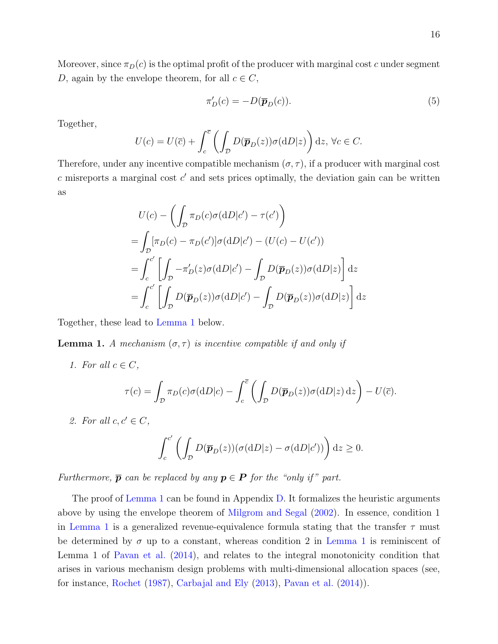<span id="page-16-1"></span>
$$
\pi'_D(c) = -D(\overline{p}_D(c)).\tag{5}
$$

Together,

$$
U(c) = U(\overline{c}) + \int_c^{\overline{c}} \left( \int_{\mathcal{D}} D(\overline{p}_D(z)) \sigma(\mathrm{d}D|z) \right) \mathrm{d}z, \ \forall c \in C.
$$

Therefore, under any incentive compatible mechanism  $(\sigma, \tau)$ , if a producer with marginal cost  $c$  misreports a marginal cost  $c'$  and sets prices optimally, the deviation gain can be written as

$$
U(c) - \left(\int_{\mathcal{D}} \pi_D(c)\sigma(\mathrm{d}D|c') - \tau(c')\right)
$$
  
= 
$$
\int_{\mathcal{D}} [\pi_D(c) - \pi_D(c')] \sigma(\mathrm{d}D|c') - (U(c) - U(c'))
$$
  
= 
$$
\int_{c}^{c'} \left[\int_{\mathcal{D}} -\pi'_D(z)\sigma(\mathrm{d}D|c') - \int_{\mathcal{D}} D(\overline{\mathbf{p}}_D(z))\sigma(\mathrm{d}D|z)\right] \mathrm{d}z
$$
  
= 
$$
\int_{c}^{c'} \left[\int_{\mathcal{D}} D(\overline{\mathbf{p}}_D(z))\sigma(\mathrm{d}D|c') - \int_{\mathcal{D}} D(\overline{\mathbf{p}}_D(z))\sigma(\mathrm{d}D|z)\right] \mathrm{d}z
$$

Together, these lead to [Lemma 1](#page-16-0) below.

<span id="page-16-0"></span>**Lemma 1.** A mechanism  $(\sigma, \tau)$  is incentive compatible if and only if

1. For all  $c \in C$ ,

$$
\tau(c) = \int_{\mathcal{D}} \pi_D(c)\sigma(\mathrm{d}D|c) - \int_c^{\overline{c}} \left( \int_{\mathcal{D}} D(\overline{\boldsymbol{p}}_D(z))\sigma(\mathrm{d}D|z) \,\mathrm{d}z \right) - U(\overline{c}).
$$

2. For all  $c, c' \in C$ ,

$$
\int_c^{c'} \left( \int_{\mathcal{D}} D(\overline{\boldsymbol{p}}_D(z)) (\sigma(dD|z) - \sigma(dD|c')) \right) dz \ge 0.
$$

Furthermore,  $\bar{p}$  can be replaced by any  $p \in P$  for the "only if" part.

The proof of [Lemma 1](#page-16-0) can be found in Appendix [D.](#page-50-0) It formalizes the heuristic arguments above by using the envelope theorem of [Milgrom and Segal](#page-40-8) [\(2002\)](#page-40-8). In essence, condition 1 in [Lemma 1](#page-16-0) is a generalized revenue-equivalence formula stating that the transfer  $\tau$  must be determined by  $\sigma$  up to a constant, whereas condition 2 in [Lemma 1](#page-16-0) is reminiscent of Lemma 1 of [Pavan et al.](#page-41-9) [\(2014\)](#page-41-9), and relates to the integral monotonicity condition that arises in various mechanism design problems with multi-dimensional allocation spaces (see, for instance, [Rochet](#page-41-10) [\(1987\)](#page-41-10), [Carbajal and Ely](#page-40-9) [\(2013\)](#page-40-9), [Pavan et al.](#page-41-9) [\(2014\)](#page-41-9)).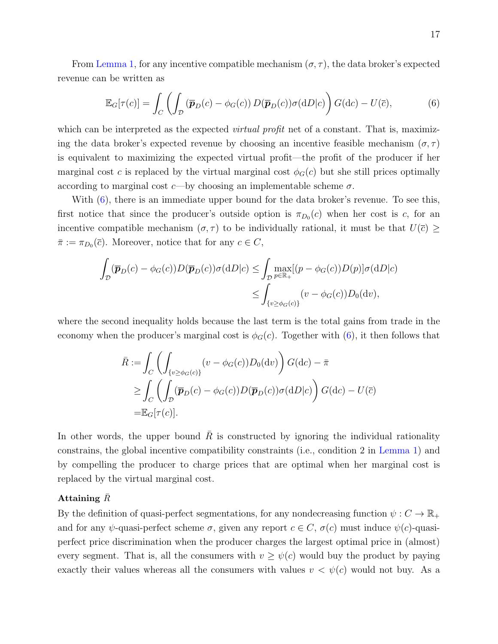From [Lemma 1,](#page-16-0) for any incentive compatible mechanism  $(\sigma, \tau)$ , the data broker's expected revenue can be written as

<span id="page-17-0"></span>
$$
\mathbb{E}_G[\tau(c)] = \int_C \left( \int_{\mathcal{D}} \left( \overline{\boldsymbol{p}}_D(c) - \phi_G(c) \right) D(\overline{\boldsymbol{p}}_D(c)) \sigma(\mathrm{d}D|c) \right) G(\mathrm{d}c) - U(\overline{c}),\tag{6}
$$

which can be interpreted as the expected *virtual profit* net of a constant. That is, maximizing the data broker's expected revenue by choosing an incentive feasible mechanism  $(\sigma, \tau)$ is equivalent to maximizing the expected virtual profit—the profit of the producer if her marginal cost c is replaced by the virtual marginal cost  $\phi_G(c)$  but she still prices optimally according to marginal cost c—by choosing an implementable scheme  $\sigma$ .

With  $(6)$ , there is an immediate upper bound for the data broker's revenue. To see this, first notice that since the producer's outside option is  $\pi_{D_0}(c)$  when her cost is c, for an incentive compatible mechanism  $(\sigma, \tau)$  to be individually rational, it must be that  $U(\bar{c}) \geq$  $\bar{\pi} := \pi_{D_0}(\bar{c})$ . Moreover, notice that for any  $c \in C$ ,

$$
\int_{\mathcal{D}} (\overline{\boldsymbol{p}}_D(c) - \phi_G(c)) D(\overline{\boldsymbol{p}}_D(c)) \sigma(dD|c) \le \int_{\mathcal{D}} \max_{p \in \mathbb{R}_+} [(p - \phi_G(c)) D(p)] \sigma(dD|c)
$$
  

$$
\le \int_{\{v \ge \phi_G(c)\}} (v - \phi_G(c)) D_0(\mathrm{d}v),
$$

where the second inequality holds because the last term is the total gains from trade in the economy when the producer's marginal cost is  $\phi_G(c)$ . Together with [\(6\)](#page-17-0), it then follows that

$$
\bar{R} := \int_C \left( \int_{\{v \ge \phi_G(c)\}} (v - \phi_G(c)) D_0(\mathrm{d}v) \right) G(\mathrm{d}c) - \bar{\pi}
$$
\n
$$
\ge \int_C \left( \int_D (\bar{\mathbf{p}}_D(c) - \phi_G(c)) D(\bar{\mathbf{p}}_D(c)) \sigma(\mathrm{d}D|c) \right) G(\mathrm{d}c) - U(\bar{c})
$$
\n
$$
= \mathbb{E}_G[\tau(c)].
$$

In other words, the upper bound  $R$  is constructed by ignoring the individual rationality constrains, the global incentive compatibility constraints (i.e., condition 2 in [Lemma 1\)](#page-16-0) and by compelling the producer to charge prices that are optimal when her marginal cost is replaced by the virtual marginal cost.

#### Attaining  $\bar{R}$

By the definition of quasi-perfect segmentations, for any nondecreasing function  $\psi: C \to \mathbb{R}_+$ and for any  $\psi$ -quasi-perfect scheme  $\sigma$ , given any report  $c \in C$ ,  $\sigma(c)$  must induce  $\psi(c)$ -quasiperfect price discrimination when the producer charges the largest optimal price in (almost) every segment. That is, all the consumers with  $v \geq \psi(c)$  would buy the product by paying exactly their values whereas all the consumers with values  $v < \psi(c)$  would not buy. As a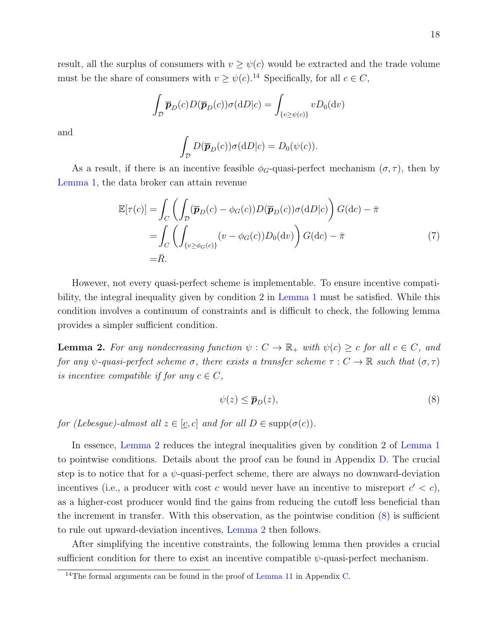result, all the surplus of consumers with  $v \geq \psi(c)$  would be extracted and the trade volume must be the share of consumers with  $v \geq \psi(c)$ .<sup>[14](#page-18-0)</sup> Specifically, for all  $c \in C$ ,

$$
\int_{\mathcal{D}} \overline{\boldsymbol{p}}_{D}(c) D(\overline{\boldsymbol{p}}_{D}(c)) \sigma(dD|c) = \int_{\{v \ge \psi(c)\}} v D_0(\mathrm{d}v)
$$

and

<span id="page-18-3"></span>
$$
\int_{\mathcal{D}} D(\overline{\boldsymbol{p}}_D(c)) \sigma(dD|c) = D_0(\psi(c)).
$$

As a result, if there is an incentive feasible  $\phi_G$ -quasi-perfect mechanism  $(\sigma, \tau)$ , then by [Lemma 1,](#page-16-0) the data broker can attain revenue

$$
\mathbb{E}[\tau(c)] = \int_C \left( \int_D (\overline{\mathbf{p}}_D(c) - \phi_G(c)) D(\overline{\mathbf{p}}_D(c)) \sigma(\mathrm{d}D|c) \right) G(\mathrm{d}c) - \overline{\pi}
$$
  
\n
$$
= \int_C \left( \int_{\{v \ge \phi_G(c)\}} (v - \phi_G(c)) D_0(\mathrm{d}v) \right) G(\mathrm{d}c) - \overline{\pi}
$$
  
\n
$$
= \overline{R}.
$$
\n(7)

However, not every quasi-perfect scheme is implementable. To ensure incentive compatibility, the integral inequality given by condition 2 in [Lemma 1](#page-16-0) must be satisfied. While this condition involves a continuum of constraints and is difficult to check, the following lemma provides a simpler sufficient condition.

<span id="page-18-1"></span>**Lemma 2.** For any nondecreasing function  $\psi : C \to \mathbb{R}_+$  with  $\psi(c) \geq c$  for all  $c \in C$ , and for any  $\psi$ -quasi-perfect scheme  $\sigma$ , there exists a transfer scheme  $\tau : C \to \mathbb{R}$  such that  $(\sigma, \tau)$ is incentive compatible if for any  $c \in C$ ,

<span id="page-18-2"></span>
$$
\psi(z) \le \overline{p}_D(z),\tag{8}
$$

for (Lebesgue)-almost all  $z \in [c, c]$  and for all  $D \in \text{supp}(\sigma(c))$ .

In essence, [Lemma 2](#page-18-1) reduces the integral inequalities given by condition 2 of [Lemma 1](#page-16-0) to pointwise conditions. Details about the proof can be found in Appendix [D.](#page-50-0) The crucial step is to notice that for a  $\psi$ -quasi-perfect scheme, there are always no downward-deviation incentives (i.e., a producer with cost c would never have an incentive to misreport  $c' < c$ ), as a higher-cost producer would find the gains from reducing the cutoff less beneficial than the increment in transfer. With this observation, as the pointwise condition [\(8\)](#page-18-2) is sufficient to rule out upward-deviation incentives, [Lemma 2](#page-18-1) then follows.

After simplifying the incentive constraints, the following lemma then provides a crucial sufficient condition for there to exist an incentive compatible  $\psi$ -quasi-perfect mechanism.

<span id="page-18-0"></span> $14$ The formal arguments can be found in the proof of [Lemma 11](#page-46-0) in Appendix [C.](#page-46-1)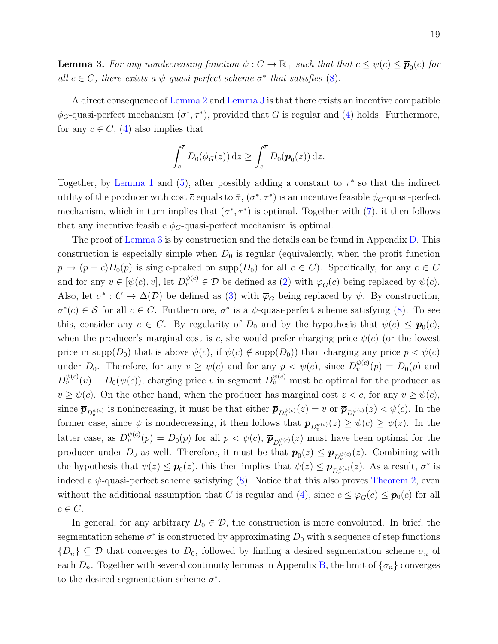<span id="page-19-0"></span>**Lemma 3.** For any nondecreasing function  $\psi: C \to \mathbb{R}_+$  such that that  $c \leq \psi(c) \leq \overline{p}_0(c)$  for all  $c \in C$ , there exists a  $\psi$ -quasi-perfect scheme  $\sigma^*$  that satisfies [\(8\)](#page-18-2).

A direct consequence of [Lemma 2](#page-18-1) and [Lemma 3](#page-19-0) is that there exists an incentive compatible  $\phi_G$ -quasi-perfect mechanism  $(\sigma^*, \tau^*)$ , provided that G is regular and [\(4\)](#page-15-1) holds. Furthermore, for any  $c \in C$ , [\(4\)](#page-15-1) also implies that

$$
\int_c^{\overline{c}} D_0(\phi_G(z)) dz \ge \int_c^{\overline{c}} D_0(\overline{\boldsymbol{p}}_0(z)) dz.
$$

Together, by [Lemma 1](#page-16-0) and [\(5\)](#page-16-1), after possibly adding a constant to  $\tau^*$  so that the indirect utility of the producer with cost  $\bar{c}$  equals to  $\bar{\pi}$ ,  $(\sigma^*, \tau^*)$  is an incentive feasible  $\phi_G$ -quasi-perfect mechanism, which in turn implies that  $(\sigma^*, \tau^*)$  is optimal. Together with  $(7)$ , it then follows that any incentive feasible  $\phi_G$ -quasi-perfect mechanism is optimal.

The proof of [Lemma 3](#page-19-0) is by construction and the details can be found in Appendix [D.](#page-50-0) This construction is especially simple when  $D_0$  is regular (equivalently, when the profit function  $p \mapsto (p - c)D_0(p)$  is single-peaked on supp $(D_0)$  for all  $c \in C$ . Specifically, for any  $c \in C$ and for any  $v \in [\psi(c), \overline{v}]$ , let  $D_v^{\psi(c)} \in \mathcal{D}$  be defined as [\(2\)](#page-14-2) with  $\overline{\varphi}_G(c)$  being replaced by  $\psi(c)$ . Also, let  $\sigma^*: C \to \Delta(\mathcal{D})$  be defined as [\(3\)](#page-14-3) with  $\overline{\varphi}_G$  being replaced by  $\psi$ . By construction,  $\sigma^*(c) \in \mathcal{S}$  for all  $c \in C$ . Furthermore,  $\sigma^*$  is a  $\psi$ -quasi-perfect scheme satisfying [\(8\)](#page-18-2). To see this, consider any  $c \in C$ . By regularity of  $D_0$  and by the hypothesis that  $\psi(c) \leq \overline{p}_0(c)$ , when the producer's marginal cost is c, she would prefer charging price  $\psi(c)$  (or the lowest price in supp $(D_0)$  that is above  $\psi(c)$ , if  $\psi(c) \notin \text{supp}(D_0)$  than charging any price  $p < \psi(c)$ under  $D_0$ . Therefore, for any  $v \ge \psi(c)$  and for any  $p < \psi(c)$ , since  $D_v^{\psi(c)}(p) = D_0(p)$  and  $D_v^{\psi(c)}(v) = D_0(\psi(c))$ , charging price v in segment  $D_v^{\psi(c)}$  must be optimal for the producer as  $v \geq \psi(c)$ . On the other hand, when the producer has marginal cost  $z < c$ , for any  $v \geq \psi(c)$ , since  $\bar{\mathbf{p}}_{D_v^{\psi(c)}}$  is nonincreasing, it must be that either  $\bar{\mathbf{p}}_{D_v^{\psi(c)}}(z) = v$  or  $\bar{\mathbf{p}}_{D_v^{\psi(c)}}(z) < \psi(c)$ . In the former case, since  $\psi$  is nondecreasing, it then follows that  $\bar{p}_{D_v^{\psi(c)}}(z) \ge \psi(c) \ge \psi(z)$ . In the latter case, as  $D_v^{\psi(c)}(p) = D_0(p)$  for all  $p < \psi(c)$ ,  $\bar{\mathbf{p}}_{D_v^{\psi(c)}}(z)$  must have been optimal for the producer under  $D_0$  as well. Therefore, it must be that  $\bar{p}_0(z) \leq \bar{p}_{D_v^{\psi(c)}}(z)$ . Combining with the hypothesis that  $\psi(z) \leq \bar{p}_0(z)$ , this then implies that  $\psi(z) \leq \bar{p}_{D_v^{\psi(c)}}(z)$ . As a result,  $\sigma^*$  is indeed a  $\psi$ -quasi-perfect scheme satisfying [\(8\)](#page-18-2). Notice that this also proves [Theorem 2,](#page-15-0) even without the additional assumption that G is regular and [\(4\)](#page-15-1), since  $c \leq \overline{\varphi}_G(c) \leq \mathbf{p}_0(c)$  for all  $c \in C$ .

In general, for any arbitrary  $D_0 \in \mathcal{D}$ , the construction is more convoluted. In brief, the segmentation scheme  $\sigma^*$  is constructed by approximating  $D_0$  with a sequence of step functions  ${D_n}\subseteq \mathcal{D}$  that converges to  $D_0$ , followed by finding a desired segmentation scheme  $\sigma_n$  of each  $D_n$ . Together with several continuity lemmas in Appendix [B,](#page-43-1) the limit of  $\{\sigma_n\}$  converges to the desired segmentation scheme  $\sigma^*$ .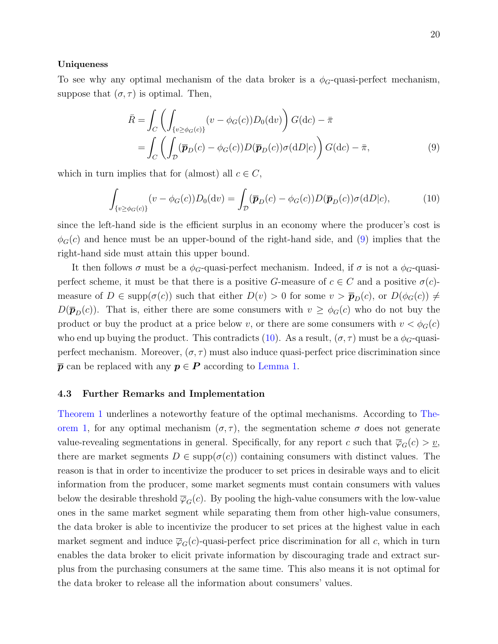#### Uniqueness

To see why any optimal mechanism of the data broker is a  $\phi_G$ -quasi-perfect mechanism, suppose that  $(\sigma, \tau)$  is optimal. Then,

<span id="page-20-0"></span>
$$
\bar{R} = \int_C \left( \int_{\{v \ge \phi_G(c)\}} (v - \phi_G(c)) D_0(\mathrm{d}v) \right) G(\mathrm{d}c) - \bar{\pi}
$$
\n
$$
= \int_C \left( \int_D (\bar{\mathbf{p}}_D(c) - \phi_G(c)) D(\bar{\mathbf{p}}_D(c)) \sigma(\mathrm{d}D|c) \right) G(\mathrm{d}c) - \bar{\pi},\tag{9}
$$

which in turn implies that for (almost) all  $c \in C$ ,

<span id="page-20-1"></span>
$$
\int_{\{v \ge \phi_G(c)\}} (v - \phi_G(c)) D_0(\mathrm{d}v) = \int_{\mathcal{D}} (\overline{\boldsymbol{p}}_D(c) - \phi_G(c)) D(\overline{\boldsymbol{p}}_D(c)) \sigma(\mathrm{d}D|c), \tag{10}
$$

since the left-hand side is the efficient surplus in an economy where the producer's cost is  $\phi_G(c)$  and hence must be an upper-bound of the right-hand side, and [\(9\)](#page-20-0) implies that the right-hand side must attain this upper bound.

It then follows  $\sigma$  must be a  $\phi_G$ -quasi-perfect mechanism. Indeed, if  $\sigma$  is not a  $\phi_G$ -quasiperfect scheme, it must be that there is a positive G-measure of  $c \in C$  and a positive  $\sigma(c)$ measure of  $D \in \text{supp}(\sigma(c))$  such that either  $D(v) > 0$  for some  $v > \bar{p}_D(c)$ , or  $D(\phi_G(c)) \neq$  $D(\bar{p}_D(c))$ . That is, either there are some consumers with  $v \ge \phi_G(c)$  who do not buy the product or buy the product at a price below v, or there are some consumers with  $v < \phi_G(c)$ who end up buying the product. This contradicts [\(10\)](#page-20-1). As a result,  $(\sigma, \tau)$  must be a  $\phi_G$ -quasiperfect mechanism. Moreover,  $(\sigma, \tau)$  must also induce quasi-perfect price discrimination since  $\bar{p}$  can be replaced with any  $p \in P$  according to [Lemma 1.](#page-16-0)

#### <span id="page-20-2"></span>4.3 Further Remarks and Implementation

[Theorem 1](#page-13-0) underlines a noteworthy feature of the optimal mechanisms. According to [The](#page-13-0)[orem 1,](#page-13-0) for any optimal mechanism  $(\sigma, \tau)$ , the segmentation scheme  $\sigma$  does not generate value-revealing segmentations in general. Specifically, for any report c such that  $\overline{\varphi}_G(c) > \underline{v}$ , there are market segments  $D \in \text{supp}(\sigma(c))$  containing consumers with distinct values. The reason is that in order to incentivize the producer to set prices in desirable ways and to elicit information from the producer, some market segments must contain consumers with values below the desirable threshold  $\overline{\varphi}_G(c)$ . By pooling the high-value consumers with the low-value ones in the same market segment while separating them from other high-value consumers, the data broker is able to incentivize the producer to set prices at the highest value in each market segment and induce  $\overline{\varphi}_G(c)$ -quasi-perfect price discrimination for all c, which in turn enables the data broker to elicit private information by discouraging trade and extract surplus from the purchasing consumers at the same time. This also means it is not optimal for the data broker to release all the information about consumers' values.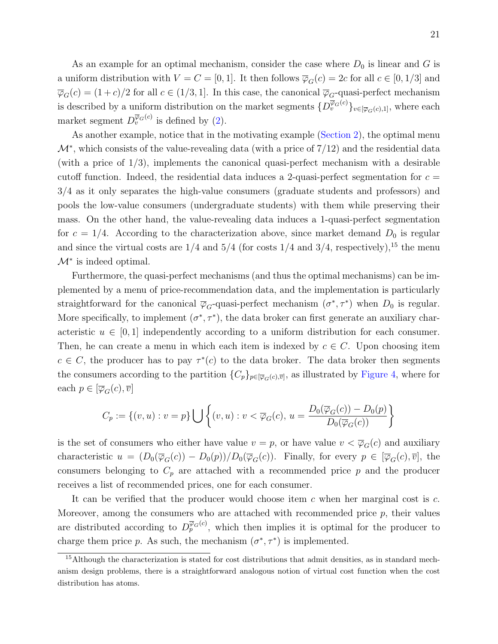As an example for an optimal mechanism, consider the case where  $D_0$  is linear and G is a uniform distribution with  $V = C = [0, 1]$ . It then follows  $\overline{\varphi}_G(c) = 2c$  for all  $c \in [0, 1/3]$  and  $\overline{\varphi}_G(c) = (1+c)/2$  for all  $c \in (1/3, 1]$ . In this case, the canonical  $\overline{\varphi}_G$ -quasi-perfect mechanism is described by a uniform distribution on the market segments  $\{D_v^{\overline{\varphi}_G(c)}\}_{v \in [\overline{\varphi}_G(c),1]},$  where each market segment  $D_v^{\overline{\varphi}_G(c)}$  is defined by [\(2\)](#page-14-2).

As another example, notice that in the motivating example [\(Section 2\)](#page-5-0), the optimal menu  $\mathcal{M}^*$ , which consists of the value-revealing data (with a price of 7/12) and the residential data (with a price of  $1/3$ ), implements the canonical quasi-perfect mechanism with a desirable cutoff function. Indeed, the residential data induces a 2-quasi-perfect segmentation for  $c =$ 3/4 as it only separates the high-value consumers (graduate students and professors) and pools the low-value consumers (undergraduate students) with them while preserving their mass. On the other hand, the value-revealing data induces a 1-quasi-perfect segmentation for  $c = 1/4$ . According to the characterization above, since market demand  $D_0$  is regular and since the virtual costs are  $1/4$  and  $5/4$  (for costs  $1/4$  and  $3/4$ , respectively),<sup>[15](#page-21-0)</sup> the menu  $M^*$  is indeed optimal.

Furthermore, the quasi-perfect mechanisms (and thus the optimal mechanisms) can be implemented by a menu of price-recommendation data, and the implementation is particularly straightforward for the canonical  $\overline{\varphi}_G$ -quasi-perfect mechanism  $(\sigma^*, \tau^*)$  when  $D_0$  is regular. More specifically, to implement  $(\sigma^*, \tau^*)$ , the data broker can first generate an auxiliary characteristic  $u \in [0,1]$  independently according to a uniform distribution for each consumer. Then, he can create a menu in which each item is indexed by  $c \in C$ . Upon choosing item  $c \in C$ , the producer has to pay  $\tau^*(c)$  to the data broker. The data broker then segments the consumers according to the partition  $\{C_p\}_{p\in[\overline{\varphi}_G(c),\overline{v}]}$ , as illustrated by [Figure 4,](#page-22-2) where for each  $p \in [\overline{\varphi}_G(c), \overline{v}]$ 

$$
C_p := \{(v, u) : v = p\} \bigcup \left\{ (v, u) : v < \overline{\varphi}_G(c), u = \frac{D_0(\overline{\varphi}_G(c)) - D_0(p)}{D_0(\overline{\varphi}_G(c))} \right\}
$$

is the set of consumers who either have value  $v = p$ , or have value  $v < \overline{\varphi}_G(c)$  and auxiliary characteristic  $u = (D_0(\overline{\varphi}_G(c)) - D_0(p))/D_0(\overline{\varphi}_G(c))$ . Finally, for every  $p \in [\overline{\varphi}_G(c), \overline{v}]$ , the consumers belonging to  $C_p$  are attached with a recommended price p and the producer receives a list of recommended prices, one for each consumer.

It can be verified that the producer would choose item  $c$  when her marginal cost is  $c$ . Moreover, among the consumers who are attached with recommended price  $p$ , their values are distributed according to  $D_p^{\overline{\varphi}_G(c)}$ , which then implies it is optimal for the producer to charge them price p. As such, the mechanism  $(\sigma^*, \tau^*)$  is implemented.

<span id="page-21-0"></span><sup>&</sup>lt;sup>15</sup>Although the characterization is stated for cost distributions that admit densities, as in standard mechanism design problems, there is a straightforward analogous notion of virtual cost function when the cost distribution has atoms.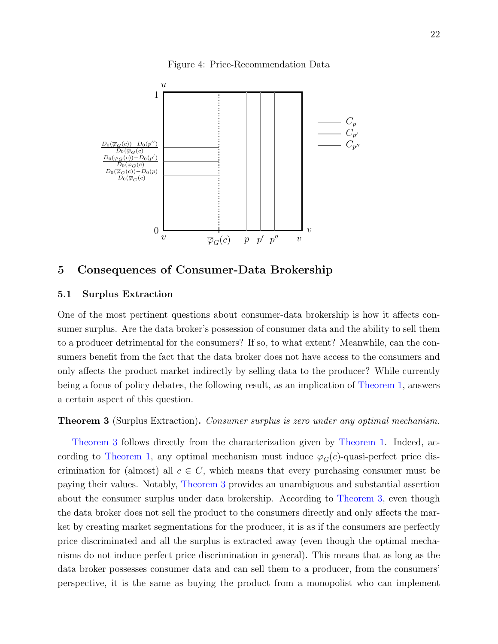Figure 4: Price-Recommendation Data

<span id="page-22-2"></span>

# <span id="page-22-1"></span>5 Consequences of Consumer-Data Brokership

#### 5.1 Surplus Extraction

One of the most pertinent questions about consumer-data brokership is how it affects consumer surplus. Are the data broker's possession of consumer data and the ability to sell them to a producer detrimental for the consumers? If so, to what extent? Meanwhile, can the consumers benefit from the fact that the data broker does not have access to the consumers and only affects the product market indirectly by selling data to the producer? While currently being a focus of policy debates, the following result, as an implication of [Theorem 1,](#page-13-0) answers a certain aspect of this question.

<span id="page-22-0"></span>**Theorem 3** (Surplus Extraction). Consumer surplus is zero under any optimal mechanism.

[Theorem 3](#page-22-0) follows directly from the characterization given by [Theorem 1.](#page-13-0) Indeed, ac-cording to [Theorem 1,](#page-13-0) any optimal mechanism must induce  $\overline{\varphi}_{G}(c)$ -quasi-perfect price discrimination for (almost) all  $c \in C$ , which means that every purchasing consumer must be paying their values. Notably, [Theorem 3](#page-22-0) provides an unambiguous and substantial assertion about the consumer surplus under data brokership. According to [Theorem 3,](#page-22-0) even though the data broker does not sell the product to the consumers directly and only affects the market by creating market segmentations for the producer, it is as if the consumers are perfectly price discriminated and all the surplus is extracted away (even though the optimal mechanisms do not induce perfect price discrimination in general). This means that as long as the data broker possesses consumer data and can sell them to a producer, from the consumers' perspective, it is the same as buying the product from a monopolist who can implement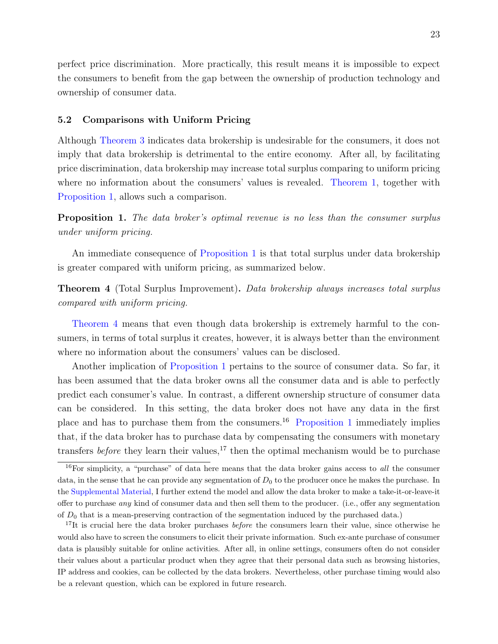perfect price discrimination. More practically, this result means it is impossible to expect the consumers to benefit from the gap between the ownership of production technology and ownership of consumer data.

#### 5.2 Comparisons with Uniform Pricing

Although [Theorem 3](#page-22-0) indicates data brokership is undesirable for the consumers, it does not imply that data brokership is detrimental to the entire economy. After all, by facilitating price discrimination, data brokership may increase total surplus comparing to uniform pricing where no information about the consumers' values is revealed. [Theorem 1,](#page-13-0) together with [Proposition 1,](#page-23-1) allows such a comparison.

<span id="page-23-1"></span>**Proposition 1.** The data broker's optimal revenue is no less than the consumer surplus under uniform pricing.

An immediate consequence of [Proposition 1](#page-23-1) is that total surplus under data brokership is greater compared with uniform pricing, as summarized below.

<span id="page-23-0"></span>**Theorem 4** (Total Surplus Improvement). Data brokership always increases total surplus compared with uniform pricing.

[Theorem 4](#page-23-0) means that even though data brokership is extremely harmful to the consumers, in terms of total surplus it creates, however, it is always better than the environment where no information about the consumers' values can be disclosed.

Another implication of [Proposition 1](#page-23-1) pertains to the source of consumer data. So far, it has been assumed that the data broker owns all the consumer data and is able to perfectly predict each consumer's value. In contrast, a different ownership structure of consumer data can be considered. In this setting, the data broker does not have any data in the first place and has to purchase them from the consumers.[16](#page-23-2) [Proposition 1](#page-23-1) immediately implies that, if the data broker has to purchase data by compensating the consumers with monetary transfers before they learn their values,<sup>[17](#page-23-3)</sup> then the optimal mechanism would be to purchase

<span id="page-23-2"></span><sup>&</sup>lt;sup>16</sup>For simplicity, a "purchase" of data here means that the data broker gains access to *all* the consumer data, in the sense that he can provide any segmentation of  $D_0$  to the producer once he makes the purchase. In the [Supplemental Material,](https://kaihaoyang.com/wp-content/uploads/2019/10/Optimal-Market-Segmentaion-Design-and-its-Consequences-Supplemental-Materials.pdf) I further extend the model and allow the data broker to make a take-it-or-leave-it offer to purchase *any* kind of consumer data and then sell them to the producer. (i.e., offer any segmentation of  $D_0$  that is a mean-preserving contraction of the segmentation induced by the purchased data.)

<span id="page-23-3"></span><sup>&</sup>lt;sup>17</sup>It is crucial here the data broker purchases *before* the consumers learn their value, since otherwise he would also have to screen the consumers to elicit their private information. Such ex-ante purchase of consumer data is plausibly suitable for online activities. After all, in online settings, consumers often do not consider their values about a particular product when they agree that their personal data such as browsing histories, IP address and cookies, can be collected by the data brokers. Nevertheless, other purchase timing would also be a relevant question, which can be explored in future research.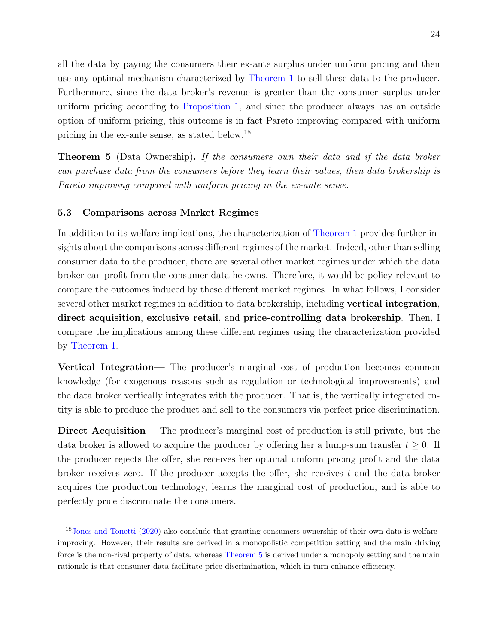all the data by paying the consumers their ex-ante surplus under uniform pricing and then use any optimal mechanism characterized by [Theorem 1](#page-13-0) to sell these data to the producer. Furthermore, since the data broker's revenue is greater than the consumer surplus under uniform pricing according to [Proposition 1,](#page-23-1) and since the producer always has an outside option of uniform pricing, this outcome is in fact Pareto improving compared with uniform pricing in the ex-ante sense, as stated below.[18](#page-24-1)

<span id="page-24-0"></span>**Theorem 5** (Data Ownership). If the consumers own their data and if the data broker can purchase data from the consumers before they learn their values, then data brokership is Pareto improving compared with uniform pricing in the ex-ante sense.

#### 5.3 Comparisons across Market Regimes

In addition to its welfare implications, the characterization of [Theorem 1](#page-13-0) provides further insights about the comparisons across different regimes of the market. Indeed, other than selling consumer data to the producer, there are several other market regimes under which the data broker can profit from the consumer data he owns. Therefore, it would be policy-relevant to compare the outcomes induced by these different market regimes. In what follows, I consider several other market regimes in addition to data brokership, including vertical integration, direct acquisition, exclusive retail, and price-controlling data brokership. Then, I compare the implications among these different regimes using the characterization provided by [Theorem 1.](#page-13-0)

Vertical Integration— The producer's marginal cost of production becomes common knowledge (for exogenous reasons such as regulation or technological improvements) and the data broker vertically integrates with the producer. That is, the vertically integrated entity is able to produce the product and sell to the consumers via perfect price discrimination.

Direct Acquisition— The producer's marginal cost of production is still private, but the data broker is allowed to acquire the producer by offering her a lump-sum transfer  $t \geq 0$ . If the producer rejects the offer, she receives her optimal uniform pricing profit and the data broker receives zero. If the producer accepts the offer, she receives  $t$  and the data broker acquires the production technology, learns the marginal cost of production, and is able to perfectly price discriminate the consumers.

<span id="page-24-1"></span><sup>18</sup>[Jones and Tonetti](#page-40-10) [\(2020\)](#page-40-10) also conclude that granting consumers ownership of their own data is welfareimproving. However, their results are derived in a monopolistic competition setting and the main driving force is the non-rival property of data, whereas [Theorem 5](#page-24-0) is derived under a monopoly setting and the main rationale is that consumer data facilitate price discrimination, which in turn enhance efficiency.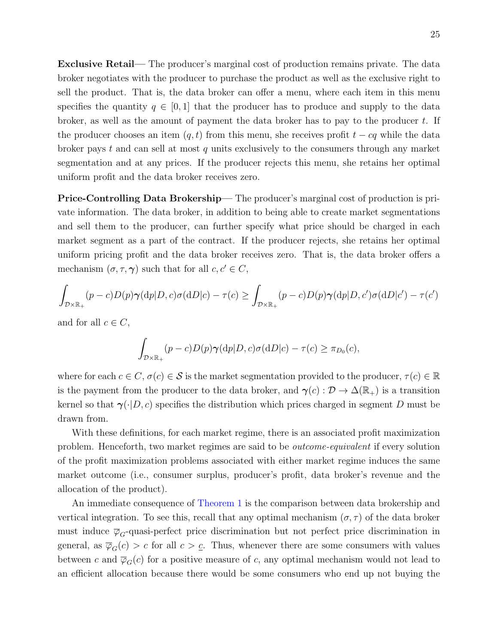Exclusive Retail— The producer's marginal cost of production remains private. The data broker negotiates with the producer to purchase the product as well as the exclusive right to sell the product. That is, the data broker can offer a menu, where each item in this menu specifies the quantity  $q \in [0,1]$  that the producer has to produce and supply to the data broker, as well as the amount of payment the data broker has to pay to the producer t. If the producer chooses an item  $(q, t)$  from this menu, she receives profit  $t - cq$  while the data broker pays t and can sell at most q units exclusively to the consumers through any market segmentation and at any prices. If the producer rejects this menu, she retains her optimal uniform profit and the data broker receives zero.

Price-Controlling Data Brokership— The producer's marginal cost of production is private information. The data broker, in addition to being able to create market segmentations and sell them to the producer, can further specify what price should be charged in each market segment as a part of the contract. If the producer rejects, she retains her optimal uniform pricing profit and the data broker receives zero. That is, the data broker offers a mechanism  $(\sigma, \tau, \gamma)$  such that for all  $c, c' \in C$ ,

$$
\int_{\mathcal{D}\times\mathbb{R}_+} (p-c)D(p)\pmb{\gamma}(\mathrm{d}p|D,c)\sigma(\mathrm{d}D|c) - \tau(c) \ge \int_{\mathcal{D}\times\mathbb{R}_+} (p-c)D(p)\pmb{\gamma}(\mathrm{d}p|D,c')\sigma(\mathrm{d}D|c') - \tau(c')
$$

and for all  $c \in C$ ,

$$
\int_{\mathcal{D}\times\mathbb{R}_+} (p-c)D(p)\gamma(\mathrm{d}p|D,c)\sigma(\mathrm{d}D|c) - \tau(c) \geq \pi_{D_0}(c),
$$

where for each  $c \in C$ ,  $\sigma(c) \in \mathcal{S}$  is the market segmentation provided to the producer,  $\tau(c) \in \mathbb{R}$ is the payment from the producer to the data broker, and  $\gamma(c): \mathcal{D} \to \Delta(\mathbb{R}_+)$  is a transition kernel so that  $\gamma(\cdot|D, c)$  specifies the distribution which prices charged in segment D must be drawn from.

With these definitions, for each market regime, there is an associated profit maximization problem. Henceforth, two market regimes are said to be outcome-equivalent if every solution of the profit maximization problems associated with either market regime induces the same market outcome (i.e., consumer surplus, producer's profit, data broker's revenue and the allocation of the product).

An immediate consequence of [Theorem 1](#page-13-0) is the comparison between data brokership and vertical integration. To see this, recall that any optimal mechanism  $(\sigma, \tau)$  of the data broker must induce  $\overline{\varphi}_G$ -quasi-perfect price discrimination but not perfect price discrimination in general, as  $\overline{\varphi}_G(c) > c$  for all  $c > c$ . Thus, whenever there are some consumers with values between c and  $\overline{\varphi}_G(c)$  for a positive measure of c, any optimal mechanism would not lead to an efficient allocation because there would be some consumers who end up not buying the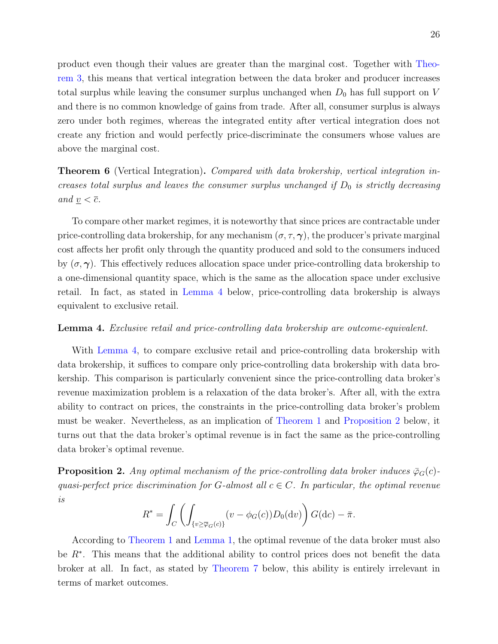product even though their values are greater than the marginal cost. Together with [Theo](#page-22-0)[rem 3,](#page-22-0) this means that vertical integration between the data broker and producer increases total surplus while leaving the consumer surplus unchanged when  $D_0$  has full support on V and there is no common knowledge of gains from trade. After all, consumer surplus is always zero under both regimes, whereas the integrated entity after vertical integration does not create any friction and would perfectly price-discriminate the consumers whose values are above the marginal cost.

<span id="page-26-0"></span>**Theorem 6** (Vertical Integration). Compared with data brokership, vertical integration increases total surplus and leaves the consumer surplus unchanged if  $D_0$  is strictly decreasing and  $\underline{v} < \overline{c}$ .

To compare other market regimes, it is noteworthy that since prices are contractable under price-controlling data brokership, for any mechanism  $(\sigma, \tau, \gamma)$ , the producer's private marginal cost affects her profit only through the quantity produced and sold to the consumers induced by  $(\sigma, \gamma)$ . This effectively reduces allocation space under price-controlling data brokership to a one-dimensional quantity space, which is the same as the allocation space under exclusive retail. In fact, as stated in [Lemma 4](#page-26-1) below, price-controlling data brokership is always equivalent to exclusive retail.

#### <span id="page-26-1"></span>**Lemma 4.** Exclusive retail and price-controlling data brokership are outcome-equivalent.

With [Lemma 4,](#page-26-1) to compare exclusive retail and price-controlling data brokership with data brokership, it suffices to compare only price-controlling data brokership with data brokership. This comparison is particularly convenient since the price-controlling data broker's revenue maximization problem is a relaxation of the data broker's. After all, with the extra ability to contract on prices, the constraints in the price-controlling data broker's problem must be weaker. Nevertheless, as an implication of [Theorem 1](#page-13-0) and [Proposition 2](#page-26-2) below, it turns out that the data broker's optimal revenue is in fact the same as the price-controlling data broker's optimal revenue.

<span id="page-26-2"></span>**Proposition 2.** Any optimal mechanism of the price-controlling data broker induces  $\bar{\varphi}_G(c)$ quasi-perfect price discrimination for G-almost all  $c \in C$ . In particular, the optimal revenue is

$$
R^* = \int_C \left( \int_{\{v \ge \overline{\varphi}_G(c)\}} (v - \phi_G(c)) D_0(\mathrm{d}v) \right) G(\mathrm{d}c) - \overline{\pi}.
$$

According to [Theorem 1](#page-13-0) and [Lemma 1,](#page-16-0) the optimal revenue of the data broker must also be R<sup>∗</sup>. This means that the additional ability to control prices does not benefit the data broker at all. In fact, as stated by [Theorem 7](#page-27-0) below, this ability is entirely irrelevant in terms of market outcomes.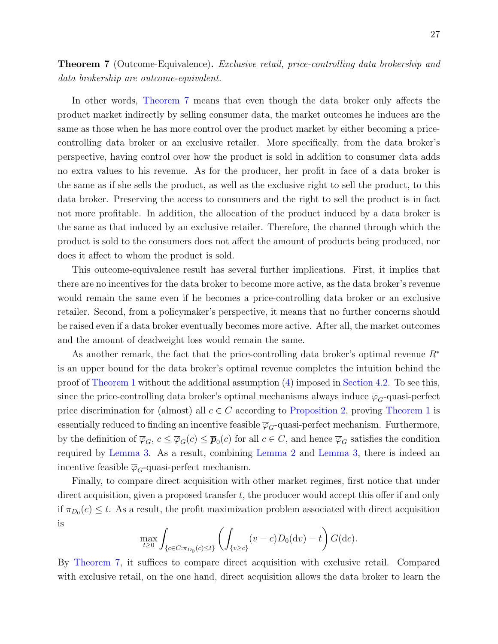<span id="page-27-0"></span>**Theorem 7** (Outcome-Equivalence). Exclusive retail, price-controlling data brokership and data brokership are outcome-equivalent.

In other words, [Theorem 7](#page-27-0) means that even though the data broker only affects the product market indirectly by selling consumer data, the market outcomes he induces are the same as those when he has more control over the product market by either becoming a pricecontrolling data broker or an exclusive retailer. More specifically, from the data broker's perspective, having control over how the product is sold in addition to consumer data adds no extra values to his revenue. As for the producer, her profit in face of a data broker is the same as if she sells the product, as well as the exclusive right to sell the product, to this data broker. Preserving the access to consumers and the right to sell the product is in fact not more profitable. In addition, the allocation of the product induced by a data broker is the same as that induced by an exclusive retailer. Therefore, the channel through which the product is sold to the consumers does not affect the amount of products being produced, nor does it affect to whom the product is sold.

This outcome-equivalence result has several further implications. First, it implies that there are no incentives for the data broker to become more active, as the data broker's revenue would remain the same even if he becomes a price-controlling data broker or an exclusive retailer. Second, from a policymaker's perspective, it means that no further concerns should be raised even if a data broker eventually becomes more active. After all, the market outcomes and the amount of deadweight loss would remain the same.

As another remark, the fact that the price-controlling data broker's optimal revenue  $R^*$ is an upper bound for the data broker's optimal revenue completes the intuition behind the proof of [Theorem 1](#page-13-0) without the additional assumption [\(4\)](#page-15-1) imposed in [Section 4.2.](#page-13-3) To see this, since the price-controlling data broker's optimal mechanisms always induce  $\overline{\varphi}_G$ -quasi-perfect price discrimination for (almost) all  $c \in C$  according to [Proposition 2,](#page-26-2) proving [Theorem 1](#page-13-0) is essentially reduced to finding an incentive feasible  $\overline{\varphi}_G$ -quasi-perfect mechanism. Furthermore, by the definition of  $\overline{\varphi}_G$ ,  $c \leq \overline{\varphi}_G(c) \leq \overline{p}_0(c)$  for all  $c \in C$ , and hence  $\overline{\varphi}_G$  satisfies the condition required by [Lemma 3.](#page-19-0) As a result, combining [Lemma 2](#page-18-1) and [Lemma 3,](#page-19-0) there is indeed an incentive feasible  $\overline{\varphi}_G$ -quasi-perfect mechanism.

Finally, to compare direct acquisition with other market regimes, first notice that under direct acquisition, given a proposed transfer  $t$ , the producer would accept this offer if and only if  $\pi_{D_0}(c) \leq t$ . As a result, the profit maximization problem associated with direct acquisition is

$$
\max_{t \ge 0} \int_{\{c \in C: \pi_{D_0}(c) \le t\}} \left( \int_{\{v \ge c\}} (v - c) D_0(\mathrm{d}v) - t \right) G(\mathrm{d}c).
$$

By [Theorem 7,](#page-27-0) it suffices to compare direct acquisition with exclusive retail. Compared with exclusive retail, on the one hand, direct acquisition allows the data broker to learn the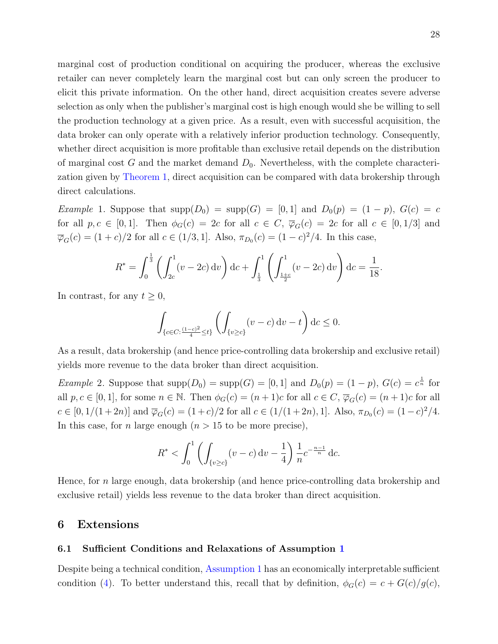marginal cost of production conditional on acquiring the producer, whereas the exclusive retailer can never completely learn the marginal cost but can only screen the producer to elicit this private information. On the other hand, direct acquisition creates severe adverse selection as only when the publisher's marginal cost is high enough would she be willing to sell the production technology at a given price. As a result, even with successful acquisition, the data broker can only operate with a relatively inferior production technology. Consequently, whether direct acquisition is more profitable than exclusive retail depends on the distribution of marginal cost G and the market demand  $D_0$ . Nevertheless, with the complete characterization given by [Theorem 1,](#page-13-0) direct acquisition can be compared with data brokership through direct calculations.

Example 1. Suppose that  $\text{supp}(D_0) = \text{supp}(G) = [0,1]$  and  $D_0(p) = (1-p), G(c) = c$ for all  $p, c \in [0, 1]$ . Then  $\phi_G(c) = 2c$  for all  $c \in C$ ,  $\overline{\varphi}_G(c) = 2c$  for all  $c \in [0, 1/3]$  and  $\overline{\varphi}_G(c) = (1+c)/2$  for all  $c \in (1/3, 1]$ . Also,  $\pi_{D_0}(c) = (1-c)^2/4$ . In this case,

$$
R^* = \int_0^{\frac{1}{3}} \left( \int_{2c}^1 (v - 2c) \, dv \right) dc + \int_{\frac{1}{3}}^1 \left( \int_{\frac{1+c}{2}}^1 (v - 2c) \, dv \right) dc = \frac{1}{18}.
$$

In contrast, for any  $t \geq 0$ ,

$$
\int_{\{c \in C : \frac{(1-c)^2}{4} \le t\}} \left( \int_{\{v \ge c\}} (v - c) \, \mathrm{d}v - t \right) \mathrm{d}v \le 0.
$$

As a result, data brokership (and hence price-controlling data brokership and exclusive retail) yields more revenue to the data broker than direct acquisition.

*Example 2.* Suppose that  $\text{supp}(D_0) = \text{supp}(G) = [0,1]$  and  $D_0(p) = (1-p)$ ,  $G(c) = c^{\frac{1}{n}}$  for all  $p, c \in [0, 1]$ , for some  $n \in \mathbb{N}$ . Then  $\phi_G(c) = (n+1)c$  for all  $c \in C$ ,  $\overline{\varphi}_G(c) = (n+1)c$  for all  $c \in [0, 1/(1+2n)]$  and  $\overline{\varphi}_G(c) = (1+c)/2$  for all  $c \in (1/(1+2n), 1]$ . Also,  $\pi_{D_0}(c) = (1-c)^2/4$ . In this case, for *n* large enough  $(n > 15$  to be more precise),

$$
R^* < \int_0^1 \left( \int_{\{v \ge c\}} (v - c) \, \mathrm{d}v - \frac{1}{4} \right) \frac{1}{n} c^{-\frac{n-1}{n}} \, \mathrm{d}c.
$$

Hence, for n large enough, data brokership (and hence price-controlling data brokership and exclusive retail) yields less revenue to the data broker than direct acquisition.

### <span id="page-28-0"></span>6 Extensions

#### 6.1 Sufficient Conditions and Relaxations of Assumption [1](#page-11-1)

Despite being a technical condition, [Assumption 1](#page-11-1) has an economically interpretable sufficient condition [\(4\)](#page-15-1). To better understand this, recall that by definition,  $\phi_G(c) = c + G(c)/g(c)$ ,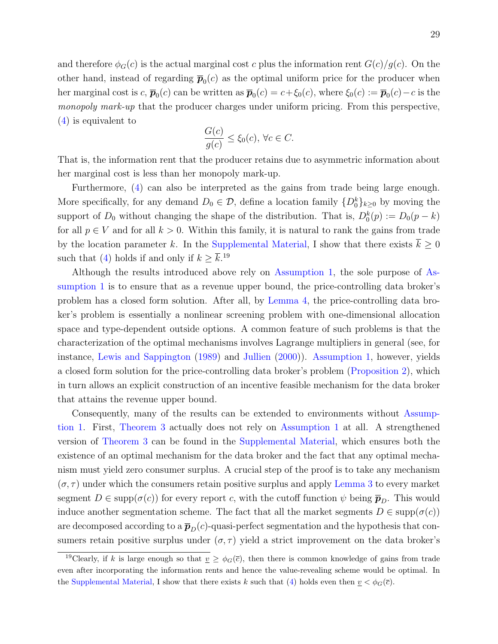and therefore  $\phi_G(c)$  is the actual marginal cost c plus the information rent  $G(c)/g(c)$ . On the other hand, instead of regarding  $\bar{p}_0(c)$  as the optimal uniform price for the producer when her marginal cost is  $c, \bar{p}_0(c)$  can be written as  $\bar{p}_0(c) = c + \xi_0(c)$ , where  $\xi_0(c) := \bar{p}_0(c) - c$  is the monopoly mark-up that the producer charges under uniform pricing. From this perspective, [\(4\)](#page-15-1) is equivalent to

$$
\frac{G(c)}{g(c)} \le \xi_0(c), \,\forall c \in C.
$$

That is, the information rent that the producer retains due to asymmetric information about her marginal cost is less than her monopoly mark-up.

Furthermore, [\(4\)](#page-15-1) can also be interpreted as the gains from trade being large enough. More specifically, for any demand  $D_0 \in \mathcal{D}$ , define a location family  $\{D_0^k\}_{k\geq 0}$  by moving the support of  $D_0$  without changing the shape of the distribution. That is,  $D_0^k(p) := D_0(p - k)$ for all  $p \in V$  and for all  $k > 0$ . Within this family, it is natural to rank the gains from trade by the location parameter k. In the [Supplemental Material,](https://kaihaoyang.com/wp-content/uploads/2019/10/Optimal-Market-Segmentaion-Design-and-its-Consequences-Supplemental-Materials.pdf) I show that there exists  $\overline{k} \geq 0$ such that [\(4\)](#page-15-1) holds if and only if  $k \geq \overline{k}$ .<sup>[19](#page-29-0)</sup>

Although the results introduced above rely on [Assumption 1,](#page-11-1) the sole purpose of [As](#page-11-1)[sumption 1](#page-11-1) is to ensure that as a revenue upper bound, the price-controlling data broker's problem has a closed form solution. After all, by [Lemma 4,](#page-26-1) the price-controlling data broker's problem is essentially a nonlinear screening problem with one-dimensional allocation space and type-dependent outside options. A common feature of such problems is that the characterization of the optimal mechanisms involves Lagrange multipliers in general (see, for instance, [Lewis and Sappington](#page-40-11) [\(1989\)](#page-40-11) and [Jullien](#page-40-12) [\(2000\)](#page-40-12)). [Assumption 1,](#page-11-1) however, yields a closed form solution for the price-controlling data broker's problem [\(Proposition 2\)](#page-26-2), which in turn allows an explicit construction of an incentive feasible mechanism for the data broker that attains the revenue upper bound.

Consequently, many of the results can be extended to environments without [Assump](#page-11-1)[tion 1.](#page-11-1) First, [Theorem 3](#page-22-0) actually does not rely on [Assumption 1](#page-11-1) at all. A strengthened version of [Theorem 3](#page-22-0) can be found in the [Supplemental Material,](https://kaihaoyang.com/wp-content/uploads/2019/10/Optimal-Market-Segmentaion-Design-and-its-Consequences-Supplemental-Materials.pdf) which ensures both the existence of an optimal mechanism for the data broker and the fact that any optimal mechanism must yield zero consumer surplus. A crucial step of the proof is to take any mechanism  $(\sigma, \tau)$  under which the consumers retain positive surplus and apply [Lemma 3](#page-19-0) to every market segment  $D \in \text{supp}(\sigma(c))$  for every report c, with the cutoff function  $\psi$  being  $\bar{p}_D$ . This would induce another segmentation scheme. The fact that all the market segments  $D \in \text{supp}(\sigma(c))$ are decomposed according to a  $\bar{p}_D(c)$ -quasi-perfect segmentation and the hypothesis that consumers retain positive surplus under  $(\sigma, \tau)$  yield a strict improvement on the data broker's

<span id="page-29-0"></span><sup>&</sup>lt;sup>19</sup>Clearly, if k is large enough so that  $v \ge \phi_G(\bar{c})$ , then there is common knowledge of gains from trade even after incorporating the information rents and hence the value-revealing scheme would be optimal. In the [Supplemental Material,](https://kaihaoyang.com/wp-content/uploads/2019/10/Optimal-Market-Segmentaion-Design-and-its-Consequences-Supplemental-Materials.pdf) I show that there exists k such that [\(4\)](#page-15-1) holds even then  $\underline{v} < \phi_G(\overline{c})$ .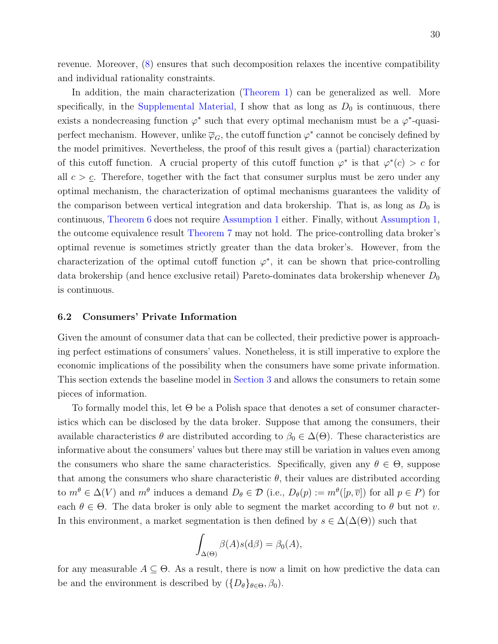revenue. Moreover, [\(8\)](#page-18-2) ensures that such decomposition relaxes the incentive compatibility and individual rationality constraints.

In addition, the main characterization [\(Theorem 1\)](#page-13-0) can be generalized as well. More specifically, in the [Supplemental Material,](https://kaihaoyang.com/wp-content/uploads/2019/10/Optimal-Market-Segmentaion-Design-and-its-Consequences-Supplemental-Materials.pdf) I show that as long as  $D_0$  is continuous, there exists a nondecreasing function  $\varphi^*$  such that every optimal mechanism must be a  $\varphi^*$ -quasiperfect mechanism. However, unlike  $\overline{\varphi}_G$ , the cutoff function  $\varphi^*$  cannot be concisely defined by the model primitives. Nevertheless, the proof of this result gives a (partial) characterization of this cutoff function. A crucial property of this cutoff function  $\varphi^*$  is that  $\varphi^*(c) > c$  for all  $c > c$ . Therefore, together with the fact that consumer surplus must be zero under any optimal mechanism, the characterization of optimal mechanisms guarantees the validity of the comparison between vertical integration and data brokership. That is, as long as  $D_0$  is continuous, [Theorem 6](#page-26-0) does not require [Assumption 1](#page-11-1) either. Finally, without [Assumption 1,](#page-11-1) the outcome equivalence result [Theorem 7](#page-27-0) may not hold. The price-controlling data broker's optimal revenue is sometimes strictly greater than the data broker's. However, from the characterization of the optimal cutoff function  $\varphi^*$ , it can be shown that price-controlling data brokership (and hence exclusive retail) Pareto-dominates data brokership whenever  $D_0$ is continuous.

#### 6.2 Consumers' Private Information

Given the amount of consumer data that can be collected, their predictive power is approaching perfect estimations of consumers' values. Nonetheless, it is still imperative to explore the economic implications of the possibility when the consumers have some private information. This section extends the baseline model in [Section 3](#page-9-0) and allows the consumers to retain some pieces of information.

To formally model this, let Θ be a Polish space that denotes a set of consumer characteristics which can be disclosed by the data broker. Suppose that among the consumers, their available characteristics  $\theta$  are distributed according to  $\beta_0 \in \Delta(\Theta)$ . These characteristics are informative about the consumers' values but there may still be variation in values even among the consumers who share the same characteristics. Specifically, given any  $\theta \in \Theta$ , suppose that among the consumers who share characteristic  $\theta$ , their values are distributed according to  $m^{\theta} \in \Delta(V)$  and  $m^{\theta}$  induces a demand  $D_{\theta} \in \mathcal{D}$  (i.e.,  $D_{\theta}(p) := m^{\theta}([p, \overline{v}])$  for all  $p \in P$ ) for each  $\theta \in \Theta$ . The data broker is only able to segment the market according to  $\theta$  but not v. In this environment, a market segmentation is then defined by  $s \in \Delta(\Delta(\Theta))$  such that

$$
\int_{\Delta(\Theta)} \beta(A)s(\mathrm{d}\beta) = \beta_0(A),
$$

for any measurable  $A \subseteq \Theta$ . As a result, there is now a limit on how predictive the data can be and the environment is described by  $({D_{\theta}}_{\theta \in \Theta}, \beta_0)$ .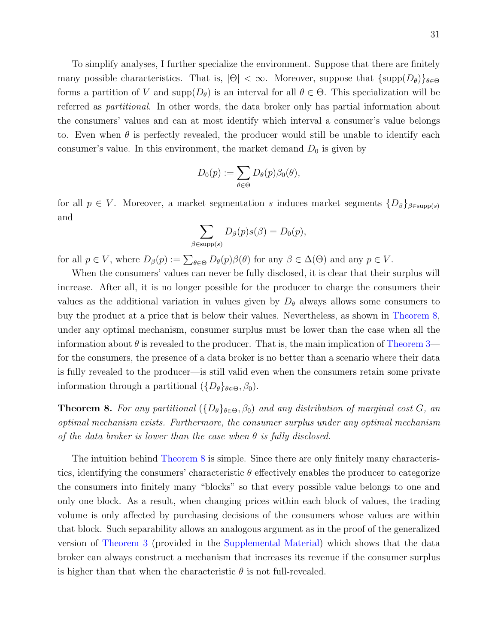To simplify analyses, I further specialize the environment. Suppose that there are finitely many possible characteristics. That is,  $|\Theta| < \infty$ . Moreover, suppose that  $\{\text{supp}(D_{\theta})\}_{\theta \in \Theta}$ forms a partition of V and supp $(D_{\theta})$  is an interval for all  $\theta \in \Theta$ . This specialization will be referred as partitional. In other words, the data broker only has partial information about the consumers' values and can at most identify which interval a consumer's value belongs to. Even when  $\theta$  is perfectly revealed, the producer would still be unable to identify each consumer's value. In this environment, the market demand  $D_0$  is given by

$$
D_0(p) := \sum_{\theta \in \Theta} D_{\theta}(p) \beta_0(\theta),
$$

for all  $p \in V$ . Moreover, a market segmentation s induces market segments  $\{D_\beta\}_{\beta \in \text{supp}(s)}$ and

$$
\sum_{\beta \in \text{supp}(s)} D_{\beta}(p) s(\beta) = D_0(p),
$$

for all  $p \in V$ , where  $D_{\beta}(p) := \sum_{\theta \in \Theta} D_{\theta}(p) \beta(\theta)$  for any  $\beta \in \Delta(\Theta)$  and any  $p \in V$ .

When the consumers' values can never be fully disclosed, it is clear that their surplus will increase. After all, it is no longer possible for the producer to charge the consumers their values as the additional variation in values given by  $D_{\theta}$  always allows some consumers to buy the product at a price that is below their values. Nevertheless, as shown in [Theorem 8,](#page-31-0) under any optimal mechanism, consumer surplus must be lower than the case when all the information about  $\theta$  is revealed to the producer. That is, the main implication of [Theorem 3](#page-22-0) for the consumers, the presence of a data broker is no better than a scenario where their data is fully revealed to the producer—is still valid even when the consumers retain some private information through a partitional  $({D_{\theta}}_{\theta \in \Theta}, \beta_0)$ .

<span id="page-31-0"></span>**Theorem 8.** For any partitional  $(\{D_\theta\}_{\theta \in \Theta}, \beta_0)$  and any distribution of marginal cost G, an optimal mechanism exists. Furthermore, the consumer surplus under any optimal mechanism of the data broker is lower than the case when  $\theta$  is fully disclosed.

The intuition behind [Theorem 8](#page-31-0) is simple. Since there are only finitely many characteristics, identifying the consumers' characteristic  $\theta$  effectively enables the producer to categorize the consumers into finitely many "blocks" so that every possible value belongs to one and only one block. As a result, when changing prices within each block of values, the trading volume is only affected by purchasing decisions of the consumers whose values are within that block. Such separability allows an analogous argument as in the proof of the generalized version of [Theorem 3](#page-22-0) (provided in the [Supplemental Material\)](https://kaihaoyang.com/wp-content/uploads/2019/10/Optimal-Market-Segmentaion-Design-and-its-Consequences-Supplemental-Materials.pdf) which shows that the data broker can always construct a mechanism that increases its revenue if the consumer surplus is higher than that when the characteristic  $\theta$  is not full-revealed.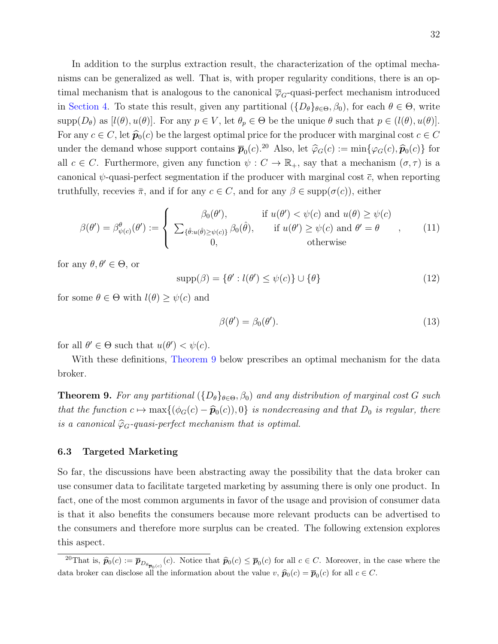In addition to the surplus extraction result, the characterization of the optimal mechanisms can be generalized as well. That is, with proper regularity conditions, there is an optimal mechanism that is analogous to the canonical  $\overline{\varphi}_G$ -quasi-perfect mechanism introduced in [Section 4.](#page-12-0) To state this result, given any partitional  $({D_{\theta}}_{\theta \in \Theta}, \beta_0)$ , for each  $\theta \in \Theta$ , write  $\text{supp}(D_{\theta})$  as  $[l(\theta), u(\theta)]$ . For any  $p \in V$ , let  $\theta_p \in \Theta$  be the unique  $\theta$  such that  $p \in (l(\theta), u(\theta)]$ . For any  $c \in C$ , let  $\hat{p}_0(c)$  be the largest optimal price for the producer with marginal cost  $c \in C$ under the demand whose support contains  $\overline{p}_0(c)$ .<sup>[20](#page-32-0)</sup> Also, let  $\hat{\varphi}_G(c) := \min{\{\varphi_G(c), \hat{\pmb{p}}_0(c)\}}$  for all  $c \in C$ . Furthermore, given any function  $\psi : C \to \mathbb{R}_+$ , say that a mechanism  $(\sigma, \tau)$  is a canonical  $\psi$ -quasi-perfect segmentation if the producer with marginal cost  $\bar{c}$ , when reporting truthfully, recevies  $\bar{\pi}$ , and if for any  $c \in C$ , and for any  $\beta \in \text{supp}(\sigma(c))$ , either

$$
\beta(\theta') = \beta_{\psi(c)}^{\theta}(\theta') := \begin{cases} \beta_0(\theta'), & \text{if } u(\theta') < \psi(c) \text{ and } u(\theta) \ge \psi(c) \\ \sum_{\{\hat{\theta}: u(\hat{\theta}) \ge \psi(c)\}} \beta_0(\hat{\theta}), & \text{if } u(\theta') \ge \psi(c) \text{ and } \theta' = \theta \\ 0, & \text{otherwise} \end{cases}
$$
 (11)

for any  $\theta, \theta' \in \Theta$ , or

$$
supp(\beta) = \{ \theta' : l(\theta') \le \psi(c) \} \cup \{ \theta \}
$$
\n(12)

for some  $\theta \in \Theta$  with  $l(\theta) \geq \psi(c)$  and

$$
\beta(\theta') = \beta_0(\theta'). \tag{13}
$$

for all  $\theta' \in \Theta$  such that  $u(\theta') < \psi(c)$ .

With these definitions, [Theorem 9](#page-32-1) below prescribes an optimal mechanism for the data broker.

<span id="page-32-1"></span>**Theorem 9.** For any partitional  $(\{D_\theta\}_{\theta \in \Theta}, \beta_0)$  and any distribution of marginal cost G such that the function  $c \mapsto \max\{(\phi_G(c) - \widehat{\boldsymbol{p}}_0(c)), 0\}$  is nondecreasing and that  $D_0$  is regular, there is a canonical  $\widehat{\varphi}_G$ -quasi-perfect mechanism that is optimal.

#### 6.3 Targeted Marketing

So far, the discussions have been abstracting away the possibility that the data broker can use consumer data to facilitate targeted marketing by assuming there is only one product. In fact, one of the most common arguments in favor of the usage and provision of consumer data is that it also benefits the consumers because more relevant products can be advertised to the consumers and therefore more surplus can be created. The following extension explores this aspect.

<span id="page-32-0"></span><sup>20</sup>That is,  $\hat{p}_0(c) := \overline{p}_{D_{\theta_{\overline{p}_0(c)}}}(c)$ . Notice that  $\hat{p}_0(c) \leq \overline{p}_0(c)$  for all  $c \in C$ . Moreover, in the case where the data broker can disclose all the information about the value  $v, \hat{p}_0(c) = \overline{p}_0(c)$  for all  $c \in C$ .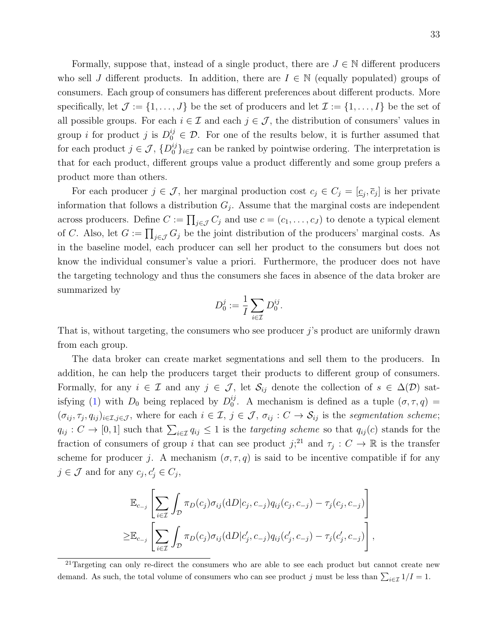Formally, suppose that, instead of a single product, there are  $J \in \mathbb{N}$  different producers who sell J different products. In addition, there are  $I \in \mathbb{N}$  (equally populated) groups of consumers. Each group of consumers has different preferences about different products. More specifically, let  $\mathcal{J} := \{1, \ldots, J\}$  be the set of producers and let  $\mathcal{I} := \{1, \ldots, I\}$  be the set of all possible groups. For each  $i \in \mathcal{I}$  and each  $j \in \mathcal{J}$ , the distribution of consumers' values in group *i* for product *j* is  $D_0^{ij} \in \mathcal{D}$ . For one of the results below, it is further assumed that for each product  $j \in \mathcal{J}$ ,  $\{D_0^{ij}\}_{i \in \mathcal{I}}$  can be ranked by pointwise ordering. The interpretation is that for each product, different groups value a product differently and some group prefers a product more than others.

For each producer  $j \in \mathcal{J}$ , her marginal production cost  $c_j \in C_j = [\underline{c}_j, \overline{c}_j]$  is her private information that follows a distribution  $G_j$ . Assume that the marginal costs are independent across producers. Define  $C := \prod_{j \in \mathcal{J}} C_j$  and use  $c = (c_1, \ldots, c_J)$  to denote a typical element of C. Also, let  $G := \prod_{j \in \mathcal{J}} G_j$  be the joint distribution of the producers' marginal costs. As in the baseline model, each producer can sell her product to the consumers but does not know the individual consumer's value a priori. Furthermore, the producer does not have the targeting technology and thus the consumers she faces in absence of the data broker are summarized by

$$
D_0^j := \frac{1}{I} \sum_{i \in \mathcal{I}} D_0^{ij}.
$$

That is, without targeting, the consumers who see producer  $j$ 's product are uniformly drawn from each group.

The data broker can create market segmentations and sell them to the producers. In addition, he can help the producers target their products to different group of consumers. Formally, for any  $i \in \mathcal{I}$  and any  $j \in \mathcal{J}$ , let  $\mathcal{S}_{ij}$  denote the collection of  $s \in \Delta(\mathcal{D})$  sat-isfying [\(1\)](#page-9-3) with  $D_0$  being replaced by  $D_0^{ij}$  $_{0}^{ij}$ . A mechanism is defined as a tuple  $(\sigma, \tau, q)$  =  $(\sigma_{ij}, \tau_j, q_{ij})_{i \in \mathcal{I}, j \in \mathcal{J}}$ , where for each  $i \in \mathcal{I}, j \in \mathcal{J}, \sigma_{ij} : C \to \mathcal{S}_{ij}$  is the segmentation scheme;  $q_{ij}: C \to [0,1]$  such that  $\sum_{i \in \mathcal{I}} q_{ij} \leq 1$  is the *targeting scheme* so that  $q_{ij}(c)$  stands for the fraction of consumers of group i that can see product  $j$ <sup>[21](#page-33-0)</sup>, and  $\tau_j : C \to \mathbb{R}$  is the transfer scheme for producer j. A mechanism  $(\sigma, \tau, q)$  is said to be incentive compatible if for any  $j \in \mathcal{J}$  and for any  $c_j, c'_j \in C_j$ ,

$$
\mathbb{E}_{c_{-j}}\left[\sum_{i\in\mathcal{I}}\int_{\mathcal{D}}\pi_D(c_j)\sigma_{ij}(\mathrm{d}D|c_j,c_{-j})q_{ij}(c_j,c_{-j})-\tau_j(c_j,c_{-j})\right]
$$
\n
$$
\geq\mathbb{E}_{c_{-j}}\left[\sum_{i\in\mathcal{I}}\int_{\mathcal{D}}\pi_D(c_j)\sigma_{ij}(\mathrm{d}D|c'_j,c_{-j})q_{ij}(c'_j,c_{-j})-\tau_j(c'_j,c_{-j})\right],
$$

<span id="page-33-0"></span><sup>&</sup>lt;sup>21</sup>Targeting can only re-direct the consumers who are able to see each product but cannot create new demand. As such, the total volume of consumers who can see product j must be less than  $\sum_{i\in\mathcal{I}} 1/I = 1$ .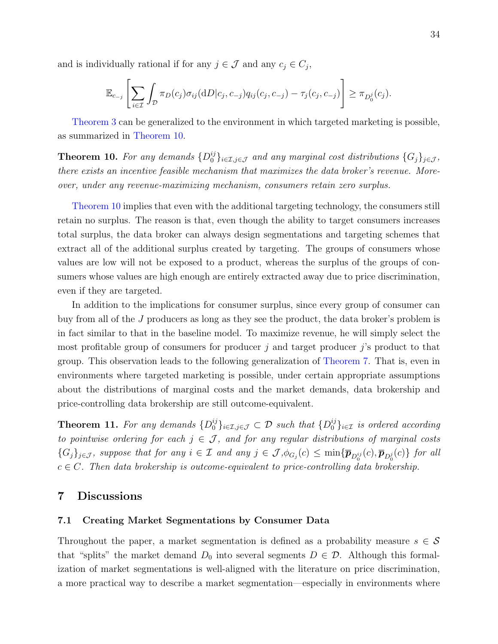and is individually rational if for any  $j \in \mathcal{J}$  and any  $c_j \in C_j$ ,

$$
\mathbb{E}_{c_{-j}}\left[\sum_{i\in\mathcal{I}}\int_{\mathcal{D}}\pi_D(c_j)\sigma_{ij}(\mathrm{d}D|c_j,c_{-j})q_{ij}(c_j,c_{-j})-\tau_j(c_j,c_{-j})\right]\geq \pi_{D_0^j}(c_j).
$$

[Theorem 3](#page-22-0) can be generalized to the environment in which targeted marketing is possible, as summarized in [Theorem 10.](#page-34-1)

<span id="page-34-1"></span>**Theorem 10.** For any demands  $\{D_0^{ij}\}_{i\in\mathcal{I},j\in\mathcal{J}}$  and any marginal cost distributions  $\{G_j\}_{j\in\mathcal{J}}$ , there exists an incentive feasible mechanism that maximizes the data broker's revenue. Moreover, under any revenue-maximizing mechanism, consumers retain zero surplus.

[Theorem 10](#page-34-1) implies that even with the additional targeting technology, the consumers still retain no surplus. The reason is that, even though the ability to target consumers increases total surplus, the data broker can always design segmentations and targeting schemes that extract all of the additional surplus created by targeting. The groups of consumers whose values are low will not be exposed to a product, whereas the surplus of the groups of consumers whose values are high enough are entirely extracted away due to price discrimination, even if they are targeted.

In addition to the implications for consumer surplus, since every group of consumer can buy from all of the J producers as long as they see the product, the data broker's problem is in fact similar to that in the baseline model. To maximize revenue, he will simply select the most profitable group of consumers for producer  $j$  and target producer  $j$ 's product to that group. This observation leads to the following generalization of [Theorem 7.](#page-27-0) That is, even in environments where targeted marketing is possible, under certain appropriate assumptions about the distributions of marginal costs and the market demands, data brokership and price-controlling data brokership are still outcome-equivalent.

**Theorem 11.** For any demands  $\{D_0^{ij}\}_{i\in\mathcal{I},j\in\mathcal{J}}\subset\mathcal{D}$  such that  $\{D_0^{ij}\}_{i\in\mathcal{I}}$  is ordered according to pointwise ordering for each  $j \in \mathcal{J}$ , and for any regular distributions of marginal costs  $\{G_j\}_{j\in\mathcal{J}}$ , suppose that for any  $i\in\mathcal{I}$  and any  $j\in\mathcal{J}$ ,  $\phi_{G_j}(c)\leq \min\{\bar{\bm{p}}_{D_0^{ij}}(c),\bar{\bm{p}}_{D_0^{j}}(c)\}\$  for all  $c \in C$ . Then data brokership is outcome-equivalent to price-controlling data brokership.

# <span id="page-34-0"></span>7 Discussions

#### 7.1 Creating Market Segmentations by Consumer Data

Throughout the paper, a market segmentation is defined as a probability measure  $s \in \mathcal{S}$ that "splits" the market demand  $D_0$  into several segments  $D \in \mathcal{D}$ . Although this formalization of market segmentations is well-aligned with the literature on price discrimination, a more practical way to describe a market segmentation—especially in environments where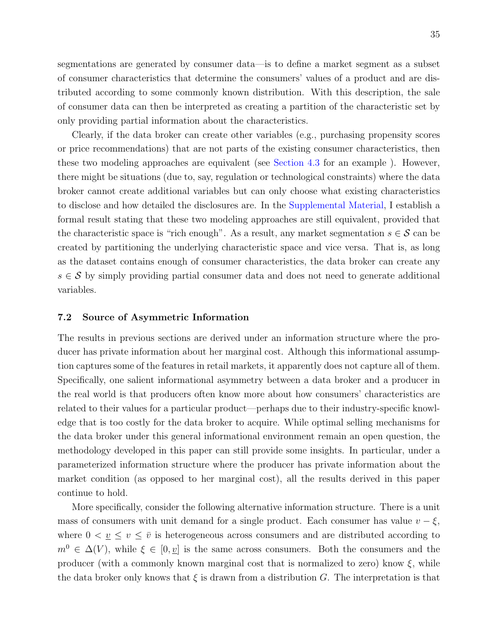segmentations are generated by consumer data—is to define a market segment as a subset of consumer characteristics that determine the consumers' values of a product and are distributed according to some commonly known distribution. With this description, the sale of consumer data can then be interpreted as creating a partition of the characteristic set by only providing partial information about the characteristics.

Clearly, if the data broker can create other variables (e.g., purchasing propensity scores or price recommendations) that are not parts of the existing consumer characteristics, then these two modeling approaches are equivalent (see [Section 4.3](#page-20-2) for an example ). However, there might be situations (due to, say, regulation or technological constraints) where the data broker cannot create additional variables but can only choose what existing characteristics to disclose and how detailed the disclosures are. In the [Supplemental Material,](https://kaihaoyang.com/wp-content/uploads/2019/10/Optimal-Market-Segmentaion-Design-and-its-Consequences-Supplemental-Materials.pdf) I establish a formal result stating that these two modeling approaches are still equivalent, provided that the characteristic space is "rich enough". As a result, any market segmentation  $s \in \mathcal{S}$  can be created by partitioning the underlying characteristic space and vice versa. That is, as long as the dataset contains enough of consumer characteristics, the data broker can create any  $s \in S$  by simply providing partial consumer data and does not need to generate additional variables.

#### 7.2 Source of Asymmetric Information

The results in previous sections are derived under an information structure where the producer has private information about her marginal cost. Although this informational assumption captures some of the features in retail markets, it apparently does not capture all of them. Specifically, one salient informational asymmetry between a data broker and a producer in the real world is that producers often know more about how consumers' characteristics are related to their values for a particular product—perhaps due to their industry-specific knowledge that is too costly for the data broker to acquire. While optimal selling mechanisms for the data broker under this general informational environment remain an open question, the methodology developed in this paper can still provide some insights. In particular, under a parameterized information structure where the producer has private information about the market condition (as opposed to her marginal cost), all the results derived in this paper continue to hold.

More specifically, consider the following alternative information structure. There is a unit mass of consumers with unit demand for a single product. Each consumer has value  $v - \xi$ , where  $0 < \underline{v} \le \overline{v}$  is heterogeneous across consumers and are distributed according to  $m^0 \in \Delta(V)$ , while  $\xi \in [0, \underline{v}]$  is the same across consumers. Both the consumers and the producer (with a commonly known marginal cost that is normalized to zero) know  $\xi$ , while the data broker only knows that  $\xi$  is drawn from a distribution G. The interpretation is that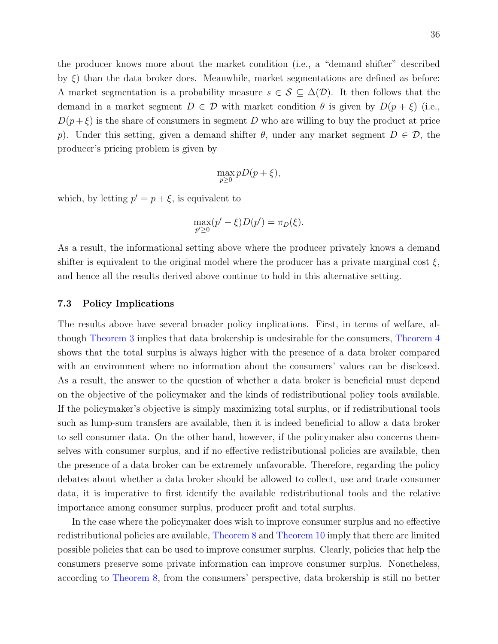the producer knows more about the market condition (i.e., a "demand shifter" described by ξ) than the data broker does. Meanwhile, market segmentations are defined as before: A market segmentation is a probability measure  $s \in \mathcal{S} \subseteq \Delta(\mathcal{D})$ . It then follows that the demand in a market segment  $D \in \mathcal{D}$  with market condition  $\theta$  is given by  $D(p+\xi)$  (i.e.,  $D(p+\xi)$  is the share of consumers in segment D who are willing to buy the product at price p). Under this setting, given a demand shifter  $\theta$ , under any market segment  $D \in \mathcal{D}$ , the producer's pricing problem is given by

$$
\max_{p\geq 0} pD(p+\xi),
$$

which, by letting  $p' = p + \xi$ , is equivalent to

$$
\max_{p'\geq 0} (p'-\xi)D(p') = \pi_D(\xi).
$$

As a result, the informational setting above where the producer privately knows a demand shifter is equivalent to the original model where the producer has a private marginal cost  $\xi$ , and hence all the results derived above continue to hold in this alternative setting.

#### 7.3 Policy Implications

The results above have several broader policy implications. First, in terms of welfare, although [Theorem 3](#page-22-0) implies that data brokership is undesirable for the consumers, [Theorem 4](#page-23-0) shows that the total surplus is always higher with the presence of a data broker compared with an environment where no information about the consumers' values can be disclosed. As a result, the answer to the question of whether a data broker is beneficial must depend on the objective of the policymaker and the kinds of redistributional policy tools available. If the policymaker's objective is simply maximizing total surplus, or if redistributional tools such as lump-sum transfers are available, then it is indeed beneficial to allow a data broker to sell consumer data. On the other hand, however, if the policymaker also concerns themselves with consumer surplus, and if no effective redistributional policies are available, then the presence of a data broker can be extremely unfavorable. Therefore, regarding the policy debates about whether a data broker should be allowed to collect, use and trade consumer data, it is imperative to first identify the available redistributional tools and the relative importance among consumer surplus, producer profit and total surplus.

In the case where the policymaker does wish to improve consumer surplus and no effective redistributional policies are available, [Theorem 8](#page-31-0) and [Theorem 10](#page-34-0) imply that there are limited possible policies that can be used to improve consumer surplus. Clearly, policies that help the consumers preserve some private information can improve consumer surplus. Nonetheless, according to [Theorem 8,](#page-31-0) from the consumers' perspective, data brokership is still no better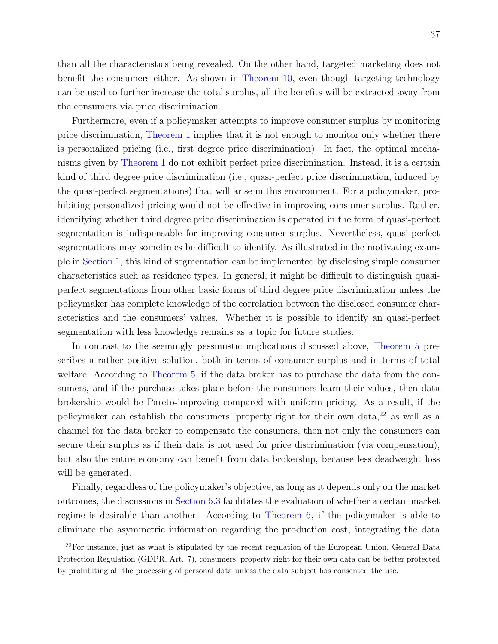than all the characteristics being revealed. On the other hand, targeted marketing does not benefit the consumers either. As shown in [Theorem 10,](#page-34-0) even though targeting technology can be used to further increase the total surplus, all the benefits will be extracted away from the consumers via price discrimination.

Furthermore, even if a policymaker attempts to improve consumer surplus by monitoring price discrimination, [Theorem 1](#page-13-0) implies that it is not enough to monitor only whether there is personalized pricing (i.e., first degree price discrimination). In fact, the optimal mechanisms given by [Theorem 1](#page-13-0) do not exhibit perfect price discrimination. Instead, it is a certain kind of third degree price discrimination (i.e., quasi-perfect price discrimination, induced by the quasi-perfect segmentations) that will arise in this environment. For a policymaker, prohibiting personalized pricing would not be effective in improving consumer surplus. Rather, identifying whether third degree price discrimination is operated in the form of quasi-perfect segmentation is indispensable for improving consumer surplus. Nevertheless, quasi-perfect segmentations may sometimes be difficult to identify. As illustrated in the motivating example in [Section 1,](#page-2-0) this kind of segmentation can be implemented by disclosing simple consumer characteristics such as residence types. In general, it might be difficult to distinguish quasiperfect segmentations from other basic forms of third degree price discrimination unless the policymaker has complete knowledge of the correlation between the disclosed consumer characteristics and the consumers' values. Whether it is possible to identify an quasi-perfect segmentation with less knowledge remains as a topic for future studies.

In contrast to the seemingly pessimistic implications discussed above, [Theorem 5](#page-24-0) prescribes a rather positive solution, both in terms of consumer surplus and in terms of total welfare. According to [Theorem 5,](#page-24-0) if the data broker has to purchase the data from the consumers, and if the purchase takes place before the consumers learn their values, then data brokership would be Pareto-improving compared with uniform pricing. As a result, if the policymaker can establish the consumers' property right for their own data,[22](#page-37-0) as well as a channel for the data broker to compensate the consumers, then not only the consumers can secure their surplus as if their data is not used for price discrimination (via compensation), but also the entire economy can benefit from data brokership, because less deadweight loss will be generated.

Finally, regardless of the policymaker's objective, as long as it depends only on the market outcomes, the discussions in [Section 5.3](#page-24-1) facilitates the evaluation of whether a certain market regime is desirable than another. According to [Theorem 6,](#page-26-0) if the policymaker is able to eliminate the asymmetric information regarding the production cost, integrating the data

<span id="page-37-0"></span><sup>&</sup>lt;sup>22</sup>For instance, just as what is stipulated by the recent regulation of the European Union, General Data Protection Regulation (GDPR, Art. 7), consumers' property right for their own data can be better protected by prohibiting all the processing of personal data unless the data subject has consented the use.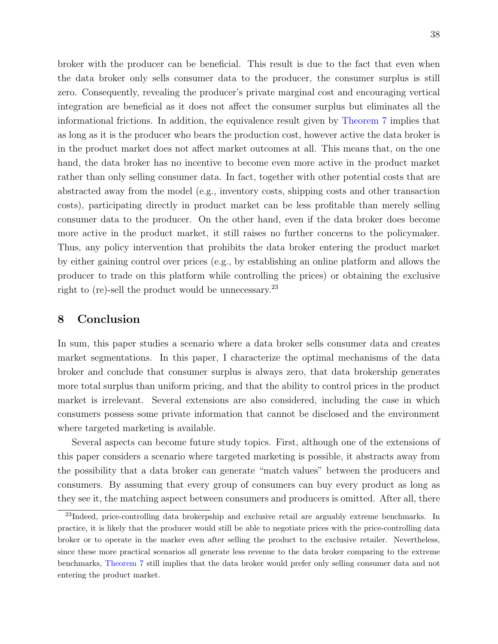broker with the producer can be beneficial. This result is due to the fact that even when the data broker only sells consumer data to the producer, the consumer surplus is still zero. Consequently, revealing the producer's private marginal cost and encouraging vertical integration are beneficial as it does not affect the consumer surplus but eliminates all the informational frictions. In addition, the equivalence result given by [Theorem 7](#page-27-0) implies that as long as it is the producer who bears the production cost, however active the data broker is in the product market does not affect market outcomes at all. This means that, on the one hand, the data broker has no incentive to become even more active in the product market rather than only selling consumer data. In fact, together with other potential costs that are abstracted away from the model (e.g., inventory costs, shipping costs and other transaction costs), participating directly in product market can be less profitable than merely selling consumer data to the producer. On the other hand, even if the data broker does become more active in the product market, it still raises no further concerns to the policymaker. Thus, any policy intervention that prohibits the data broker entering the product market by either gaining control over prices (e.g., by establishing an online platform and allows the producer to trade on this platform while controlling the prices) or obtaining the exclusive right to (re)-sell the product would be unnecessary.<sup>[23](#page-38-0)</sup>

# 8 Conclusion

In sum, this paper studies a scenario where a data broker sells consumer data and creates market segmentations. In this paper, I characterize the optimal mechanisms of the data broker and conclude that consumer surplus is always zero, that data brokership generates more total surplus than uniform pricing, and that the ability to control prices in the product market is irrelevant. Several extensions are also considered, including the case in which consumers possess some private information that cannot be disclosed and the environment where targeted marketing is available.

Several aspects can become future study topics. First, although one of the extensions of this paper considers a scenario where targeted marketing is possible, it abstracts away from the possibility that a data broker can generate "match values" between the producers and consumers. By assuming that every group of consumers can buy every product as long as they see it, the matching aspect between consumers and producers is omitted. After all, there

<span id="page-38-0"></span><sup>&</sup>lt;sup>23</sup>Indeed, price-controlling data brokerpship and exclusive retail are arguably extreme benchmarks. In practice, it is likely that the producer would still be able to negotiate prices with the price-controlling data broker or to operate in the marker even after selling the product to the exclusive retailer. Nevertheless, since these more practical scenarios all generate less revenue to the data broker comparing to the extreme benchmarks, [Theorem 7](#page-27-0) still implies that the data broker would prefer only selling consumer data and not entering the product market.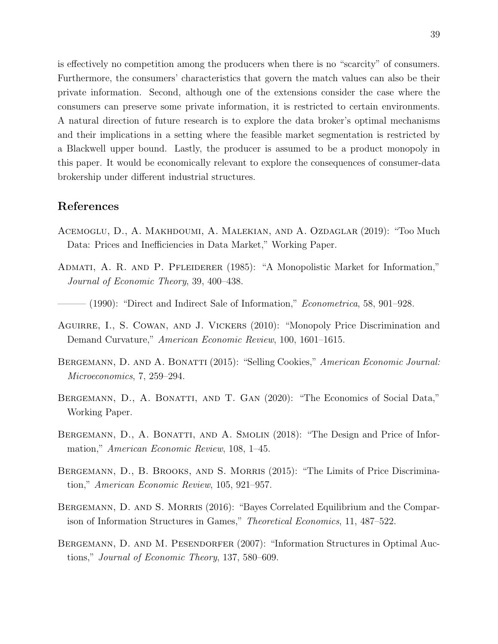is effectively no competition among the producers when there is no "scarcity" of consumers. Furthermore, the consumers' characteristics that govern the match values can also be their private information. Second, although one of the extensions consider the case where the consumers can preserve some private information, it is restricted to certain environments. A natural direction of future research is to explore the data broker's optimal mechanisms and their implications in a setting where the feasible market segmentation is restricted by a Blackwell upper bound. Lastly, the producer is assumed to be a product monopoly in this paper. It would be economically relevant to explore the consequences of consumer-data brokership under different industrial structures.

## References

- Acemoglu, D., A. Makhdoumi, A. Malekian, and A. Ozdaglar (2019): "Too Much Data: Prices and Inefficiencies in Data Market," Working Paper.
- Admati, A. R. and P. Pfleiderer (1985): "A Monopolistic Market for Information," Journal of Economic Theory, 39, 400–438.
- $-$  (1990): "Direct and Indirect Sale of Information," *Econometrica*, 58, 901–928.
- Aguirre, I., S. Cowan, and J. Vickers (2010): "Monopoly Price Discrimination and Demand Curvature," American Economic Review, 100, 1601–1615.
- BERGEMANN, D. AND A. BONATTI (2015): "Selling Cookies," American Economic Journal: Microeconomics, 7, 259–294.
- BERGEMANN, D., A. BONATTI, AND T. GAN (2020): "The Economics of Social Data," Working Paper.
- BERGEMANN, D., A. BONATTI, AND A. SMOLIN (2018): "The Design and Price of Information," American Economic Review, 108, 1–45.
- BERGEMANN, D., B. BROOKS, AND S. MORRIS (2015): "The Limits of Price Discrimination," American Economic Review, 105, 921–957.
- BERGEMANN, D. AND S. MORRIS (2016): "Bayes Correlated Equilibrium and the Comparison of Information Structures in Games," Theoretical Economics, 11, 487–522.
- BERGEMANN, D. AND M. PESENDORFER (2007): "Information Structures in Optimal Auctions," Journal of Economic Theory, 137, 580–609.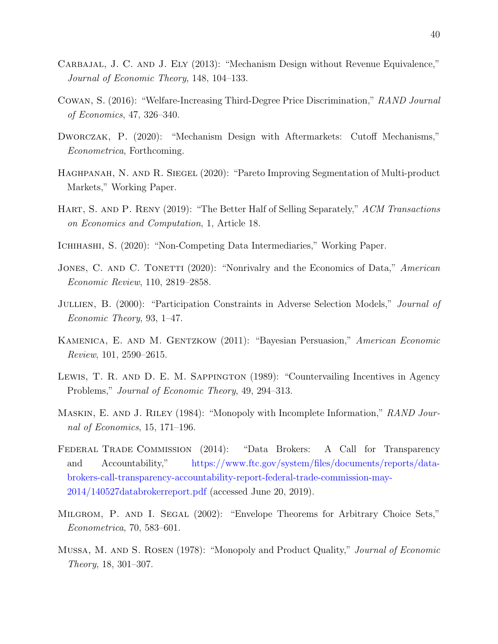- CARBAJAL, J. C. AND J. ELY (2013): "Mechanism Design without Revenue Equivalence," Journal of Economic Theory, 148, 104–133.
- Cowan, S. (2016): "Welfare-Increasing Third-Degree Price Discrimination," RAND Journal of Economics, 47, 326–340.
- DWORCZAK, P. (2020): "Mechanism Design with Aftermarkets: Cutoff Mechanisms," Econometrica, Forthcoming.
- HAGHPANAH, N. AND R. SIEGEL (2020): "Pareto Improving Segmentation of Multi-product Markets," Working Paper.
- <span id="page-40-0"></span>HART, S. AND P. RENY (2019): "The Better Half of Selling Separately," ACM Transactions on Economics and Computation, 1, Article 18.
- Ichihashi, S. (2020): "Non-Competing Data Intermediaries," Working Paper.
- JONES, C. AND C. TONETTI (2020): "Nonrivalry and the Economics of Data," American Economic Review, 110, 2819–2858.
- JULLIEN, B. (2000): "Participation Constraints in Adverse Selection Models," *Journal of* Economic Theory, 93, 1–47.
- KAMENICA, E. AND M. GENTZKOW (2011): "Bayesian Persuasion," American Economic Review, 101, 2590–2615.
- LEWIS, T. R. AND D. E. M. SAPPINGTON (1989): "Countervailing Incentives in Agency Problems," Journal of Economic Theory, 49, 294–313.
- MASKIN, E. AND J. RILEY (1984): "Monopoly with Incomplete Information," RAND Journal of Economics, 15, 171–196.
- Federal Trade Commission (2014): "Data Brokers: A Call for Transparency and Accountability," [https://www.ftc.gov/system/files/documents/reports/data](https://www.ftc.gov/system/files/documents/reports/data-brokers-call-transparency-accountability-report-federal-trade-commission-may-2014/140527databrokerreport.pdf)[brokers-call-transparency-accountability-report-federal-trade-commission-may-](https://www.ftc.gov/system/files/documents/reports/data-brokers-call-transparency-accountability-report-federal-trade-commission-may-2014/140527databrokerreport.pdf)[2014/140527databrokerreport.pdf](https://www.ftc.gov/system/files/documents/reports/data-brokers-call-transparency-accountability-report-federal-trade-commission-may-2014/140527databrokerreport.pdf) (accessed June 20, 2019).
- <span id="page-40-1"></span>Milgrom, P. and I. Segal (2002): "Envelope Theorems for Arbitrary Choice Sets," Econometrica, 70, 583–601.
- Mussa, M. and S. Rosen (1978): "Monopoly and Product Quality," Journal of Economic Theory, 18, 301–307.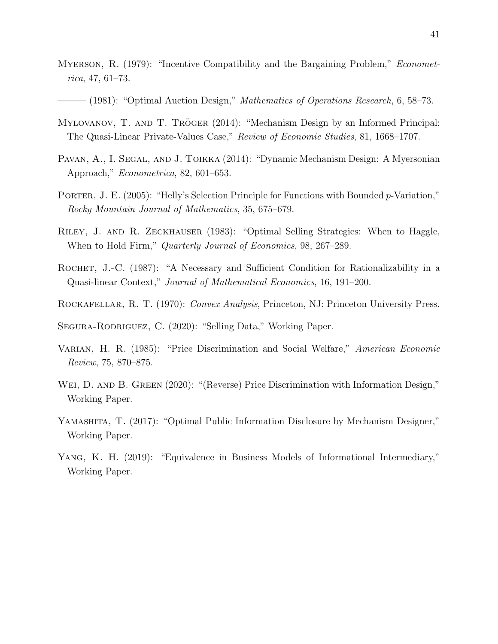- MYERSON, R. (1979): "Incentive Compatibility and the Bargaining Problem," *Economet*rica, 47, 61–73.
- $-$  (1981): "Optimal Auction Design," *Mathematics of Operations Research*, 6, 58–73.
- MYLOVANOV, T. AND T. TRÖGER (2014): "Mechanism Design by an Informed Principal: The Quasi-Linear Private-Values Case," Review of Economic Studies, 81, 1668–1707.
- PAVAN, A., I. SEGAL, AND J. TOIKKA (2014): "Dynamic Mechanism Design: A Myersonian Approach," Econometrica, 82, 601–653.
- <span id="page-41-1"></span>PORTER, J. E. (2005): "Helly's Selection Principle for Functions with Bounded p-Variation," Rocky Mountain Journal of Mathematics, 35, 675–679.
- Riley, J. and R. Zeckhauser (1983): "Optimal Selling Strategies: When to Haggle, When to Hold Firm," *Quarterly Journal of Economics*, 98, 267–289.
- ROCHET, J.-C. (1987): "A Necessary and Sufficient Condition for Rationalizability in a Quasi-linear Context," Journal of Mathematical Economics, 16, 191–200.
- <span id="page-41-0"></span>ROCKAFELLAR, R. T. (1970): Convex Analysis, Princeton, NJ: Princeton University Press.

SEGURA-RODRIGUEZ, C. (2020): "Selling Data," Working Paper.

- VARIAN, H. R. (1985): "Price Discrimination and Social Welfare," American Economic Review, 75, 870–875.
- WEI, D. AND B. GREEN (2020): "(Reverse) Price Discrimination with Information Design," Working Paper.
- Yamashita, T. (2017): "Optimal Public Information Disclosure by Mechanism Designer," Working Paper.
- Yang, K. H. (2019): "Equivalence in Business Models of Informational Intermediary," Working Paper.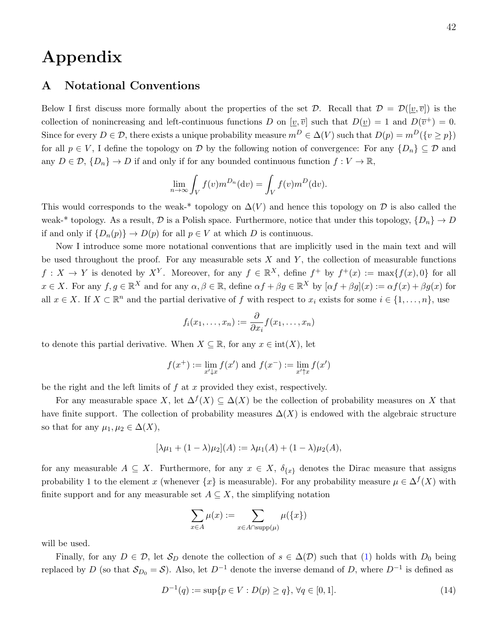# Appendix

# A Notational Conventions

Below I first discuss more formally about the properties of the set  $\mathcal{D}$ . Recall that  $\mathcal{D} = \mathcal{D}([\underline{v}, \overline{v}])$  is the collection of nonincreasing and left-continuous functions D on  $[\underline{v}, \overline{v}]$  such that  $D(\underline{v}) = 1$  and  $D(\overline{v}^+) = 0$ . Since for every  $D \in \mathcal{D}$ , there exists a unique probability measure  $m^D \in \Delta(V)$  such that  $D(p) = m^D({v \ge p})$ for all  $p \in V$ , I define the topology on D by the following notion of convergence: For any  $\{D_n\} \subseteq \mathcal{D}$  and any  $D \in \mathcal{D}, \{D_n\} \to D$  if and only if for any bounded continuous function  $f: V \to \mathbb{R}$ ,

$$
\lim_{n \to \infty} \int_V f(v) m^{D_n}(\mathrm{d}v) = \int_V f(v) m^D(\mathrm{d}v).
$$

This would corresponds to the weak-\* topology on  $\Delta(V)$  and hence this topology on D is also called the weak-\* topology. As a result, D is a Polish space. Furthermore, notice that under this topology,  $\{D_n\} \to D$ if and only if  $\{D_n(p)\}\to D(p)$  for all  $p\in V$  at which D is continuous.

Now I introduce some more notational conventions that are implicitly used in the main text and will be used throughout the proof. For any measurable sets  $X$  and  $Y$ , the collection of measurable functions  $f: X \to Y$  is denoted by  $X^Y$ . Moreover, for any  $f \in \mathbb{R}^X$ , define  $f^+$  by  $f^+(x) := \max\{f(x), 0\}$  for all  $x \in X$ . For any  $f, g \in \mathbb{R}^X$  and for any  $\alpha, \beta \in \mathbb{R}$ , define  $\alpha f + \beta g \in \mathbb{R}^X$  by  $[\alpha f + \beta g](x) := \alpha f(x) + \beta g(x)$  for all  $x \in X$ . If  $X \subset \mathbb{R}^n$  and the partial derivative of f with respect to  $x_i$  exists for some  $i \in \{1, \ldots, n\}$ , use

$$
f_i(x_1,\ldots,x_n):=\frac{\partial}{\partial x_i}f(x_1,\ldots,x_n)
$$

to denote this partial derivative. When  $X \subseteq \mathbb{R}$ , for any  $x \in \text{int}(X)$ , let

$$
f(x^+) := \lim_{x' \downarrow x} f(x') \text{ and } f(x^-) := \lim_{x' \uparrow x} f(x')
$$

be the right and the left limits of  $f$  at  $x$  provided they exist, respectively.

For any measurable space X, let  $\Delta^{f}(X) \subseteq \Delta(X)$  be the collection of probability measures on X that have finite support. The collection of probability measures  $\Delta(X)$  is endowed with the algebraic structure so that for any  $\mu_1, \mu_2 \in \Delta(X)$ ,

$$
[\lambda \mu_1 + (1 - \lambda)\mu_2](A) := \lambda \mu_1(A) + (1 - \lambda)\mu_2(A),
$$

for any measurable  $A \subseteq X$ . Furthermore, for any  $x \in X$ ,  $\delta_{\{x\}}$  denotes the Dirac measure that assigns probability 1 to the element x (whenever  $\{x\}$  is measurable). For any probability measure  $\mu \in \Delta^{f}(X)$  with finite support and for any measurable set  $A \subseteq X$ , the simplifying notation

$$
\sum_{x \in A} \mu(x) := \sum_{x \in A \cap \text{supp}(\mu)} \mu(\{x\})
$$

will be used.

Finally, for any  $D \in \mathcal{D}$ , let  $\mathcal{S}_D$  denote the collection of  $s \in \Delta(\mathcal{D})$  such that [\(1\)](#page-9-0) holds with  $D_0$  being replaced by D (so that  $S_{D_0} = S$ ). Also, let  $D^{-1}$  denote the inverse demand of D, where  $D^{-1}$  is defined as

<span id="page-42-0"></span>
$$
D^{-1}(q) := \sup\{p \in V : D(p) \ge q\}, \,\forall q \in [0,1].
$$
\n(14)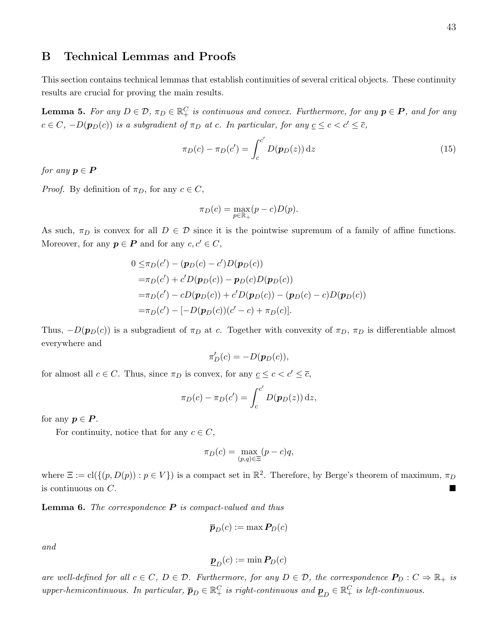# B Technical Lemmas and Proofs

This section contains technical lemmas that establish continuities of several critical objects. These continuity results are crucial for proving the main results.

<span id="page-43-0"></span>**Lemma 5.** For any  $D \in \mathcal{D}$ ,  $\pi_D \in \mathbb{R}^C_+$  is continuous and convex. Furthermore, for any  $p \in \mathbf{P}$ , and for any  $c \in C$ ,  $-D(\mathbf{p}_D(c))$  is a subgradient of  $\pi_D$  at c. In particular, for any  $c \leq c < c' \leq \overline{c}$ ,

<span id="page-43-2"></span>
$$
\pi_D(c) - \pi_D(c') = \int_c^{c'} D(\mathbf{p}_D(z)) dz
$$
\n(15)

for any  $p \in P$ 

*Proof.* By definition of  $\pi_D$ , for any  $c \in C$ ,

$$
\pi_D(c) = \max_{p \in \mathbb{R}_+} (p - c)D(p).
$$

As such,  $\pi_D$  is convex for all  $D \in \mathcal{D}$  since it is the pointwise supremum of a family of affine functions. Moreover, for any  $p \in P$  and for any  $c, c' \in C$ ,

$$
0 \leq \pi_D(c') - (\mathbf{p}_D(c) - c')D(\mathbf{p}_D(c))
$$
  
=  $\pi_D(c') + c'D(\mathbf{p}_D(c)) - \mathbf{p}_D(c)D(\mathbf{p}_D(c))$   
=  $\pi_D(c') - cD(\mathbf{p}_D(c)) + c'D(\mathbf{p}_D(c)) - (\mathbf{p}_D(c) - c)D(\mathbf{p}_D(c))$   
=  $\pi_D(c') - [-D(\mathbf{p}_D(c)) (c' - c) + \pi_D(c)].$ 

Thus,  $-D(p_D(c))$  is a subgradient of  $\pi_D$  at c. Together with convexity of  $\pi_D$ ,  $\pi_D$  is differentiable almost everywhere and

$$
\pi'_D(c) = -D(\boldsymbol{p}_D(c)),
$$

for almost all  $c \in C$ . Thus, since  $\pi_D$  is convex, for any  $\underline{c} \leq c < c' \leq \overline{c}$ ,

$$
\pi_D(c) - \pi_D(c') = \int_c^{c'} D(\mathbf{p}_D(z)) dz,
$$

for any  $p \in P$ .

For continuity, notice that for any  $c \in C$ ,

$$
\pi_D(c) = \max_{(p,q)\in\Xi} (p-c)q,
$$

where  $\Xi := \text{cl}(\{(p, D(p)) : p \in V\})$  is a compact set in  $\mathbb{R}^2$ . Therefore, by Berge's theorem of maximum,  $\pi_D$ is continuous on C.

<span id="page-43-1"></span>**Lemma 6.** The correspondence  $P$  is compact-valued and thus

$$
\overline{\bm{p}}_D(c):=\max \bm{P}_D(c)
$$

and

$$
\underline{\boldsymbol{p}}_D(c) := \min \boldsymbol{P}_D(c)
$$

are well-defined for all  $c \in C$ ,  $D \in \mathcal{D}$ . Furthermore, for any  $D \in \mathcal{D}$ , the correspondence  $P_D : C \Rightarrow \mathbb{R}_+$  is upper-hemicontinuous. In particular,  $\overline{p}_D \in \mathbb{R}_+^C$  is right-continuous and  $\underline{p}_D \in \mathbb{R}_+^C$  is left-continuous.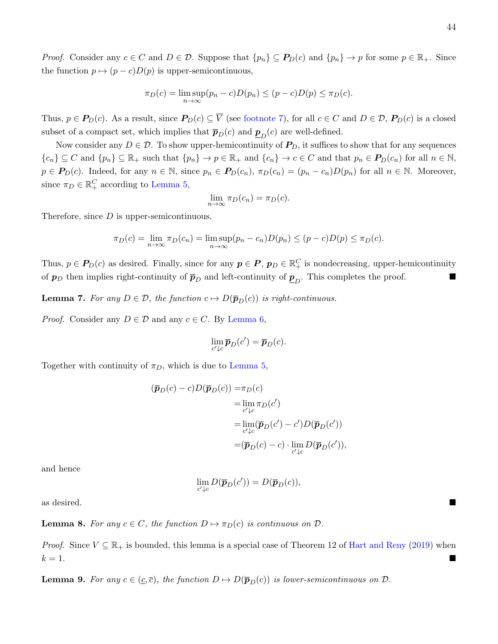*Proof.* Consider any  $c \in C$  and  $D \in \mathcal{D}$ . Suppose that  $\{p_n\} \subseteq \mathbf{P}_D(c)$  and  $\{p_n\} \to p$  for some  $p \in \mathbb{R}_+$ . Since the function  $p \mapsto (p - c)D(p)$  is upper-semicontinuous,

$$
\pi_D(c) = \limsup_{n \to \infty} (p_n - c)D(p_n) \le (p - c)D(p) \le \pi_D(c).
$$

Thus,  $p \in P_D(c)$ . As a result, since  $P_D(c) \subseteq \overline{V}$  (see [footnote 7\)](#page-10-0), for all  $c \in C$  and  $D \in \mathcal{D}$ ,  $P_D(c)$  is a closed subset of a compact set, which implies that  $\overline{p}_D(c)$  and  $\underline{p}_D(c)$  are well-defined.

Now consider any  $D \in \mathcal{D}$ . To show upper-hemicontinuity of  $P_D$ , it suffices to show that for any sequences  ${c_n} \subseteq C$  and  ${p_n} \subseteq \mathbb{R}_+$  such that  ${p_n} \to p \in \mathbb{R}_+$  and  ${c_n} \to c \in C$  and that  $p_n \in P_D(c_n)$  for all  $n \in \mathbb{N}$ ,  $p \in P_D(c)$ . Indeed, for any  $n \in \mathbb{N}$ , since  $p_n \in P_D(c_n)$ ,  $\pi_D(c_n) = (p_n - c_n)D(p_n)$  for all  $n \in \mathbb{N}$ . Moreover, since  $\pi_D \in \mathbb{R}_+^C$  according to [Lemma 5,](#page-43-0)

$$
\lim_{n \to \infty} \pi_D(c_n) = \pi_D(c).
$$

Therefore, since  $D$  is upper-semicontinuous,

$$
\pi_D(c) = \lim_{n \to \infty} \pi_D(c_n) = \limsup_{n \to \infty} (p_n - c_n)D(p_n) \le (p - c)D(p) \le \pi_D(c).
$$

Thus,  $p \in P_D(c)$  as desired. Finally, since for any  $p \in P$ ,  $p_D \in \mathbb{R}^C_+$  is nondecreasing, upper-hemicontinuity of  $p_D$  then implies right-continuity of  $\bar{p}_D$  and left-continuity of  $\underline{p}_D$ . This completes the proof.

<span id="page-44-0"></span>**Lemma 7.** For any  $D \in \mathcal{D}$ , the function  $c \mapsto D(\overline{p}_D(c))$  is right-continuous.

*Proof.* Consider any  $D \in \mathcal{D}$  and any  $c \in C$ . By [Lemma 6,](#page-43-1)

$$
\lim_{c'\downarrow c} \overline{\boldsymbol{p}}_D(c') = \overline{\boldsymbol{p}}_D(c).
$$

Together with continuity of  $\pi_D$ , which is due to [Lemma 5,](#page-43-0)

$$
(\overline{\boldsymbol{p}}_D(c) - c)D(\overline{\boldsymbol{p}}_D(c)) = \pi_D(c)
$$
  
\n
$$
= \lim_{c' \downarrow c} \pi_D(c')
$$
  
\n
$$
= \lim_{c' \downarrow c} (\overline{\boldsymbol{p}}_D(c') - c')D(\overline{\boldsymbol{p}}_D(c'))
$$
  
\n
$$
= (\overline{\boldsymbol{p}}_D(c) - c) \cdot \lim_{c' \downarrow c} D(\overline{\boldsymbol{p}}_D(c')),
$$

and hence

$$
\lim_{c'\downarrow c} D(\overline{\boldsymbol{p}}_D(c')) = D(\overline{\boldsymbol{p}}_D(c)),
$$

as desired.

<span id="page-44-1"></span>**Lemma 8.** For any  $c \in C$ , the function  $D \mapsto \pi_D(c)$  is continuous on  $D$ .

*Proof.* Since  $V \subseteq \mathbb{R}_+$  is bounded, this lemma is a special case of Theorem 12 of [Hart and Reny](#page-40-0) [\(2019\)](#page-40-0) when  $k = 1$ .

<span id="page-44-2"></span>**Lemma 9.** For any  $c \in (\underline{c}, \overline{c})$ , the function  $D \mapsto D(\overline{p}_D(c))$  is lower-semicontinuous on  $\mathcal{D}$ .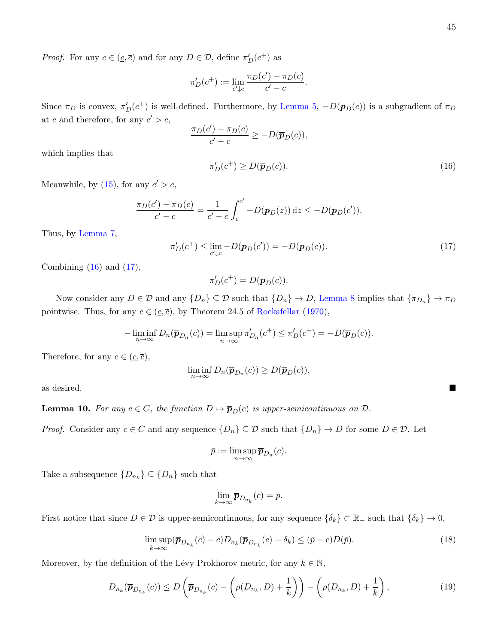*Proof.* For any  $c \in (\underline{c}, \overline{c})$  and for any  $D \in \mathcal{D}$ , define  $\pi'_D(c^+)$  as

$$
\pi'_D(c^+) := \lim_{c' \downarrow c} \frac{\pi_D(c') - \pi_D(c)}{c' - c}.
$$

Since  $\pi_D$  is convex,  $\pi'_D(c^+)$  is well-defined. Furthermore, by [Lemma 5,](#page-43-0)  $-D(\bar{p}_D(c))$  is a subgradient of  $\pi_D$ at c and therefore, for any  $c' > c$ ,

$$
\frac{\pi_D(c') - \pi_D(c)}{c' - c} \ge -D(\overline{p}_D(c)),
$$

which implies that

<span id="page-45-0"></span>
$$
\pi'_D(c^+) \ge D(\overline{p}_D(c)).\tag{16}
$$

Meanwhile, by [\(15\)](#page-43-2), for any  $c' > c$ ,

$$
\frac{\pi_D(c') - \pi_D(c)}{c' - c} = \frac{1}{c' - c} \int_c^{c'} -D(\overline{\boldsymbol{p}}_D(z)) dz \le -D(\overline{\boldsymbol{p}}_D(c')).
$$

Thus, by [Lemma 7,](#page-44-0)

<span id="page-45-1"></span>
$$
\pi'_D(c^+) \le \lim_{c' \downarrow c} -D(\overline{\boldsymbol{p}}_D(c')) = -D(\overline{\boldsymbol{p}}_D(c)).\tag{17}
$$

Combining  $(16)$  and  $(17)$ ,

$$
\pi'_D(c^+) = D(\overline{\boldsymbol{p}}_D(c)).
$$

Now consider any  $D \in \mathcal{D}$  and any  $\{D_n\} \subseteq \mathcal{D}$  such that  $\{D_n\} \to D$ , [Lemma 8](#page-44-1) implies that  $\{\pi_{D_n}\} \to \pi_D$ pointwise. Thus, for any  $c \in (\underline{c}, \overline{c})$ , by Theorem 24.5 of [Rockafellar](#page-41-0) [\(1970\)](#page-41-0),

$$
-\liminf_{n\to\infty} D_n(\overline{\boldsymbol{p}}_{D_n}(c)) = \limsup_{n\to\infty} \pi'_{D_n}(c^+) \leq \pi'_{D}(c^+) = -D(\overline{\boldsymbol{p}}_{D}(c)).
$$

Therefore, for any  $c \in (\underline{c}, \overline{c})$ ,

$$
\liminf_{n\to\infty} D_n(\overline{\boldsymbol{p}}_{D_n}(c)) \ge D(\overline{\boldsymbol{p}}_D(c)),
$$

as desired.

<span id="page-45-4"></span>**Lemma 10.** For any  $c \in C$ , the function  $D \mapsto \overline{p}_D(c)$  is upper-semicontinuous on  $D$ .

*Proof.* Consider any  $c \in C$  and any sequence  $\{D_n\} \subseteq \mathcal{D}$  such that  $\{D_n\} \to D$  for some  $D \in \mathcal{D}$ . Let

$$
\bar{p} := \limsup_{n \to \infty} \bar{p}_{D_n}(c).
$$

Take a subsequence  $\{D_{n_k}\}\subseteq \{D_n\}$  such that

$$
\lim_{k \to \infty} \overline{p}_{D_{n_k}}(c) = \overline{p}.
$$

First notice that since  $D \in \mathcal{D}$  is upper-semicontinuous, for any sequence  $\{\delta_k\} \subset \mathbb{R}_+$  such that  $\{\delta_k\} \to 0$ ,

<span id="page-45-3"></span>
$$
\limsup_{k \to \infty} (\overline{\boldsymbol{p}}_{D_{n_k}}(c) - c) D_{n_k} (\overline{\boldsymbol{p}}_{D_{n_k}}(c) - \delta_k) \le (\overline{p} - c) D(\overline{p}). \tag{18}
$$

Moreover, by the definition of the Lévy Prokhorov metric, for any  $k \in \mathbb{N}$ ,

<span id="page-45-2"></span>
$$
D_{n_k}(\overline{\boldsymbol{p}}_{D_{n_k}}(c)) \le D\left(\overline{\boldsymbol{p}}_{D_{n_k}}(c) - \left(\rho(D_{n_k}, D) + \frac{1}{k}\right)\right) - \left(\rho(D_{n_k}, D) + \frac{1}{k}\right),\tag{19}
$$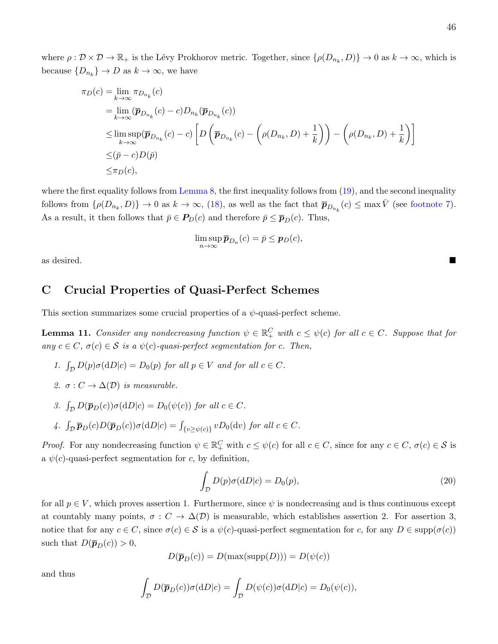where  $\rho : \mathcal{D} \times \mathcal{D} \to \mathbb{R}_+$  is the Lévy Prokhorov metric. Together, since  $\{\rho(D_{n_k}, D)\} \to 0$  as  $k \to \infty$ , which is because  $\{D_{n_k}\}\to D$  as  $k\to\infty$ , we have

$$
\pi_D(c) = \lim_{k \to \infty} \pi_{D_{n_k}}(c)
$$
  
\n
$$
= \lim_{k \to \infty} (\overline{p}_{D_{n_k}}(c) - c) D_{n_k}(\overline{p}_{D_{n_k}}(c))
$$
  
\n
$$
\leq \limsup_{k \to \infty} (\overline{p}_{D_{n_k}}(c) - c) \left[ D \left( \overline{p}_{D_{n_k}}(c) - \left( \rho(D_{n_k}, D) + \frac{1}{k} \right) \right) - \left( \rho(D_{n_k}, D) + \frac{1}{k} \right) \right]
$$
  
\n
$$
\leq (\overline{p} - c)D(\overline{p})
$$
  
\n
$$
\leq \pi_D(c),
$$

where the first equality follows from [Lemma 8,](#page-44-1) the first inequality follows from  $(19)$ , and the second inequality follows from  $\{\rho(D_{n_k}, D)\} \to 0$  as  $k \to \infty$ , [\(18\)](#page-45-3), as well as the fact that  $\overline{p}_{D_{n_k}}(c) \leq \max \overline{V}$  (see [footnote 7\)](#page-10-0). As a result, it then follows that  $\bar{p} \in P_D(c)$  and therefore  $\bar{p} \leq \bar{p}_D(c)$ . Thus,

$$
\limsup_{n\to\infty}\overline{\boldsymbol{p}}_{D_n}(c)=\overline{p}\leq \boldsymbol{p}_D(c),
$$

as desired.

# C Crucial Properties of Quasi-Perfect Schemes

This section summarizes some crucial properties of a  $\psi$ -quasi-perfect scheme.

<span id="page-46-1"></span>**Lemma 11.** Consider any nondecreasing function  $\psi \in \mathbb{R}^C_+$  with  $c \leq \psi(c)$  for all  $c \in C$ . Suppose that for any  $c \in C$ ,  $\sigma(c) \in S$  is a  $\psi(c)$ -quasi-perfect segmentation for c. Then,

- 1.  $\int_{\mathcal{D}} D(p)\sigma(dD|c) = D_0(p)$  for all  $p \in V$  and for all  $c \in C$ .
- 2.  $\sigma: C \to \Delta(D)$  is measurable.
- 3.  $\int_{\mathcal{D}} D(\overline{p}_D(c))\sigma(dD|c) = D_0(\psi(c))$  for all  $c \in C$ .
- 4.  $\int_{\mathcal{D}} \overline{p}_D(c) D(\overline{p}_D(c)) \sigma(dD|c) = \int_{\{v \ge \psi(c)\}} v D_0(dv)$  for all  $c \in C$ .

Proof. For any nondecreasing function  $\psi \in \mathbb{R}^C_+$  with  $c \leq \psi(c)$  for all  $c \in C$ , since for any  $c \in C$ ,  $\sigma(c) \in \mathcal{S}$  is a  $\psi(c)$ -quasi-perfect segmentation for c, by definition,

<span id="page-46-0"></span>
$$
\int_{\mathcal{D}} D(p)\sigma(\mathrm{d}D|c) = D_0(p),\tag{20}
$$

for all  $p \in V$ , which proves assertion 1. Furthermore, since  $\psi$  is nondecreasing and is thus continuous except at countably many points,  $\sigma : C \to \Delta(\mathcal{D})$  is measurable, which establishes assertion 2. For assertion 3, notice that for any  $c \in C$ , since  $\sigma(c) \in S$  is a  $\psi(c)$ -quasi-perfect segmentation for c, for any  $D \in \text{supp}(\sigma(c))$ such that  $D(\bar{\boldsymbol{p}}_D(c)) > 0$ ,

$$
D(\overline{\boldsymbol{p}}_D(c)) = D(\max(\mathrm{supp}(D))) = D(\psi(c))
$$

and thus

$$
\int_{\mathcal{D}} D(\overline{\boldsymbol{p}}_D(c)) \sigma(dD|c) = \int_{\mathcal{D}} D(\psi(c)) \sigma(dD|c) = D_0(\psi(c)),
$$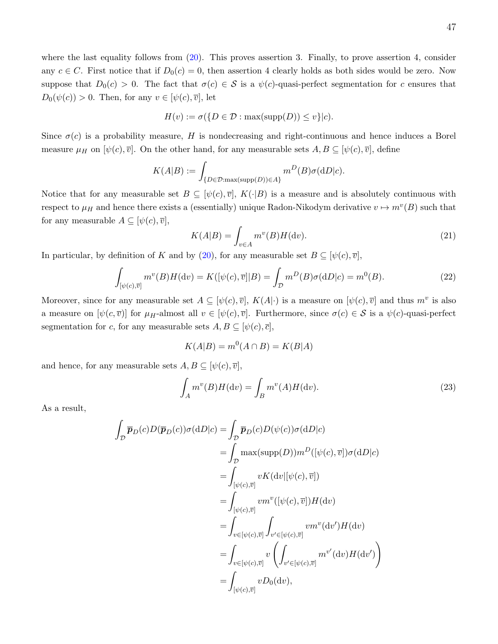where the last equality follows from  $(20)$ . This proves assertion 3. Finally, to prove assertion 4, consider any  $c \in C$ . First notice that if  $D_0(c) = 0$ , then assertion 4 clearly holds as both sides would be zero. Now suppose that  $D_0(c) > 0$ . The fact that  $\sigma(c) \in S$  is a  $\psi(c)$ -quasi-perfect segmentation for c ensures that  $D_0(\psi(c)) > 0$ . Then, for any  $v \in [\psi(c), \overline{v}]$ , let

$$
H(v) := \sigma(\{D \in \mathcal{D} : \max(\text{supp}(D)) \le v\}|c).
$$

Since  $\sigma(c)$  is a probability measure, H is nondecreasing and right-continuous and hence induces a Borel measure  $\mu_H$  on  $[\psi(c), \overline{v}]$ . On the other hand, for any measurable sets  $A, B \subseteq [\psi(c), \overline{v}]$ , define

$$
K(A|B) := \int_{\{D \in \mathcal{D} : \max(\text{supp}(D)) \in A\}} m^D(B)\sigma(\mathrm{d}D|c).
$$

Notice that for any measurable set  $B \subseteq [\psi(c), \overline{v}], K(\cdot|B)$  is a measure and is absolutely continuous with respect to  $\mu$ <sub>H</sub> and hence there exists a (essentially) unique Radon-Nikodym derivative  $v \mapsto m^v(B)$  such that for any measurable  $A \subseteq [\psi(c), \overline{v}],$ 

<span id="page-47-0"></span>
$$
K(A|B) = \int_{v \in A} m^v(B)H(\mathrm{d}v). \tag{21}
$$

In particular, by definition of K and by [\(20\)](#page-46-0), for any measurable set  $B \subseteq [\psi(c), \overline{v}]$ ,

<span id="page-47-2"></span>
$$
\int_{[\psi(c),\overline{v}]} m^v(B)H(\mathrm{d}v) = K([\psi(c),\overline{v}]|B) = \int_{\mathcal{D}} m^D(B)\sigma(\mathrm{d}D|c) = m^0(B). \tag{22}
$$

Moreover, since for any measurable set  $A \subseteq [\psi(c), \overline{v}]$ ,  $K(A|\cdot)$  is a measure on  $[\psi(c), \overline{v}]$  and thus  $m^v$  is also a measure on  $[\psi(c,\overline{v})]$  for  $\mu_H$ -almost all  $v \in [\psi(c),\overline{v}]$ . Furthermore, since  $\sigma(c) \in \mathcal{S}$  is a  $\psi(c)$ -quasi-perfect segmentation for c, for any measurable sets  $A, B \subseteq [\psi(c), \overline{c}],$ 

$$
K(A|B) = m^0(A \cap B) = K(B|A)
$$

and hence, for any measurable sets  $A, B \subseteq [\psi(c), \overline{v}],$ 

<span id="page-47-1"></span>
$$
\int_{A} m^{v}(B)H(\mathrm{d}v) = \int_{B} m^{v}(A)H(\mathrm{d}v).
$$
\n(23)

As a result,

$$
\int_{\mathcal{D}} \overline{p}_D(c)D(\overline{p}_D(c))\sigma(\mathrm{d}D|c) = \int_{\mathcal{D}} \overline{p}_D(c)D(\psi(c))\sigma(\mathrm{d}D|c)
$$
\n
$$
= \int_{\mathcal{D}} \max(\mathrm{supp}(D))m^D([\psi(c),\overline{v}])\sigma(\mathrm{d}D|c)
$$
\n
$$
= \int_{[\psi(c),\overline{v}]} v K(\mathrm{d}v)[\psi(c),\overline{v}])
$$
\n
$$
= \int_{[\psi(c),\overline{v}]} v m^v([\psi(c),\overline{v}])H(\mathrm{d}v)
$$
\n
$$
= \int_{v \in [\psi(c),\overline{v}]} \int_{v' \in [\psi(c),\overline{v}]} v m^v(\mathrm{d}v')H(\mathrm{d}v)
$$
\n
$$
= \int_{v \in [\psi(c),\overline{v}]} v \left( \int_{v' \in [\psi(c),\overline{v}]} m^{v'}(\mathrm{d}v)H(\mathrm{d}v') \right)
$$
\n
$$
= \int_{[\psi(c),\overline{v}]} v D_0(\mathrm{d}v),
$$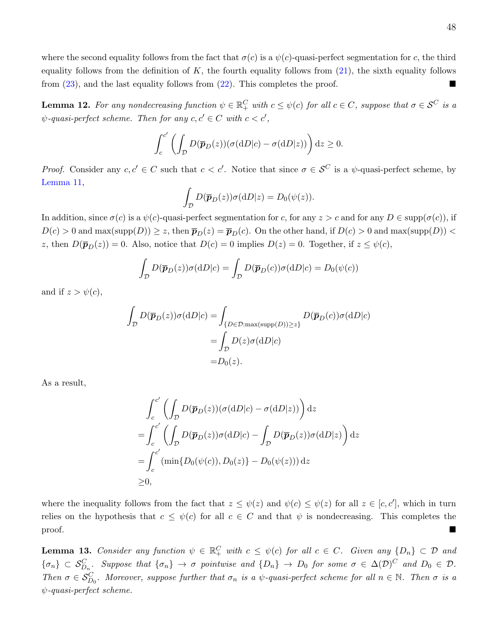where the second equality follows from the fact that  $\sigma(c)$  is a  $\psi(c)$ -quasi-perfect segmentation for c, the third equality follows from the definition of  $K$ , the fourth equality follows from  $(21)$ , the sixth equality follows from [\(23\)](#page-47-1), and the last equality follows from [\(22\)](#page-47-2). This completes the proof.

<span id="page-48-0"></span>**Lemma 12.** For any nondecreasing function  $\psi \in \mathbb{R}^C_+$  with  $c \leq \psi(c)$  for all  $c \in C$ , suppose that  $\sigma \in \mathcal{S}^C$  is a  $\psi$ -quasi-perfect scheme. Then for any  $c, c' \in C$  with  $c < c'$ ,

$$
\int_c^{c'} \left( \int_{\mathcal{D}} D(\overline{\boldsymbol{p}}_D(z)) (\sigma(\mathrm{d}D|c) - \sigma(\mathrm{d}D|z)) \right) \mathrm{d}z \ge 0.
$$

*Proof.* Consider any  $c, c' \in C$  such that  $c < c'$ . Notice that since  $\sigma \in S^C$  is a  $\psi$ -quasi-perfect scheme, by [Lemma 11,](#page-46-1)

$$
\int_{\mathcal{D}} D(\overline{\boldsymbol{p}}_D(z)) \sigma(\mathrm{d}D|z) = D_0(\psi(z)).
$$

In addition, since  $\sigma(c)$  is a  $\psi(c)$ -quasi-perfect segmentation for c, for any  $z > c$  and for any  $D \in \text{supp}(\sigma(c))$ , if  $D(c) > 0$  and max(supp(D))  $\ge z$ , then  $\bar{p}_D(z) = \bar{p}_D(c)$ . On the other hand, if  $D(c) > 0$  and max(supp(D)) < z, then  $D(\bar{p}_D(z)) = 0$ . Also, notice that  $D(c) = 0$  implies  $D(z) = 0$ . Together, if  $z \leq \psi(c)$ ,

$$
\int_{\mathcal{D}} D(\overline{\boldsymbol{p}}_D(z)) \sigma(\mathrm{d}D|c) = \int_{\mathcal{D}} D(\overline{\boldsymbol{p}}_D(c)) \sigma(\mathrm{d}D|c) = D_0(\psi(c))
$$

and if  $z > \psi(c)$ ,

$$
\int_{\mathcal{D}} D(\overline{\mathbf{p}}_D(z))\sigma(\mathrm{d}D|c) = \int_{\{D \in \mathcal{D}:\max(\mathrm{supp}(D))\geq z\}} D(\overline{\mathbf{p}}_D(c))\sigma(\mathrm{d}D|c)
$$

$$
= \int_{\mathcal{D}} D(z)\sigma(\mathrm{d}D|c)
$$

$$
= D_0(z).
$$

As a result,

$$
\int_{c}^{c'} \left( \int_{D} D(\overline{p}_D(z)) (\sigma(dD|c) - \sigma(dD|z)) \right) dz
$$
  
= 
$$
\int_{c}^{c'} \left( \int_{D} D(\overline{p}_D(z)) \sigma(dD|c) - \int_{D} D(\overline{p}_D(z)) \sigma(dD|z) \right) dz
$$
  
= 
$$
\int_{c}^{c'} (\min\{D_0(\psi(c)), D_0(z)\} - D_0(\psi(z))) dz
$$
  
\ge 0,

where the inequality follows from the fact that  $z \leq \psi(z)$  and  $\psi(c) \leq \psi(z)$  for all  $z \in [c, c']$ , which in turn relies on the hypothesis that  $c \leq \psi(c)$  for all  $c \in C$  and that  $\psi$  is nondecreasing. This completes the proof.

<span id="page-48-1"></span>**Lemma 13.** Consider any function  $\psi \in \mathbb{R}^C_+$  with  $c \leq \psi(c)$  for all  $c \in C$ . Given any  $\{D_n\} \subset \mathcal{D}$  and  $\{\sigma_n\} \subset S_{D_n}^C$ . Suppose that  $\{\sigma_n\} \to \sigma$  pointwise and  $\{D_n\} \to D_0$  for some  $\sigma \in \Delta(D)^C$  and  $D_0 \in \mathcal{D}$ . Then  $\sigma \in S_{D_0}^C$ . Moreover, suppose further that  $\sigma_n$  is a  $\psi$ -quasi-perfect scheme for all  $n \in \mathbb{N}$ . Then  $\sigma$  is a  $\psi$ -quasi-perfect scheme.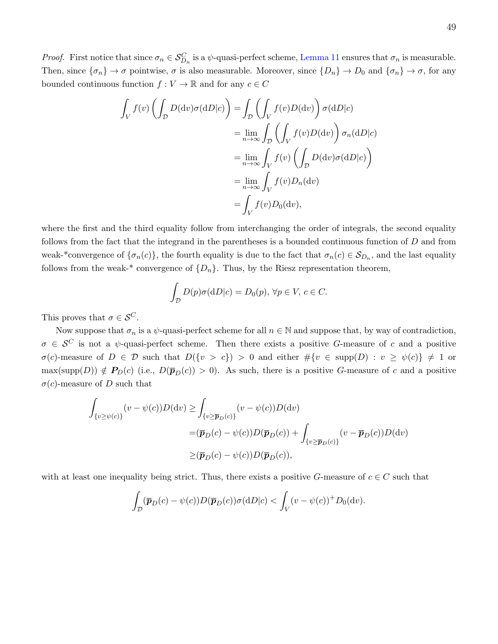*Proof.* First notice that since  $\sigma_n \in \mathcal{S}_{D_n}^C$  is a  $\psi$ -quasi-perfect scheme, [Lemma 11](#page-46-1) ensures that  $\sigma_n$  is measurable. Then, since  $\{\sigma_n\} \to \sigma$  pointwise,  $\sigma$  is also measurable. Moreover, since  $\{D_n\} \to D_0$  and  $\{\sigma_n\} \to \sigma$ , for any bounded continuous function  $f: V \to \mathbb{R}$  and for any  $c \in C$ 

$$
\int_{V} f(v) \left( \int_{D} D(\mathrm{d}v) \sigma(\mathrm{d}D|c) \right) = \int_{D} \left( \int_{V} f(v) D(\mathrm{d}v) \right) \sigma(\mathrm{d}D|c)
$$
\n
$$
= \lim_{n \to \infty} \int_{D} \left( \int_{V} f(v) D(\mathrm{d}v) \right) \sigma_{n}(\mathrm{d}D|c)
$$
\n
$$
= \lim_{n \to \infty} \int_{V} f(v) \left( \int_{D} D(\mathrm{d}v) \sigma(\mathrm{d}D|c) \right)
$$
\n
$$
= \lim_{n \to \infty} \int_{V} f(v) D_{n}(\mathrm{d}v)
$$
\n
$$
= \int_{V} f(v) D_{0}(\mathrm{d}v),
$$

where the first and the third equality follow from interchanging the order of integrals, the second equality follows from the fact that the integrand in the parentheses is a bounded continuous function of  $D$  and from weak-\*convergence of  $\{\sigma_n(c)\}\$ , the fourth equality is due to the fact that  $\sigma_n(c) \in \mathcal{S}_{D_n}$ , and the last equality follows from the weak-\* convergence of  $\{D_n\}$ . Thus, by the Riesz representation theorem,

$$
\int_{\mathcal{D}} D(p)\sigma(\mathrm{d}D|c) = D_0(p), \,\forall p \in V, \, c \in C.
$$

This proves that  $\sigma \in \mathcal{S}^C$ .

Now suppose that  $\sigma_n$  is a  $\psi$ -quasi-perfect scheme for all  $n \in \mathbb{N}$  and suppose that, by way of contradiction,  $\sigma \in \mathcal{S}^C$  is not a  $\psi$ -quasi-perfect scheme. Then there exists a positive G-measure of c and a positive  $\sigma(c)$ -measure of  $D \in \mathcal{D}$  such that  $D({v > c}) > 0$  and either  $\#\{v \in \text{supp}(D) : v \geq \psi(c)\}\neq 1$  or  $\max(\text{supp}(D)) \notin P_D(c)$  (i.e.,  $D(\bar{p}_D(c)) > 0$ ). As such, there is a positive G-measure of c and a positive  $\sigma(c)$ -measure of D such that

$$
\int_{\{v \ge \psi(c)\}} (v - \psi(c))D(\mathrm{d}v) \ge \int_{\{v \ge \overline{p}_D(c)\}} (v - \psi(c))D(\mathrm{d}v)
$$
\n
$$
= (\overline{p}_D(c) - \psi(c))D(\overline{p}_D(c)) + \int_{\{v \ge \overline{p}_D(c)\}} (v - \overline{p}_D(c))D(\mathrm{d}v)
$$
\n
$$
\ge (\overline{p}_D(c) - \psi(c))D(\overline{p}_D(c)),
$$

with at least one inequality being strict. Thus, there exists a positive G-measure of  $c \in C$  such that

$$
\int_{\mathcal{D}} (\overline{\boldsymbol{p}}_D(c) - \psi(c)) D(\overline{\boldsymbol{p}}_D(c)) \sigma(dD|c) < \int_V (v - \psi(c))^+ D_0(\mathrm{d}v).
$$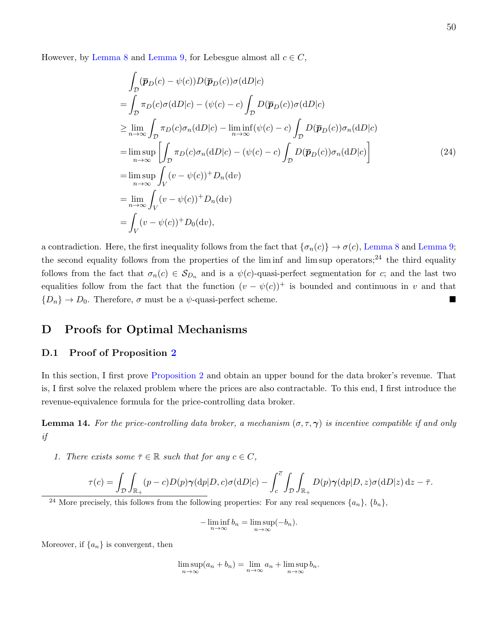However, by [Lemma 8](#page-44-1) and [Lemma 9,](#page-44-2) for Lebesgue almost all  $c \in C$ ,

$$
\int_{\mathcal{D}} (\overline{p}_D(c) - \psi(c))D(\overline{p}_D(c))\sigma(\mathrm{d}D|c)
$$
\n
$$
= \int_{\mathcal{D}} \pi_D(c)\sigma(\mathrm{d}D|c) - (\psi(c) - c) \int_{\mathcal{D}} D(\overline{p}_D(c))\sigma(\mathrm{d}D|c)
$$
\n
$$
\geq \lim_{n \to \infty} \int_{\mathcal{D}} \pi_D(c)\sigma_n(\mathrm{d}D|c) - \lim_{n \to \infty} \inf(\psi(c) - c) \int_{\mathcal{D}} D(\overline{p}_D(c))\sigma_n(\mathrm{d}D|c)
$$
\n
$$
= \limsup_{n \to \infty} \left[ \int_{\mathcal{D}} \pi_D(c)\sigma_n(\mathrm{d}D|c) - (\psi(c) - c) \int_{\mathcal{D}} D(\overline{p}_D(c))\sigma_n(\mathrm{d}D|c) \right]
$$
\n
$$
= \limsup_{n \to \infty} \int_{V} (v - \psi(c))^+ D_n(\mathrm{d}v)
$$
\n
$$
= \lim_{n \to \infty} \int_{V} (v - \psi(c))^+ D_n(\mathrm{d}v)
$$
\n
$$
= \int_{V} (v - \psi(c))^+ D_0(\mathrm{d}v),
$$
\n(24)

a contradiction. Here, the first inequality follows from the fact that  $\{\sigma_n(c)\}\to \sigma(c)$ , [Lemma 8](#page-44-1) and [Lemma 9;](#page-44-2) the second equality follows from the properties of the liminf and lim sup operators;<sup>[24](#page-50-0)</sup> the third equality follows from the fact that  $\sigma_n(c) \in \mathcal{S}_{D_n}$  and is a  $\psi(c)$ -quasi-perfect segmentation for c; and the last two equalities follow from the fact that the function  $(v - \psi(c))^+$  is bounded and continuous in v and that  ${D_n} \rightarrow D_0$ . Therefore,  $\sigma$  must be a  $\psi$ -quasi-perfect scheme.

# D Proofs for Optimal Mechanisms

### D.1 Proof of Proposition [2](#page-26-1)

In this section, I first prove [Proposition 2](#page-26-1) and obtain an upper bound for the data broker's revenue. That is, I first solve the relaxed problem where the prices are also contractable. To this end, I first introduce the revenue-equivalence formula for the price-controlling data broker.

<span id="page-50-1"></span>**Lemma 14.** For the price-controlling data broker, a mechanism  $(\sigma, \tau, \gamma)$  is incentive compatible if and only if

1. There exists some  $\overline{\tau} \in \mathbb{R}$  such that for any  $c \in C$ ,

$$
\tau(c) = \int_{\mathcal{D}} \int_{\mathbb{R}_+} (p-c)D(p)\gamma(\mathrm{d}p|D, c)\sigma(\mathrm{d}D|c) - \int_c^{\overline{c}} \int_{\mathcal{D}} \int_{\mathbb{R}_+} D(p)\gamma(\mathrm{d}p|D, z)\sigma(\mathrm{d}D|z) \,\mathrm{d}z - \overline{\tau}.
$$

<span id="page-50-0"></span><sup>24</sup> More precisely, this follows from the following properties: For any real sequences  $\{a_n\}$ ,  $\{b_n\}$ ,

$$
-\liminf_{n\to\infty} b_n = \limsup_{n\to\infty} (-b_n).
$$

Moreover, if  $\{a_n\}$  is convergent, then

$$
\limsup_{n \to \infty} (a_n + b_n) = \lim_{n \to \infty} a_n + \limsup_{n \to \infty} b_n.
$$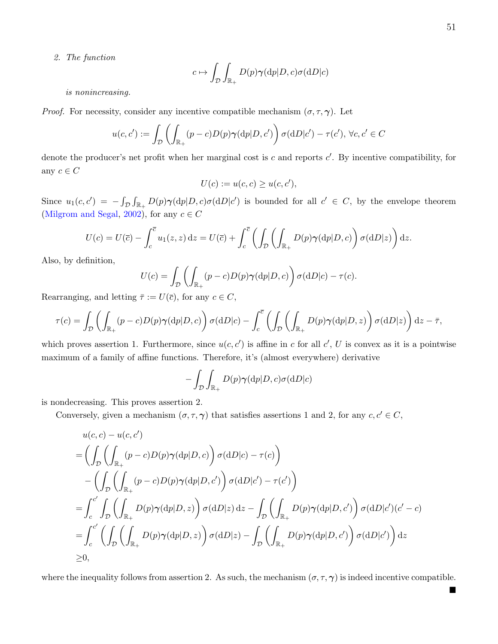$\blacksquare$ 

2. The function

$$
c \mapsto \int_{\mathcal{D}} \int_{\mathbb{R}_+} D(p) \gamma(\mathrm{d}p | D, c) \sigma(\mathrm{d}D | c)
$$

is nonincreasing.

*Proof.* For necessity, consider any incentive compatible mechanism  $(\sigma, \tau, \gamma)$ . Let

$$
u(c, c') := \int_{\mathcal{D}} \left( \int_{\mathbb{R}_+} (p - c) D(p) \gamma(\mathrm{d}p | D, c') \right) \sigma(\mathrm{d}D | c') - \tau(c'), \ \forall c, c' \in C
$$

denote the producer's net profit when her marginal cost is  $c$  and reports  $c'$ . By incentive compatibility, for any  $c \in C$ 

$$
U(c) := u(c, c) \ge u(c, c'),
$$

Since  $u_1(c, c') = -\int_{\mathcal{D}} \int_{\mathbb{R}_+} D(p) \gamma(\mathrm{d}p | D, c) \sigma(\mathrm{d}D | c')$  is bounded for all  $c' \in C$ , by the envelope theorem [\(Milgrom and Segal,](#page-40-1) [2002\)](#page-40-1), for any  $c \in C$ 

$$
U(c) = U(\overline{c}) - \int_c^{\overline{c}} u_1(z, z) dz = U(\overline{c}) + \int_c^{\overline{c}} \left( \int_{\mathcal{D}} \left( \int_{\mathbb{R}_+} D(p) \gamma(dp|D, c) \right) \sigma(dD|z) \right) dz.
$$

Also, by definition,

$$
U(c) = \int_{\mathcal{D}} \left( \int_{\mathbb{R}_+} (p - c) D(p) \gamma(\mathrm{d}p | D, c) \right) \sigma(\mathrm{d}D | c) - \tau(c).
$$

Rearranging, and letting  $\bar{\tau} := U(\bar{c})$ , for any  $c \in C$ ,

$$
\tau(c) = \int_{\mathcal{D}} \left( \int_{\mathbb{R}_+} (p - c) D(p) \gamma(\mathrm{d}p | D, c) \right) \sigma(\mathrm{d}D | c) - \int_c^{\overline{c}} \left( \int_{\mathcal{D}} \left( \int_{\mathbb{R}_+} D(p) \gamma(\mathrm{d}p | D, z) \right) \sigma(\mathrm{d}D | z) \right) \mathrm{d}z - \overline{\tau},
$$

which proves assertion 1. Furthermore, since  $u(c, c')$  is affine in c for all  $c'$ , U is convex as it is a pointwise maximum of a family of affine functions. Therefore, it's (almost everywhere) derivative

$$
-\int_{\mathcal{D}}\int_{\mathbb{R}_+}D(p)\pmb{\gamma}(\mathrm{d}p|D,c)\sigma(\mathrm{d}D|c)
$$

is nondecreasing. This proves assertion 2.

Conversely, given a mechanism  $(\sigma, \tau, \gamma)$  that satisfies assertions 1 and 2, for any  $c, c' \in C$ ,

$$
u(c, c) - u(c, c')
$$
  
=  $\left(\int_{\mathcal{D}} \left(\int_{\mathbb{R}_+} (p - c)D(p)\gamma(\mathrm{d}p|D, c)\right) \sigma(\mathrm{d}D|c) - \tau(c)\right)$   

$$
-\left(\int_{\mathcal{D}} \left(\int_{\mathbb{R}_+} (p - c)D(p)\gamma(\mathrm{d}p|D, c')\right) \sigma(\mathrm{d}D|c') - \tau(c')\right)
$$
  
=  $\int_{c}^{c'} \int_{\mathcal{D}} \left(\int_{\mathbb{R}_+} D(p)\gamma(\mathrm{d}p|D, z)\right) \sigma(\mathrm{d}D|z) \mathrm{d}z - \int_{\mathcal{D}} \left(\int_{\mathbb{R}_+} D(p)\gamma(\mathrm{d}p|D, c')\right) \sigma(\mathrm{d}D|c')(c' - c)$   
=  $\int_{c}^{c'} \left(\int_{\mathcal{D}} \left(\int_{\mathbb{R}_+} D(p)\gamma(\mathrm{d}p|D, z)\right) \sigma(\mathrm{d}D|z) - \int_{\mathcal{D}} \left(\int_{\mathbb{R}_+} D(p)\gamma(\mathrm{d}p|D, c')\right) \sigma(\mathrm{d}D|c')\right) \mathrm{d}z$   
 $\geq 0$ ,

where the inequality follows from assertion 2. As such, the mechanism  $(\sigma, \tau, \gamma)$  is indeed incentive compatible.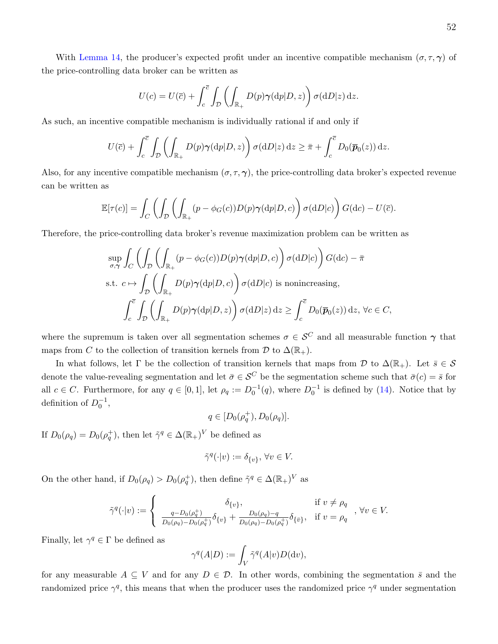With [Lemma 14,](#page-50-1) the producer's expected profit under an incentive compatible mechanism  $(\sigma, \tau, \gamma)$  of the price-controlling data broker can be written as

$$
U(c) = U(\overline{c}) + \int_c^{\overline{c}} \int_D \left( \int_{\mathbb{R}_+} D(p) \gamma(\mathrm{d}p|D, z) \right) \sigma(\mathrm{d}D|z) \,\mathrm{d}z.
$$

As such, an incentive compatible mechanism is individually rational if and only if

$$
U(\overline{c}) + \int_c^{\overline{c}} \int_{\mathcal{D}} \left( \int_{\mathbb{R}_+} D(p) \gamma(\mathrm{d}p | D, z) \right) \sigma(\mathrm{d}D|z) \, \mathrm{d}z \geq \overline{\pi} + \int_c^{\overline{c}} D_0(\overline{p}_0(z)) \, \mathrm{d}z.
$$

Also, for any incentive compatible mechanism  $(\sigma, \tau, \gamma)$ , the price-controlling data broker's expected revenue can be written as

$$
\mathbb{E}[\tau(c)] = \int_C \left( \int_{\mathcal{D}} \left( \int_{\mathbb{R}_+} (p - \phi_G(c)) D(p) \gamma(\mathrm{d}p | D, c) \right) \sigma(\mathrm{d}D|c) \right) G(\mathrm{d}c) - U(\overline{c}).
$$

Therefore, the price-controlling data broker's revenue maximization problem can be written as

$$
\sup_{\sigma,\gamma} \int_C \left( \int_{\mathcal{D}} \left( \int_{\mathbb{R}_+} (p - \phi_G(c)) D(p) \gamma(\mathrm{d}p | D, c) \right) \sigma(\mathrm{d}D | c) \right) G(\mathrm{d}c) - \bar{\pi}
$$
\n
$$
\text{s.t. } c \mapsto \int_{\mathcal{D}} \left( \int_{\mathbb{R}_+} D(p) \gamma(\mathrm{d}p | D, c) \right) \sigma(\mathrm{d}D | c) \text{ is nonincreasing,}
$$
\n
$$
\int_c^{\bar{c}} \int_{\mathcal{D}} \left( \int_{\mathbb{R}_+} D(p) \gamma(\mathrm{d}p | D, z) \right) \sigma(\mathrm{d}D | z) \, \mathrm{d}z \ge \int_c^{\bar{c}} D_0(\bar{p}_0(z)) \, \mathrm{d}z, \, \forall c \in C,
$$

where the supremum is taken over all segmentation schemes  $\sigma \in \mathcal{S}^C$  and all measurable function  $\gamma$  that maps from C to the collection of transition kernels from D to  $\Delta(\mathbb{R}_+)$ .

In what follows, let  $\Gamma$  be the collection of transition kernels that maps from  $\mathcal D$  to  $\Delta(\mathbb{R}_+)$ . Let  $\bar{s} \in \mathcal S$ denote the value-revealing segmentation and let  $\bar{\sigma} \in \mathcal{S}^C$  be the segmentation scheme such that  $\bar{\sigma}(c) = \bar{s}$  for all  $c \in C$ . Furthermore, for any  $q \in [0,1]$ , let  $\rho_q := D_0^{-1}(q)$ , where  $D_0^{-1}$  is defined by [\(14\)](#page-42-0). Notice that by definition of  $D_0^{-1}$ ,

$$
q\in [D_0(\rho_q^+), D_0(\rho_q)].
$$

If  $D_0(\rho_q) = D_0(\rho_q^+)$ , then let  $\tilde{\gamma}^q \in \Delta(\mathbb{R}_+)^V$  be defined as

$$
\tilde{\gamma}^q(\cdot|v) := \delta_{\{v\}}, \,\forall v \in V.
$$

On the other hand, if  $D_0(\rho_q) > D_0(\rho_q^+)$ , then define  $\tilde{\gamma}^q \in \Delta(\mathbb{R}_+)^V$  as

$$
\tilde{\gamma}^{q}(\cdot|v) := \begin{cases}\n\delta_{\{v\}}, & \text{if } v \neq \rho_q \\
\frac{q - D_0(\rho_q^+) }{D_0(\rho_q) - D_0(\rho_q^+)} \delta_{\{v\}} + \frac{D_0(\rho_q) - q}{D_0(\rho_q) - D_0(\rho_q^+)} \delta_{\{\bar{v}\}}, & \text{if } v = \rho_q\n\end{cases}, \forall v \in V.
$$

Finally, let  $\gamma^q \in \Gamma$  be defined as

$$
\gamma^q(A|D) := \int_V \tilde{\gamma}^q(A|v)D(\mathrm{d}v),
$$

for any measurable  $A \subseteq V$  and for any  $D \in \mathcal{D}$ . In other words, combining the segmentation  $\bar{s}$  and the randomized price  $\gamma^q$ , this means that when the producer uses the randomized price  $\gamma^q$  under segmentation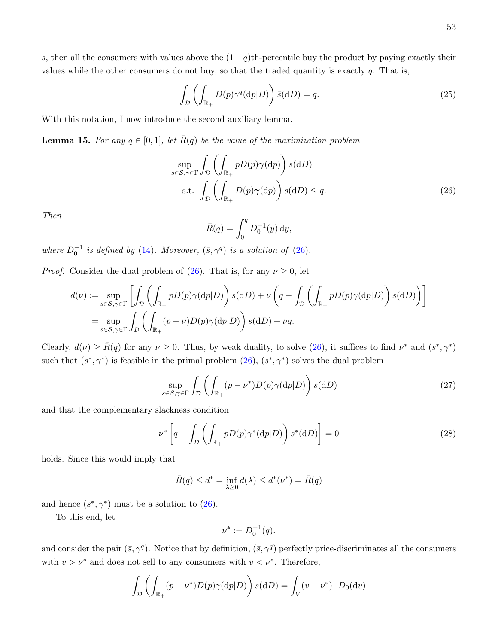$\bar{s}$ , then all the consumers with values above the  $(1-q)$ th-percentile buy the product by paying exactly their values while the other consumers do not buy, so that the traded quantity is exactly  $q$ . That is,

<span id="page-53-2"></span>
$$
\int_{\mathcal{D}} \left( \int_{\mathbb{R}_+} D(p) \gamma^q(\mathrm{d}p|D) \right) \bar{s}(\mathrm{d}D) = q. \tag{25}
$$

With this notation, I now introduce the second auxiliary lemma.

<span id="page-53-4"></span>**Lemma 15.** For any  $q \in [0, 1]$ , let  $\overline{R}(q)$  be the value of the maximization problem

$$
\sup_{s \in \mathcal{S}, \gamma \in \Gamma} \int_{\mathcal{D}} \left( \int_{\mathbb{R}_+} p D(p) \gamma(\mathrm{d}p) \right) s(\mathrm{d}D) \n\text{s.t.} \int_{\mathcal{D}} \left( \int_{\mathbb{R}_+} D(p) \gamma(\mathrm{d}p) \right) s(\mathrm{d}D) \le q.
$$
\n(26)

Then

<span id="page-53-0"></span>
$$
\bar{R}(q) = \int_0^q D_0^{-1}(y) \, dy,
$$

where  $D_0^{-1}$  is defined by [\(14\)](#page-42-0). Moreover,  $(\bar{s}, \gamma^q)$  is a solution of [\(26\)](#page-53-0).

*Proof.* Consider the dual problem of [\(26\)](#page-53-0). That is, for any  $\nu \geq 0$ , let

$$
d(\nu) := \sup_{s \in \mathcal{S}, \gamma \in \Gamma} \left[ \int_{\mathcal{D}} \left( \int_{\mathbb{R}_+} pD(p)\gamma(\mathrm{d}p|D) \right) s(\mathrm{d}D) + \nu \left( q - \int_{\mathcal{D}} \left( \int_{\mathbb{R}_+} pD(p)\gamma(\mathrm{d}p|D) \right) s(\mathrm{d}D) \right) \right]
$$
  
= 
$$
\sup_{s \in \mathcal{S}, \gamma \in \Gamma} \int_{\mathcal{D}} \left( \int_{\mathbb{R}_+} (p - \nu)D(p)\gamma(\mathrm{d}p|D) \right) s(\mathrm{d}D) + \nu q.
$$

Clearly,  $d(\nu) \ge \bar{R}(q)$  for any  $\nu \ge 0$ . Thus, by weak duality, to solve [\(26\)](#page-53-0), it suffices to find  $\nu^*$  and  $(s^*, \gamma^*)$ such that  $(s^*, \gamma^*)$  is feasible in the primal problem  $(26)$ ,  $(s^*, \gamma^*)$  solves the dual problem

<span id="page-53-1"></span>
$$
\sup_{s \in \mathcal{S}, \gamma \in \Gamma} \int_{\mathcal{D}} \left( \int_{\mathbb{R}_+} (p - \nu^*) D(p) \gamma(\mathrm{d}p | D) \right) s(\mathrm{d}D) \tag{27}
$$

and that the complementary slackness condition

<span id="page-53-3"></span>
$$
\nu^* \left[ q - \int_{\mathcal{D}} \left( \int_{\mathbb{R}_+} p D(p) \gamma^* (\mathrm{d} p | D) \right) s^* (\mathrm{d} D) \right] = 0 \tag{28}
$$

holds. Since this would imply that

$$
\bar{R}(q) \le d^* = \inf_{\lambda \ge 0} d(\lambda) \le d^*(\nu^*) = \bar{R}(q)
$$

and hence  $(s^*, \gamma^*)$  must be a solution to [\(26\)](#page-53-0).

To this end, let

$$
\nu^* := D_0^{-1}(q).
$$

and consider the pair  $(\bar{s}, \gamma^q)$ . Notice that by definition,  $(\bar{s}, \gamma^q)$  perfectly price-discriminates all the consumers with  $v > \nu^*$  and does not sell to any consumers with  $v < \nu^*$ . Therefore,

$$
\int_{\mathcal{D}} \left( \int_{\mathbb{R}_+} (p - \nu^*) D(p) \gamma(\mathrm{d}p|D) \right) \bar{s}(\mathrm{d}D) = \int_V (v - \nu^*)^+ D_0(\mathrm{d}v)
$$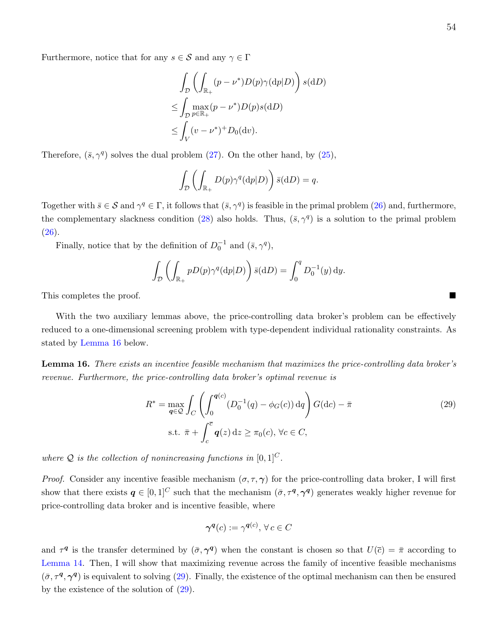Furthermore, notice that for any  $s \in \mathcal{S}$  and any  $\gamma \in \Gamma$ 

$$
\int_{\mathcal{D}} \left( \int_{\mathbb{R}_+} (p - \nu^*) D(p) \gamma(\mathrm{d}p|D) \right) s(\mathrm{d}D)
$$
\n
$$
\leq \int_{\mathcal{D}} \max_{p \in \mathbb{R}_+} (p - \nu^*) D(p) s(\mathrm{d}D)
$$
\n
$$
\leq \int_V (v - \nu^*)^+ D_0(\mathrm{d}v).
$$

Therefore,  $(\bar{s}, \gamma^q)$  solves the dual problem [\(27\)](#page-53-1). On the other hand, by [\(25\)](#page-53-2),

$$
\int_{\mathcal{D}} \left( \int_{\mathbb{R}_+} D(p) \gamma^q(dp|D) \right) \bar{s}(dD) = q.
$$

Together with  $\bar{s} \in S$  and  $\gamma^q \in \Gamma$ , it follows that  $(\bar{s}, \gamma^q)$  is feasible in the primal problem [\(26\)](#page-53-0) and, furthermore, the complementary slackness condition [\(28\)](#page-53-3) also holds. Thus,  $(\bar{s}, \gamma^q)$  is a solution to the primal problem  $(26).$  $(26).$ 

Finally, notice that by the definition of  $D_0^{-1}$  and  $(\bar{s}, \gamma^q)$ ,

$$
\int_{\mathcal{D}} \left( \int_{\mathbb{R}_+} p D(p) \gamma^q(\mathrm{d}p|D) \right) \bar{s}(\mathrm{d}D) = \int_0^q D_0^{-1}(y) \,\mathrm{d}y.
$$

This completes the proof.

With the two auxiliary lemmas above, the price-controlling data broker's problem can be effectively reduced to a one-dimensional screening problem with type-dependent individual rationality constraints. As stated by [Lemma 16](#page-54-0) below.

<span id="page-54-0"></span>Lemma 16. There exists an incentive feasible mechanism that maximizes the price-controlling data broker's revenue. Furthermore, the price-controlling data broker's optimal revenue is

$$
R^* = \max_{\mathbf{q}\in\mathcal{Q}} \int_C \left( \int_0^{\mathbf{q}(c)} (D_0^{-1}(q) - \phi_G(c)) \,dq \right) G(dc) - \bar{\pi}
$$
  
s.t.  $\bar{\pi} + \int_c^{\bar{c}} \mathbf{q}(z) \,dz \ge \pi_0(c), \forall c \in C,$  (29)

where Q is the collection of nonincreasing functions in  $[0, 1]^C$ .

*Proof.* Consider any incentive feasible mechanism  $(\sigma, \tau, \gamma)$  for the price-controlling data broker, I will first show that there exists  $q \in [0,1]^C$  such that the mechanism  $(\bar{\sigma}, \tau^q, \gamma^q)$  generates weakly higher revenue for price-controlling data broker and is incentive feasible, where

<span id="page-54-1"></span>
$$
\gamma^{\mathbf{q}}(c) := \gamma^{\mathbf{q}(c)}, \,\forall \, c \in C
$$

and  $\tau^q$  is the transfer determined by  $(\bar{\sigma}, \gamma^q)$  when the constant is chosen so that  $U(\bar{c}) = \bar{\pi}$  according to [Lemma 14.](#page-50-1) Then, I will show that maximizing revenue across the family of incentive feasible mechanisms  $(\bar{\sigma}, \tau^q, \gamma^q)$  is equivalent to solving [\(29\)](#page-54-1). Finally, the existence of the optimal mechanism can then be ensured by the existence of the solution of [\(29\)](#page-54-1).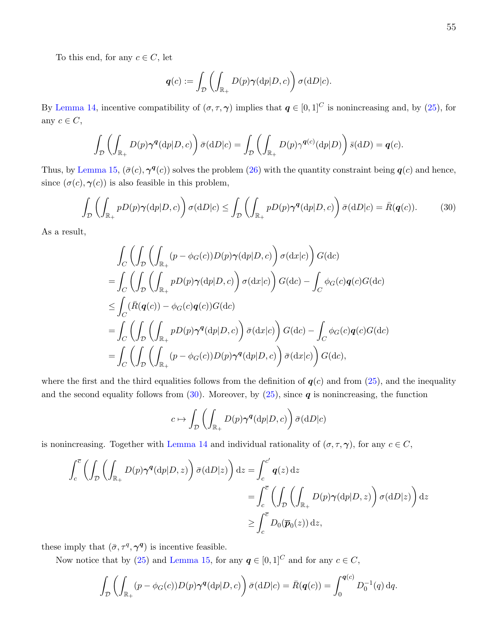To this end, for any  $c \in C$ , let

$$
\boldsymbol{q}(c) := \int_{\mathcal{D}} \left( \int_{\mathbb{R}_+} D(p) \boldsymbol{\gamma}(\mathrm{d}p | D, c) \right) \sigma(\mathrm{d}D | c).
$$

By [Lemma 14,](#page-50-1) incentive compatibility of  $(\sigma, \tau, \gamma)$  implies that  $q \in [0, 1]^C$  is nonincreasing and, by [\(25\)](#page-53-2), for any  $c \in C$ ,

$$
\int_{\mathcal{D}} \left( \int_{\mathbb{R}_+} D(p) \gamma^{\boldsymbol{q}}(\mathrm{d}p|D,c) \right) \bar{\sigma}(\mathrm{d}D|c) = \int_{\mathcal{D}} \left( \int_{\mathbb{R}_+} D(p) \gamma^{\boldsymbol{q}(c)}(\mathrm{d}p|D) \right) \bar{s}(\mathrm{d}D) = \boldsymbol{q}(c).
$$

Thus, by [Lemma 15,](#page-53-4)  $(\bar{\sigma}(c), \gamma^q(c))$  solves the problem [\(26\)](#page-53-0) with the quantity constraint being  $q(c)$  and hence, since  $(\sigma(c), \gamma(c))$  is also feasible in this problem,

<span id="page-55-0"></span>
$$
\int_{\mathcal{D}} \left( \int_{\mathbb{R}_+} p D(p) \gamma(\mathrm{d}p | D, c) \right) \sigma(\mathrm{d}D | c) \le \int_{\mathcal{D}} \left( \int_{\mathbb{R}_+} p D(p) \gamma^{\mathbf{q}}(\mathrm{d}p | D, c) \right) \bar{\sigma}(\mathrm{d}D | c) = \bar{R}(\mathbf{q}(c)). \tag{30}
$$

As a result,

$$
\int_C \left( \int_{\mathcal{D}} \left( \int_{\mathbb{R}_+} (p - \phi_G(c)) D(p) \gamma(\mathrm{d}p | D, c) \right) \sigma(\mathrm{d}x | c) \right) G(\mathrm{d}c)
$$
\n
$$
= \int_C \left( \int_{\mathcal{D}} \left( \int_{\mathbb{R}_+} p D(p) \gamma(\mathrm{d}p | D, c) \right) \sigma(\mathrm{d}x | c) \right) G(\mathrm{d}c) - \int_C \phi_G(c) q(c) G(\mathrm{d}c)
$$
\n
$$
\leq \int_C (\bar{R}(q(c)) - \phi_G(c) q(c)) G(\mathrm{d}c)
$$
\n
$$
= \int_C \left( \int_{\mathcal{D}} \left( \int_{\mathbb{R}_+} p D(p) \gamma^q(\mathrm{d}p | D, c) \right) \bar{\sigma}(\mathrm{d}x | c) \right) G(\mathrm{d}c) - \int_C \phi_G(c) q(c) G(\mathrm{d}c)
$$
\n
$$
= \int_C \left( \int_{\mathcal{D}} \left( \int_{\mathbb{R}_+} (p - \phi_G(c)) D(p) \gamma^q(\mathrm{d}p | D, c) \right) \bar{\sigma}(\mathrm{d}x | c) \right) G(\mathrm{d}c),
$$

where the first and the third equalities follows from the definition of  $q(c)$  and from [\(25\)](#page-53-2), and the inequality and the second equality follows from  $(30)$ . Moreover, by  $(25)$ , since **q** is nonincreasing, the function

$$
c \mapsto \int_{\mathcal{D}} \left( \int_{\mathbb{R}_+} D(p) \gamma^q(\mathrm{d}p|D, c) \right) \bar{\sigma}(\mathrm{d}D|c)
$$

is nonincreasing. Together with [Lemma 14](#page-50-1) and individual rationality of  $(\sigma, \tau, \gamma)$ , for any  $c \in C$ ,

$$
\int_{c}^{\overline{c}} \left( \int_{\mathcal{D}} \left( \int_{\mathbb{R}_{+}} D(p) \gamma^{q}(\mathrm{d}p | D, z) \right) \overline{\sigma}(\mathrm{d}D | z) \right) \mathrm{d}z = \int_{c}^{c'} q(z) \, \mathrm{d}z
$$
\n
$$
= \int_{c}^{\overline{c}} \left( \int_{\mathcal{D}} \left( \int_{\mathbb{R}_{+}} D(p) \gamma(\mathrm{d}p | D, z) \right) \sigma(\mathrm{d}D | z) \right) \mathrm{d}z
$$
\n
$$
\geq \int_{c}^{\overline{c}} D_{0}(\overline{p}_{0}(z)) \, \mathrm{d}z,
$$

these imply that  $(\bar{\sigma}, \tau^q, \gamma^q)$  is incentive feasible.

Now notice that by [\(25\)](#page-53-2) and [Lemma 15,](#page-53-4) for any  $q \in [0, 1]^C$  and for any  $c \in C$ ,

$$
\int_{\mathcal{D}} \left( \int_{\mathbb{R}_+} (p - \phi_G(c)) D(p) \gamma^q(\mathrm{d}p|D, c) \right) \bar{\sigma}(\mathrm{d}D|c) = \bar{R}(q(c)) = \int_0^{q(c)} D_0^{-1}(q) \,\mathrm{d}q.
$$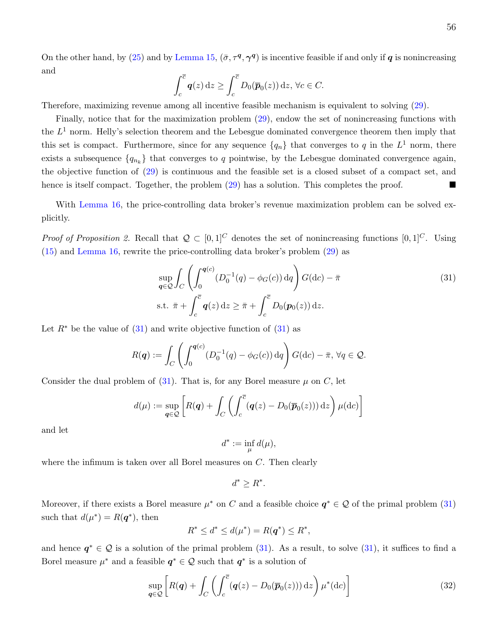On the other hand, by [\(25\)](#page-53-2) and by [Lemma 15,](#page-53-4)  $(\bar{\sigma}, \tau^q, \gamma^q)$  is incentive feasible if and only if q is nonincreasing and

$$
\int_c^{\overline{c}} \mathbf{q}(z) dz \ge \int_c^{\overline{c}} D_0(\overline{\mathbf{p}}_0(z)) dz, \,\forall c \in C.
$$

Therefore, maximizing revenue among all incentive feasible mechanism is equivalent to solving [\(29\)](#page-54-1).

Finally, notice that for the maximization problem [\(29\)](#page-54-1), endow the set of nonincreasing functions with the  $L^1$  norm. Helly's selection theorem and the Lebesgue dominated convergence theorem then imply that this set is compact. Furthermore, since for any sequence  $\{q_n\}$  that converges to q in the  $L^1$  norm, there exists a subsequence  $\{q_{n_k}\}\$  that converges to q pointwise, by the Lebesgue dominated convergence again, the objective function of [\(29\)](#page-54-1) is continuous and the feasible set is a closed subset of a compact set, and hence is itself compact. Together, the problem  $(29)$  has a solution. This completes the proof.

With [Lemma 16,](#page-54-0) the price-controlling data broker's revenue maximization problem can be solved explicitly.

*Proof of Proposition 2.* Recall that  $Q \text{ }\subset [0,1]^C$  denotes the set of nonincreasing functions  $[0,1]^C$ . Using [\(15\)](#page-43-2) and [Lemma 16,](#page-54-0) rewrite the price-controlling data broker's problem [\(29\)](#page-54-1) as

$$
\sup_{\mathbf{q}\in\mathcal{Q}}\int_C \left(\int_0^{\mathbf{q}(c)} (D_0^{-1}(q) - \phi_G(c)) \,dq\right) G(\mathrm{d}c) - \bar{\pi}
$$
\n
$$
\text{s.t. } \bar{\pi} + \int_c^{\bar{c}} \mathbf{q}(z) \,dz \ge \bar{\pi} + \int_c^{\bar{c}} D_0(\mathbf{p}_0(z)) \,dz.
$$
\n
$$
(31)
$$

Let  $R^*$  be the value of  $(31)$  and write objective function of  $(31)$  as

$$
R(\boldsymbol{q}) := \int_C \left( \int_0^{\boldsymbol{q}(c)} (D_0^{-1}(q) - \phi_G(c)) \, dq \right) G(\mathrm{d}c) - \overline{\pi}, \, \forall q \in \mathcal{Q}.
$$

Consider the dual problem of  $(31)$ . That is, for any Borel measure  $\mu$  on C, let

$$
d(\mu) := \sup_{\mathbf{q} \in \mathcal{Q}} \left[ R(\mathbf{q}) + \int_C \left( \int_c^{\overline{c}} (\mathbf{q}(z) - D_0(\overline{\mathbf{p}}_0(z))) \, dz \right) \mu(\mathrm{d}c) \right]
$$

and let

<span id="page-56-0"></span>
$$
d^* := \inf_{\mu} d(\mu),
$$

where the infimum is taken over all Borel measures on C. Then clearly

$$
d^* \ge R^*.
$$

Moreover, if there exists a Borel measure  $\mu^*$  on C and a feasible choice  $q^* \in \mathcal{Q}$  of the primal problem [\(31\)](#page-56-0) such that  $d(\mu^*) = R(\mathbf{q}^*)$ , then

$$
R^* \le d^* \le d(\mu^*) = R(\mathbf{q}^*) \le R^*,
$$

and hence  $q^* \in \mathcal{Q}$  is a solution of the primal problem [\(31\)](#page-56-0). As a result, to solve (31), it suffices to find a Borel measure  $\mu^*$  and a feasible  $q^* \in \mathcal{Q}$  such that  $q^*$  is a solution of

<span id="page-56-1"></span>
$$
\sup_{\boldsymbol{q}\in\mathcal{Q}}\left[R(\boldsymbol{q})+\int_C\left(\int_c^{\overline{c}}(\boldsymbol{q}(z)-D_0(\overline{\boldsymbol{p}}_0(z)))\,\mathrm{d}z\right)\mu^*(\mathrm{d}c)\right]
$$
(32)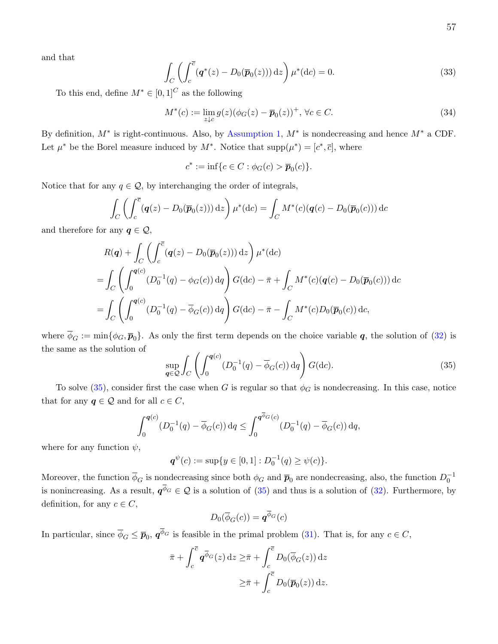and that

<span id="page-57-1"></span>
$$
\int_C \left( \int_c^{\overline{c}} (\boldsymbol{q}^*(z) - D_0(\overline{\boldsymbol{p}}_0(z))) \, dz \right) \mu^*(dc) = 0.
$$
\n(33)

To this end, define  $M^* \in [0,1]^C$  as the following

<span id="page-57-2"></span>
$$
M^*(c) := \lim_{z \downarrow c} g(z) (\phi_G(z) - \overline{p}_0(z))^+, \ \forall c \in C. \tag{34}
$$

By definition,  $M^*$  is right-continuous. Also, by [Assumption 1,](#page-11-0)  $M^*$  is nondecreasing and hence  $M^*$  a CDF. Let  $\mu^*$  be the Borel measure induced by  $M^*$ . Notice that  $\text{supp}(\mu^*) = [c^*, \overline{c}]$ , where

 $c^* := \inf \{ c \in C : \phi_G(c) > \overline{p}_0(c) \}.$ 

Notice that for any  $q \in \mathcal{Q}$ , by interchanging the order of integrals,

$$
\int_C \left( \int_c^{\overline{c}} (\mathbf{q}(z) - D_0(\overline{\mathbf{p}}_0(z))) dz \right) \mu^*(dc) = \int_C M^*(c) (\mathbf{q}(c) - D_0(\overline{\mathbf{p}}_0(c))) dc
$$

and therefore for any  $q \in \mathcal{Q}$ ,

$$
R(\mathbf{q}) + \int_C \left( \int_c^{\overline{c}} (\mathbf{q}(z) - D_0(\overline{p}_0(z))) dz \right) \mu^*(dc)
$$
  
= 
$$
\int_C \left( \int_0^{\mathbf{q}(c)} (D_0^{-1}(q) - \phi_G(c)) dq \right) G(dc) - \overline{\pi} + \int_C M^*(c) (\mathbf{q}(c) - D_0(\overline{p}_0(c))) dc
$$
  
= 
$$
\int_C \left( \int_0^{\mathbf{q}(c)} (D_0^{-1}(q) - \overline{\phi}_G(c)) dq \right) G(dc) - \overline{\pi} - \int_C M^*(c) D_0(\overline{p}_0(c)) dc,
$$

where  $\overline{\phi}_G := \min\{\phi_G, \overline{\boldsymbol{p}}_0\}.$  As only the first term depends on the choice variable  $\boldsymbol{q}$ , the solution of [\(32\)](#page-56-1) is the same as the solution of

<span id="page-57-0"></span>
$$
\sup_{\mathbf{q}\in\mathcal{Q}}\int_C \left(\int_0^{\mathbf{q}(c)} (D_0^{-1}(q) - \overline{\phi}_G(c)) \,dq\right) G(\mathrm{d}c).
$$
\n(35)

To solve [\(35\)](#page-57-0), consider first the case when G is regular so that  $\phi_G$  is nondecreasing. In this case, notice that for any  $q \in \mathcal{Q}$  and for all  $c \in C$ ,

$$
\int_0^{\mathbf{q}(c)} (D_0^{-1}(q) - \overline{\phi}_G(c)) dq \le \int_0^{\mathbf{q} \cdot \overline{\phi}_G(c)} (D_0^{-1}(q) - \overline{\phi}_G(c)) dq,
$$

where for any function  $\psi$ ,

$$
\boldsymbol{q}^{\psi}(c) := \sup\{y \in [0,1] : D_0^{-1}(q) \geq \psi(c)\}.
$$

Moreover, the function  $\overline{\phi}_G$  is nondecreasing since both  $\phi_G$  and  $\overline{p}_0$  are nondecreasing, also, the function  $D_0^{-1}$ is nonincreasing. As a result,  $q^{\phi_G} \in \mathcal{Q}$  is a solution of [\(35\)](#page-57-0) and thus is a solution of [\(32\)](#page-56-1). Furthermore, by definition, for any  $c \in C$ ,

$$
D_0(\overline{\phi}_G(c)) = \boldsymbol{q}^{\phi_G}(c)
$$

In particular, since  $\overline{\phi}_G \leq \overline{p}_0$ ,  $q^{\phi_G}$  is feasible in the primal problem [\(31\)](#page-56-0). That is, for any  $c \in C$ ,

$$
\bar{\pi} + \int_c^{\bar{c}} \mathbf{q}^{\bar{\phi}_G}(z) dz \geq \bar{\pi} + \int_c^{\bar{c}} D_0(\bar{\phi}_G(z)) dz
$$

$$
\geq \bar{\pi} + \int_c^{\bar{c}} D_0(\bar{p}_0(z)) dz.
$$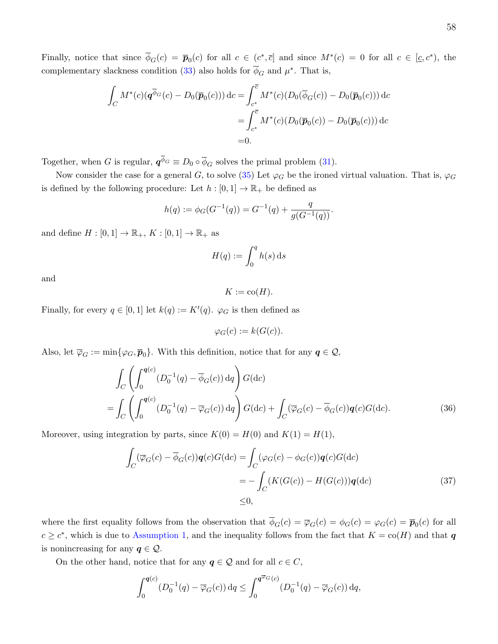$$
\int_C M^*(c)(\mathbf{q}^{\overline{\phi}_G}(c) - D_0(\overline{\mathbf{p}}_0(c))) \, \mathrm{d}c = \int_{c^*}^{\overline{c}} M^*(c)(D_0(\overline{\phi}_G(c)) - D_0(\overline{\mathbf{p}}_0(c))) \, \mathrm{d}c \n= \int_{c^*}^{\overline{c}} M^*(c)(D_0(\overline{\mathbf{p}}_0(c)) - D_0(\overline{\mathbf{p}}_0(c))) \, \mathrm{d}c \n= 0.
$$

Together, when G is regular,  $\mathbf{q}^{\phi_G} \equiv D_0 \circ \overline{\phi}_G$  solves the primal problem [\(31\)](#page-56-0).

Now consider the case for a general G, to solve [\(35\)](#page-57-0) Let  $\varphi_G$  be the ironed virtual valuation. That is,  $\varphi_G$ is defined by the following procedure: Let  $h : [0,1] \to \mathbb{R}_+$  be defined as

$$
h(q) := \phi_G(G^{-1}(q)) = G^{-1}(q) + \frac{q}{g(G^{-1}(q))}.
$$

and define  $H : [0,1] \to \mathbb{R}_+$ ,  $K : [0,1] \to \mathbb{R}_+$  as

$$
H(q) := \int_0^q h(s) \, \mathrm{d} s
$$

and

$$
K := \text{co}(H).
$$

Finally, for every  $q \in [0,1]$  let  $k(q) := K'(q)$ .  $\varphi_G$  is then defined as

<span id="page-58-1"></span><span id="page-58-0"></span>
$$
\varphi_G(c) := k(G(c)).
$$

Also, let  $\overline{\varphi}_G := \min\{\varphi_G, \overline{\boldsymbol{p}}_0\}$ . With this definition, notice that for any  $\boldsymbol{q} \in \mathcal{Q}$ ,

$$
\int_C \left( \int_0^{\mathbf{q}(c)} (D_0^{-1}(q) - \overline{\phi}_G(c)) dq \right) G(dc)
$$
\n
$$
= \int_C \left( \int_0^{\mathbf{q}(c)} (D_0^{-1}(q) - \overline{\phi}_G(c)) dq \right) G(dc) + \int_C (\overline{\varphi}_G(c) - \overline{\phi}_G(c)) \mathbf{q}(c) G(dc). \tag{36}
$$

Moreover, using integration by parts, since  $K(0) = H(0)$  and  $K(1) = H(1)$ ,

$$
\int_C (\overline{\varphi}_G(c) - \overline{\phi}_G(c))q(c)G(dc) = \int_C (\varphi_G(c) - \phi_G(c))q(c)G(dc)
$$
\n
$$
= -\int_C (K(G(c)) - H(G(c)))q(dc)
$$
\n
$$
\leq 0,
$$
\n(37)

where the first equality follows from the observation that  $\phi_G(c) = \overline{\varphi}_G(c) = \phi_G(c) = \varphi_G(c) = \overline{p}_0(c)$  for all  $c \geq c^*$ , which is due to [Assumption 1,](#page-11-0) and the inequality follows from the fact that  $K = \text{co}(H)$  and that q is nonincreasing for any  $q \in \mathcal{Q}$ .

On the other hand, notice that for any  $q \in \mathcal{Q}$  and for all  $c \in C$ ,

$$
\int_0^{\boldsymbol{q}(c)} (D_0^{-1}(q) - \overline{\varphi}_G(c)) dq \le \int_0^{\boldsymbol{q} \overline{\varphi}_G(c)} (D_0^{-1}(q) - \overline{\varphi}_G(c)) dq,
$$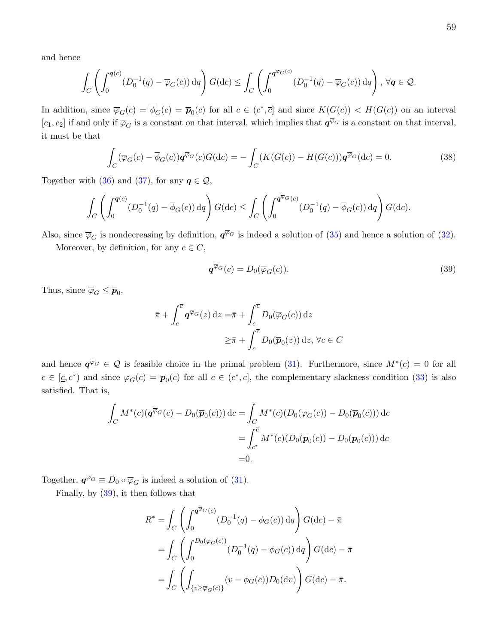and hence

$$
\int_C \left( \int_0^{\boldsymbol{q}(c)} (D_0^{-1}(q) - \overline{\varphi}_G(c)) dq \right) G(dc) \le \int_C \left( \int_0^{\boldsymbol{q} \overline{\varphi}_G(c)} (D_0^{-1}(q) - \overline{\varphi}_G(c)) dq \right), \ \forall \boldsymbol{q} \in \mathcal{Q}.
$$

In addition, since  $\overline{\varphi}_G(c) = \overline{\phi}_G(c) = \overline{p}_0(c)$  for all  $c \in (c^*, \overline{c}]$  and since  $K(G(c)) < H(G(c))$  on an interval  $[c_1, c_2]$  if and only if  $\overline{\varphi}_G$  is a constant on that interval, which implies that  $q^{\overline{\varphi}_G}$  is a constant on that interval, it must be that

<span id="page-59-1"></span>
$$
\int_C (\overline{\varphi}_G(c) - \overline{\phi}_G(c)) \mathbf{q}^{\overline{\varphi}_G}(c) G(\mathrm{d}c) = -\int_C (K(G(c)) - H(G(c))) \mathbf{q}^{\overline{\varphi}_G}(\mathrm{d}c) = 0. \tag{38}
$$

Together with [\(36\)](#page-58-0) and [\(37\)](#page-58-1), for any  $q \in \mathcal{Q}$ ,

$$
\int_C \left( \int_0^{\boldsymbol{q}(c)} (D_0^{-1}(q) - \overline{\phi}_G(c)) dq \right) G(dc) \le \int_C \left( \int_0^{\boldsymbol{q} \overline{\phi}_G(c)} (D_0^{-1}(q) - \overline{\phi}_G(c)) dq \right) G(dc).
$$

Also, since  $\overline{\varphi}_G$  is nondecreasing by definition,  $\overline{\mathbf{q}}^{\overline{\varphi}_G}$  is indeed a solution of [\(35\)](#page-57-0) and hence a solution of [\(32\)](#page-56-1).

Moreover, by definition, for any  $c \in C$ ,

<span id="page-59-0"></span>
$$
\boldsymbol{q}^{\overline{\varphi}_G}(c) = D_0(\overline{\varphi}_G(c)).\tag{39}
$$

Thus, since  $\overline{\varphi}_G \leq \overline{\boldsymbol{p}}_0$ ,

$$
\bar{\pi} + \int_c^{\bar{c}} \mathbf{q}^{\overline{\varphi}_G}(z) dz = \bar{\pi} + \int_c^{\bar{c}} D_0(\overline{\varphi}_G(c)) dz
$$

$$
\geq \bar{\pi} + \int_c^{\bar{c}} D_0(\overline{p}_0(z)) dz, \forall c \in C
$$

and hence  $q^{\overline{\varphi}_G} \in \mathcal{Q}$  is feasible choice in the primal problem [\(31\)](#page-56-0). Furthermore, since  $M^*(c) = 0$  for all  $c \in [\underline{c}, c^*]$  and since  $\overline{\varphi}_G(c) = \overline{p}_0(c)$  for all  $c \in (c^*, \overline{c}]$ , the complementary slackness condition [\(33\)](#page-57-1) is also satisfied. That is,

$$
\int_C M^*(c) \left( \mathbf{q}^{\overline{\varphi}_G}(c) - D_0(\overline{\mathbf{p}}_0(c)) \right) \mathrm{d}c = \int_C M^*(c) \left( D_0(\overline{\varphi}_G(c)) - D_0(\overline{\mathbf{p}}_0(c)) \right) \mathrm{d}c
$$
\n
$$
= \int_{c^*}^{\overline{c}} M^*(c) \left( D_0(\overline{\mathbf{p}}_0(c)) - D_0(\overline{\mathbf{p}}_0(c)) \right) \mathrm{d}c
$$
\n
$$
= 0.
$$

Together,  $\mathbf{q}^{\overline{\varphi}_G} \equiv D_0 \circ \overline{\varphi}_G$  is indeed a solution of [\(31\)](#page-56-0).

Finally, by [\(39\)](#page-59-0), it then follows that

$$
R^* = \int_C \left( \int_0^{\overline{q} \overline{\varphi}_G(c)} (D_0^{-1}(q) - \phi_G(c)) \, dq \right) G(\mathrm{d}c) - \overline{\pi}
$$
  
= 
$$
\int_C \left( \int_0^{D_0(\overline{\varphi}_G(c))} (D_0^{-1}(q) - \phi_G(c)) \, dq \right) G(\mathrm{d}c) - \overline{\pi}
$$
  
= 
$$
\int_C \left( \int_{\{v \ge \overline{\varphi}_G(c)\}} (v - \phi_G(c)) D_0(\mathrm{d}v) \right) G(\mathrm{d}c) - \overline{\pi}.
$$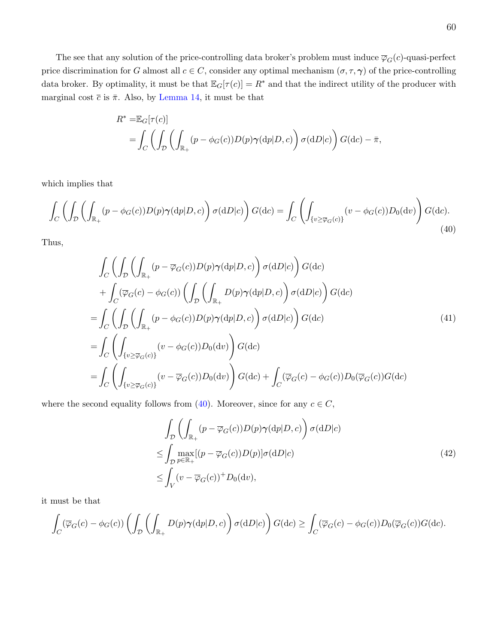The see that any solution of the price-controlling data broker's problem must induce  $\overline{\varphi}_G(c)$ -quasi-perfect price discrimination for G almost all  $c \in C$ , consider any optimal mechanism  $(\sigma, \tau, \gamma)$  of the price-controlling data broker. By optimality, it must be that  $\mathbb{E}_G[\tau(c)] = R^*$  and that the indirect utility of the producer with marginal cost  $\bar{c}$  is  $\bar{\pi}$ . Also, by [Lemma 14,](#page-50-1) it must be that

$$
R^* = \mathbb{E}_G[\tau(c)]
$$
  
=  $\int_C \left( \int_D \left( \int_{\mathbb{R}_+} (p - \phi_G(c)) D(p) \gamma(\mathrm{d}p|D, c) \right) \sigma(\mathrm{d}D|c) \right) G(\mathrm{d}c) - \bar{\pi},$ 

which implies that

<span id="page-60-0"></span>
$$
\int_C \left( \int_{\mathcal{D}} \left( \int_{\mathbb{R}_+} (p - \phi_G(c)) D(p) \gamma(\mathrm{d}p | D, c) \right) \sigma(\mathrm{d}D | c) \right) G(\mathrm{d}c) = \int_C \left( \int_{\{v \ge \overline{\varphi}_G(c)\}} (v - \phi_G(c)) D_0(\mathrm{d}v) \right) G(\mathrm{d}c).
$$
\n(40)

Thus,

$$
\int_{C} \left( \int_{\mathcal{D}} \left( \int_{\mathbb{R}_{+}} (p - \overline{\varphi}_{G}(c)) D(p) \gamma(\mathrm{d}p | D, c) \right) \sigma(\mathrm{d}D | c) \right) G(\mathrm{d}c) \n+ \int_{C} (\overline{\varphi}_{G}(c) - \phi_{G}(c)) \left( \int_{\mathcal{D}} \left( \int_{\mathbb{R}_{+}} D(p) \gamma(\mathrm{d}p | D, c) \right) \sigma(\mathrm{d}D | c) \right) G(\mathrm{d}c) \n= \int_{C} \left( \int_{\mathcal{D}} \left( \int_{\mathbb{R}_{+}} (p - \phi_{G}(c)) D(p) \gamma(\mathrm{d}p | D, c) \right) \sigma(\mathrm{d}D | c) \right) G(\mathrm{d}c) \n= \int_{C} \left( \int_{\{v \ge \overline{\varphi}_{G}(c)\}} (v - \phi_{G}(c)) D_{0}(\mathrm{d}v) \right) G(\mathrm{d}c) \n= \int_{C} \left( \int_{\{v \ge \overline{\varphi}_{G}(c)\}} (v - \overline{\varphi}_{G}(c)) D_{0}(\mathrm{d}v) \right) G(\mathrm{d}c) + \int_{C} (\overline{\varphi}_{G}(c) - \phi_{G}(c)) D_{0}(\overline{\varphi}_{G}(c)) G(\mathrm{d}c) \n= \int_{C} \left( \int_{\{v \ge \overline{\varphi}_{G}(c)\}} (v - \overline{\varphi}_{G}(c)) D_{0}(\mathrm{d}v) \right) G(\mathrm{d}c) + \int_{C} (\overline{\varphi}_{G}(c) - \phi_{G}(c)) D_{0}(\overline{\varphi}_{G}(c)) G(\mathrm{d}c) \n= \int_{C} \overline{\varphi}_{G}(c) \left( \overline{\varphi}_{G}(c) \right) \overline{\varphi}_{G}(c) + \overline{\varphi}_{G}(c) \overline{\varphi}_{G}(c) \overline{\varphi}_{G}(c) \overline{\varphi}_{G}(c) \overline{\varphi}_{G}(c) \overline{\varphi}_{G}(c) + \overline{\varphi}_{G}(c) \overline{\varphi}_{G}(c) \overline{\varphi}_{G}(c) \overline{\varphi}_{G}(c) \overline{\varphi}_{G}(c) \overline{\varphi}_{G}(c) + \overline{\varphi}_{G
$$

where the second equality follows from [\(40\)](#page-60-0). Moreover, since for any  $c \in C$ ,

<span id="page-60-2"></span><span id="page-60-1"></span>
$$
\int_{\mathcal{D}} \left( \int_{\mathbb{R}_+} (p - \overline{\varphi}_G(c)) D(p) \gamma(\mathrm{d}p | D, c) \right) \sigma(\mathrm{d}D | c)
$$
\n
$$
\leq \int_{\mathcal{D}} \max_{p \in \mathbb{R}_+} [(p - \overline{\varphi}_G(c)) D(p)] \sigma(\mathrm{d}D | c)
$$
\n
$$
\leq \int_V (v - \overline{\varphi}_G(c))^+ D_0(\mathrm{d}v), \tag{42}
$$

it must be that

$$
\int_C (\overline{\varphi}_G(c) - \phi_G(c)) \left( \int_{\mathcal{D}} \left( \int_{\mathbb{R}_+} D(p) \gamma(\mathrm{d}p | D, c) \right) \sigma(\mathrm{d}D | c) \right) G(\mathrm{d}c) \ge \int_C (\overline{\varphi}_G(c) - \phi_G(c)) D_0(\overline{\varphi}_G(c)) G(\mathrm{d}c).
$$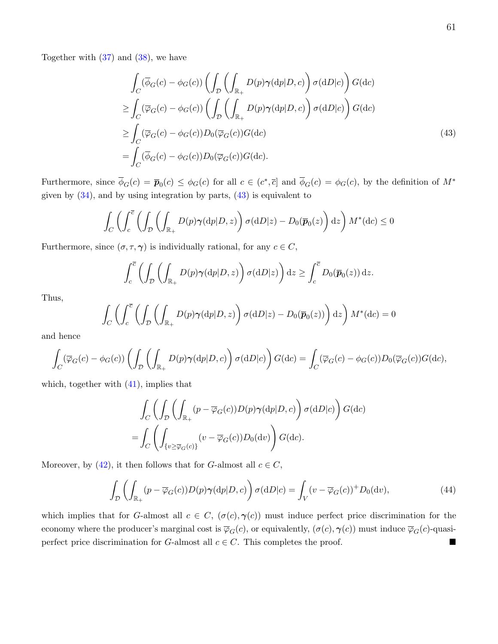Together with  $(37)$  and  $(38)$ , we have

<span id="page-61-0"></span>
$$
\int_{C} (\overline{\phi}_{G}(c) - \phi_{G}(c)) \left( \int_{D} \left( \int_{\mathbb{R}_{+}} D(p) \gamma(\mathrm{d}p | D, c) \right) \sigma(\mathrm{d}D | c) \right) G(\mathrm{d}c)
$$
\n
$$
\geq \int_{C} (\overline{\varphi}_{G}(c) - \phi_{G}(c)) \left( \int_{D} \left( \int_{\mathbb{R}_{+}} D(p) \gamma(\mathrm{d}p | D, c) \right) \sigma(\mathrm{d}D | c) \right) G(\mathrm{d}c)
$$
\n
$$
\geq \int_{C} (\overline{\varphi}_{G}(c) - \phi_{G}(c)) D_{0}(\overline{\varphi}_{G}(c)) G(\mathrm{d}c)
$$
\n
$$
= \int_{C} (\overline{\phi}_{G}(c) - \phi_{G}(c)) D_{0}(\overline{\varphi}_{G}(c)) G(\mathrm{d}c).
$$
\n(43)

Furthermore, since  $\overline{\phi}_G(c) = \overline{p}_0(c) \le \phi_G(c)$  for all  $c \in (c^*, \overline{c}]$  and  $\overline{\phi}_G(c) = \phi_G(c)$ , by the definition of  $M^*$ given by  $(34)$ , and by using integration by parts,  $(43)$  is equivalent to

$$
\int_C \left( \int_c^{\overline{c}} \left( \int_{\mathcal{D}} \left( \int_{\mathbb{R}_+} D(p) \gamma(\mathrm{d}p | D, z) \right) \sigma(\mathrm{d}D | z) - D_0(\overline{p}_0(z) \right) \mathrm{d}z \right) M^*(\mathrm{d}c) \le 0
$$

Furthermore, since  $(\sigma, \tau, \gamma)$  is individually rational, for any  $c \in C$ ,

$$
\int_c^{\overline{c}} \left( \int_{\mathcal{D}} \left( \int_{\mathbb{R}_+} D(p) \gamma(\mathrm{d}p | D, z) \right) \sigma(\mathrm{d}D|z) \right) \mathrm{d}z \ge \int_c^{\overline{c}} D_0(\overline{p}_0(z)) \, \mathrm{d}z.
$$

Thus,

$$
\int_C \left( \int_c^{\overline{c}} \left( \int_{\mathcal{D}} \left( \int_{\mathbb{R}_+} D(p) \gamma(\mathrm{d}p | D, z) \right) \sigma(\mathrm{d}D|z) - D_0(\overline{p}_0(z)) \right) \mathrm{d}z \right) M^*(\mathrm{d}c) = 0
$$

and hence

$$
\int_C (\overline{\varphi}_G(c) - \phi_G(c)) \left( \int_{\mathcal{D}} \left( \int_{\mathbb{R}_+} D(p) \gamma(dp|D,c) \right) \sigma(dD|c) \right) G(dc) = \int_C (\overline{\varphi}_G(c) - \phi_G(c)) D_0(\overline{\varphi}_G(c)) G(dc),
$$

which, together with  $(41)$ , implies that

$$
\int_C \left( \int_{\mathcal{D}} \left( \int_{\mathbb{R}_+} (p - \overline{\varphi}_G(c)) D(p) \gamma(\mathrm{d}p | D, c) \right) \sigma(\mathrm{d}D | c) \right) G(\mathrm{d}c)
$$
\n
$$
= \int_C \left( \int_{\{v \ge \overline{\varphi}_G(c)\}} (v - \overline{\varphi}_G(c)) D_0(\mathrm{d}v) \right) G(\mathrm{d}c).
$$

Moreover, by [\(42\)](#page-60-2), it then follows that for G-almost all  $c \in C$ ,

$$
\int_{\mathcal{D}} \left( \int_{\mathbb{R}_+} (p - \overline{\varphi}_G(c)) D(p) \gamma(\mathrm{d}p | D, c) \right) \sigma(\mathrm{d}D | c) = \int_V (v - \overline{\varphi}_G(c))^+ D_0(\mathrm{d}v), \tag{44}
$$

which implies that for G-almost all  $c \in C$ ,  $(\sigma(c), \gamma(c))$  must induce perfect price discrimination for the economy where the producer's marginal cost is  $\overline{\varphi}_G(c)$ , or equivalently,  $(\sigma(c), \gamma(c))$  must induce  $\overline{\varphi}_G(c)$ -quasiperfect price discrimination for G-almost all  $c \in C$ . This completes the proof.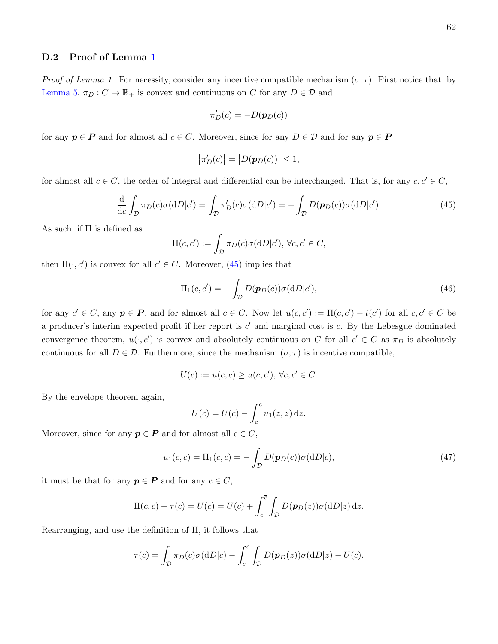#### D.2 Proof of Lemma [1](#page-16-0)

Proof of Lemma 1. For necessity, consider any incentive compatible mechanism  $(\sigma, \tau)$ . First notice that, by [Lemma 5,](#page-43-0)  $\pi_D : C \to \mathbb{R}_+$  is convex and continuous on C for any  $D \in \mathcal{D}$  and

$$
\pi'_D(c) = -D(\mathbf{p}_D(c))
$$

for any  $p \in P$  and for almost all  $c \in C$ . Moreover, since for any  $D \in \mathcal{D}$  and for any  $p \in P$ 

$$
\left|\pi_D'(c)\right| = \left|D(\boldsymbol{p}_D(c))\right| \le 1,
$$

for almost all  $c \in C$ , the order of integral and differential can be interchanged. That is, for any  $c, c' \in C$ ,

<span id="page-62-0"></span>
$$
\frac{\mathrm{d}}{\mathrm{d}c} \int_{\mathcal{D}} \pi_D(c) \sigma(\mathrm{d}D|c') = \int_{\mathcal{D}} \pi'_D(c) \sigma(\mathrm{d}D|c') = -\int_{\mathcal{D}} D(\mathbf{p}_D(c)) \sigma(\mathrm{d}D|c'). \tag{45}
$$

As such, if  $\Pi$  is defined as

$$
\Pi(c, c') := \int_{\mathcal{D}} \pi_D(c) \sigma(\mathrm{d}D|c'), \,\forall c, c' \in C,
$$

then  $\Pi(\cdot, c')$  is convex for all  $c' \in C$ . Moreover, [\(45\)](#page-62-0) implies that

<span id="page-62-1"></span>
$$
\Pi_1(c, c') = -\int_{\mathcal{D}} D(\mathbf{p}_D(c))\sigma(\mathrm{d}D|c'),\tag{46}
$$

for any  $c' \in C$ , any  $p \in P$ , and for almost all  $c \in C$ . Now let  $u(c, c') := \Pi(c, c') - t(c')$  for all  $c, c' \in C$  be a producer's interim expected profit if her report is  $c'$  and marginal cost is  $c$ . By the Lebesgue dominated convergence theorem,  $u(\cdot, c')$  is convex and absolutely continuous on C for all  $c' \in C$  as  $\pi_D$  is absolutely continuous for all  $D \in \mathcal{D}$ . Furthermore, since the mechanism  $(\sigma, \tau)$  is incentive compatible,

$$
U(c) := u(c, c) \ge u(c, c'), \forall c, c' \in C.
$$

By the envelope theorem again,

$$
U(c) = U(\overline{c}) - \int_c^{\overline{c}} u_1(z, z) dz.
$$

Moreover, since for any  $p \in P$  and for almost all  $c \in C$ ,

<span id="page-62-2"></span>
$$
u_1(c,c) = \Pi_1(c,c) = -\int_{\mathcal{D}} D(\mathbf{p}_D(c))\sigma(\mathrm{d}D|c),\tag{47}
$$

it must be that for any  $p \in P$  and for any  $c \in C$ ,

$$
\Pi(c,c) - \tau(c) = U(c) = U(\overline{c}) + \int_c^{\overline{c}} \int_{\mathcal{D}} D(\boldsymbol{p}_D(z)) \sigma(\mathrm{d}D|z) \,\mathrm{d}z.
$$

Rearranging, and use the definition of Π, it follows that

$$
\tau(c) = \int_{\mathcal{D}} \pi_D(c)\sigma(\mathrm{d}D|c) - \int_c^{\overline{c}} \int_{\mathcal{D}} D(\boldsymbol{p}_D(z))\sigma(\mathrm{d}D|z) - U(\overline{c}),
$$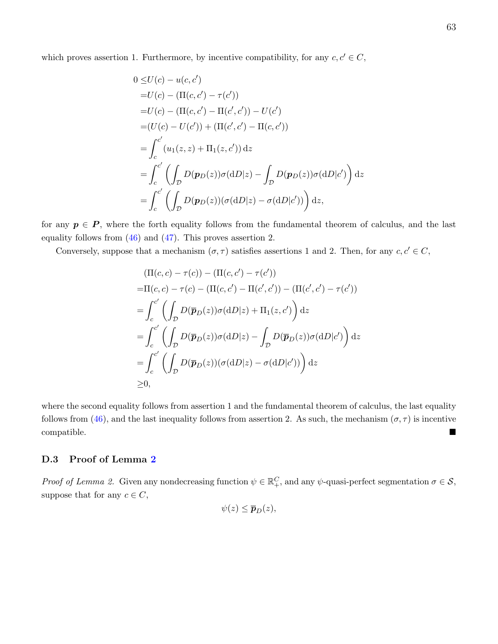which proves assertion 1. Furthermore, by incentive compatibility, for any  $c, c' \in C$ ,

$$
0 \le U(c) - u(c, c')
$$
  
=U(c) - (II(c, c') – \tau(c'))  
=U(c) - (II(c, c') – II(c', c')) – U(c')  
= (U(c) – U(c')) + (II(c', c') – II(c, c'))  
= 
$$
\int_{c}^{c'} (u_1(z, z) + II_1(z, c')) dz
$$
  
= 
$$
\int_{c}^{c'} \left( \int_{D} D(p_D(z)) \sigma(dD|z) - \int_{D} D(p_D(z)) \sigma(dD|c') \right) dz
$$
  
= 
$$
\int_{c}^{c'} \left( \int_{D} D(p_D(z)) (\sigma(dD|z) - \sigma(dD|c')) \right) dz,
$$

for any  $p \in P$ , where the forth equality follows from the fundamental theorem of calculus, and the last equality follows from [\(46\)](#page-62-1) and [\(47\)](#page-62-2). This proves assertion 2.

Conversely, suppose that a mechanism  $(\sigma, \tau)$  satisfies assertions 1 and 2. Then, for any  $c, c' \in C$ ,

$$
(\Pi(c, c) - \tau(c)) - (\Pi(c, c') - \tau(c'))
$$
  
\n
$$
= \Pi(c, c) - \tau(c) - (\Pi(c, c') - \Pi(c', c')) - (\Pi(c', c') - \tau(c'))
$$
  
\n
$$
= \int_{c}^{c'} \left( \int_{\mathcal{D}} D(\overline{p}_D(z))\sigma(\mathrm{d}D|z) + \Pi_1(z, c') \right) \mathrm{d}z
$$
  
\n
$$
= \int_{c}^{c'} \left( \int_{\mathcal{D}} D(\overline{p}_D(z))\sigma(\mathrm{d}D|z) - \int_{\mathcal{D}} D(\overline{p}_D(z))\sigma(\mathrm{d}D|c') \right) \mathrm{d}z
$$
  
\n
$$
= \int_{c}^{c'} \left( \int_{\mathcal{D}} D(\overline{p}_D(z))(\sigma(\mathrm{d}D|z) - \sigma(\mathrm{d}D|c')) \right) \mathrm{d}z
$$
  
\n
$$
\geq 0,
$$

where the second equality follows from assertion 1 and the fundamental theorem of calculus, the last equality follows from [\(46\)](#page-62-1), and the last inequality follows from assertion 2. As such, the mechanism  $(\sigma, \tau)$  is incentive compatible.

#### D.3 Proof of Lemma [2](#page-18-0)

Proof of Lemma 2. Given any nondecreasing function  $\psi \in \mathbb{R}^C_+$ , and any  $\psi$ -quasi-perfect segmentation  $\sigma \in \mathcal{S}$ , suppose that for any  $c \in C$ ,

$$
\psi(z)\leq \overline{\boldsymbol{p}}_D(z),
$$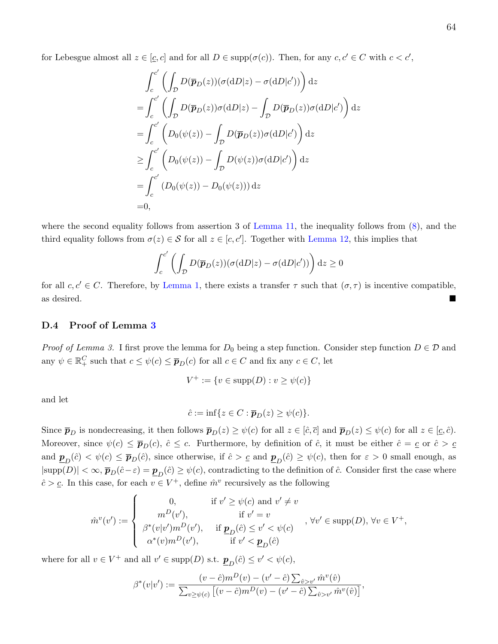for Lebesgue almost all  $z \in [\underline{c}, c]$  and for all  $D \in \text{supp}(\sigma(c))$ . Then, for any  $c, c' \in C$  with  $c < c'$ ,

$$
\int_{c}^{c'} \left( \int_{D} D(\overline{p}_D(z)) (\sigma(dD|z) - \sigma(dD|c')) \right) dz
$$
  
= 
$$
\int_{c}^{c'} \left( \int_{D} D(\overline{p}_D(z)) \sigma(dD|z) - \int_{D} D(\overline{p}_D(z)) \sigma(dD|c') \right) dz
$$
  
= 
$$
\int_{c}^{c'} \left( D_0(\psi(z)) - \int_{D} D(\overline{p}_D(z)) \sigma(dD|c') \right) dz
$$
  

$$
\geq \int_{c}^{c'} \left( D_0(\psi(z)) - \int_{D} D(\psi(z)) \sigma(dD|c') \right) dz
$$
  
= 
$$
\int_{c}^{c'} \left( D_0(\psi(z)) - D_0(\psi(z)) \right) dz
$$
  
= 0,

where the second equality follows from assertion 3 of [Lemma 11,](#page-46-1) the inequality follows from [\(8\)](#page-18-1), and the third equality follows from  $\sigma(z) \in S$  for all  $z \in [c, c']$ . Together with [Lemma 12,](#page-48-0) this implies that

$$
\int_{c}^{c'} \left( \int_{\mathcal{D}} D(\overline{\boldsymbol{p}}_D(z)) (\sigma(\mathrm{d}D|z) - \sigma(\mathrm{d}D|c')) \right) \mathrm{d}z \ge 0
$$

for all  $c, c' \in C$ . Therefore, by [Lemma 1,](#page-16-0) there exists a transfer  $\tau$  such that  $(\sigma, \tau)$  is incentive compatible, as desired.

#### D.4 Proof of Lemma [3](#page-19-0)

*Proof of Lemma 3.* I first prove the lemma for  $D_0$  being a step function. Consider step function  $D \in \mathcal{D}$  and any  $\psi \in \mathbb{R}_+^C$  such that  $c \leq \psi(c) \leq \overline{p}_D(c)$  for all  $c \in C$  and fix any  $c \in C$ , let

$$
V^+ := \{ v \in \text{supp}(D) : v \ge \psi(c) \}
$$

and let

$$
\hat{c} := \inf\{z \in C : \overline{\boldsymbol{p}}_D(z) \geq \psi(c)\}.
$$

Since  $\bar{p}_D$  is nondecreasing, it then follows  $\bar{p}_D(z) \geq \psi(c)$  for all  $z \in [\hat{c}, \bar{c}]$  and  $\bar{p}_D(z) \leq \psi(c)$  for all  $z \in [\underline{c}, \hat{c})$ . Moreover, since  $\psi(c) \leq \bar{p}_D(c)$ ,  $\hat{c} \leq c$ . Furthermore, by definition of  $\hat{c}$ , it must be either  $\hat{c} = c$  or  $\hat{c} > c$ and  $\underline{\mathbf{p}}_D(\hat{c}) < \psi(c) \le \overline{\mathbf{p}}_D(\hat{c})$ , since otherwise, if  $\hat{c} > \underline{c}$  and  $\underline{\mathbf{p}}_D(\hat{c}) \ge \psi(c)$ , then for  $\varepsilon > 0$  small enough, as  $|\text{supp}(D)| < \infty$ ,  $\overline{p}_D(\hat{c}-\varepsilon) = \underline{p}_D(\hat{c}) \ge \psi(c)$ , contradicting to the definition of  $\hat{c}$ . Consider first the case where  $\hat{c} > \underline{c}$ . In this case, for each  $v \in V^+$ , define  $\hat{m}^v$  recursively as the following

$$
\hat{m}^v(v') := \begin{cases}\n0, & \text{if } v' \ge \psi(c) \text{ and } v' \ne v \\
m^D(v'), & \text{if } v' = v \\
\beta^*(v|v')m^D(v'), & \text{if } \underline{\mathbf{p}}_D(\hat{c}) \le v' < \psi(c) \\
\alpha^*(v)m^D(v'), & \text{if } v' < \underline{\mathbf{p}}_D(\hat{c})\n\end{cases}, \forall v \in \text{supp}(D), \forall v \in V^+,
$$

where for all  $v \in V^+$  and all  $v' \in \text{supp}(D)$  s.t.  $\underline{\mathbf{p}}_D(\hat{c}) \le v' < \psi(c)$ ,

$$
\beta^*(v|v') := \frac{(v - \hat{c})m^D(v) - (v' - \hat{c})\sum_{\hat{v} > v'} \hat{m}^v(\hat{v})}{\sum_{v \ge \psi(c)} \left[ (v - \hat{c})m^D(v) - (v' - \hat{c})\sum_{\hat{v} > v'} \hat{m}^v(\hat{v}) \right]},
$$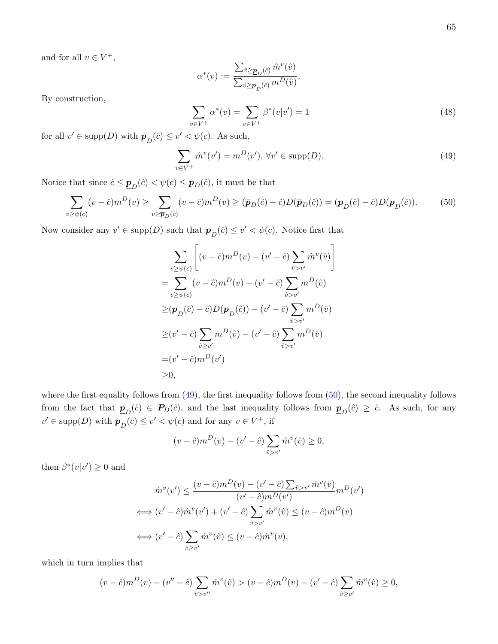and for all  $v \in V^+,$ 

$$
\alpha^*(v):=\frac{\sum_{\hat{v}\geq \underline{\pmb{p}}_D(\hat{c})}\hat{m}^v(\hat{v})}{\sum_{\hat{v}\geq \underline{\pmb{p}}_D(\hat{c})}m^D(\hat{v})}.
$$

By construction,

<span id="page-65-2"></span>
$$
\sum_{v \in V^{+}} \alpha^{*}(v) = \sum_{v \in V^{+}} \beta^{*}(v|v') = 1
$$
\n(48)

for all  $v' \in \text{supp}(D)$  with  $\underline{\mathbf{p}}_D(\hat{c}) \le v' < \psi(c)$ . As such,

<span id="page-65-0"></span>
$$
\sum_{v \in V^{+}} \hat{m}^{v}(v') = m^{D}(v'), \forall v' \in \text{supp}(D).
$$
\n(49)

Notice that since  $\hat{c} \leq \underline{\mathbf{p}}_D(\hat{c}) < \psi(c) \leq \overline{\mathbf{p}}_D(\hat{c})$ , it must be that

<span id="page-65-1"></span>
$$
\sum_{v \ge \psi(c)} (v - \hat{c}) m^D(v) \ge \sum_{v \ge \overline{p}_D(\hat{c})} (v - \hat{c}) m^D(v) \ge (\overline{p}_D(\hat{c}) - \hat{c}) D(\overline{p}_D(\hat{c})) = (\underline{p}_D(\hat{c}) - \hat{c}) D(\underline{p}_D(\hat{c})).
$$
 (50)

Now consider any  $v' \in \text{supp}(D)$  such that  $\underline{\mathbf{p}}_D(\hat{c}) \le v' < \psi(c)$ . Notice first that

$$
\sum_{v \ge \psi(c)} \left[ (v - \hat{c}) m^D(v) - (v' - \hat{c}) \sum_{\hat{v} > v'} \hat{m}^v(\hat{v}) \right]
$$
  
\n
$$
= \sum_{v \ge \psi(c)} (v - \hat{c}) m^D(v) - (v' - \hat{c}) \sum_{\hat{v} > v'} m^D(\hat{v})
$$
  
\n
$$
\ge (\underline{\pmb{p}}_D(\hat{c}) - \hat{c}) D(\underline{\pmb{p}}_D(\hat{c})) - (v' - \hat{c}) \sum_{\hat{v} > v'} m^D(\hat{v})
$$
  
\n
$$
\ge (v' - \hat{c}) \sum_{\hat{v} \ge v'} m^D(\hat{v}) - (v' - \hat{c}) \sum_{\hat{v} > v'} m^D(\hat{v})
$$
  
\n
$$
= (v' - \hat{c}) m^D(v')
$$
  
\n
$$
\ge 0,
$$

where the first equality follows from  $(49)$ , the first inequality follows from  $(50)$ , the second inequality follows from the fact that  $\underline{\mathbf{p}}_D(\hat{c}) \in \mathbf{P}_D(\hat{c})$ , and the last inequality follows from  $\underline{\mathbf{p}}_D(\hat{c}) \geq \hat{c}$ . As such, for any  $v' \in \text{supp}(D)$  with  $\underline{\mathbf{p}}_D(\hat{c}) \le v' < \psi(c)$  and for any  $v \in V^+$ , if

$$
(v - \hat{c})m^{D}(v) - (v' - \hat{c})\sum_{\hat{v} > v'} \hat{m}^{v}(\hat{v}) \ge 0,
$$

then  $\beta^*(v|v') \geq 0$  and

$$
\hat{m}^v(v') \leq \frac{(v-\hat{c})m^D(v) - (v'-\hat{c})\sum_{\hat{v} > v'} \hat{m}^v(\hat{v})}{(v'-\hat{c})m^D(v')} m^D(v')
$$
  

$$
\iff (v'-\hat{c})\hat{m}^v(v') + (v'-\hat{c})\sum_{\hat{v} > v'} \hat{m}^v(\hat{v}) \leq (v-\hat{c})m^D(v)
$$
  

$$
\iff (v'-\hat{c})\sum_{\hat{v} \geq v'} \hat{m}^v(\hat{v}) \leq (v-\hat{c})\hat{m}^v(v),
$$

which in turn implies that

$$
(v - \hat{c})m^{D}(v) - (v'' - \hat{c})\sum_{\hat{v} > v''}\hat{m}^{v}(\hat{v}) > (v - \hat{c})m^{D}(v) - (v' - \hat{c})\sum_{\hat{v} \ge v'}\hat{m}^{v}(\hat{v}) \ge 0,
$$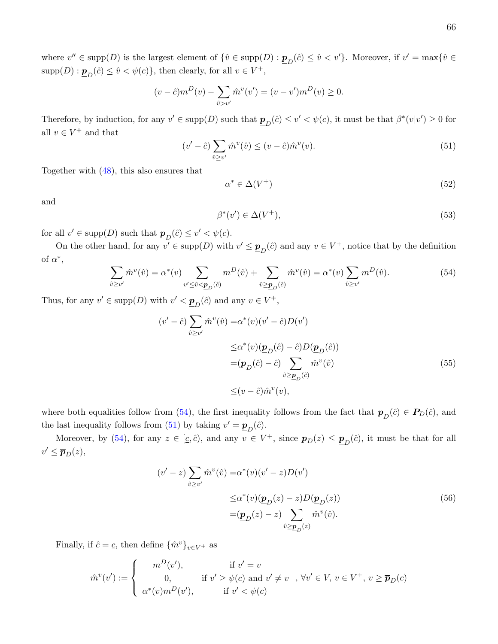where  $v'' \in \text{supp}(D)$  is the largest element of  $\{\hat{v} \in \text{supp}(D) : \underline{\mathbf{p}}_D(\hat{c}) \leq \hat{v} < v'\}$ . Moreover, if  $v' = \max\{\hat{v} \in D\}$  $\text{supp}(D) : \underline{\mathbf{p}}_D(\hat{c}) \leq \hat{v} < \psi(c) \},$  then clearly, for all  $v \in V^+$ ,

$$
(v - \hat{c})m^{D}(v) - \sum_{\hat{v} > v'} \hat{m}^{v}(v') = (v - v')m^{D}(v) \ge 0.
$$

Therefore, by induction, for any  $v' \in \text{supp}(D)$  such that  $\underline{\mathbf{p}}_D(\hat{c}) \le v' < \psi(c)$ , it must be that  $\beta^*(v|v') \ge 0$  for all  $v \in V^+$  and that

<span id="page-66-1"></span>
$$
(v'-\hat{c})\sum_{\hat{v}\geq v'}\hat{m}^v(\hat{v}) \leq (v-\hat{c})\hat{m}^v(v).
$$
\n(51)

Together with [\(48\)](#page-65-2), this also ensures that

<span id="page-66-2"></span>
$$
\alpha^* \in \Delta(V^+) \tag{52}
$$

and

<span id="page-66-4"></span><span id="page-66-3"></span>
$$
\beta^*(v') \in \Delta(V^+),\tag{53}
$$

for all  $v' \in \text{supp}(D)$  such that  $\underline{\mathbf{p}}_D(\hat{c}) \le v' < \psi(c)$ .

On the other hand, for any  $v' \in \text{supp}(D)$  with  $v' \leq \underline{\mathbf{p}}_D(\hat{c})$  and any  $v \in V^+$ , notice that by the definition of  $\alpha^*$ ,

<span id="page-66-0"></span>
$$
\sum_{\hat{v}\geq v'} \hat{m}^v(\hat{v}) = \alpha^*(v) \sum_{v'\leq \hat{v}\leq \underline{p}_D(\hat{c})} m^D(\hat{v}) + \sum_{\hat{v}\geq \underline{p}_D(\hat{c})} \hat{m}^v(\hat{v}) = \alpha^*(v) \sum_{\hat{v}\geq v'} m^D(\hat{v}).
$$
\n(54)

Thus, for any  $v' \in \text{supp}(D)$  with  $v' < \underline{\mathbf{p}}_D(\hat{c})$  and any  $v \in V^+$ ,

$$
(v' - \hat{c}) \sum_{\hat{v} \ge v'} \hat{m}^v(\hat{v}) = \alpha^*(v)(v' - \hat{c})D(v')
$$
  

$$
\le \alpha^*(v)(\underline{p}_D(\hat{c}) - \hat{c})D(\underline{p}_D(\hat{c}))
$$
  

$$
= (\underline{p}_D(\hat{c}) - \hat{c}) \sum_{\hat{v} \ge \underline{p}_D(\hat{c})} \hat{m}^v(\hat{v})
$$
(55)  

$$
\le (v - \hat{c})\hat{m}^v(v),
$$

where both equalities follow from [\(54\)](#page-66-0), the first inequality follows from the fact that  $\underline{\mathbf{p}}_D(\hat{c}) \in \mathbf{P}_D(\hat{c})$ , and the last inequality follows from [\(51\)](#page-66-1) by taking  $v' = \underline{\mathbf{p}}_D(\hat{c})$ .

Moreover, by [\(54\)](#page-66-0), for any  $z \in [\underline{c}, \hat{c})$ , and any  $v \in V^+$ , since  $\overline{p}_D(z) \le \underline{p}_D(\hat{c})$ , it must be that for all  $v' \leq \overline{p}_D(z)$ ,

<span id="page-66-5"></span>
$$
(v'-z)\sum_{\hat{v}\geq v'}\hat{m}^v(\hat{v}) = \alpha^*(v)(v'-z)D(v')
$$
  

$$
\leq \alpha^*(v)(\underline{\mathbf{p}}_D(z) - z)D(\underline{\mathbf{p}}_D(z))
$$
  

$$
= (\underline{\mathbf{p}}_D(z) - z) \sum_{\hat{v}\geq \underline{\mathbf{p}}_D(z)} \hat{m}^v(\hat{v}).
$$
 (56)

Finally, if  $\hat{c} = \underline{c}$ , then define  $\{\hat{m}^v\}_{v \in V^+}$  as

$$
\hat{m}^v(v') := \begin{cases}\n m^D(v'), & \text{if } v' = v \\
 0, & \text{if } v' \ge \psi(c) \text{ and } v' \ne v, \forall v' \in V, v \in V^+, v \ge \overline{p}_D(c) \\
 \alpha^*(v)m^D(v'), & \text{if } v' < \psi(c)\n\end{cases}
$$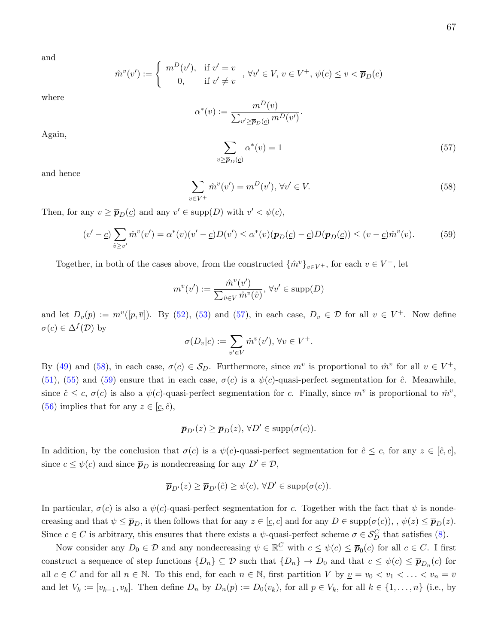and

$$
\hat{m}^v(v') := \begin{cases}\n m^D(v'), & \text{if } v' = v \\
 0, & \text{if } v' \neq v\n\end{cases}, \forall v' \in V, v \in V^+, \psi(c) \le v < \overline{p}_D(c)
$$

where

$$
\alpha^*(v) := \frac{m^D(v)}{\sum_{v' \ge \overline{p}_D(v)} m^D(v')}.
$$

Again,

<span id="page-67-0"></span>
$$
\sum_{v \ge \overline{p}_D(\underline{c})} \alpha^*(v) = 1 \tag{57}
$$

and hence

<span id="page-67-1"></span>
$$
\sum_{v \in V^+} \hat{m}^v(v') = m^D(v'), \forall v' \in V.
$$
\n
$$
(58)
$$

Then, for any  $v \ge \overline{p}_D(\underline{c})$  and any  $v' \in \text{supp}(D)$  with  $v' < \psi(c)$ ,

<span id="page-67-2"></span>
$$
(v'-\underline{c})\sum_{\hat{v}\geq v'}\hat{m}^v(v') = \alpha^*(v)(v'-\underline{c})D(v') \leq \alpha^*(v)(\overline{p}_D(\underline{c}) - \underline{c})D(\overline{p}_D(\underline{c})) \leq (v-\underline{c})\hat{m}^v(v). \tag{59}
$$

Together, in both of the cases above, from the constructed  $\{\hat{m}^v\}_{v\in V^+}$ , for each  $v \in V^+$ , let

$$
m^{v}(v') := \frac{\hat{m}^{v}(v')}{\sum_{\hat{v} \in V} \hat{m}^{v}(\hat{v})}, \,\forall v' \in \text{supp}(D)
$$

and let  $D_v(p) := m^v([p, \overline{v}])$ . By [\(52\)](#page-66-2), [\(53\)](#page-66-3) and [\(57\)](#page-67-0), in each case,  $D_v \in \mathcal{D}$  for all  $v \in V^+$ . Now define  $\sigma(c) \in \Delta^f(\mathcal{D})$  by

$$
\sigma(D_v|c) := \sum_{v' \in V} \hat{m}^v(v'), \,\forall v \in V^+.
$$

By [\(49\)](#page-65-0) and [\(58\)](#page-67-1), in each case,  $\sigma(c) \in S_D$ . Furthermore, since  $m^v$  is proportional to  $\hat{m}^v$  for all  $v \in V^+$ , [\(51\)](#page-66-1), [\(55\)](#page-66-4) and [\(59\)](#page-67-2) ensure that in each case,  $\sigma(c)$  is a  $\psi(c)$ -quasi-perfect segmentation for  $\hat{c}$ . Meanwhile, since  $\hat{c} \leq c, \sigma(c)$  is also a  $\psi(c)$ -quasi-perfect segmentation for c. Finally, since  $m^v$  is proportional to  $\hat{m}^v$ , [\(56\)](#page-66-5) implies that for any  $z \in [\underline{c}, \hat{c})$ ,

$$
\overline{\boldsymbol{p}}_{D'}(z) \ge \overline{\boldsymbol{p}}_{D}(z), \,\forall D' \in \text{supp}(\sigma(c)).
$$

In addition, by the conclusion that  $\sigma(c)$  is a  $\psi(c)$ -quasi-perfect segmentation for  $\hat{c} \leq c$ , for any  $z \in [\hat{c}, c]$ , since  $c \leq \psi(c)$  and since  $\overline{p}_D$  is nondecreasing for any  $D' \in \mathcal{D}$ ,

$$
\overline{\boldsymbol{p}}_{D'}(z) \ge \overline{\boldsymbol{p}}_{D'}(\hat{c}) \ge \psi(c), \,\forall D' \in \text{supp}(\sigma(c)).
$$

In particular,  $\sigma(c)$  is also a  $\psi(c)$ -quasi-perfect segmentation for c. Together with the fact that  $\psi$  is nondecreasing and that  $\psi \leq \bar{p}_D$ , it then follows that for any  $z \in [c, c]$  and for any  $D \in \text{supp}(\sigma(c))$ , ,  $\psi(z) \leq \bar{p}_D(z)$ . Since  $c \in C$  is arbitrary, this ensures that there exists a  $\psi$ -quasi-perfect scheme  $\sigma \in \mathcal{S}_D^C$  that satisfies [\(8\)](#page-18-1).

Now consider any  $D_0 \in \mathcal{D}$  and any nondecreasing  $\psi \in \mathbb{R}^C_+$  with  $c \leq \psi(c) \leq \bar{p}_0(c)$  for all  $c \in C$ . I first construct a sequence of step functions  $\{D_n\} \subseteq \mathcal{D}$  such that  $\{D_n\} \to D_0$  and that  $c \leq \psi(c) \leq \overline{p}_{D_n}(c)$  for all  $c \in C$  and for all  $n \in \mathbb{N}$ . To this end, for each  $n \in \mathbb{N}$ , first partition V by  $\underline{v} = v_0 < v_1 < \ldots < v_n = \overline{v}$ and let  $V_k := [v_{k-1}, v_k]$ . Then define  $D_n$  by  $D_n(p) := D_0(v_k)$ , for all  $p \in V_k$ , for all  $k \in \{1, ..., n\}$  (i.e., by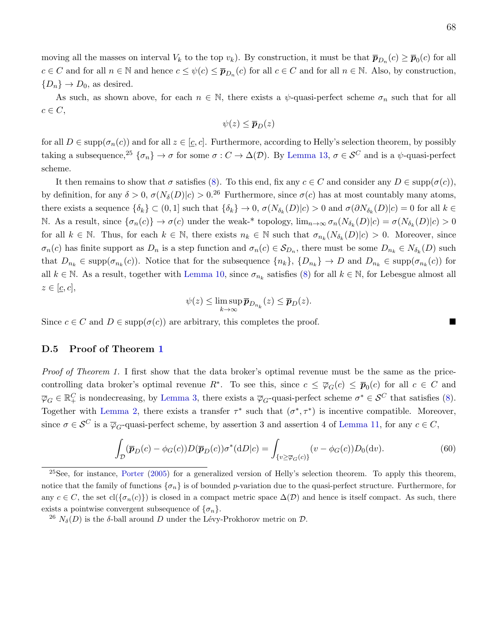moving all the masses on interval  $V_k$  to the top  $v_k$ ). By construction, it must be that  $\bar{p}_{D_n}(c) \ge \bar{p}_0(c)$  for all  $c \in C$  and for all  $n \in \mathbb{N}$  and hence  $c \leq \psi(c) \leq \bar{p}_{D_n}(c)$  for all  $c \in C$  and for all  $n \in \mathbb{N}$ . Also, by construction,  ${D_n} \rightarrow D_0$ , as desired.

As such, as shown above, for each  $n \in \mathbb{N}$ , there exists a  $\psi$ -quasi-perfect scheme  $\sigma_n$  such that for all  $c \in C$ ,

$$
\psi(z) \leq \overline{p}_D(z)
$$

for all  $D \in \text{supp}(\sigma_n(c))$  and for all  $z \in [c, c]$ . Furthermore, according to Helly's selection theorem, by possibly taking a subsequence,<sup>[25](#page-68-0)</sup> { $\sigma_n$ }  $\to \sigma$  for some  $\sigma : C \to \Delta(\mathcal{D})$ . By [Lemma 13,](#page-48-1)  $\sigma \in \mathcal{S}^C$  and is a  $\psi$ -quasi-perfect scheme.

It then remains to show that  $\sigma$  satisfies [\(8\)](#page-18-1). To this end, fix any  $c \in C$  and consider any  $D \in \text{supp}(\sigma(c))$ , by definition, for any  $\delta > 0$ ,  $\sigma(N_{\delta}(D)|c) > 0^{26}$  $\sigma(N_{\delta}(D)|c) > 0^{26}$  $\sigma(N_{\delta}(D)|c) > 0^{26}$  Furthermore, since  $\sigma(c)$  has at most countably many atoms, there exists a sequence  $\{\delta_k\} \subset (0,1]$  such that  $\{\delta_k\} \to 0$ ,  $\sigma(N_{\delta_k}(D)|c) > 0$  and  $\sigma(\partial N_{\delta_k}(D)|c) = 0$  for all  $k \in$ N. As a result, since  $\{\sigma_n(c)\}\to \sigma(c)$  under the weak-\* topology,  $\lim_{n\to\infty} \sigma_n(N_{\delta_k}(D)|c) = \sigma(N_{\delta_k}(D)|c) > 0$ for all  $k \in \mathbb{N}$ . Thus, for each  $k \in \mathbb{N}$ , there exists  $n_k \in \mathbb{N}$  such that  $\sigma_{n_k}(N_{\delta_k}(D)|c) > 0$ . Moreover, since  $\sigma_n(c)$  has finite support as  $D_n$  is a step function and  $\sigma_n(c) \in S_{D_n}$ , there must be some  $D_{n_k} \in N_{\delta_k}(D)$  such that  $D_{n_k} \in \text{supp}(\sigma_{n_k}(c))$ . Notice that for the subsequence  $\{n_k\}, \{D_{n_k}\} \to D$  and  $D_{n_k} \in \text{supp}(\sigma_{n_k}(c))$  for all  $k \in \mathbb{N}$ . As a result, together with [Lemma 10,](#page-45-4) since  $\sigma_{n_k}$  satisfies [\(8\)](#page-18-1) for all  $k \in \mathbb{N}$ , for Lebesgue almost all  $z \in [\underline{c}, c],$ 

$$
\psi(z) \leq \limsup_{k \to \infty} \overline{p}_{D_{n_k}}(z) \leq \overline{p}_D(z).
$$

Since  $c \in C$  and  $D \in \text{supp}(\sigma(c))$  are arbitrary, this completes the proof.

#### D.5 Proof of Theorem [1](#page-13-0)

Proof of Theorem 1. I first show that the data broker's optimal revenue must be the same as the pricecontrolling data broker's optimal revenue  $R^*$ . To see this, since  $c \leq \overline{\varphi}_G(c) \leq \overline{p}_0(c)$  for all  $c \in C$  and  $\overline{\varphi}_G \in \mathbb{R}_+^C$  is nondecreasing, by [Lemma 3,](#page-19-0) there exists a  $\overline{\varphi}_G$ -quasi-perfect scheme  $\sigma^* \in \mathcal{S}^C$  that satisfies [\(8\)](#page-18-1). Together with [Lemma 2,](#page-18-0) there exists a transfer  $\tau^*$  such that  $(\sigma^*, \tau^*)$  is incentive compatible. Moreover, since  $\sigma \in \mathcal{S}^C$  is a  $\overline{\varphi}_G$ -quasi-perfect scheme, by assertion 3 and assertion 4 of [Lemma 11,](#page-46-1) for any  $c \in C$ ,

<span id="page-68-2"></span>
$$
\int_{\mathcal{D}} (\overline{\boldsymbol{p}}_D(c) - \phi_G(c)) D(\overline{\boldsymbol{p}}_D(c)) \sigma^*(dD|c) = \int_{\{v \ge \overline{\boldsymbol{\varphi}}_G(c)\}} (v - \phi_G(c)) D_0(dv). \tag{60}
$$

<span id="page-68-0"></span> $^{25}$ See, for instance, [Porter](#page-41-1) [\(2005\)](#page-41-1) for a generalized version of Helly's selection theorem. To apply this theorem, notice that the family of functions  $\{\sigma_n\}$  is of bounded p-variation due to the quasi-perfect structure. Furthermore, for any  $c \in C$ , the set  $cl({\sigma_n(c)})$  is closed in a compact metric space  $\Delta(D)$  and hence is itself compact. As such, there exists a pointwise convergent subsequence of  $\{\sigma_n\}$ .

<span id="page-68-1"></span><sup>&</sup>lt;sup>26</sup>  $N_{\delta}(D)$  is the  $\delta$ -ball around D under the Lévy-Prokhorov metric on D.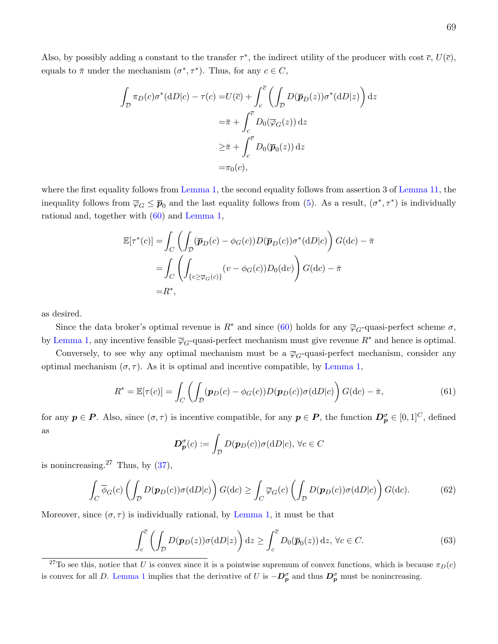$$
\int_{\mathcal{D}} \pi_D(c)\sigma^*(dD|c) - \tau(c) = U(\overline{c}) + \int_c^{\overline{c}} \left( \int_{\mathcal{D}} D(\overline{p}_D(z))\sigma^*(dD|z) \right) dz
$$

$$
= \overline{\pi} + \int_c^{\overline{c}} D_0(\overline{\varphi}_G(z)) dz
$$

$$
\geq \overline{\pi} + \int_c^{\overline{c}} D_0(\overline{p}_0(z)) dz
$$

$$
= \pi_0(c),
$$

where the first equality follows from [Lemma 1,](#page-16-0) the second equality follows from assertion 3 of [Lemma 11,](#page-46-1) the inequality follows from  $\overline{\varphi}_G \leq \overline{p}_0$  and the last equality follows from [\(5\)](#page-16-1). As a result,  $(\sigma^*, \tau^*)$  is individually rational and, together with [\(60\)](#page-68-2) and [Lemma 1,](#page-16-0)

$$
\mathbb{E}[\tau^*(c)] = \int_C \left( \int_D (\overline{\mathbf{p}}_D(c) - \phi_G(c)) D(\overline{\mathbf{p}}_D(c)) \sigma^*(dD|c) \right) G(dc) - \overline{\pi}
$$
  
\n
$$
= \int_C \left( \int_{\{v \ge \overline{\varphi}_G(c)\}} (v - \phi_G(c)) D_0(dv) \right) G(dc) - \overline{\pi}
$$
  
\n
$$
= R^*,
$$

as desired.

Since the data broker's optimal revenue is  $R^*$  and since [\(60\)](#page-68-2) holds for any  $\overline{\varphi}_G$ -quasi-perfect scheme  $\sigma$ , by [Lemma 1,](#page-16-0) any incentive feasible  $\overline{\varphi}_G$ -quasi-perfect mechanism must give revenue  $R^*$  and hence is optimal.

Conversely, to see why any optimal mechanism must be a  $\overline{\varphi}_G$ -quasi-perfect mechanism, consider any optimal mechanism  $(\sigma, \tau)$ . As it is optimal and incentive compatible, by [Lemma 1,](#page-16-0)

<span id="page-69-1"></span>
$$
R^* = \mathbb{E}[\tau(c)] = \int_C \left( \int_D (\boldsymbol{p}_D(c) - \phi_G(c)) D(\boldsymbol{p}_D(c)) \sigma(\mathrm{d}D|c) \right) G(\mathrm{d}c) - \bar{\pi},\tag{61}
$$

for any  $p \in P$ . Also, since  $(\sigma, \tau)$  is incentive compatible, for any  $p \in P$ , the function  $D_p^{\sigma} \in [0, 1]^C$ , defined as

$$
\boldsymbol{D}_{\boldsymbol{p}}^{\sigma}(c) := \int_{\mathcal{D}} D(\boldsymbol{p}_D(c)) \sigma(\mathrm{d}D|c), \,\forall c \in C
$$

is nonincreasing.<sup>[27](#page-69-0)</sup> Thus, by  $(37)$ ,

<span id="page-69-2"></span>
$$
\int_C \overline{\phi}_G(c) \left( \int_{\mathcal{D}} D(\mathbf{p}_D(c)) \sigma(\mathrm{d}D|c) \right) G(\mathrm{d}c) \ge \int_C \overline{\varphi}_G(c) \left( \int_{\mathcal{D}} D(\mathbf{p}_D(c)) \sigma(\mathrm{d}D|c) \right) G(\mathrm{d}c). \tag{62}
$$

Moreover, since  $(\sigma, \tau)$  is individually rational, by [Lemma 1,](#page-16-0) it must be that

<span id="page-69-3"></span>
$$
\int_{c}^{\overline{c}} \left( \int_{\mathcal{D}} D(\mathbf{p}_D(z)) \sigma(\mathrm{d}D|z) \right) \mathrm{d}z \ge \int_{c}^{\overline{c}} D_0(\overline{\mathbf{p}}_0(z)) \mathrm{d}z, \,\forall c \in C. \tag{63}
$$

<span id="page-69-0"></span><sup>27</sup>To see this, notice that U is convex since it is a pointwise supremum of convex functions, which is because  $\pi_D(c)$ is convex for all D. [Lemma 1](#page-16-0) implies that the derivative of U is  $-D_p^{\sigma}$  and thus  $D_p^{\sigma}$  must be nonincreasing.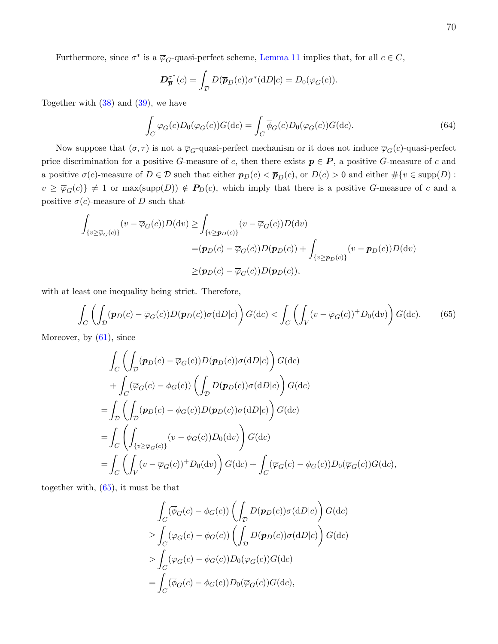Furthermore, since  $\sigma^*$  is a  $\overline{\varphi}_G$ -quasi-perfect scheme, [Lemma 11](#page-46-1) implies that, for all  $c \in C$ ,

$$
\mathbf{D}_{\overline{p}}^{\sigma^*}(c) = \int_{\mathcal{D}} D(\overline{p}_D(c)) \sigma^*(dD|c) = D_0(\overline{\varphi}_G(c)).
$$

Together with  $(38)$  and  $(39)$ , we have

<span id="page-70-1"></span>
$$
\int_C \overline{\varphi}_G(c) D_0(\overline{\varphi}_G(c)) G(\mathrm{d}c) = \int_C \overline{\phi}_G(c) D_0(\overline{\varphi}_G(c)) G(\mathrm{d}c). \tag{64}
$$

Now suppose that  $(\sigma, \tau)$  is not a  $\overline{\varphi}_G$ -quasi-perfect mechanism or it does not induce  $\overline{\varphi}_G(c)$ -quasi-perfect price discrimination for a positive G-measure of c, then there exists  $p \in P$ , a positive G-measure of c and a positive  $\sigma(c)$ -measure of  $D \in \mathcal{D}$  such that either  $p_D(c) < \bar{p}_D(c)$ , or  $D(c) > 0$  and either  $\#\{v \in \text{supp}(D) :$  $v \ge \overline{\varphi}_G(c)$   $\neq$  1 or max(supp(D))  $\notin$   $P_D(c)$ , which imply that there is a positive G-measure of c and a positive  $\sigma(c)$ -measure of D such that

$$
\int_{\{v \ge \overline{\varphi}_G(c)\}} (v - \overline{\varphi}_G(c))D(\mathrm{d}v) \ge \int_{\{v \ge \mathbf{p}_D(c)\}} (v - \overline{\varphi}_G(c))D(\mathrm{d}v)
$$
\n
$$
= (\mathbf{p}_D(c) - \overline{\varphi}_G(c))D(\mathbf{p}_D(c)) + \int_{\{v \ge \mathbf{p}_D(c)\}} (v - \mathbf{p}_D(c))D(\mathrm{d}v)
$$
\n
$$
\ge (\mathbf{p}_D(c) - \overline{\varphi}_G(c))D(\mathbf{p}_D(c)),
$$

with at least one inequality being strict. Therefore,

<span id="page-70-0"></span>
$$
\int_C \left( \int_D (\boldsymbol{p}_D(c) - \overline{\varphi}_G(c)) D(\boldsymbol{p}_D(c)) \sigma(\mathrm{d}D|c) \right) G(\mathrm{d}c) < \int_C \left( \int_V (v - \overline{\varphi}_G(c))^+ D_0(\mathrm{d}v) \right) G(\mathrm{d}c). \tag{65}
$$

Moreover, by  $(61)$ , since

$$
\int_C \left( \int_D (\mathbf{p}_D(c) - \overline{\varphi}_G(c)) D(\mathbf{p}_D(c)) \sigma(\mathrm{d}D|c) \right) G(\mathrm{d}c)
$$
\n
$$
+ \int_C (\overline{\varphi}_G(c) - \phi_G(c)) \left( \int_D D(\mathbf{p}_D(c)) \sigma(\mathrm{d}D|c) \right) G(\mathrm{d}c)
$$
\n
$$
= \int_D \left( \int_D (\mathbf{p}_D(c) - \phi_G(c)) D(\mathbf{p}_D(c)) \sigma(\mathrm{d}D|c) \right) G(\mathrm{d}c)
$$
\n
$$
= \int_C \left( \int_{\{v \ge \overline{\varphi}_G(c)\}} (v - \phi_G(c)) D_0(\mathrm{d}v) \right) G(\mathrm{d}c)
$$
\n
$$
= \int_C \left( \int_V (v - \overline{\varphi}_G(c))^+ D_0(\mathrm{d}v) \right) G(\mathrm{d}c) + \int_C (\overline{\varphi}_G(c) - \phi_G(c)) D_0(\overline{\varphi}_G(c)) G(\mathrm{d}c),
$$

together with, [\(65\)](#page-70-0), it must be that

$$
\int_C (\overline{\phi}_G(c) - \phi_G(c)) \left( \int_{\mathcal{D}} D(\mathbf{p}_D(c)) \sigma(\mathrm{d}D|c) \right) G(\mathrm{d}c)
$$
\n
$$
\geq \int_C (\overline{\varphi}_G(c) - \phi_G(c)) \left( \int_{\mathcal{D}} D(\mathbf{p}_D(c)) \sigma(\mathrm{d}D|c) \right) G(\mathrm{d}c)
$$
\n
$$
> \int_C (\overline{\varphi}_G(c) - \phi_G(c)) D_0(\overline{\varphi}_G(c)) G(\mathrm{d}c)
$$
\n
$$
= \int_C (\overline{\phi}_G(c) - \phi_G(c)) D_0(\overline{\varphi}_G(c)) G(\mathrm{d}c),
$$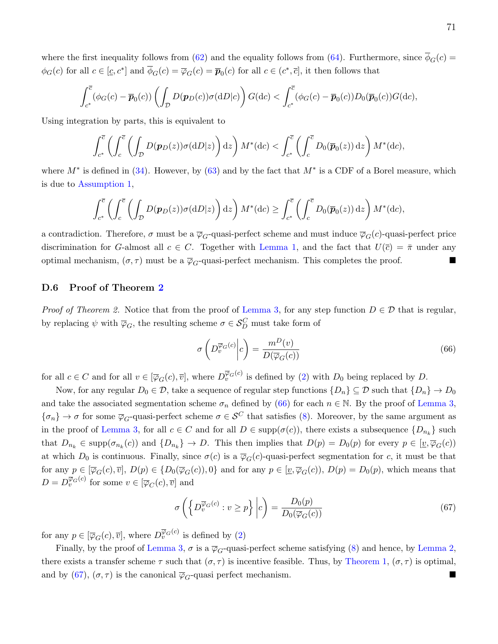where the first inequality follows from [\(62\)](#page-69-2) and the equality follows from [\(64\)](#page-70-1). Furthermore, since  $\phi_G(c)$  $\phi_G(c)$  for all  $c \in [c, c^*]$  and  $\overline{\phi}_G(c) = \overline{\phi}_G(c) = \overline{p}_0(c)$  for all  $c \in (c^*, \overline{c}]$ , it then follows that

$$
\int_{c^*}^{\overline{c}} (\phi_G(c) - \overline{p}_0(c)) \left( \int_{\mathcal{D}} D(\mathbf{p}_D(c)) \sigma(dD|c) \right) G(dc) < \int_{c^*}^{\overline{c}} (\phi_G(c) - \overline{p}_0(c)) D_0(\overline{p}_0(c)) G(dc),
$$

Using integration by parts, this is equivalent to

$$
\int_{c^*}^{\overline{c}} \left( \int_c^{\overline{c}} \left( \int_D D(\boldsymbol{p}_D(z)) \sigma(\mathrm{d}D|z) \right) \mathrm{d}z \right) M^*(\mathrm{d}c) < \int_{c^*}^{\overline{c}} \left( \int_c^{\overline{c}} D_0(\overline{\boldsymbol{p}}_0(z)) \, \mathrm{d}z \right) M^*(\mathrm{d}c),
$$

where  $M^*$  is defined in [\(34\)](#page-57-2). However, by [\(63\)](#page-69-3) and by the fact that  $M^*$  is a CDF of a Borel measure, which is due to [Assumption 1,](#page-11-0)

$$
\int_{c^*}^{\overline{c}} \left( \int_c^{\overline{c}} \left( \int_{\mathcal{D}} D(\boldsymbol{p}_D(z)) \sigma(dD|z) \right) dz \right) M^*(dc) \ge \int_{c^*}^{\overline{c}} \left( \int_c^{\overline{c}} D_0(\overline{\boldsymbol{p}}_0(z)) dz \right) M^*(dc),
$$

a contradiction. Therefore,  $\sigma$  must be a  $\overline{\varphi}_G$ -quasi-perfect scheme and must induce  $\overline{\varphi}_G(c)$ -quasi-perfect price discrimination for G-almost all  $c \in C$ . Together with [Lemma 1,](#page-16-0) and the fact that  $U(\bar{c}) = \bar{\pi}$  under any optimal mechanism,  $(\sigma, \tau)$  must be a  $\overline{\varphi}_G$ -quasi-perfect mechanism. This completes the proof.

#### D.6 Proof of Theorem [2](#page-15-0)

*Proof of Theorem 2.* Notice that from the proof of [Lemma 3,](#page-19-0) for any step function  $D \in \mathcal{D}$  that is regular, by replacing  $\psi$  with  $\overline{\varphi}_G$ , the resulting scheme  $\sigma \in \mathcal{S}_D^C$  must take form of

<span id="page-71-0"></span>
$$
\sigma\left(D_v^{\overline{\varphi}_G(c)}\middle|c\right) = \frac{m^D(v)}{D(\overline{\varphi}_G(c))} \tag{66}
$$

for all  $c \in C$  and for all  $v \in [\overline{\varphi}_G(c), \overline{v}]$ , where  $D_v^{\overline{\varphi}_G(c)}$  is defined by [\(2\)](#page-14-0) with  $D_0$  being replaced by  $D$ .

Now, for any regular  $D_0 \in \mathcal{D}$ , take a sequence of regular step functions  $\{D_n\} \subseteq \mathcal{D}$  such that  $\{D_n\} \to D_0$ and take the associated segmentation scheme  $\sigma_n$  defined by [\(66\)](#page-71-0) for each  $n \in \mathbb{N}$ . By the proof of [Lemma 3,](#page-19-0)  ${\{\sigma_n\}} \to \sigma$  for some  $\overline{\varphi}_G$ -quasi-perfect scheme  $\sigma \in \mathcal{S}^C$  that satisfies [\(8\)](#page-18-1). Moreover, by the same argument as in the proof of [Lemma 3,](#page-19-0) for all  $c \in C$  and for all  $D \in \text{supp}(\sigma(c))$ , there exists a subsequence  $\{D_{n_k}\}$  such that  $D_{n_k} \in \text{supp}(\sigma_{n_k}(c))$  and  $\{D_{n_k}\} \to D$ . This then implies that  $D(p) = D_0(p)$  for every  $p \in [\underline{v}, \overline{\varphi}_G(c))$ at which  $D_0$  is continuous. Finally, since  $\sigma(c)$  is a  $\overline{\varphi}_G(c)$ -quasi-perfect segmentation for c, it must be that for any  $p \in [\overline{\varphi}_G(c), \overline{v}]$ ,  $D(p) \in \{D_0(\overline{\varphi}_G(c)), 0\}$  and for any  $p \in [\underline{v}, \overline{\varphi}_G(c)), D(p) = D_0(p)$ , which means that  $D = D_v^{\overline{\varphi}_G(c)}$  for some  $v \in [\overline{\varphi}_C(c), \overline{v}]$  and

<span id="page-71-1"></span>
$$
\sigma\left(\left\{D_v^{\overline{\varphi}_G(c)} : v \ge p\right\}\bigg| c\right) = \frac{D_0(p)}{D_0(\overline{\varphi}_G(c))} \tag{67}
$$

for any  $p \in [\overline{\varphi}_G(c), \overline{v}]$ , where  $D_v^{\overline{\varphi}_G(c)}$  is defined by [\(2\)](#page-14-0)

Finally, by the proof of [Lemma 3,](#page-19-0)  $\sigma$  is a  $\overline{\varphi}_G$ -quasi-perfect scheme satisfying [\(8\)](#page-18-1) and hence, by [Lemma 2,](#page-18-0) there exists a transfer scheme  $\tau$  such that  $(\sigma, \tau)$  is incentive feasible. Thus, by [Theorem 1,](#page-13-0)  $(\sigma, \tau)$  is optimal, and by [\(67\)](#page-71-1),  $(\sigma, \tau)$  is the canonical  $\overline{\varphi}_G$ -quasi perfect mechanism.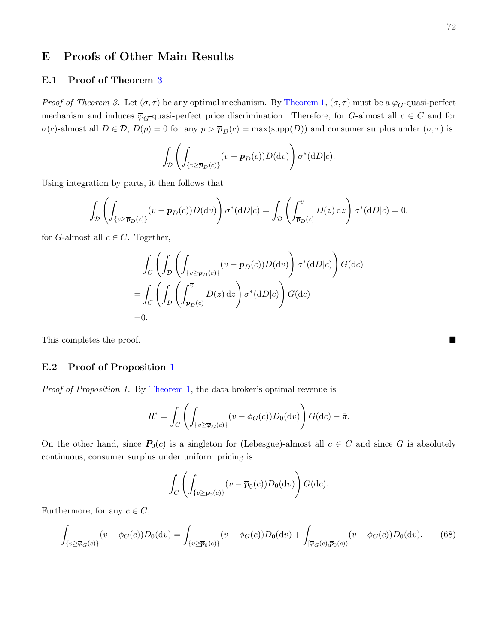# E Proofs of Other Main Results

# E.1 Proof of Theorem [3](#page-22-0)

*Proof of Theorem 3.* Let  $(\sigma, \tau)$  be any optimal mechanism. By [Theorem 1,](#page-13-0)  $(\sigma, \tau)$  must be a  $\overline{\varphi}_G$ -quasi-perfect mechanism and induces  $\overline{\varphi}_G$ -quasi-perfect price discrimination. Therefore, for G-almost all  $c \in C$  and for  $\sigma(c)$ -almost all  $D \in \mathcal{D}$ ,  $D(p) = 0$  for any  $p > \bar{p}_D(c) = \max(\text{supp}(D))$  and consumer surplus under  $(\sigma, \tau)$  is

$$
\int_{\mathcal{D}} \left( \int_{\{v \ge \overline{\boldsymbol{p}}_D(c)\}} (v - \overline{\boldsymbol{p}}_D(c)) D(\mathrm{d}v) \right) \sigma^*(\mathrm{d}D|c).
$$

Using integration by parts, it then follows that

$$
\int_{\mathcal{D}} \left( \int_{\{v \ge \overline{\boldsymbol{p}}_D(c)\}} (v - \overline{\boldsymbol{p}}_D(c)) D(\mathrm{d}v) \right) \sigma^*(\mathrm{d}D|c) = \int_{\mathcal{D}} \left( \int_{\overline{\boldsymbol{p}}_D(c)}^{\overline{v}} D(z) \, \mathrm{d}z \right) \sigma^*(\mathrm{d}D|c) = 0.
$$

for G-almost all  $c \in C$ . Together,

$$
\int_C \left( \int_{\mathcal{D}} \left( \int_{\{v \ge \overline{\boldsymbol{p}}_D(c)\}} (v - \overline{\boldsymbol{p}}_D(c)) D(\mathrm{d}v) \right) \sigma^*(\mathrm{d}D|c) \right) G(\mathrm{d}c)
$$
\n
$$
= \int_C \left( \int_{\mathcal{D}} \left( \int_{\overline{\boldsymbol{p}}_D(c)}^{\overline{v}} D(z) \, \mathrm{d}z \right) \sigma^*(\mathrm{d}D|c) \right) G(\mathrm{d}c)
$$
\n=0.

This completes the proof.

### E.2 Proof of Proposition [1](#page-23-0)

Proof of Proposition 1. By [Theorem 1,](#page-13-0) the data broker's optimal revenue is

$$
R^* = \int_C \left( \int_{\{v \ge \overline{\varphi}_G(c)\}} (v - \phi_G(c)) D_0(\mathrm{d}v) \right) G(\mathrm{d}c) - \overline{\pi}.
$$

On the other hand, since  $P_0(c)$  is a singleton for (Lebesgue)-almost all  $c \in C$  and since G is absolutely continuous, consumer surplus under uniform pricing is

$$
\int_C \left( \int_{\{v \ge \overline{\boldsymbol{p}}_0(c)\}} (v - \overline{\boldsymbol{p}}_0(c)) D_0(\mathrm{d}v) \right) G(\mathrm{d}c).
$$

Furthermore, for any  $c \in C$ ,

<span id="page-72-0"></span>
$$
\int_{\{v \ge \overline{\varphi}_G(c)\}} (v - \phi_G(c)) D_0(\mathrm{d}v) = \int_{\{v \ge \overline{\pmb{p}}_0(c)\}} (v - \phi_G(c)) D_0(\mathrm{d}v) + \int_{[\overline{\varphi}_G(c), \overline{\pmb{p}}_0(c))} (v - \phi_G(c)) D_0(\mathrm{d}v). \tag{68}
$$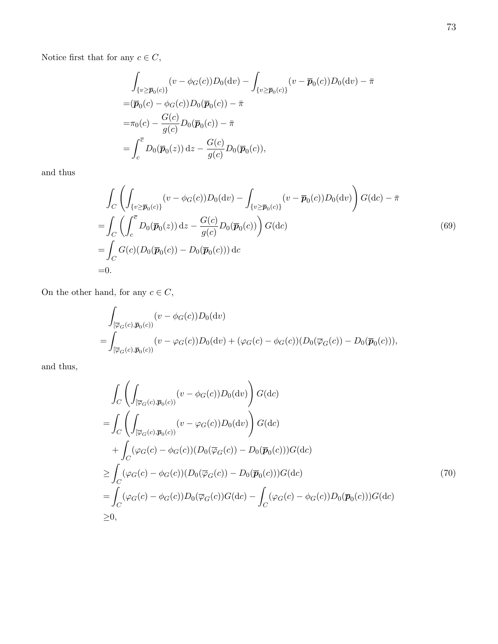Notice first that for any  $c\in C,$ 

$$
\int_{\{v \ge \overline{p}_0(c)\}} (v - \phi_G(c))D_0(\mathrm{d}v) - \int_{\{v \ge \overline{p}_0(c)\}} (v - \overline{p}_0(c))D_0(\mathrm{d}v) - \overline{\pi}
$$
\n
$$
= (\overline{p}_0(c) - \phi_G(c))D_0(\overline{p}_0(c)) - \overline{\pi}
$$
\n
$$
= \pi_0(c) - \frac{G(c)}{g(c)}D_0(\overline{p}_0(c)) - \overline{\pi}
$$
\n
$$
= \int_c^{\overline{c}} D_0(\overline{p}_0(z)) \, \mathrm{d}z - \frac{G(c)}{g(c)}D_0(\overline{p}_0(c)),
$$

and thus

<span id="page-73-0"></span>
$$
\int_{C} \left( \int_{\{v \ge \overline{p}_0(c)\}} (v - \phi_G(c)) D_0(\mathrm{d}v) - \int_{\{v \ge \overline{p}_0(c)\}} (v - \overline{p}_0(c)) D_0(\mathrm{d}v) \right) G(\mathrm{d}c) - \bar{\pi}
$$
\n
$$
= \int_{C} \left( \int_c^{\overline{c}} D_0(\overline{p}_0(z)) \, \mathrm{d}z - \frac{G(c)}{g(c)} D_0(\overline{p}_0(c)) \right) G(\mathrm{d}c)
$$
\n
$$
= \int_{C} G(c) (D_0(\overline{p}_0(c)) - D_0(\overline{p}_0(c))) \, \mathrm{d}c \tag{69}
$$
\n
$$
= 0.
$$

On the other hand, for any  $c\in C,$ 

$$
\int_{\left[\overline{\varphi}_G(c),\overline{p}_0(c)\right)} (v - \phi_G(c))D_0(\mathrm{d}v)
$$
\n
$$
= \int_{\left[\overline{\varphi}_G(c),\overline{p}_0(c)\right)} (v - \varphi_G(c))D_0(\mathrm{d}v) + (\varphi_G(c) - \phi_G(c))(D_0(\overline{\varphi}_G(c)) - D_0(\overline{p}_0(c))),
$$

and thus,

<span id="page-73-1"></span>
$$
\int_C \left( \int_{[\overline{\varphi}_G(c),\overline{p}_0(c))} (v - \phi_G(c))D_0(dv) \right) G(dc)
$$
\n
$$
= \int_C \left( \int_{[\overline{\varphi}_G(c),\overline{p}_0(c))} (v - \varphi_G(c))D_0(dv) \right) G(dc)
$$
\n
$$
+ \int_C (\varphi_G(c) - \phi_G(c)) (D_0(\overline{\varphi}_G(c)) - D_0(\overline{p}_0(c)))G(dc)
$$
\n
$$
\geq \int_C (\varphi_G(c) - \phi_G(c)) (D_0(\overline{\varphi}_G(c)) - D_0(\overline{p}_0(c)))G(dc)
$$
\n
$$
= \int_C (\varphi_G(c) - \phi_G(c))D_0(\overline{\varphi}_G(c))G(dc) - \int_C (\varphi_G(c) - \phi_G(c))D_0(\overline{p}_0(c)))G(dc)
$$
\n
$$
\geq 0,
$$
\n(70)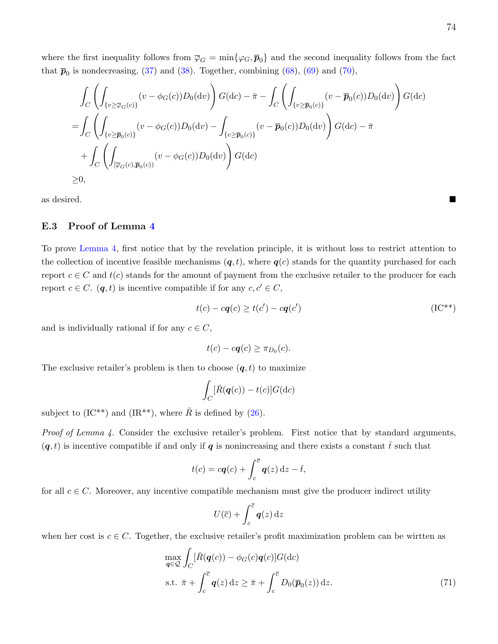where the first inequality follows from  $\overline{\varphi}_G = \min{\{\varphi_G, \overline{\pmb{p}}_0\}}$  and the second inequality follows from the fact that  $\bar{p}_0$  is nondecreasing, [\(37\)](#page-58-0) and [\(38\)](#page-59-0). Together, combining [\(68\)](#page-72-0), [\(69\)](#page-73-0) and [\(70\)](#page-73-1),

$$
\int_C \left( \int_{\{v \ge \overline{\varphi}_G(c)\}} (v - \phi_G(c)) D_0(\mathrm{d}v) \right) G(\mathrm{d}c) - \bar{\pi} - \int_C \left( \int_{\{v \ge \overline{\mathbf{p}}_0(c)\}} (v - \overline{\mathbf{p}}_0(c)) D_0(\mathrm{d}v) \right) G(\mathrm{d}c)
$$
\n
$$
= \int_C \left( \int_{\{v \ge \overline{\mathbf{p}}_0(c)\}} (v - \phi_G(c)) D_0(\mathrm{d}v) - \int_{\{v \ge \overline{\mathbf{p}}_0(c)\}} (v - \overline{\mathbf{p}}_0(c)) D_0(\mathrm{d}v) \right) G(\mathrm{d}c) - \bar{\pi}
$$
\n
$$
+ \int_C \left( \int_{[\overline{\varphi}_G(c), \overline{\mathbf{p}}_0(c))} (v - \phi_G(c)) D_0(\mathrm{d}v) \right) G(\mathrm{d}c)
$$
\n
$$
\ge 0,
$$

as desired.

### E.3 Proof of Lemma [4](#page-26-0)

To prove [Lemma 4,](#page-26-0) first notice that by the revelation principle, it is without loss to restrict attention to the collection of incentive feasible mechanisms  $(q, t)$ , where  $q(c)$  stands for the quantity purchased for each report  $c \in C$  and  $t(c)$  stands for the amount of payment from the exclusive retailer to the producer for each report  $c \in C$ .  $(q, t)$  is incentive compatible if for any  $c, c' \in C$ ,

$$
t(c) - c\mathbf{q}(c) \ge t(c') - c\mathbf{q}(c')
$$
 (IC<sup>\*\*</sup>)

and is individually rational if for any  $c \in C$ ,

$$
t(c) - c\boldsymbol{q}(c) \geq \pi_{D_0}(c).
$$

The exclusive retailer's problem is then to choose  $(q, t)$  to maximize

$$
\int_C [\bar{R}(\boldsymbol{q}(c)) - t(c)] G(\mathrm{d}c)
$$

subject to  $(IC^{**})$  and  $(IR^{**})$ , where  $\overline{R}$  is defined by [\(26\)](#page-53-0).

Proof of Lemma 4. Consider the exclusive retailer's problem. First notice that by standard arguments,  $(q, t)$  is incentive compatible if and only if q is nonincreasing and there exists a constant  $\bar{t}$  such that

$$
t(c) = cq(c) + \int_c^{\overline{c}} \mathbf{q}(z) dz - \overline{t},
$$

for all  $c \in C$ . Moreover, any incentive compatible mechanism must give the producer indirect utility

<span id="page-74-0"></span>
$$
U(\overline{c}) + \int_{c}^{\overline{c}} \mathbf{q}(z) \,\mathrm{d}z
$$

when her cost is  $c \in C$ . Together, the exclusive retailer's profit maximization problem can be wirtten as

$$
\max_{\mathbf{q}\in\mathcal{Q}} \int_C [\bar{R}(\mathbf{q}(c)) - \phi_G(c)\mathbf{q}(c)] G(\mathrm{d}c)
$$
\n
$$
\text{s.t. } \bar{\pi} + \int_c^{\bar{c}} \mathbf{q}(z) \, \mathrm{d}z \ge \bar{\pi} + \int_c^{\bar{c}} D_0(\bar{\mathbf{p}}_0(z)) \, \mathrm{d}z. \tag{71}
$$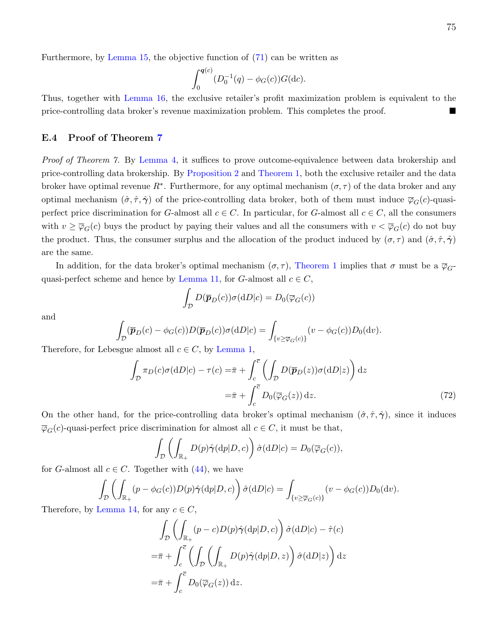Furthermore, by [Lemma 15,](#page-53-1) the objective function of [\(71\)](#page-74-0) can be written as

$$
\int_0^{\mathbf{q}(c)} (D_0^{-1}(q) - \phi_G(c)) G(\mathrm{d}c).
$$

Thus, together with [Lemma 16,](#page-54-0) the exclusive retailer's profit maximization problem is equivalent to the price-controlling data broker's revenue maximization problem. This completes the proof.

### E.4 Proof of Theorem [7](#page-27-0)

Proof of Theorem 7. By [Lemma 4,](#page-26-0) it suffices to prove outcome-equivalence between data brokership and price-controlling data brokership. By [Proposition 2](#page-26-1) and [Theorem 1,](#page-13-0) both the exclusive retailer and the data broker have optimal revenue  $R^*$ . Furthermore, for any optimal mechanism  $(\sigma, \tau)$  of the data broker and any optimal mechanism  $(\hat{\sigma}, \hat{\tau}, \hat{\gamma})$  of the price-controlling data broker, both of them must induce  $\overline{\varphi}_G(c)$ -quasiperfect price discrimination for G-almost all  $c \in C$ . In particular, for G-almost all  $c \in C$ , all the consumers with  $v \ge \overline{\varphi}_G(c)$  buys the product by paying their values and all the consumers with  $v < \overline{\varphi}_G(c)$  do not buy the product. Thus, the consumer surplus and the allocation of the product induced by  $(\sigma, \tau)$  and  $(\hat{\sigma}, \hat{\tau}, \hat{\gamma})$ are the same.

In addition, for the data broker's optimal mechanism  $(\sigma, \tau)$ , [Theorem 1](#page-13-0) implies that  $\sigma$  must be a  $\overline{\varphi}_G$ -quasi-perfect scheme and hence by [Lemma 11,](#page-46-0) for G-almost all  $c \in C$ ,

$$
\int_{\mathcal{D}} D(\overline{\boldsymbol{p}}_D(c)) \sigma(\mathrm{d}D|c) = D_0(\overline{\varphi}_G(c))
$$

and

$$
\int_{\mathcal{D}} (\overline{\boldsymbol{p}}_D(c) - \phi_G(c)) D(\overline{\boldsymbol{p}}_D(c)) \sigma(dD|c) = \int_{\{v \ge \overline{\varphi}_G(c)\}} (v - \phi_G(c)) D_0(dv).
$$

Therefore, for Lebesgue almost all  $c \in C$ , by [Lemma 1,](#page-16-0)

$$
\int_{\mathcal{D}} \pi_D(c)\sigma(\mathrm{d}D|c) - \tau(c) = \bar{\pi} + \int_c^{\bar{c}} \left( \int_{\mathcal{D}} D(\bar{p}_D(z))\sigma(\mathrm{d}D|z) \right) \mathrm{d}z
$$

$$
= \bar{\pi} + \int_c^{\bar{c}} D_0(\bar{\varphi}_G(z)) \mathrm{d}z.
$$
(72)

On the other hand, for the price-controlling data broker's optimal mechanism  $(\hat{\sigma}, \hat{\tau}, \hat{\gamma})$ , since it induces  $\overline{\varphi}_G(c)$ -quasi-perfect price discrimination for almost all  $c \in C$ , it must be that,

$$
\int_{\mathcal{D}} \left( \int_{\mathbb{R}_+} D(p) \hat{\gamma}(\mathrm{d}p | D, c) \right) \hat{\sigma}(\mathrm{d}D | c) = D_0(\overline{\varphi}_G(c)),
$$

for G-almost all  $c \in C$ . Together with  $(44)$ , we have

$$
\int_{\mathcal{D}} \left( \int_{\mathbb{R}_+} (p - \phi_G(c)) D(p) \hat{\gamma}(\mathrm{d}p | D, c) \right) \hat{\sigma}(\mathrm{d}D | c) = \int_{\{v \ge \overline{\varphi}_G(c)\}} (v - \phi_G(c)) D_0(\mathrm{d}v).
$$

Therefore, by [Lemma 14,](#page-50-0) for any  $c \in C$ ,

$$
\int_{\mathcal{D}} \left( \int_{\mathbb{R}_+} (p - c) D(p) \hat{\gamma}(\mathrm{d}p | D, c) \right) \hat{\sigma}(\mathrm{d}D | c) - \hat{\tau}(c)
$$
\n
$$
= \bar{\pi} + \int_c^{\bar{c}} \left( \int_{\mathcal{D}} \left( \int_{\mathbb{R}_+} D(p) \hat{\gamma}(\mathrm{d}p | D, z) \right) \hat{\sigma}(\mathrm{d}D | z) \right) \mathrm{d}z
$$
\n
$$
= \bar{\pi} + \int_c^{\bar{c}} D_0(\bar{\varphi}_G(z)) \, \mathrm{d}z.
$$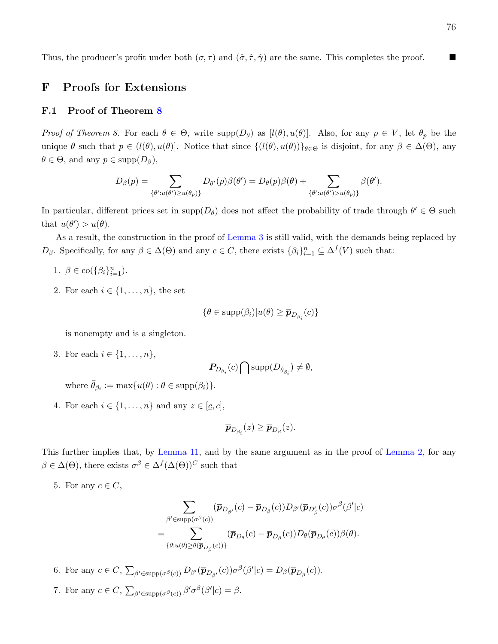Thus, the producer's profit under both  $(\sigma, \tau)$  and  $(\hat{\sigma}, \hat{\tau}, \hat{\gamma})$  are the same. This completes the proof.

# F Proofs for Extensions

### F.1 Proof of Theorem [8](#page-31-0)

Proof of Theorem 8. For each  $\theta \in \Theta$ , write  $\text{supp}(D_{\theta})$  as  $[l(\theta), u(\theta)]$ . Also, for any  $p \in V$ , let  $\theta_p$  be the unique  $\theta$  such that  $p \in (l(\theta), u(\theta))$ . Notice that since  $\{(l(\theta), u(\theta))\}_{\theta \in \Theta}$  is disjoint, for any  $\beta \in \Delta(\Theta)$ , any  $\theta \in \Theta$ , and any  $p \in \text{supp}(D_{\beta})$ ,

$$
D_{\beta}(p) = \sum_{\{\theta': u(\theta') \ge u(\theta_p)\}} D_{\theta'}(p)\beta(\theta') = D_{\theta}(p)\beta(\theta) + \sum_{\{\theta': u(\theta') > u(\theta_p)\}} \beta(\theta').
$$

In particular, different prices set in  $\text{supp}(D_{\theta})$  does not affect the probability of trade through  $\theta' \in \Theta$  such that  $u(\theta') > u(\theta)$ .

As a result, the construction in the proof of [Lemma 3](#page-19-0) is still valid, with the demands being replaced by  $D_{\beta}$ . Specifically, for any  $\beta \in \Delta(\Theta)$  and any  $c \in C$ , there exists  $\{\beta_i\}_{i=1}^n \subseteq \Delta^f(V)$  such that:

- 1.  $\beta \in \text{co}(\{\beta_i\}_{i=1}^n)$ .
- 2. For each  $i \in \{1, \ldots, n\}$ , the set

$$
\{\theta \in \text{supp}(\beta_i)|u(\theta) \geq \overline{\boldsymbol{p}}_{D_{\beta_i}}(c)\}\
$$

is nonempty and is a singleton.

3. For each  $i \in \{1, ..., n\},\$ 

$$
\boldsymbol{P}_{D_{\beta_i}}(c)\bigcap \text{supp}(D_{\bar{\theta}_{\beta_i}})\neq \emptyset,
$$

where  $\bar{\theta}_{\beta_i} := \max\{u(\theta) : \theta \in \text{supp}(\beta_i)\}.$ 

4. For each  $i \in \{1, \ldots, n\}$  and any  $z \in [\underline{c}, c]$ ,

$$
\overline{\boldsymbol{p}}_{D_{\beta_i}}(z) \geq \overline{\boldsymbol{p}}_{D_{\beta}}(z).
$$

This further implies that, by [Lemma 11,](#page-46-0) and by the same argument as in the proof of [Lemma 2,](#page-18-0) for any  $\beta \in \Delta(\Theta)$ , there exists  $\sigma^{\beta} \in \Delta^f(\Delta(\Theta))^C$  such that

5. For any  $c \in C$ ,

$$
\sum_{\beta' \in \text{supp}(\sigma^{\beta}(c))} (\overline{p}_{D_{\beta'}}(c) - \overline{p}_{D_{\beta}}(c)) D_{\beta'}(\overline{p}_{D'_{\beta}}(c)) \sigma^{\beta}(\beta'|c) = \sum_{\{\theta: u(\theta) \ge \theta(\overline{p}_{D_{\beta}}(c))\}} (\overline{p}_{D_{\theta}}(c) - \overline{p}_{D_{\beta}}(c)) D_{\theta}(\overline{p}_{D_{\theta}}(c)) \beta(\theta).
$$

- 6. For any  $c \in C$ ,  $\sum_{\beta' \in \text{supp}(\sigma^{\beta}(c))} D_{\beta'}(\overline{p}_{D_{\beta'}}(c)) \sigma^{\beta}(\beta'|c) = D_{\beta}(\overline{p}_{D_{\beta}}(c))$ .
- 7. For any  $c \in C$ ,  $\sum_{\beta' \in \text{supp}(\sigma^{\beta}(c))} \beta' \sigma^{\beta}(\beta'|c) = \beta$ .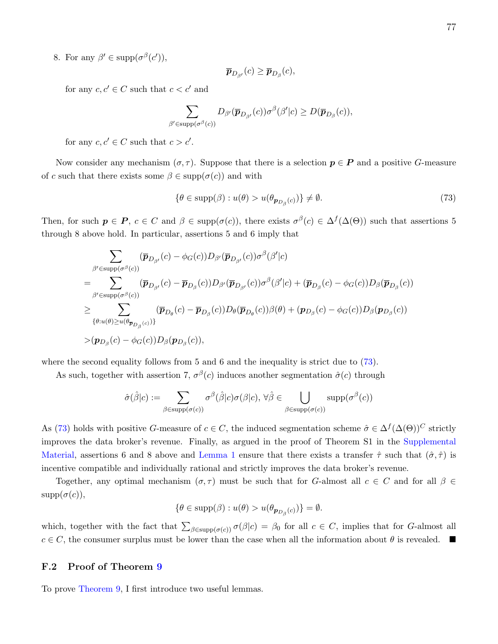8. For any  $\beta' \in \text{supp}(\sigma^{\beta}(c'))$ ,

$$
\overline{\boldsymbol{p}}_{D_{\beta'}}(c) \geq \overline{\boldsymbol{p}}_{D_{\beta}}(c),
$$

for any  $c, c' \in C$  such that  $c < c'$  and

$$
\sum_{\beta' \in \text{supp}(\sigma^{\beta}(c))} D_{\beta'}(\overline{\pmb{p}}_{D_{\beta'}}(c)) \sigma^{\beta}(\beta'|c) \geq D(\overline{\pmb{p}}_{D_{\beta}}(c)),
$$

for any  $c, c' \in C$  such that  $c > c'$ .

Now consider any mechanism  $(\sigma, \tau)$ . Suppose that there is a selection  $p \in P$  and a positive G-measure of c such that there exists some  $\beta \in \text{supp}(\sigma(c))$  and with

<span id="page-77-0"></span>
$$
\{\theta \in \text{supp}(\beta) : u(\theta) > u(\theta_{\mathbf{p}_{D_{\beta}}(c)})\} \neq \emptyset. \tag{73}
$$

Then, for such  $p \in P$ ,  $c \in C$  and  $\beta \in \text{supp}(\sigma(c))$ , there exists  $\sigma^{\beta}(c) \in \Delta^{f}(\Delta(\Theta))$  such that assertions 5 through 8 above hold. In particular, assertions 5 and 6 imply that

$$
\sum_{\beta' \in \text{supp}(\sigma^{\beta}(c))} (\overline{p}_{D_{\beta'}}(c) - \phi_G(c)) D_{\beta'}(\overline{p}_{D_{\beta'}}(c)) \sigma^{\beta}(\beta'|c) \n= \sum_{\beta' \in \text{supp}(\sigma^{\beta}(c))} (\overline{p}_{D_{\beta'}}(c) - \overline{p}_{D_{\beta}}(c)) D_{\beta'}(\overline{p}_{D_{\beta'}}(c)) \sigma^{\beta}(\beta'|c) + (\overline{p}_{D_{\beta}}(c) - \phi_G(c)) D_{\beta}(\overline{p}_{D_{\beta}}(c)) \n\geq \sum_{\{\theta:u(\theta) \geq u(\theta_{\overline{p}_{D_{\beta}}(c)})\}} (\overline{p}_{D_{\theta}}(c) - \overline{p}_{D_{\beta}}(c)) D_{\theta}(\overline{p}_{D_{\theta}}(c)) \beta(\theta) + (p_{D_{\beta}}(c) - \phi_G(c)) D_{\beta}(p_{D_{\beta}}(c)) \n> (p_{D_{\beta}}(c) - \phi_G(c)) D_{\beta}(p_{D_{\beta}}(c)),
$$

where the second equality follows from 5 and 6 and the inequality is strict due to  $(73)$ .

As such, together with assertion 7,  $\sigma^{\beta}(c)$  induces another segmentation  $\hat{\sigma}(c)$  through

$$
\hat{\sigma}(\hat{\beta}|c) := \sum_{\beta \in \text{supp}(\sigma(c))} \sigma^{\beta}(\hat{\beta}|c)\sigma(\beta|c), \,\forall \hat{\beta} \in \bigcup_{\beta \in \text{supp}(\sigma(c))} \text{supp}(\sigma^{\beta}(c))
$$

As [\(73\)](#page-77-0) holds with positive G-measure of  $c \in C$ , the induced segmentation scheme  $\hat{\sigma} \in \Delta^f(\Delta(\Theta))^C$  strictly improves the data broker's revenue. Finally, as argued in the proof of Theorem S1 in the [Supplemental](https://kaihaoyang.com/wp-content/uploads/2019/10/Optimal-Market-Segmentaion-Design-and-its-Consequences-Supplemental-Materials.pdf) [Material,](https://kaihaoyang.com/wp-content/uploads/2019/10/Optimal-Market-Segmentaion-Design-and-its-Consequences-Supplemental-Materials.pdf) assertions 6 and 8 above and [Lemma 1](#page-16-0) ensure that there exists a transfer  $\hat{\tau}$  such that  $(\hat{\sigma}, \hat{\tau})$  is incentive compatible and individually rational and strictly improves the data broker's revenue.

Together, any optimal mechanism  $(\sigma, \tau)$  must be such that for G-almost all  $c \in C$  and for all  $\beta \in$  $supp(\sigma(c)),$ 

$$
\{\theta \in \text{supp}(\beta) : u(\theta) > u(\theta_{\mathbf{p}_{D_{\beta}}(c)})\} = \emptyset.
$$

which, together with the fact that  $\sum_{\beta \in \text{supp}(\sigma(c))} \sigma(\beta|c) = \beta_0$  for all  $c \in C$ , implies that for G-almost all  $c \in C$ , the consumer surplus must be lower than the case when all the information about  $\theta$  is revealed.

#### F.2 Proof of Theorem [9](#page-32-0)

To prove [Theorem 9,](#page-32-0) I first introduce two useful lemmas.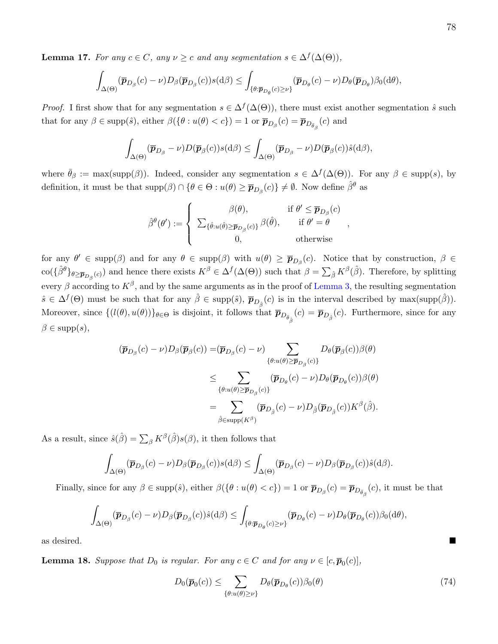<span id="page-78-1"></span>**Lemma 17.** For any  $c \in C$ , any  $\nu \geq c$  and any segmentation  $s \in \Delta^f(\Delta(\Theta))$ ,

$$
\int_{\Delta(\Theta)} (\overline{\boldsymbol{p}}_{D_{\beta}}(c)-\nu) D_{\beta}(\overline{\boldsymbol{p}}_{D_{\beta}}(c))s(\mathrm{d}\beta) \leq \int_{\{\theta:\overline{\boldsymbol{p}}_{D_{\theta}}(c)\geq \nu\}} (\overline{\boldsymbol{p}}_{D_{\theta}}(c)-\nu) D_{\theta}(\overline{\boldsymbol{p}}_{D_{\theta}}) \beta_0(\mathrm{d}\theta),
$$

*Proof.* I first show that for any segmentation  $s \in \Delta^f(\Delta(\Theta))$ , there must exist another segmentation  $\hat{s}$  such that for any  $\beta \in \text{supp}(\hat{s})$ , either  $\beta(\{\theta : u(\theta) < c\}) = 1$  or  $\overline{p}_{D_{\beta}}(c) = \overline{p}_{D_{\bar{\theta}_{\beta}}}(c)$  and

$$
\int_{\Delta(\Theta)} (\overline{\boldsymbol{p}}_{D_{\beta}} - \nu) D(\overline{\boldsymbol{p}}_{\beta}(c)) s(\mathrm{d}\beta) \leq \int_{\Delta(\Theta)} (\overline{\boldsymbol{p}}_{D_{\beta}} - \nu) D(\overline{\boldsymbol{p}}_{\beta}(c)) \hat{s}(\mathrm{d}\beta),
$$

where  $\bar{\theta}_{\beta} := \max(\text{supp}(\beta))$ . Indeed, consider any segmentation  $s \in \Delta^{f}(\Delta(\Theta))$ . For any  $\beta \in \text{supp}(s)$ , by definition, it must be that  $\text{supp}(\beta) \cap \{\theta \in \Theta : u(\theta) \ge \overline{p}_{D_{\beta}}(c)\}\neq \emptyset$ . Now define  $\hat{\beta}^{\theta}$  as

$$
\hat{\beta}^{\theta}(\theta') := \begin{cases}\n\beta(\theta), & \text{if } \theta' \le \overline{p}_{D_{\beta}}(c) \\
\sum_{\{\hat{\theta}:u(\hat{\theta}) \ge \overline{p}_{D_{\beta}}(c)\}} \beta(\hat{\theta}), & \text{if } \theta' = \theta \\
0, & \text{otherwise}\n\end{cases}
$$

,

for any  $\theta' \in \text{supp}(\beta)$  and for any  $\theta \in \text{supp}(\beta)$  with  $u(\theta) \geq \overline{p}_{D_{\beta}}(c)$ . Notice that by construction,  $\beta \in$  $\text{co}(\{\hat{\beta}^{\theta}\}_{\theta\geq\overline{p}_{D_{\beta}}(c)})$  and hence there exists  $K^{\beta}\in \Delta^{f}(\Delta(\Theta))$  such that  $\beta=\sum_{\hat{\beta}}K^{\beta}(\hat{\beta})$ . Therefore, by splitting every  $\beta$  according to  $K^{\beta}$ , and by the same arguments as in the proof of [Lemma 3,](#page-19-0) the resulting segmentation  $\hat{s} \in \Delta^f(\Theta)$  must be such that for any  $\hat{\beta} \in \text{supp}(\hat{s}), \bar{\pmb{p}}_{D_{\hat{\beta}}}(c)$  is in the interval described by max(supp( $\hat{\beta}$ )). Moreover, since  $\{(l(\theta), u(\theta))\}_{\theta \in \Theta}$  is disjoint, it follows that  $\overline{p}_{D_{\bar{\theta}}(c)} = \overline{p}_{D_{\hat{\beta}}}(c)$ . Furthermore, since for any  $\beta \in \text{supp}(s),$ 

$$
(\overline{\boldsymbol{p}}_{D_{\beta}}(c) - \nu)D_{\beta}(\overline{\boldsymbol{p}}_{\beta}(c)) = (\overline{\boldsymbol{p}}_{D_{\beta}}(c) - \nu) \sum_{\{\theta:u(\theta)\geq \overline{\boldsymbol{p}}_{D_{\beta}}(c)\}} D_{\theta}(\overline{\boldsymbol{p}}_{\beta}(c))\beta(\theta)
$$
  

$$
\leq \sum_{\{\theta:u(\theta)\geq \overline{\boldsymbol{p}}_{D_{\beta}}(c)\}} (\overline{\boldsymbol{p}}_{D_{\theta}}(c) - \nu)D_{\theta}(\overline{\boldsymbol{p}}_{D_{\theta}}(c))\beta(\theta)
$$
  

$$
= \sum_{\hat{\beta} \in \text{supp}(K^{\beta})} (\overline{\boldsymbol{p}}_{D_{\hat{\beta}}}(c) - \nu)D_{\hat{\beta}}(\overline{\boldsymbol{p}}_{D_{\hat{\beta}}}(c))K^{\beta}(\hat{\beta}).
$$

As a result, since  $\hat{s}(\hat{\beta}) = \sum_{\beta} K^{\beta}(\hat{\beta})s(\beta)$ , it then follows that

$$
\int_{\Delta(\Theta)} (\overline{\boldsymbol{p}}_{D_{\beta}}(c) - \nu) D_{\beta} (\overline{\boldsymbol{p}}_{D_{\beta}}(c)) s(\mathrm{d}\beta) \leq \int_{\Delta(\Theta)} (\overline{\boldsymbol{p}}_{D_{\beta}}(c) - \nu) D_{\beta} (\overline{\boldsymbol{p}}_{D_{\beta}}(c)) \hat{s}(\mathrm{d}\beta).
$$

Finally, since for any  $\beta \in \text{supp}(\hat{s})$ , either  $\beta(\{\theta : u(\theta) < c\}) = 1$  or  $\overline{p}_{D_{\beta}}(c) = \overline{p}_{D_{\overline{\theta}_{\beta}}}(c)$ , it must be that

$$
\int_{\Delta(\Theta)} (\overline{\boldsymbol{p}}_{D_{\beta}}(c) - \nu) D_{\beta} (\overline{\boldsymbol{p}}_{D_{\beta}}(c)) \hat{s}(d\beta) \leq \int_{\{\theta: \overline{\boldsymbol{p}}_{D_{\theta}}(c) \geq \nu\}} (\overline{\boldsymbol{p}}_{D_{\theta}}(c) - \nu) D_{\theta} (\overline{\boldsymbol{p}}_{D_{\theta}}(c)) \beta_0(d\theta),
$$

as desired.

<span id="page-78-2"></span>**Lemma 18.** Suppose that  $D_0$  is regular. For any  $c \in C$  and for any  $\nu \in [c, \overline{p}_0(c)]$ ,

<span id="page-78-0"></span>
$$
D_0(\overline{\boldsymbol{p}}_0(c)) \le \sum_{\{\theta: u(\theta) \ge \nu\}} D_{\theta}(\overline{\boldsymbol{p}}_{D_{\theta}}(c)) \beta_0(\theta) \tag{74}
$$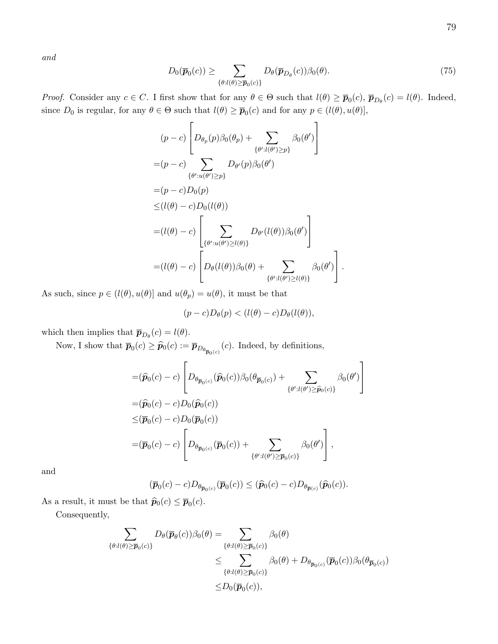and

<span id="page-79-0"></span>
$$
D_0(\overline{\boldsymbol{p}}_0(c)) \ge \sum_{\{\theta:l(\theta)\ge\overline{\boldsymbol{p}}_0(c)\}} D_{\theta}(\overline{\boldsymbol{p}}_{D_{\theta}}(c))\beta_0(\theta). \tag{75}
$$

1  $\vert$ 

*Proof.* Consider any  $c \in C$ . I first show that for any  $\theta \in \Theta$  such that  $l(\theta) \geq \overline{p}_0(c)$ ,  $\overline{p}_{D_\theta}(c) = l(\theta)$ . Indeed, since  $D_0$  is regular, for any  $\theta \in \Theta$  such that  $l(\theta) \ge \overline{p}_0(c)$  and for any  $p \in (l(\theta), u(\theta)],$ 

$$
(p - c) \left[ D_{\theta_p}(p) \beta_0(\theta_p) + \sum_{\{\theta': l(\theta') \ge p\}} \beta_0(\theta') \right]
$$
  
\n
$$
= (p - c) \sum_{\{\theta': u(\theta') \ge p\}} D_{\theta'}(p) \beta_0(\theta')
$$
  
\n
$$
= (p - c) D_0(p)
$$
  
\n
$$
\le (l(\theta) - c) D_0(l(\theta))
$$
  
\n
$$
= (l(\theta) - c) \left[ \sum_{\{\theta': u(\theta') \ge l(\theta)\}} D_{\theta'}(l(\theta)) \beta_0(\theta') \right]
$$
  
\n
$$
= (l(\theta) - c) \left[ D_{\theta}(l(\theta)) \beta_0(\theta) + \sum_{\{\theta': l(\theta') \ge l(\theta)\}} \beta_0(\theta') \right].
$$

As such, since  $p \in (l(\theta), u(\theta)]$  and  $u(\theta_p) = u(\theta)$ , it must be that

$$
(p-c)D_{\theta}(p) < (l(\theta)-c)D_{\theta}(l(\theta)),
$$

which then implies that  $\overline{p}_{D_{\theta}}(c) = l(\theta)$ .

Now, I show that  $\overline{p}_0(c) \geq \widehat{p}_0(c) := \overline{p}_{D_{\theta_{\overline{p}_0(c)}}}(c)$ . Indeed, by definitions,

$$
\begin{split}\n&= (\widehat{\boldsymbol{p}}_0(c) - c) \left[ D_{\theta_{\overline{\boldsymbol{p}}_0(c)}}(\widehat{\boldsymbol{p}}_0(c)) \beta_0(\theta_{\overline{\boldsymbol{p}}_0(c)}) + \sum_{\{\theta': l(\theta') \ge \widehat{\boldsymbol{p}}_0(c)\}} \beta_0(\theta') \right. \\
&= (\widehat{\boldsymbol{p}}_0(c) - c) D_0(\widehat{\boldsymbol{p}}_0(c)) \\
& \le & (\overline{\boldsymbol{p}}_0(c) - c) D_0(\overline{\boldsymbol{p}}_0(c)) \\
&= & (\overline{\boldsymbol{p}}_0(c) - c) \left[ D_{\theta_{\overline{\boldsymbol{p}}_0(c)}}(\overline{\boldsymbol{p}}_0(c)) + \sum_{\{\theta': l(\theta') \ge \overline{\boldsymbol{p}}_0(c)\}} \beta_0(\theta') \right],\n\end{split}
$$

and

$$
(\overline{\boldsymbol{p}}_0(c)-c)D_{\theta_{\overline{\boldsymbol{p}}_0(c)}}(\overline{\boldsymbol{p}}_0(c))\leq (\widehat{\boldsymbol{p}}_0(c)-c)D_{\theta_{\overline{\boldsymbol{p}}(c)}}(\widehat{\boldsymbol{p}}_0(c)).
$$

As a result, it must be that  $\widehat{p}_0(c) \leq \overline{p}_0(c)$ .

Consequently,

$$
\sum_{\{\theta:l(\theta)\geq\overline{p}_0(c)\}} D_{\theta}(\overline{p}_{\theta}(c))\beta_0(\theta) = \sum_{\{\theta:l(\theta)\geq\overline{p}_0(c)\}} \beta_0(\theta)
$$
  

$$
\leq \sum_{\{\theta:l(\theta)\geq\overline{p}_0(c)\}} \beta_0(\theta) + D_{\theta_{\overline{p}_0(c)}}(\overline{p}_0(c))\beta_0(\theta_{\overline{p}_0(c)})
$$
  

$$
\leq D_0(\overline{p}_0(c)),
$$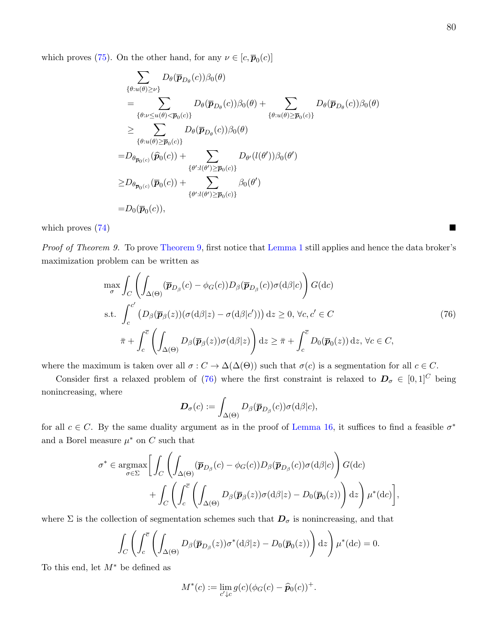which proves [\(75\)](#page-79-0). On the other hand, for any  $\nu \in [c, \overline{p}_0(c)]$ 

$$
\sum_{\{\theta:u(\theta)\geq\nu\}} D_{\theta}(\overline{p}_{D_{\theta}}(c))\beta_{0}(\theta)
$$
\n
$$
= \sum_{\{\theta:u\leq u(\theta)<\overline{p}_{0}(c)\}} D_{\theta}(\overline{p}_{D_{\theta}}(c))\beta_{0}(\theta) + \sum_{\{\theta:u(\theta)\geq\overline{p}_{0}(c)\}} D_{\theta}(\overline{p}_{D_{\theta}}(c))\beta_{0}(\theta)
$$
\n
$$
\geq \sum_{\{\theta:u(\theta)\geq\overline{p}_{0}(c)\}} D_{\theta}(\overline{p}_{D_{\theta}}(c))\beta_{0}(\theta)
$$
\n
$$
=D_{\theta_{\overline{p}_{0}(c)}}(\widehat{p}_{0}(c)) + \sum_{\{\theta':l(\theta')\geq\overline{p}_{0}(c)\}} D_{\theta'}(l(\theta'))\beta_{0}(\theta')
$$
\n
$$
\geq D_{\theta_{\overline{p}_{0}(c)}}(\overline{p}_{0}(c)) + \sum_{\{\theta':l(\theta')\geq\overline{p}_{0}(c)\}} \beta_{0}(\theta')
$$
\n
$$
=D_{0}(\overline{p}_{0}(c)),
$$

which proves  $(74)$ 

Proof of Theorem 9. To prove [Theorem 9,](#page-32-0) first notice that [Lemma 1](#page-16-0) still applies and hence the data broker's maximization problem can be written as

$$
\max_{\sigma} \int_{C} \left( \int_{\Delta(\Theta)} (\overline{p}_{D_{\beta}}(c) - \phi_{G}(c)) D_{\beta}(\overline{p}_{D_{\beta}}(c)) \sigma(\mathrm{d}\beta | c) \right) G(\mathrm{d}c)
$$
\ns.t. 
$$
\int_{c}^{c'} (D_{\beta}(\overline{p}_{\beta}(z)) (\sigma(\mathrm{d}\beta | z) - \sigma(\mathrm{d}\beta | c'))) \, \mathrm{d}z \ge 0, \, \forall c, c' \in C
$$
\n
$$
\bar{\pi} + \int_{c}^{\bar{c}} \left( \int_{\Delta(\Theta)} D_{\beta}(\overline{p}_{\beta}(z)) \sigma(\mathrm{d}\beta | z) \right) \mathrm{d}z \ge \bar{\pi} + \int_{c}^{\bar{c}} D_{0}(\overline{p}_{0}(z)) \, \mathrm{d}z, \, \forall c \in C,
$$
\n(76)

where the maximum is taken over all  $\sigma : C \to \Delta(\Delta(\Theta))$  such that  $\sigma(c)$  is a segmentation for all  $c \in C$ .

Consider first a relaxed problem of [\(76\)](#page-80-0) where the first constraint is relaxed to  $D_{\sigma} \in [0,1]^C$  being nonincreasing, where

$$
\boldsymbol{D}_{\sigma}(c):=\int_{\Delta(\Theta)}D_{\beta}(\overline{\boldsymbol{p}}_{D_{\beta}}(c))\sigma(\mathrm{d}\beta|c),
$$

for all  $c \in C$ . By the same duality argument as in the proof of [Lemma 16,](#page-54-0) it suffices to find a feasible  $\sigma^*$ and a Borel measure  $\mu^*$  on C such that

$$
\sigma^* \in \underset{\sigma \in \Sigma}{\text{argmax}} \left[ \int_C \left( \int_{\Delta(\Theta)} (\overline{p}_{D_\beta}(c) - \phi_G(c)) D_\beta(\overline{p}_{D_\beta}(c)) \sigma(\mathrm{d}\beta|c) \right) G(\mathrm{d}c) + \int_C \left( \int_c^{\overline{c}} \left( \int_{\Delta(\Theta)} D_\beta(\overline{p}_\beta(z)) \sigma(\mathrm{d}\beta|z) - D_0(\overline{p}_0(z)) \right) \mathrm{d}z \right) \mu^*(\mathrm{d}c) \right]
$$

where  $\Sigma$  is the collection of segmentation schemes such that  $\mathbf{D}_{\sigma}$  is nonincreasing, and that

$$
\int_C \left( \int_c^{\overline{c}} \left( \int_{\Delta(\Theta)} D_{\beta}(\overline{\boldsymbol{p}}_{D_{\beta}}(z)) \sigma^*(\mathrm{d}\beta | z) - D_0(\overline{\boldsymbol{p}}_0(z)) \right) \mathrm{d}z \right) \mu^*(\mathrm{d}c) = 0.
$$

To this end, let  $M^*$  be defined as

$$
M^*(c) := \lim_{c' \downarrow c} g(c) (\phi_G(c) - \widehat{\boldsymbol{p}}_0(c))^+.
$$

<span id="page-80-0"></span>,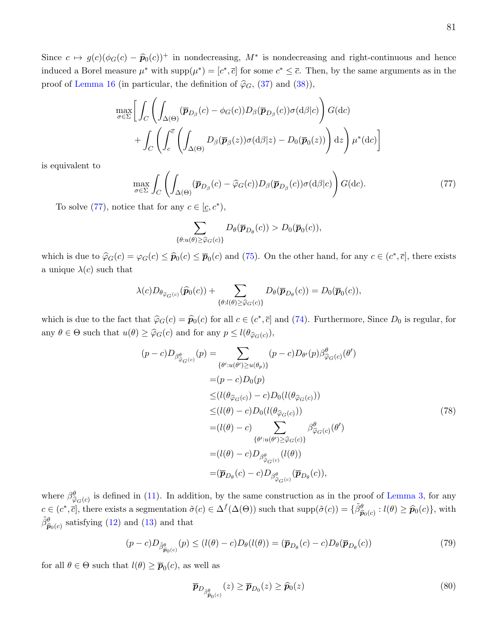Since  $c \mapsto g(c)(\phi_G(c) - \widehat{p}_0(c))^+$  in nondecreasing,  $M^*$  is nondecreasing and right-continuous and hence induced a Borel measure  $\mu^*$  with  $\text{supp}(\mu^*) = [c^*, \bar{c}]$  for some  $c^* \leq \bar{c}$ . Then, by the same arguments as in the proof of [Lemma 16](#page-54-0) (in particular, the definition of  $\hat{\varphi}_G$ , [\(37\)](#page-58-0) and [\(38\)](#page-59-0)),

$$
\max_{\sigma \in \Sigma} \left[ \int_C \left( \int_{\Delta(\Theta)} (\overline{\mathbf{p}}_{D_{\beta}}(c) - \phi_G(c)) D_{\beta}(\overline{\mathbf{p}}_{D_{\beta}}(c)) \sigma(d\beta|c) \right) G(dc) + \int_C \left( \int_c^{\overline{c}} \left( \int_{\Delta(\Theta)} D_{\beta}(\overline{\mathbf{p}}_{\beta}(z)) \sigma(d\beta|z) - D_0(\overline{\mathbf{p}}_0(z)) \right) dz \right) \mu^*(dc) \right]
$$

is equivalent to

<span id="page-81-0"></span>
$$
\max_{\sigma \in \Sigma} \int_C \left( \int_{\Delta(\Theta)} (\overline{\boldsymbol{p}}_{D_{\beta}}(c) - \widehat{\varphi}_G(c)) D_{\beta} (\overline{\boldsymbol{p}}_{D_{\beta}}(c)) \sigma(\mathrm{d}\beta|c) \right) G(\mathrm{d}c). \tag{77}
$$

To solve [\(77\)](#page-81-0), notice that for any  $c \in [\underline{c}, c^*),$ 

$$
\sum_{\{\theta: u(\theta) \ge \widehat{\varphi}_G(c)\}} D_{\theta}(\overline{\boldsymbol{p}}_{D_{\theta}}(c)) > D_0(\overline{\boldsymbol{p}}_0(c)),
$$

which is due to  $\hat{\varphi}_G(c) = \varphi_G(c) \leq \hat{p}_0(c) \leq \overline{p}_0(c)$  and [\(75\)](#page-79-0). On the other hand, for any  $c \in (c^*, \overline{c}]$ , there exists a unique  $\lambda(c)$  such that

$$
\lambda(c)D_{\theta_{\widehat{\varphi}_G(c)}}(\widehat{p}_0(c)) + \sum_{\{\theta: l(\theta) \geq \widehat{\varphi}_G(c)\}} D_{\theta}(\overline{p}_{D_{\theta}}(c)) = D_0(\overline{p}_0(c)),
$$

which is due to the fact that  $\hat{\varphi}_G(c) = \hat{p}_0(c)$  for all  $c \in (c^*, \bar{c}]$  and [\(74\)](#page-78-0). Furthermore, Since  $D_0$  is regular, for any  $\theta \in \Theta$  such that  $u(\theta) \ge \hat{\varphi}_G(c)$  and for any  $p \le l(\theta_{\hat{\varphi}_G(c)})$ ,

<span id="page-81-1"></span>
$$
(p - c)D_{\beta^{\theta}_{\widehat{\varphi}_{G}(c)}}(p) = \sum_{\{\theta':u(\theta')\geq u(\theta_{p})\}} (p - c)D_{\theta'}(p)\beta^{\theta}_{\widehat{\varphi}_{G}(c)}(\theta')
$$
  
\n
$$
= (p - c)D_{0}(p)
$$
  
\n
$$
\leq (l(\theta_{\widehat{\varphi}_{G}(c)}) - c)D_{0}(l(\theta_{\widehat{\varphi}_{G}(c)}))
$$
  
\n
$$
\leq (l(\theta) - c)D_{0}(l(\theta_{\widehat{\varphi}_{G}(c)}))
$$
  
\n
$$
= (l(\theta) - c)\sum_{\{\theta':u(\theta')\geq \widehat{\varphi}_{G}(c)\}} \beta^{\theta}_{\widehat{\varphi}_{G}(c)}(\theta')
$$
  
\n
$$
= (l(\theta) - c)D_{\beta^{\theta}_{\widehat{\varphi}_{G}(c)}}(l(\theta))
$$
  
\n
$$
= (\overline{p}_{D_{\theta}}(c) - c)D_{\beta^{\theta}_{\widehat{\varphi}_{G}(c)}}(\overline{p}_{D_{\theta}}(c)),
$$
\n(78)

where  $\beta^{\theta}_{\hat{\alpha}(\epsilon)}$  is defined in [\(11\)](#page-32-1). In addition, by the same construction as in the proof of [Lemma 3,](#page-19-0) for any where  $p_{\widehat{\varphi}_G(c)}$  is defined in (11). In addition, by the same construction as in the pro-<br>  $c \in (c^*, \overline{c}]$ , there exists a segmentation  $\tilde{\sigma}(c) \in \Delta^f(\Delta(\Theta))$  such that  $\text{supp}(\tilde{\sigma}(c)) = {\{\tilde{\beta}_G^{\theta}\}}$  $\widehat{p}_{0}(c)$  :  $l(\theta) \geq \widehat{p}_{0}(c)$ , with  $\tilde{\beta}^{\theta}_{\widehat{\boldsymbol{n}}}$  $\widehat{p}_{0}(c)$  satisfying [\(12\)](#page-32-2) and [\(13\)](#page-32-3) and that

<span id="page-81-2"></span>
$$
(p-c)D_{\tilde{\beta}^{\theta}_{\widehat{\mathbf{p}}_{0}(c)}}(p) \leq (l(\theta)-c)D_{\theta}(l(\theta)) = (\overline{\mathbf{p}}_{D_{\theta}}(c)-c)D_{\theta}(\overline{\mathbf{p}}_{D_{\theta}}(c))
$$
\n(79)

for all  $\theta \in \Theta$  such that  $l(\theta) \geq \overline{p}_0(c)$ , as well as

<span id="page-81-3"></span>
$$
\overline{\boldsymbol{p}}_{D_{\tilde{\boldsymbol{\beta}}_{\hat{\boldsymbol{p}}_0(c)}}}(z) \ge \overline{\boldsymbol{p}}_{D_0}(z) \ge \hat{\boldsymbol{p}}_0(z)
$$
\n(80)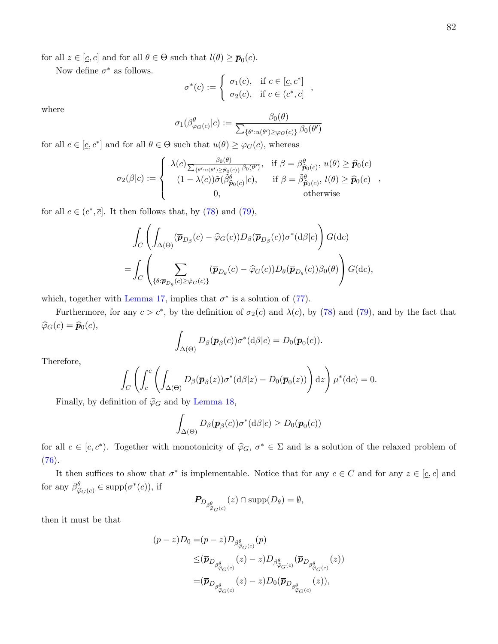for all  $z \in [\underline{c}, c]$  and for all  $\theta \in \Theta$  such that  $l(\theta) \ge \overline{p}_0(c)$ .

Now define  $\sigma^*$  as follows.

$$
\sigma^*(c) := \begin{cases} \sigma_1(c), & \text{if } c \in [\underline{c}, c^*] \\ \sigma_2(c), & \text{if } c \in (c^*, \overline{c}] \end{cases}
$$

where

$$
\sigma_1(\beta^{\theta}_{\varphi_G(c)}|c) := \frac{\beta_0(\theta)}{\sum_{\{\theta':u(\theta')\geq\varphi_G(c)\}}\beta_0(\theta')}
$$

for all  $c \in [\underline{c}, c^*]$  and for all  $\theta \in \Theta$  such that  $u(\theta) \geq \varphi_G(c)$ , whereas

$$
\sigma_2(\beta|c) := \begin{cases}\n\lambda(c) \frac{\beta_0(\theta)}{\sum_{\{\theta':u(\theta')\geq \widehat{p}_0(c)\}} \beta_0(\theta')}, & \text{if } \beta = \beta_{\widehat{p}_0(c)}^{\theta}, u(\theta) \geq \widehat{p}_0(c) \\
(1 - \lambda(c))\widetilde{\sigma}(\widetilde{\beta}_{\widehat{p}_0(c)}^{\theta}|c), & \text{if } \beta = \widetilde{\beta}_{\widehat{p}_0(c)}^{\theta}, l(\theta) \geq \widehat{p}_0(c) \\
0, & \text{otherwise}\n\end{cases}
$$

for all  $c \in (c^*, \overline{c}]$ . It then follows that, by [\(78\)](#page-81-1) and [\(79\)](#page-81-2),

$$
\int_C \left( \int_{\Delta(\Theta)} (\overline{\mathbf{p}}_{D_{\beta}}(c) - \widehat{\varphi}_G(c)) D_{\beta}(\overline{\mathbf{p}}_{D_{\beta}}(c)) \sigma^*(\mathrm{d}\beta|c) \right) G(\mathrm{d}c)
$$
\n
$$
= \int_C \left( \sum_{\{\theta: \overline{\mathbf{p}}_{D_{\theta}}(c) \geq \widehat{\varphi}_G(c)\}} (\overline{\mathbf{p}}_{D_{\theta}}(c) - \widehat{\varphi}_G(c)) D_{\theta}(\overline{\mathbf{p}}_{D_{\theta}}(c)) \beta_0(\theta) \right) G(\mathrm{d}c),
$$

which, together with [Lemma 17,](#page-78-1) implies that  $\sigma^*$  is a solution of [\(77\)](#page-81-0).

Furthermore, for any  $c > c^*$ , by the definition of  $\sigma_2(c)$  and  $\lambda(c)$ , by [\(78\)](#page-81-1) and [\(79\)](#page-81-2), and by the fact that  $\widehat{\varphi}_G(c) = \widehat{\boldsymbol{p}}_0(c),$ 

$$
\int_{\Delta(\Theta)} D_{\beta}(\overline{\boldsymbol{p}}_{\beta}(c)) \sigma^*(\mathrm{d}\beta|c) = D_0(\overline{\boldsymbol{p}}_0(c)).
$$

Therefore,

$$
\int_C \left( \int_c^{\overline{c}} \left( \int_{\Delta(\Theta)} D_{\beta}(\overline{p}_{\beta}(z)) \sigma^*(\mathrm{d}\beta | z) - D_0(\overline{p}_0(z)) \right) \mathrm{d}z \right) \mu^*(\mathrm{d}c) = 0.
$$

Finally, by definition of  $\hat{\varphi}_G$  and by [Lemma 18,](#page-78-2)

$$
\int_{\Delta(\Theta)} D_{\beta}(\overline{\boldsymbol{p}}_{\beta}(c)) \sigma^*(\mathrm{d}\beta|c) \ge D_0(\overline{\boldsymbol{p}}_0(c))
$$

for all  $c \in [\underline{c}, c^*)$ . Together with monotonicity of  $\hat{\varphi}_G$ ,  $\sigma^* \in \Sigma$  and is a solution of the relaxed problem of  $(76).$  $(76).$ 

It then suffices to show that  $\sigma^*$  is implementable. Notice that for any  $c \in C$  and for any  $z \in [c, c]$  and for any  $\beta^{\theta}_{\widehat{\varphi}_G(c)} \in \text{supp}(\sigma^*(c)),$  if

$$
\mathbf{P}_{D_{\beta^{\theta}_{\widehat{\varphi}_{G}(c)}}}(z) \cap \mathrm{supp}(D_{\theta}) = \emptyset,
$$

then it must be that

$$
(p-z)D_0 = (p-z)D_{\beta^{\theta}_{\widehat{\varphi}_{G}(c)}}(p)
$$
  
\n
$$
\leq (\overline{p}_{D_{\beta^{\theta}_{\widehat{\varphi}_{G}(c)}}}(z) - z)D_{\beta^{\theta}_{\widehat{\varphi}_{G}(c)}}(\overline{p}_{D_{\beta^{\theta}_{\widehat{\varphi}_{G}(c)}}}(z))
$$
  
\n
$$
= (\overline{p}_{D_{\beta^{\theta}_{\widehat{\varphi}_{G}(c)}}}(z) - z)D_0(\overline{p}_{D_{\beta^{\theta}_{\widehat{\varphi}_{G}(c)}}}(z)),
$$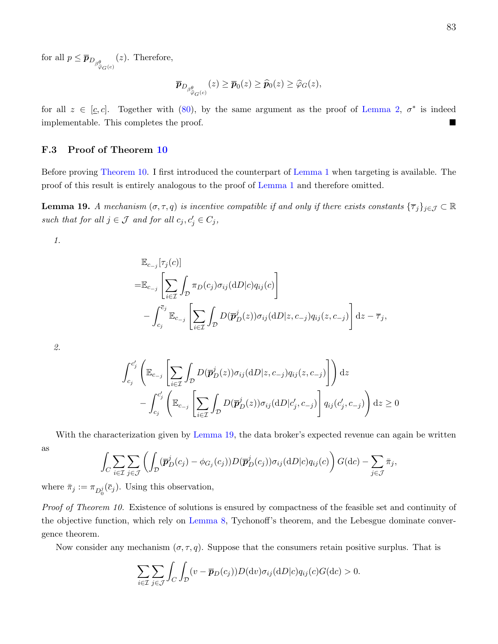for all  $p \leq \overline{p}_{D_{\beta^{\theta}_{\widehat{\varphi}_{G}(c)}}}$  $(z)$ . Therefore,

$$
\overline{\boldsymbol{p}}_{D_{\beta^{\theta}_{\widehat{\varphi}_G(c)}}}(z) \geq \overline{\boldsymbol{p}}_0(z) \geq \widehat{\boldsymbol{p}}_0(z) \geq \widehat{\varphi}_G(z),
$$

for all  $z \in [\underline{c}, c]$ . Together with [\(80\)](#page-81-3), by the same argument as the proof of [Lemma 2,](#page-18-0)  $\sigma^*$  is indeed implementable. This completes the proof.

# F.3 Proof of Theorem [10](#page-34-0)

Before proving [Theorem 10.](#page-34-0) I first introduced the counterpart of [Lemma 1](#page-16-0) when targeting is available. The proof of this result is entirely analogous to the proof of [Lemma 1](#page-16-0) and therefore omitted.

<span id="page-83-0"></span>**Lemma 19.** A mechanism  $(\sigma, \tau, q)$  is incentive compatible if and only if there exists constants  $\{\overline{\tau}_j\}_{j\in\mathcal{J}}\subset\mathbb{R}$ such that for all  $j \in \mathcal{J}$  and for all  $c_j, c'_j \in C_j$ ,

1.

$$
\mathbb{E}_{c_{-j}}[\tau_j(c)]
$$
\n
$$
= \mathbb{E}_{c_{-j}}\left[\sum_{i\in\mathcal{I}}\int_{\mathcal{D}}\pi_D(c_j)\sigma_{ij}(\mathrm{d}D|c)q_{ij}(c)\right]
$$
\n
$$
-\int_{c_j}^{\overline{c}_j}\mathbb{E}_{c_{-j}}\left[\sum_{i\in\mathcal{I}}\int_{\mathcal{D}}D(\overline{\mathbf{p}}_D^j(z))\sigma_{ij}(\mathrm{d}D|z,c_{-j})q_{ij}(z,c_{-j})\right]\mathrm{d}z - \overline{\tau}_j,
$$

2.

$$
\int_{c_j}^{c'_j} \left( \mathbb{E}_{c_{-j}} \left[ \sum_{i \in \mathcal{I}} \int_{\mathcal{D}} D(\overline{\mathbf{p}}_{D}^j(z)) \sigma_{ij}(\mathrm{d}D|z, c_{-j}) q_{ij}(z, c_{-j}) \right] \right) \mathrm{d}z
$$

$$
- \int_{c_j}^{c'_j} \left( \mathbb{E}_{c_{-j}} \left[ \sum_{i \in \mathcal{I}} \int_{\mathcal{D}} D(\overline{\mathbf{p}}_{D}^j(z)) \sigma_{ij}(\mathrm{d}D|c'_j, c_{-j}) \right] q_{ij}(c'_j, c_{-j}) \right) \mathrm{d}z \ge 0
$$

With the characterization given by [Lemma 19,](#page-83-0) the data broker's expected revenue can again be written as  $\overline{z}$ 

$$
\int_C \sum_{i \in \mathcal{I}} \sum_{j \in \mathcal{J}} \left( \int_{\mathcal{D}} (\overline{\mathbf{p}}_D^j(c_j) - \phi_{G_j}(c_j)) D(\overline{\mathbf{p}}_D^j(c_j)) \sigma_{ij}(\mathrm{d}D|c) q_{ij}(c) \right) G(\mathrm{d}c) - \sum_{j \in \mathcal{J}} \overline{\pi}_j,
$$

where  $\bar{\pi}_j := \pi_{D_0^j}(\bar{c}_j)$ . Using this observation,

Proof of Theorem 10. Existence of solutions is ensured by compactness of the feasible set and continuity of the objective function, which rely on [Lemma 8,](#page-44-0) Tychonoff's theorem, and the Lebesgue dominate convergence theorem.

Now consider any mechanism  $(\sigma, \tau, q)$ . Suppose that the consumers retain positive surplus. That is

$$
\sum_{i \in \mathcal{I}} \sum_{j \in \mathcal{J}} \int_C \int_{\mathcal{D}} (v - \overline{p}_D(c_j)) D(\mathrm{d}v) \sigma_{ij}(\mathrm{d}D|c) q_{ij}(c) G(\mathrm{d}c) > 0.
$$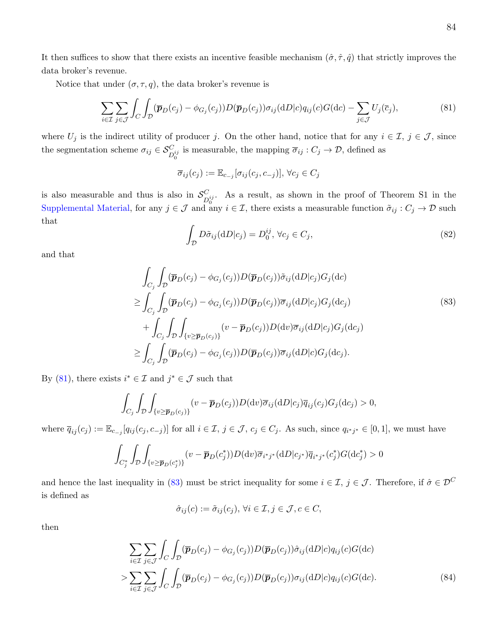It then suffices to show that there exists an incentive feasible mechanism  $(\hat{\sigma}, \hat{\tau}, \hat{q})$  that strictly improves the data broker's revenue.

Notice that under  $(\sigma, \tau, q)$ , the data broker's revenue is

<span id="page-84-0"></span>
$$
\sum_{i \in \mathcal{I}} \sum_{j \in \mathcal{J}} \int_C \int_{\mathcal{D}} (\overline{p}_D(c_j) - \phi_{G_j}(c_j)) D(\overline{p}_D(c_j)) \sigma_{ij}(\mathrm{d}D|c) q_{ij}(c) G(\mathrm{d}c) - \sum_{j \in \mathcal{J}} U_j(\overline{c}_j),\tag{81}
$$

where  $U_j$  is the indirect utility of producer j. On the other hand, notice that for any  $i \in \mathcal{I}, j \in \mathcal{J}$ , since the segmentation scheme  $\sigma_{ij} \in \mathcal{S}_{D_0^{ij}}^C$  is measurable, the mapping  $\overline{\sigma}_{ij} : C_j \to \mathcal{D}$ , defined as

$$
\overline{\sigma}_{ij}(c_j) := \mathbb{E}_{c_{-j}}[\sigma_{ij}(c_j, c_{-j})], \forall c_j \in C_j
$$

is also measurable and thus is also in  $\mathcal{S}_{\mathcal{D}}^C$  $C_{D_0^{ij}}$ . As a result, as shown in the proof of Theorem S1 in the [Supplemental Material,](https://kaihaoyang.com/wp-content/uploads/2019/10/Optimal-Market-Segmentaion-Design-and-its-Consequences-Supplemental-Materials.pdf) for any  $j \in \mathcal{J}$  and any  $i \in \mathcal{I}$ , there exists a measurable function  $\tilde{\sigma}_{ij}: C_j \to \mathcal{D}$  such that

<span id="page-84-2"></span><span id="page-84-1"></span>
$$
\int_{\mathcal{D}} D\tilde{\sigma}_{ij}(\mathrm{d}D|c_j) = D_0^{ij}, \forall c_j \in C_j,
$$
\n(82)

and that

$$
\int_{C_j} \int_{\mathcal{D}} (\overline{p}_D(c_j) - \phi_{G_j}(c_j)) D(\overline{p}_D(c_j)) \tilde{\sigma}_{ij}(\mathrm{d}D|c_j) G_j(\mathrm{d}c) \n\geq \int_{C_j} \int_{\mathcal{D}} (\overline{p}_D(c_j) - \phi_{G_j}(c_j)) D(\overline{p}_D(c_j)) \overline{\sigma}_{ij}(\mathrm{d}D|c_j) G_j(\mathrm{d}c_j) \n+ \int_{C_j} \int_{\mathcal{D}} \int_{\{v \geq \overline{p}_D(c_j)\}} (v - \overline{p}_D(c_j)) D(\mathrm{d}v) \overline{\sigma}_{ij}(\mathrm{d}D|c_j) G_j(\mathrm{d}c_j) \n\geq \int_{C_j} \int_{\mathcal{D}} (\overline{p}_D(c_j) - \phi_{G_j}(c_j)) D(\overline{p}_D(c_j)) \overline{\sigma}_{ij}(\mathrm{d}D|c) G_j(\mathrm{d}c_j).
$$
\n(83)

By [\(81\)](#page-84-0), there exists  $i^* \in \mathcal{I}$  and  $j^* \in \mathcal{J}$  such that

$$
\int_{C_j} \int_{\mathcal{D}} \int_{\{v \ge \overline{\boldsymbol{p}}_D(c_j)\}} (v - \overline{\boldsymbol{p}}_D(c_j)) D(\mathrm{d}v) \overline{\sigma}_{ij}(\mathrm{d}D|c_j) \overline{q}_{ij}(c_j) G_j(\mathrm{d}c_j) > 0,
$$

where  $\overline{q}_{ij}(c_j) := \mathbb{E}_{c_{-j}}[q_{ij}(c_j, c_{-j})]$  for all  $i \in \mathcal{I}, j \in \mathcal{J}, c_j \in C_j$ . As such, since  $q_{i^*j^*} \in [0,1]$ , we must have

$$
\int_{C_j^*} \int_{\mathcal{D}} \int_{\{v \ge \overline{\boldsymbol{p}}_D(c_j^*)\}} (v - \overline{\boldsymbol{p}}_D(c_j^*)) D(\mathrm{d}v) \overline{\sigma}_{i^*j^*}(\mathrm{d}D|c_{j^*}) \overline{q}_{i^*j^*}(c_j^*) G(\mathrm{d}c_j^*) > 0
$$

and hence the last inequality in [\(83\)](#page-84-1) must be strict inequality for some  $i \in \mathcal{I}, j \in \mathcal{J}$ . Therefore, if  $\hat{\sigma} \in \mathcal{D}^C$ is defined as

<span id="page-84-3"></span>
$$
\hat{\sigma}_{ij}(c) := \tilde{\sigma}_{ij}(c_j), \,\forall i \in \mathcal{I}, j \in \mathcal{J}, c \in C,
$$

then

$$
\sum_{i \in \mathcal{I}} \sum_{j \in \mathcal{J}} \int_C \int_{\mathcal{D}} (\overline{p}_D(c_j) - \phi_{G_j}(c_j)) D(\overline{p}_D(c_j)) \hat{\sigma}_{ij}(\mathrm{d}D|c) q_{ij}(c) G(\mathrm{d}c)
$$
\n
$$
> \sum_{i \in \mathcal{I}} \sum_{j \in \mathcal{J}} \int_C \int_{\mathcal{D}} (\overline{p}_D(c_j) - \phi_{G_j}(c_j)) D(\overline{p}_D(c_j)) \sigma_{ij}(\mathrm{d}D|c) q_{ij}(c) G(\mathrm{d}c). \tag{84}
$$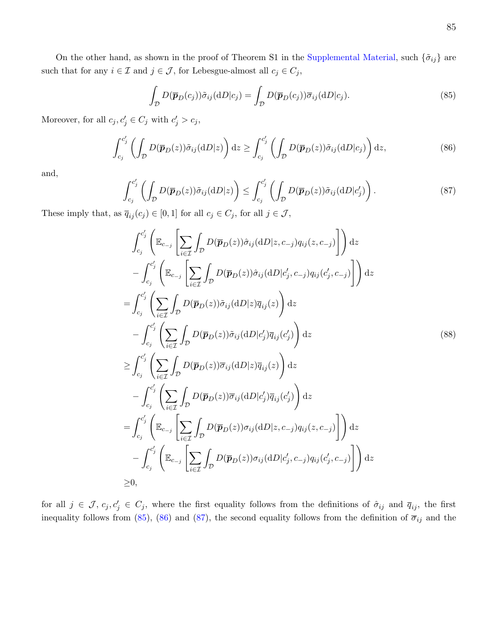On the other hand, as shown in the proof of Theorem S1 in the [Supplemental Material,](https://kaihaoyang.com/wp-content/uploads/2019/10/Optimal-Market-Segmentaion-Design-and-its-Consequences-Supplemental-Materials.pdf) such  $\{\tilde{\sigma}_{ij}\}$  are such that for any  $i\in\mathcal{I}$  and  $j\in\mathcal{J},$  for Lebesgue-almost all  $c_j\in C_j,$ 

<span id="page-85-0"></span>
$$
\int_{\mathcal{D}} D(\overline{\boldsymbol{p}}_D(c_j)) \tilde{\sigma}_{ij}(\mathrm{d}D|c_j) = \int_{\mathcal{D}} D(\overline{\boldsymbol{p}}_D(c_j)) \overline{\sigma}_{ij}(\mathrm{d}D|c_j). \tag{85}
$$

Moreover, for all  $c_j, c'_j \in C_j$  with  $c'_j > c_j$ ,

<span id="page-85-1"></span>
$$
\int_{c_j}^{c'_j} \left( \int_{\mathcal{D}} D(\overline{\boldsymbol{p}}_D(z)) \tilde{\sigma}_{ij}(\mathrm{d}D|z) \right) \mathrm{d}z \ge \int_{c_j}^{c'_j} \left( \int_{\mathcal{D}} D(\overline{\boldsymbol{p}}_D(z)) \tilde{\sigma}_{ij}(\mathrm{d}D|c_j) \right) \mathrm{d}z, \tag{86}
$$

and,

<span id="page-85-2"></span>
$$
\int_{c_j}^{c_j'} \left( \int_{\mathcal{D}} D(\overline{\boldsymbol{p}}_D(z)) \tilde{\sigma}_{ij}(\mathrm{d}D|z) \right) \le \int_{c_j}^{c_j'} \left( \int_{\mathcal{D}} D(\overline{\boldsymbol{p}}_D(z)) \tilde{\sigma}_{ij}(\mathrm{d}D|c_j') \right). \tag{87}
$$

These imply that, as  $\overline{q}_{ij}(c_j) \in [0,1]$  for all  $c_j \in C_j$ , for all  $j \in \mathcal{J}$ ,

<span id="page-85-3"></span>
$$
\int_{c_j}^{c_j'} \left( \mathbb{E}_{c-j} \left[ \sum_{i \in \mathcal{I}} \int_{\mathcal{D}} D(\overline{p}_D(z)) \hat{\sigma}_{ij}(\mathrm{d}D | z, c_{-j}) q_{ij}(z, c_{-j}) \right] \mathrm{d}z \n- \int_{c_j}^{c_j'} \left( \mathbb{E}_{c-j} \left[ \sum_{i \in \mathcal{I}} \int_{\mathcal{D}} D(\overline{p}_D(z)) \hat{\sigma}_{ij}(\mathrm{d}D | c_j', c_{-j}) q_{ij}(c_j', c_{-j}) \right] \right) \mathrm{d}z \n= \int_{c_j}^{c_j'} \left( \sum_{i \in \mathcal{I}} \int_{\mathcal{D}} D(\overline{p}_D(z)) \tilde{\sigma}_{ij}(\mathrm{d}D | z) \overline{q}_{ij}(z) \right) \mathrm{d}z \n- \int_{c_j}^{c_j'} \left( \sum_{i \in \mathcal{I}} \int_{\mathcal{D}} D(\overline{p}_D(z)) \tilde{\sigma}_{ij}(\mathrm{d}D | c_j') \overline{q}_{ij}(c_j') \right) \mathrm{d}z \n\geq \int_{c_j}^{c_j'} \left( \sum_{i \in \mathcal{I}} \int_{\mathcal{D}} D(\overline{p}_D(z)) \overline{\sigma}_{ij}(\mathrm{d}D | z) \overline{q}_{ij}(z) \right) \mathrm{d}z \n- \int_{c_j}^{c_j'} \left( \sum_{i \in \mathcal{I}} \int_{\mathcal{D}} D(\overline{p}_D(z)) \overline{\sigma}_{ij}(\mathrm{d}D | c_j') \overline{q}_{ij}(c_j') \right) \mathrm{d}z \n= \int_{c_j}^{c_j'} \left( \mathbb{E}_{c-j} \left[ \sum_{i \in \mathcal{I}} \int_{\mathcal{D}} D(\overline{p}_D(z)) \sigma_{ij}(\mathrm{d}D | z, c_{-j}) q_{ij}(z, c_{-j}) \right] \right) \mathrm{d}z \n- \int_{c_j}^{c_j'} \left( \mathbb{E}_{c-j} \left[ \sum_{i \in \mathcal{I}} \int_{\mathcal{D}} D(\overline{p}_D(z)) \sigma_{ij}(\mathrm{d}D | c_j', c_{-j}) q_{ij}(c_j', c_{-j}) \right] \right) \mathrm{d}z
$$

for all  $j \in \mathcal{J}, c_j, c'_j \in C_j$ , where the first equality follows from the definitions of  $\hat{\sigma}_{ij}$  and  $\overline{q}_{ij}$ , the first inequality follows from [\(85\)](#page-85-0), [\(86\)](#page-85-1) and [\(87\)](#page-85-2), the second equality follows from the definition of  $\overline{\sigma}_{ij}$  and the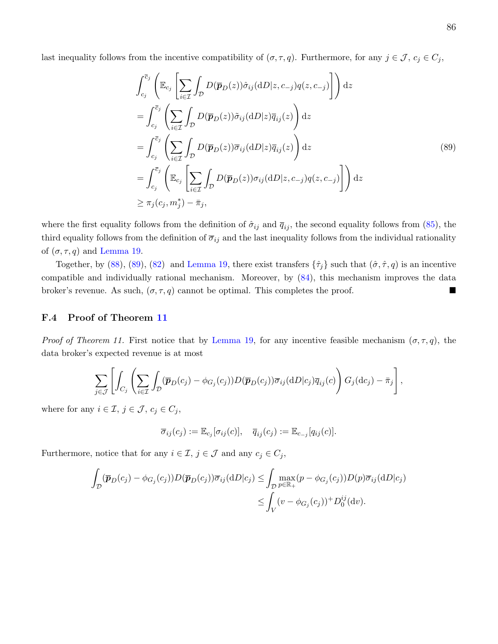last inequality follows from the incentive compatibility of  $(\sigma, \tau, q)$ . Furthermore, for any  $j \in \mathcal{J}$ ,  $c_j \in C_j$ ,

<span id="page-86-0"></span>
$$
\int_{c_j}^{\overline{c}_j} \left( \mathbb{E}_{c_j} \left[ \sum_{i \in \mathcal{I}} \int_{\mathcal{D}} D(\overline{p}_D(z)) \hat{\sigma}_{ij}(\mathrm{d}D|z, c_{-j}) q(z, c_{-j}) \right] \right) \mathrm{d}z
$$
\n
$$
= \int_{c_j}^{\overline{c}_j} \left( \sum_{i \in \mathcal{I}} \int_{\mathcal{D}} D(\overline{p}_D(z)) \tilde{\sigma}_{ij}(\mathrm{d}D|z) \overline{q}_{ij}(z) \right) \mathrm{d}z
$$
\n
$$
= \int_{c_j}^{\overline{c}_j} \left( \sum_{i \in \mathcal{I}} \int_{\mathcal{D}} D(\overline{p}_D(z)) \overline{\sigma}_{ij}(\mathrm{d}D|z) \overline{q}_{ij}(z) \right) \mathrm{d}z
$$
\n
$$
= \int_{c_j}^{\overline{c}_j} \left( \mathbb{E}_{c_j} \left[ \sum_{i \in \mathcal{I}} \int_{\mathcal{D}} D(\overline{p}_D(z)) \sigma_{ij}(\mathrm{d}D|z, c_{-j}) q(z, c_{-j}) \right] \right) \mathrm{d}z
$$
\n
$$
\geq \pi_j(c_j, m_j^*) - \overline{\pi}_j,
$$
\n(89)

where the first equality follows from the definition of  $\hat{\sigma}_{ij}$  and  $\overline{q}_{ij}$ , the second equality follows from [\(85\)](#page-85-0), the third equality follows from the definition of  $\overline{\sigma}_{ij}$  and the last inequality follows from the individual rationality of  $(\sigma, \tau, q)$  and [Lemma 19.](#page-83-0)

Together, by [\(88\)](#page-85-3), [\(89\)](#page-86-0), [\(82\)](#page-84-2) and [Lemma 19,](#page-83-0) there exist transfers  $\{\hat{\tau}_j\}$  such that  $(\hat{\sigma}, \hat{\tau}, q)$  is an incentive compatible and individually rational mechanism. Moreover, by [\(84\)](#page-84-3), this mechanism improves the data broker's revenue. As such,  $(\sigma, \tau, q)$  cannot be optimal. This completes the proof.

# F.4 Proof of Theorem [11](#page-34-1)

*Proof of Theorem 11.* First notice that by [Lemma 19,](#page-83-0) for any incentive feasible mechanism  $(\sigma, \tau, q)$ , the data broker's expected revenue is at most

$$
\sum_{j\in\mathcal{J}}\left[\int_{C_j}\left(\sum_{i\in\mathcal{I}}\int_{\mathcal{D}}(\overline{\mathbf{p}}_D(c_j)-\phi_{G_j}(c_j))D(\overline{\mathbf{p}}_D(c_j))\overline{\sigma}_{ij}(\mathrm{d}D|c_j)\overline{q}_{ij}(c)\right)G_j(\mathrm{d}c_j)-\overline{\pi}_j\right],
$$

where for any  $i \in \mathcal{I}, j \in \mathcal{J}, c_j \in C_j$ ,

$$
\overline{\sigma}_{ij}(c_j) := \mathbb{E}_{c_j}[\sigma_{ij}(c)], \quad \overline{q}_{ij}(c_j) := \mathbb{E}_{c_{-j}}[q_{ij}(c)].
$$

Furthermore, notice that for any  $i \in \mathcal{I}$ ,  $j \in \mathcal{J}$  and any  $c_j \in C_j$ ,

$$
\int_{\mathcal{D}} (\overline{\boldsymbol{p}}_D(c_j) - \phi_{G_j}(c_j)) D(\overline{\boldsymbol{p}}_D(c_j)) \overline{\sigma}_{ij}(\mathrm{d}D|c_j) \le \int_{\mathcal{D}} \max_{p \in \mathbb{R}_+} (p - \phi_{G_j}(c_j)) D(p) \overline{\sigma}_{ij}(\mathrm{d}D|c_j)
$$
  

$$
\le \int_V (v - \phi_{G_j}(c_j))^+ D_0^{ij}(\mathrm{d}v).
$$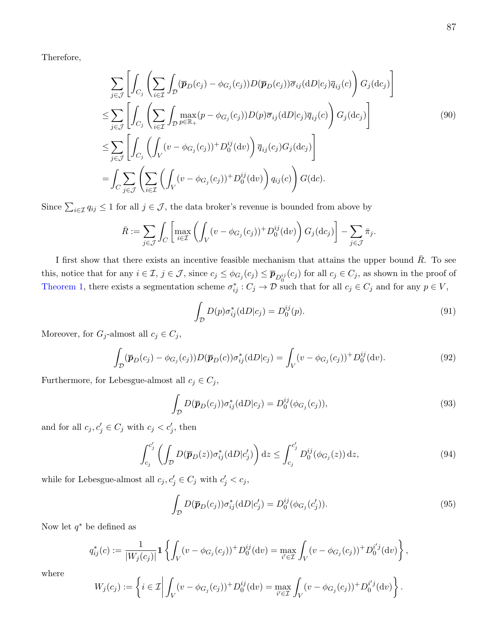Therefore,

$$
\sum_{j \in \mathcal{J}} \left[ \int_{C_j} \left( \sum_{i \in \mathcal{I}} \int_{\mathcal{D}} (\overline{p}_D(c_j) - \phi_{G_j}(c_j)) D(\overline{p}_D(c_j)) \overline{\sigma}_{ij}(\mathrm{d}D|c_j) \overline{q}_{ij}(c) \right) G_j(\mathrm{d}c_j) \right]
$$
\n
$$
\leq \sum_{j \in \mathcal{J}} \left[ \int_{C_j} \left( \sum_{i \in \mathcal{I}} \int_{\mathcal{D}} \max_{p \in \mathbb{R}_+} (p - \phi_{G_j}(c_j)) D(p) \overline{\sigma}_{ij}(\mathrm{d}D|c_j) \overline{q}_{ij}(c) \right) G_j(\mathrm{d}c_j) \right]
$$
\n
$$
\leq \sum_{j \in \mathcal{J}} \left[ \int_{C_j} \left( \int_V (v - \phi_{G_j}(c_j)) + D_0^{ij}(\mathrm{d}v) \right) \overline{q}_{ij}(c_j) G_j(\mathrm{d}c_j) \right]
$$
\n
$$
= \int_C \sum_{j \in \mathcal{J}} \left( \sum_{i \in \mathcal{I}} \left( \int_V (v - \phi_{G_j}(c_j)) + D_0^{ij}(\mathrm{d}v) \right) q_{ij}(c) \right) G(\mathrm{d}c).
$$
\n(90)

Since  $\sum_{i\in\mathcal{I}} q_{ij} \leq 1$  for all  $j\in\mathcal{J}$ , the data broker's revenue is bounded from above by

$$
\bar{R} := \sum_{j \in \mathcal{J}} \int_C \left[ \max_{i \in \mathcal{I}} \left( \int_V (v - \phi_{G_j}(c_j))^+ D_0^{ij}(\mathrm{d}v) \right) G_j(\mathrm{d}c_j) \right] - \sum_{j \in \mathcal{J}} \bar{\pi}_j.
$$

I first show that there exists an incentive feasible mechanism that attains the upper bound  $\bar{R}$ . To see this, notice that for any  $i \in \mathcal{I}$ ,  $j \in \mathcal{J}$ , since  $c_j \leq \phi_{G_j}(c_j) \leq \overline{p}_{D_0^{ij}}(c_j)$  for all  $c_j \in C_j$ , as shown in the proof of [Theorem 1,](#page-13-0) there exists a segmentation scheme  $\sigma_{ij}^* : C_j \to \mathcal{D}$  such that for all  $c_j \in C_j$  and for any  $p \in V$ ,

<span id="page-87-4"></span>
$$
\int_{\mathcal{D}} D(p)\sigma_{ij}^*(dD|c_j) = D_0^{ij}(p). \tag{91}
$$

Moreover, for  $G_j$ -almost all  $c_j \in C_j$ ,

$$
\int_{\mathcal{D}} (\overline{\boldsymbol{p}}_D(c_j) - \phi_{G_j}(c_j)) D(\overline{\boldsymbol{p}}_D(c)) \sigma_{ij}^*(dD|c_j) = \int_V (v - \phi_{G_j}(c_j))^+ D_0^{ij}(dv). \tag{92}
$$

Furthermore, for Lebesgue-almost all  $c_j \in C_j$ ,

<span id="page-87-0"></span>
$$
\int_{\mathcal{D}} D(\overline{\boldsymbol{p}}_D(c_j)) \sigma_{ij}^*(dD|c_j) = D_0^{ij}(\phi_{G_j}(c_j)),\tag{93}
$$

and for all  $c_j, c'_j \in C_j$  with  $c_j < c'_j$ , then

<span id="page-87-1"></span>
$$
\int_{c_j}^{c_j'} \left( \int_{\mathcal{D}} D(\overline{\boldsymbol{p}}_D(z)) \sigma_{ij}^*(dD|c_j') \right) dz \le \int_{c_j}^{c_j'} D_0^{ij}(\phi_{G_j}(z)) dz,
$$
\n(94)

while for Lebesgue-almost all  $c_j, c'_j \in C_j$  with  $c'_j < c_j$ ,

<span id="page-87-2"></span>
$$
\int_{\mathcal{D}} D(\overline{\boldsymbol{p}}_D(c_j)) \sigma_{ij}^* (\mathrm{d}D|c_j') = D_0^{ij} (\phi_{G_j}(c_j')). \tag{95}
$$

<span id="page-87-3"></span>,

.

Now let  $q^*$  be defined as

$$
q_{ij}^*(c) := \frac{1}{|W_j(c_j)|} \mathbf{1} \left\{ \int_V (v - \phi_{G_j}(c_j))^+ D_0^{ij}(\mathrm{d}v) = \max_{i' \in \mathcal{I}} \int_V (v - \phi_{G_j}(c_j))^+ D_0^{i'j}(\mathrm{d}v) \right\}
$$

where

$$
W_j(c_j) := \left\{ i \in \mathcal{I} \middle| \int_V (v - \phi_{G_j}(c_j))^+ D_0^{ij}(\mathrm{d}v) = \max_{i' \in \mathcal{I}} \int_V (v - \phi_{G_j}(c_j))^+ D_0^{i'j}(\mathrm{d}v) \right\}
$$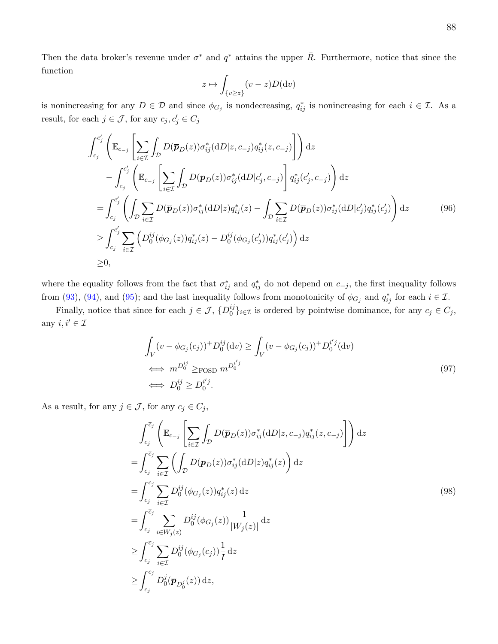Then the data broker's revenue under  $\sigma^*$  and  $q^*$  attains the upper  $\bar{R}$ . Furthermore, notice that since the function

<span id="page-88-1"></span>
$$
z \mapsto \int_{\{v \ge z\}} (v - z) D(\mathrm{d}v)
$$

is nonincreasing for any  $D \in \mathcal{D}$  and since  $\phi_{G_j}$  is nondecreasing,  $q_{ij}^*$  is nonincreasing for each  $i \in \mathcal{I}$ . As a result, for each  $j \in \mathcal{J}$ , for any  $c_j, c'_j \in C_j$ 

$$
\int_{c_j}^{c'_j} \left( \mathbb{E}_{c_{-j}} \left[ \sum_{i \in \mathcal{I}} \int_{\mathcal{D}} D(\overline{p}_D(z)) \sigma_{ij}^* (\mathrm{d}D|z, c_{-j}) q_{ij}^*(z, c_{-j}) \right] \right) \mathrm{d}z \n- \int_{c_j}^{c'_j} \left( \mathbb{E}_{c_{-j}} \left[ \sum_{i \in \mathcal{I}} \int_{\mathcal{D}} D(\overline{p}_D(z)) \sigma_{ij}^* (\mathrm{d}D|c'_j, c_{-j}) \right] q_{ij}^*(c'_j, c_{-j}) \right) \mathrm{d}z \n= \int_{c_j}^{c'_j} \left( \int_{\mathcal{D}} \sum_{i \in \mathcal{I}} D(\overline{p}_D(z)) \sigma_{ij}^* (\mathrm{d}D|z) q_{ij}^*(z) - \int_{\mathcal{D}} \sum_{i \in \mathcal{I}} D(\overline{p}_D(z)) \sigma_{ij}^* (\mathrm{d}D|c'_j) q_{ij}^*(c'_j) \right) \mathrm{d}z \n\geq \int_{c_j}^{c'_j} \sum_{i \in \mathcal{I}} \left( D_0^{ij} (\phi_{G_j}(z)) q_{ij}^*(z) - D_0^{ij} (\phi_{G_j}(c'_j)) q_{ij}^*(c'_j) \right) \mathrm{d}z \n\geq 0,
$$
\n(96)

where the equality follows from the fact that  $\sigma_{ij}^*$  and  $q_{ij}^*$  do not depend on  $c_{-j}$ , the first inequality follows from [\(93\)](#page-87-0), [\(94\)](#page-87-1), and [\(95\)](#page-87-2); and the last inequality follows from monotonicity of  $\phi_{G_j}$  and  $q_{ij}^*$  for each  $i \in \mathcal{I}$ .

Finally, notice that since for each  $j \in \mathcal{J}, \{D_0^{ij}\}$  $\{y_i\}_{i\in\mathcal{I}}$  is ordered by pointwise dominance, for any  $c_j \in C_j$ , any  $i, i' \in \mathcal{I}$ 

<span id="page-88-0"></span>
$$
\int_{V} (v - \phi_{G_j}(c_j))^+ D_0^{ij}(\mathrm{d}v) \ge \int_{V} (v - \phi_{G_j}(c_j))^+ D_0^{i'j}(\mathrm{d}v)
$$
\n
$$
\iff m^{D_0^{ij}} \ge \text{Fosp } m^{D_0^{i'j}}
$$
\n
$$
\iff D_0^{ij} \ge D_0^{i'j}.
$$
\n(97)

As a result, for any  $j \in \mathcal{J}$ , for any  $c_j \in C_j$ ,

<span id="page-88-2"></span>
$$
\int_{c_j}^{\overline{c}_j} \left( \mathbb{E}_{c_{-j}} \left[ \sum_{i \in \mathcal{I}} \int_{\mathcal{D}} D(\overline{p}_D(z)) \sigma_{ij}^* (\mathrm{d}D|z, c_{-j}) q_{ij}^*(z, c_{-j}) \right] \right) \mathrm{d}z
$$
\n
$$
= \int_{c_j}^{\overline{c}_j} \sum_{i \in \mathcal{I}} \left( \int_{\mathcal{D}} D(\overline{p}_D(z)) \sigma_{ij}^* (\mathrm{d}D|z) q_{ij}^*(z) \right) \mathrm{d}z
$$
\n
$$
= \int_{c_j}^{\overline{c}_j} \sum_{i \in \mathcal{I}} D_0^{ij} (\phi_{G_j}(z)) q_{ij}^*(z) \mathrm{d}z
$$
\n
$$
= \int_{c_j}^{\overline{c}_j} \sum_{i \in W_j(z)} D_0^{ij} (\phi_{G_j}(z)) \frac{1}{|W_j(z)|} \mathrm{d}z
$$
\n
$$
\geq \int_{c_j}^{\overline{c}_j} \sum_{i \in \mathcal{I}} D_0^{ij} (\phi_{G_j}(c_j)) \frac{1}{I} \mathrm{d}z
$$
\n
$$
\geq \int_{c_j}^{\overline{c}_j} D_0^{j}(\overline{p}_{D_0^j}(z)) \mathrm{d}z,
$$
\n
$$
(98)
$$